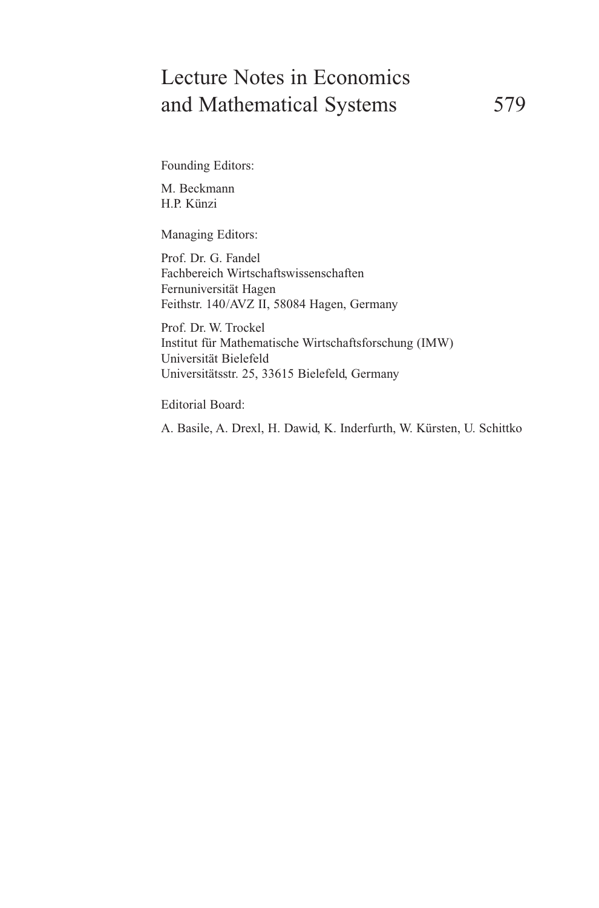# Lecture Notes in Economics and Mathematical Systems 579

Founding Editors:

M. Beckmann H.P. Künzi

Managing Editors:

Prof. Dr. G. Fandel Fachbereich Wirtschaftswissenschaften Fernuniversität Hagen Feithstr. 140/AVZ II, 58084 Hagen, Germany

Prof. Dr. W. Trockel Institut für Mathematische Wirtschaftsforschung (IMW) Universität Bielefeld Universitätsstr. 25, 33615 Bielefeld, Germany

Editorial Board:

A. Basile, A. Drexl, H. Dawid, K. Inderfurth, W. Kürsten, U. Schittko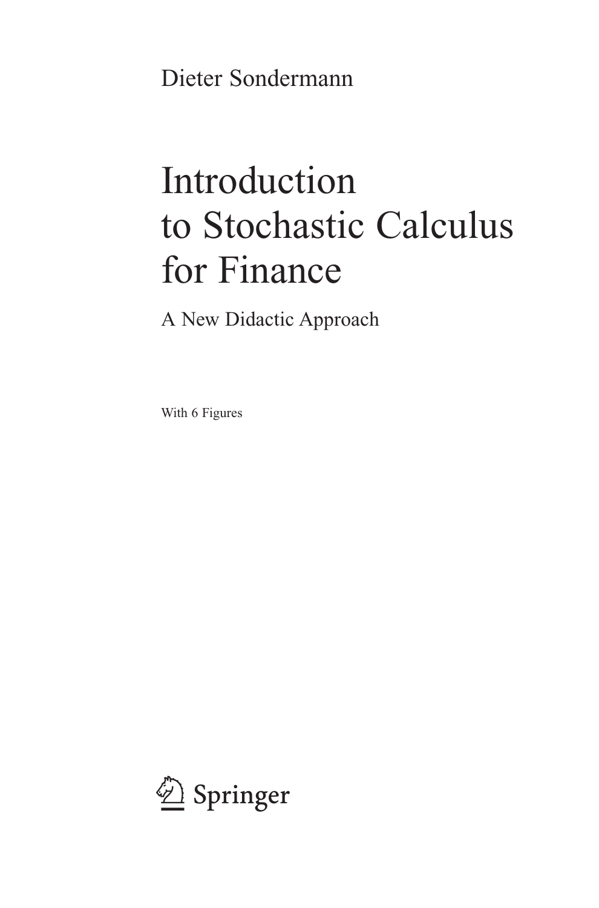Dieter Sondermann

# Introduction to Stochastic Calculus for Finance

A New Didactic Approach

With 6 Figures

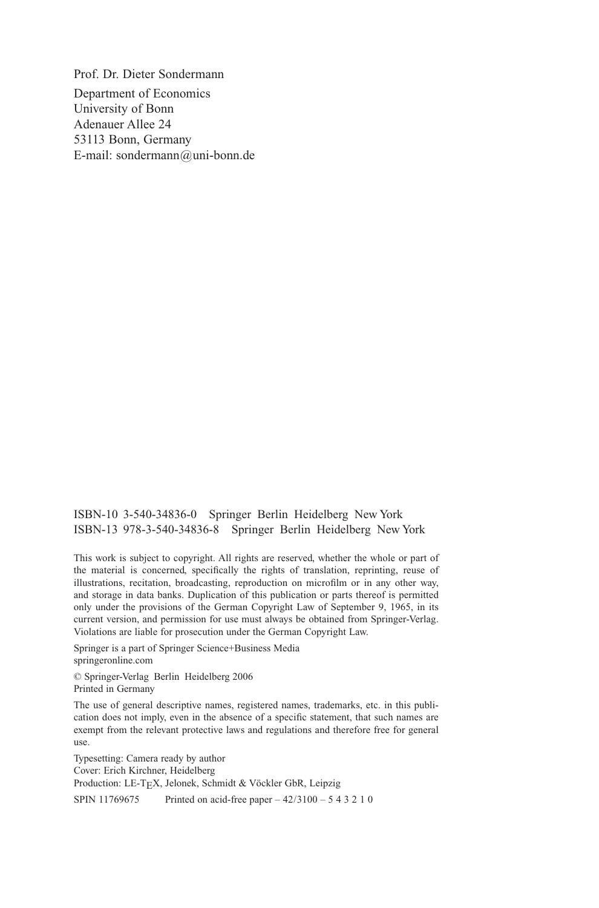Prof. Dr. Dieter Sondermann Department of Economics University of Bonn Adenauer Allee 24 53113 Bonn, Germany E-mail: sondermann@uni-bonn.de

ISBN-10 3-540-34836-0 Springer Berlin Heidelberg New York ISBN-13 978-3-540-34836-8 Springer Berlin Heidelberg New York

This work is subject to copyright. All rights are reserved, whether the whole or part of the material is concerned, specifically the rights of translation, reprinting, reuse of illustrations, recitation, broadcasting, reproduction on microfilm or in any other way, and storage in data banks. Duplication of this publication or parts thereof is permitted only under the provisions of the German Copyright Law of September 9, 1965, in its current version, and permission for use must always be obtained from Springer-Verlag. Violations are liable for prosecution under the German Copyright Law.

Springer is a part of Springer Science+Business Media springeronline.com

© Springer-Verlag Berlin Heidelberg 2006 Printed in Germany

The use of general descriptive names, registered names, trademarks, etc. in this publication does not imply, even in the absence of a specific statement, that such names are exempt from the relevant protective laws and regulations and therefore free for general use.

Typesetting: Camera ready by author Cover: Erich Kirchner, Heidelberg Production: LE-TEX, Jelonek, Schmidt & Vöckler GbR, Leipzig SPIN 11769675 Printed on acid-free paper  $-42/3100 - 543210$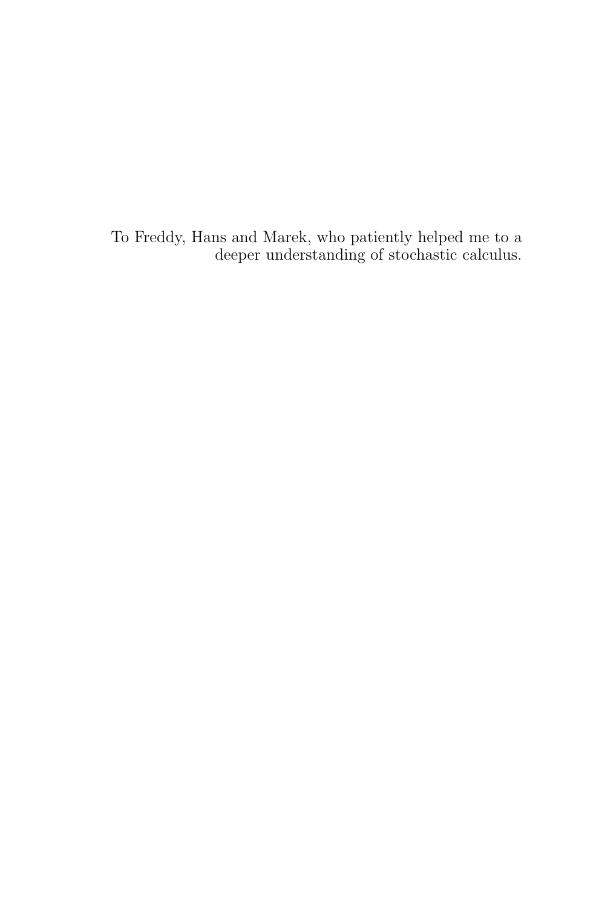To Freddy, Hans and Marek, who patiently helped me to a deeper understanding of stochastic calculus.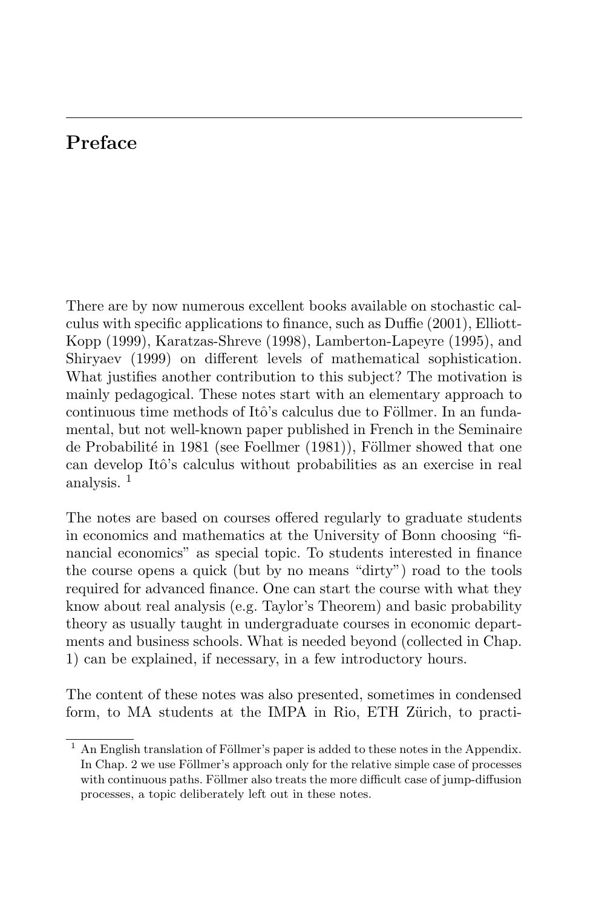## **Preface**

There are by now numerous excellent books available on stochastic calculus with specific applications to finance, such as Duffie (2001), Elliott-Kopp (1999), Karatzas-Shreve (1998), Lamberton-Lapeyre (1995), and Shiryaev (1999) on different levels of mathematical sophistication. What justifies another contribution to this subject? The motivation is mainly pedagogical. These notes start with an elementary approach to continuous time methods of Itô's calculus due to Föllmer. In an fundamental, but not well-known paper published in French in the Seminaire de Probabilité in 1981 (see Foellmer  $(1981)$ ), Föllmer showed that one can develop Itô's calculus without probabilities as an exercise in real analysis. <sup>1</sup>

The notes are based on courses offered regularly to graduate students in economics and mathematics at the University of Bonn choosing "financial economics" as special topic. To students interested in finance the course opens a quick (but by no means "dirty") road to the tools required for advanced finance. One can start the course with what they know about real analysis (e.g. Taylor's Theorem) and basic probability theory as usually taught in undergraduate courses in economic departments and business schools. What is needed beyond (collected in Chap. 1) can be explained, if necessary, in a few introductory hours.

The content of these notes was also presented, sometimes in condensed form, to MA students at the IMPA in Rio, ETH Zürich, to practi-

 $1$  An English translation of Föllmer's paper is added to these notes in the Appendix. In Chap. 2 we use Föllmer's approach only for the relative simple case of processes with continuous paths. Föllmer also treats the more difficult case of jump-diffusion processes, a topic deliberately left out in these notes.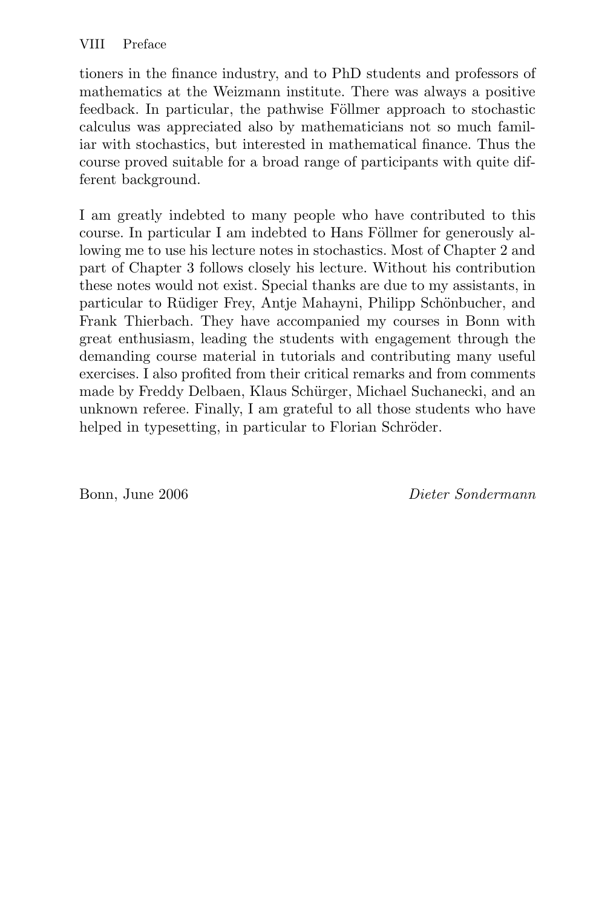tioners in the finance industry, and to PhD students and professors of mathematics at the Weizmann institute. There was always a positive feedback. In particular, the pathwise Föllmer approach to stochastic calculus was appreciated also by mathematicians not so much familiar with stochastics, but interested in mathematical finance. Thus the course proved suitable for a broad range of participants with quite different background.

I am greatly indebted to many people who have contributed to this course. In particular I am indebted to Hans Föllmer for generously allowing me to use his lecture notes in stochastics. Most of Chapter 2 and part of Chapter 3 follows closely his lecture. Without his contribution these notes would not exist. Special thanks are due to my assistants, in particular to Rüdiger Frey, Antje Mahayni, Philipp Schönbucher, and Frank Thierbach. They have accompanied my courses in Bonn with great enthusiasm, leading the students with engagement through the demanding course material in tutorials and contributing many useful exercises. I also profited from their critical remarks and from comments made by Freddy Delbaen, Klaus Schürger, Michael Suchanecki, and an unknown referee. Finally, I am grateful to all those students who have helped in typesetting, in particular to Florian Schröder.

Bonn, June 2006 Dieter Sondermann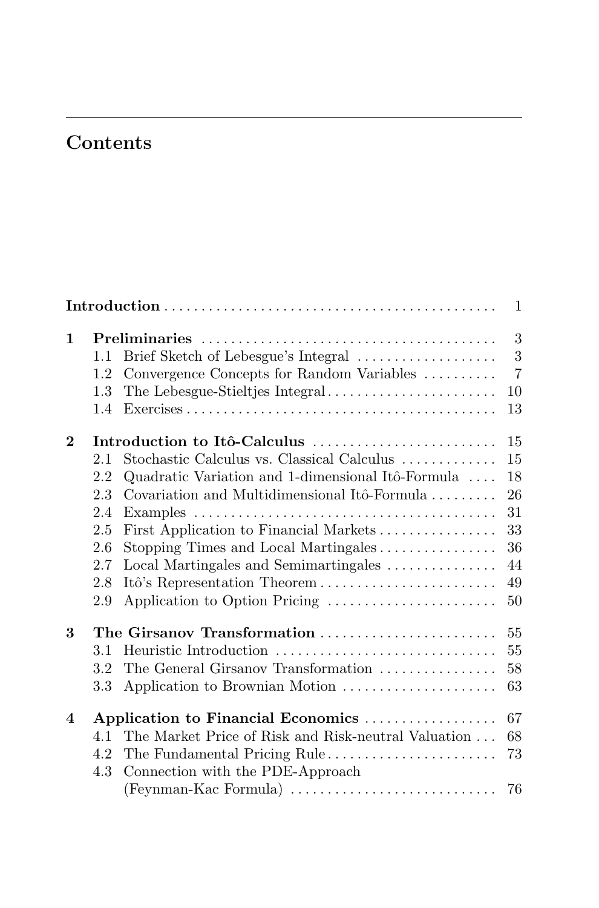## **Contents**

| $\mathbf{1}$ |                                                             |                                                                                                                                                                                                                                                                                                                                                                             |                                                          |  |
|--------------|-------------------------------------------------------------|-----------------------------------------------------------------------------------------------------------------------------------------------------------------------------------------------------------------------------------------------------------------------------------------------------------------------------------------------------------------------------|----------------------------------------------------------|--|
| $\mathbf{1}$ | 1.1<br>1.2                                                  | Brief Sketch of Lebesgue's Integral<br>Convergence Concepts for Random Variables                                                                                                                                                                                                                                                                                            | 3<br>3<br>$\overline{7}$                                 |  |
|              | 1.3<br>1.4                                                  | The Lebesgue-Stieltjes Integral                                                                                                                                                                                                                                                                                                                                             | 10<br>13                                                 |  |
| $\bf{2}$     | 2.1<br>2.2<br>2.3<br>2.4<br>2.5<br>2.6<br>2.7<br>2.8<br>2.9 | Introduction to Itô-Calculus<br>Stochastic Calculus vs. Classical Calculus<br>Quadratic Variation and 1-dimensional Itô-Formula<br>Covariation and Multidimensional Itô-Formula<br>First Application to Financial Markets<br>Stopping Times and Local Martingales<br>Local Martingales and Semimartingales<br>Itô's Representation Theorem<br>Application to Option Pricing | 15<br>15<br>18<br>26<br>31<br>33<br>36<br>44<br>49<br>50 |  |
| 3            | 3.1<br>3.2<br>3.3                                           | The Girsanov Transformation<br>Heuristic Introduction<br>The General Girsanov Transformation<br>Application to Brownian Motion                                                                                                                                                                                                                                              | 55<br>55<br>58<br>63                                     |  |
| 4            | 4.1<br>4.2<br>4.3                                           | Application to Financial Economics<br>The Market Price of Risk and Risk-neutral Valuation<br>The Fundamental Pricing Rule<br>Connection with the PDE-Approach<br>(Feynman-Kac Formula)                                                                                                                                                                                      | 67<br>68<br>73<br>76                                     |  |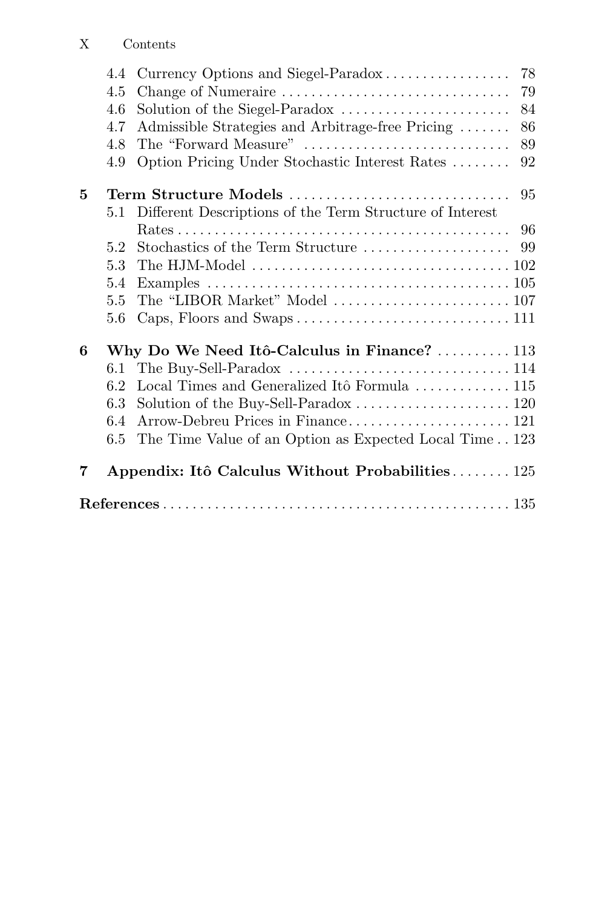## X Contents

|   | 4.4 | 78<br>Currency Options and Siegel-Paradox                                        |  |  |
|---|-----|----------------------------------------------------------------------------------|--|--|
|   | 4.5 | Change of Numeraire<br>79                                                        |  |  |
|   | 4.6 | Solution of the Siegel-Paradox<br>84                                             |  |  |
|   | 4.7 | Admissible Strategies and Arbitrage-free Pricing<br>86                           |  |  |
|   | 4.8 | The "Forward Measure"<br>89                                                      |  |  |
|   | 4.9 | Option Pricing Under Stochastic Interest Rates<br>92                             |  |  |
| 5 |     | Term Structure Models<br>95                                                      |  |  |
|   |     | 5.1 Different Descriptions of the Term Structure of Interest                     |  |  |
|   |     | 96                                                                               |  |  |
|   | 5.2 | Stochastics of the Term Structure<br>99                                          |  |  |
|   | 5.3 | The HJM-Model $\dots\dots\dots\dots\dots\dots\dots\dots\dots\dots\dots\dots 102$ |  |  |
|   | 5.4 |                                                                                  |  |  |
|   | 5.5 |                                                                                  |  |  |
|   | 5.6 |                                                                                  |  |  |
| 6 |     | Why Do We Need Itô-Calculus in Finance?  113                                     |  |  |
|   | 6.1 |                                                                                  |  |  |
|   | 6.2 | Local Times and Generalized Itô Formula $\ldots \ldots \ldots \ldots 115$        |  |  |
|   | 6.3 |                                                                                  |  |  |
|   | 6.4 |                                                                                  |  |  |
|   | 6.5 | The Time Value of an Option as Expected Local Time 123                           |  |  |
| 7 |     | Appendix: Itô Calculus Without Probabilities 125                                 |  |  |
|   |     |                                                                                  |  |  |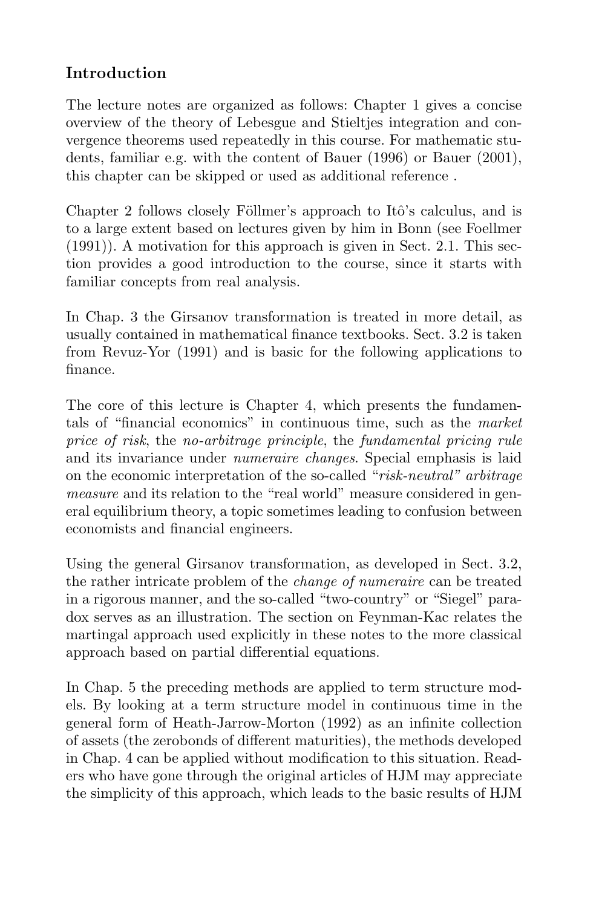## **Introduction**

The lecture notes are organized as follows: Chapter 1 gives a concise overview of the theory of Lebesgue and Stieltjes integration and convergence theorems used repeatedly in this course. For mathematic students, familiar e.g. with the content of Bauer (1996) or Bauer (2001), this chapter can be skipped or used as additional reference .

Chapter 2 follows closely Föllmer's approach to Itô's calculus, and is to a large extent based on lectures given by him in Bonn (see Foellmer (1991)). A motivation for this approach is given in Sect. 2.1. This section provides a good introduction to the course, since it starts with familiar concepts from real analysis.

In Chap. 3 the Girsanov transformation is treated in more detail, as usually contained in mathematical finance textbooks. Sect. 3.2 is taken from Revuz-Yor (1991) and is basic for the following applications to finance.

The core of this lecture is Chapter 4, which presents the fundamentals of "financial economics" in continuous time, such as the market price of risk, the no-arbitrage principle, the fundamental pricing rule and its invariance under numeraire changes. Special emphasis is laid on the economic interpretation of the so-called "risk-neutral" arbitrage measure and its relation to the "real world" measure considered in general equilibrium theory, a topic sometimes leading to confusion between economists and financial engineers.

Using the general Girsanov transformation, as developed in Sect. 3.2, the rather intricate problem of the change of numeraire can be treated in a rigorous manner, and the so-called "two-country" or "Siegel" paradox serves as an illustration. The section on Feynman-Kac relates the martingal approach used explicitly in these notes to the more classical approach based on partial differential equations.

In Chap. 5 the preceding methods are applied to term structure models. By looking at a term structure model in continuous time in the general form of Heath-Jarrow-Morton (1992) as an infinite collection of assets (the zerobonds of different maturities), the methods developed in Chap. 4 can be applied without modification to this situation. Readers who have gone through the original articles of HJM may appreciate the simplicity of this approach, which leads to the basic results of HJM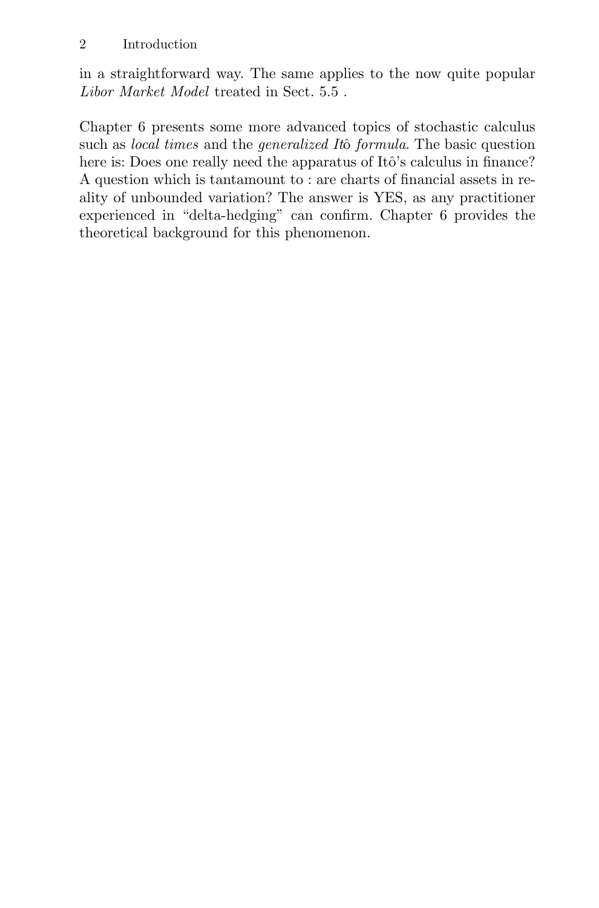in a straightforward way. The same applies to the now quite popular Libor Market Model treated in Sect. 5.5 .

Chapter 6 presents some more advanced topics of stochastic calculus such as *local times* and the *generalized Itô formula*. The basic question here is: Does one really need the apparatus of Itô's calculus in finance? A question which is tantamount to : are charts of financial assets in reality of unbounded variation? The answer is YES, as any practitioner experienced in "delta-hedging" can confirm. Chapter 6 provides the theoretical background for this phenomenon.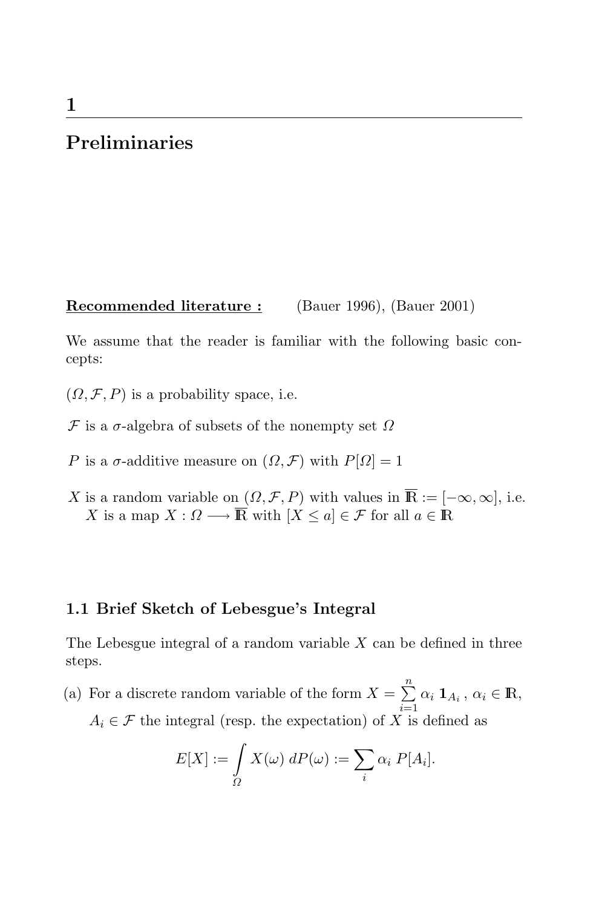## **Preliminaries**

**Recommended literature :** (Bauer 1996), (Bauer 2001)

We assume that the reader is familiar with the following basic concepts:

 $(\Omega, \mathcal{F}, P)$  is a probability space, i.e.

- $\mathcal F$  is a  $\sigma$ -algebra of subsets of the nonempty set  $\Omega$
- P is a  $\sigma$ -additive measure on  $(\Omega, \mathcal{F})$  with  $P[\Omega]=1$
- X is a random variable on  $(\Omega, \mathcal{F}, P)$  with values in  $\overline{\mathbb{R}} := [-\infty, \infty]$ , i.e. X is a map  $X: \Omega \longrightarrow \overline{\mathbb{R}}$  with  $[X \le a] \in \mathcal{F}$  for all  $a \in \mathbb{R}$

## **1.1 Brief Sketch of Lebesgue's Integral**

The Lebesgue integral of a random variable  $X$  can be defined in three steps.

(a) For a discrete random variable of the form  $X = \sum_{n=1}^{\infty}$  $\sum_{i=1} \alpha_i \mathbf{1}_{A_i}, \, \alpha_i \in \mathbb{R},$  $A_i \in \mathcal{F}$  the integral (resp. the expectation) of X is defined as

$$
E[X] := \int_{\Omega} X(\omega) \, dP(\omega) := \sum_{i} \alpha_i \, P[A_i].
$$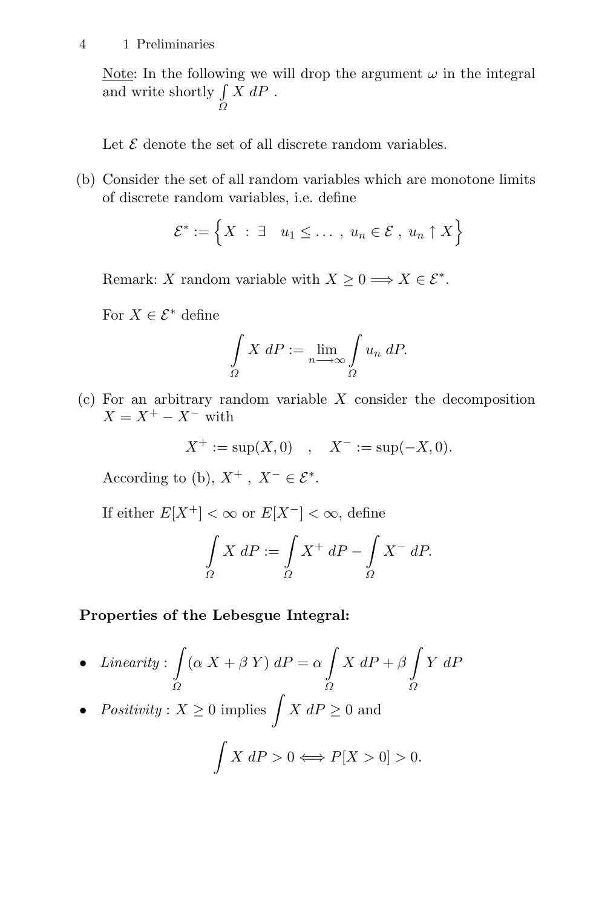#### 4 1 Preliminaries

Note: In the following we will drop the argument  $\omega$  in the integral and write shortly  $\int$  $\Omega$  $X dP$ .

Let  $\mathcal E$  denote the set of all discrete random variables.

(b) Consider the set of all random variables which are monotone limits of discrete random variables, i.e. define

$$
\mathcal{E}^* := \left\{ X \; : \; \exists \quad u_1 \leq \ldots \;, \; u_n \in \mathcal{E} \; , \; u_n \uparrow X \right\}
$$

Remark: X random variable with  $X > 0 \Longrightarrow X \in \mathcal{E}^*$ .

For  $X \in \mathcal{E}^*$  define

$$
\int_{\Omega} X dP := \lim_{n \to \infty} \int_{\Omega} u_n dP.
$$

 $(c)$  For an arbitrary random variable X consider the decomposition  $X = X^+ - X^-$  with

$$
X^+ := \sup(X, 0)
$$
,  $X^- := \sup(-X, 0)$ .

According to (b),  $X^+$ ,  $X^- \in \mathcal{E}^*$ .

If either  $E[X^+] < \infty$  or  $E[X^-] < \infty$ , define

$$
\int_{\Omega} X \, dP := \int_{\Omega} X^+ \, dP - \int_{\Omega} X^- \, dP.
$$

#### **Properties of the Lebesgue Integral:**

- Linearity: - Ω  $(\alpha X + \beta Y) dP = \alpha$ **-**Ω  $X \, dP + \beta$  $\check{\Omega}$ Y dP
- Positivity:  $X \geq 0$  implies  $\int X dP \geq 0$  and

$$
\int X \, dP > 0 \Longleftrightarrow P[X > 0] > 0.
$$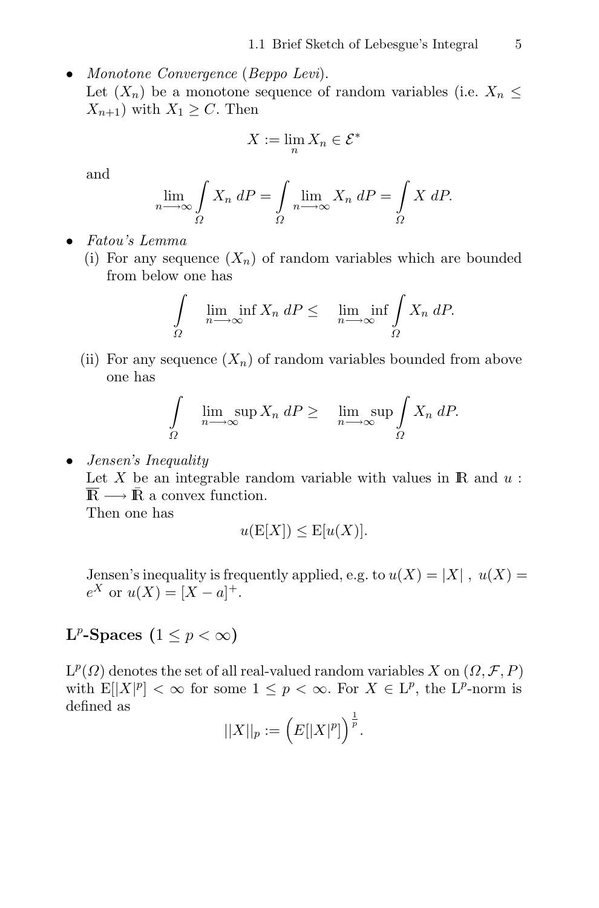• Monotone Convergence (Beppo Levi). Let  $(X_n)$  be a monotone sequence of random variables (i.e.  $X_n \leq$  $X_{n+1}$ ) with  $X_1 \geq C$ . Then

$$
X := \lim_{n} X_n \in \mathcal{E}^*
$$

and

$$
\lim_{n \to \infty} \int_{\Omega} X_n \, dP = \int_{\Omega} \lim_{n \to \infty} X_n \, dP = \int_{\Omega} X \, dP.
$$

- Fatou's Lemma
	- (i) For any sequence  $(X_n)$  of random variables which are bounded from below one has

$$
\int_{\Omega} \liminf_{n \to \infty} X_n \, dP \leq \liminf_{n \to \infty} \int_{\Omega} X_n \, dP.
$$

(ii) For any sequence  $(X_n)$  of random variables bounded from above one has

$$
\int_{\Omega} \limsup_{n \to \infty} X_n dP \geq \limsup_{n \to \infty} \int_{\Omega} X_n dP.
$$

• Jensen's Inequality

Let  $X$  be an integrable random variable with values in  $\mathbb R$  and  $u$ :  $\overline{\mathbb{R}} \longrightarrow \overline{\mathbb{R}}$  a convex function.

Then one has

$$
u(E[X]) \leq E[u(X)].
$$

Jensen's inequality is frequently applied, e.g. to  $u(X) = |X|$ ,  $u(X) =$  $e^X$  or  $u(X) = [X - a]^+$ .

# **L**<sup>p</sup>-Spaces (1  $\leq$  p  $< \infty$ )

 $L^p(\Omega)$  denotes the set of all real-valued random variables X on  $(\Omega, \mathcal{F}, P)$ with  $E[|X|^p] < \infty$  for some  $1 \leq p < \infty$ . For  $X \in L^p$ , the  $L^p$ -norm is defined as

$$
||X||_p := (E[|X|^p])^{\frac{1}{p}}.
$$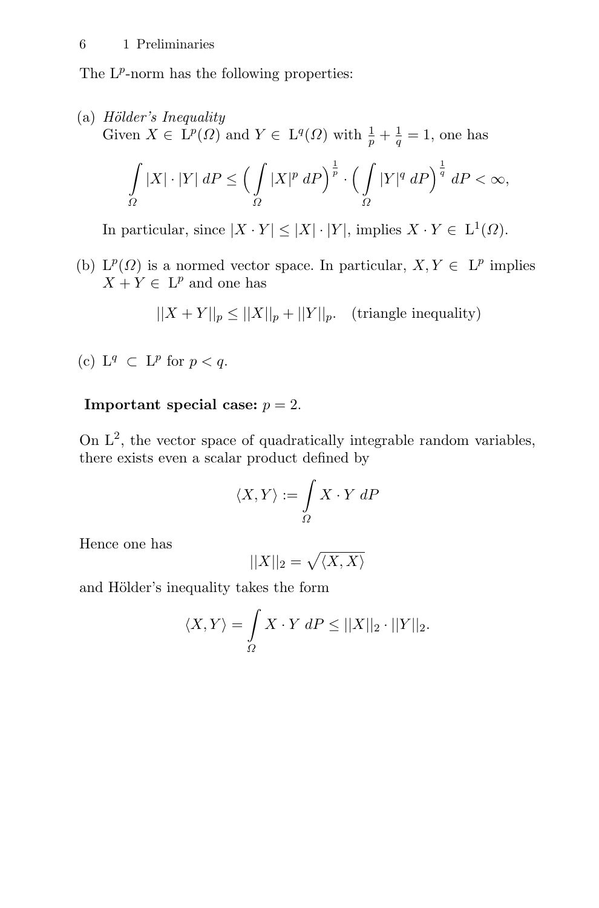The  $L^p$ -norm has the following properties:

(a)  $H\ddot{o}lder's\ Inequality$ Given  $X \in \dot{L}^p(\Omega)$  and  $Y \in L^q(\Omega)$  with  $\frac{1}{p} + \frac{1}{q} = 1$ , one has -  $\overline{\Omega}$  $|X|\cdot|Y| \, dP \leq$  $\sqrt{ }$ Ω  $|X|^p \, dP \Big)^{\frac{1}{p}}$ .  $\sqrt{ }$  $\overline{\Omega}$  $|Y|^q dP\Big)^{\frac{1}{q}} dP < \infty,$ 

In particular, since  $|X \cdot Y| \leq |X| \cdot |Y|$ , implies  $X \cdot Y \in L^1(\Omega)$ .

(b)  $L^p(\Omega)$  is a normed vector space. In particular,  $X, Y \in L^p$  implies  $X + Y \in L^p$  and one has

$$
||X + Y||_p \le ||X||_p + ||Y||_p. \quad \text{(triangle inequality)}
$$

(c)  $L^q \subset L^p$  for  $p < q$ .

## **Important special case:**  $p = 2$ .

On  $L^2$ , the vector space of quadratically integrable random variables, there exists even a scalar product defined by

$$
\langle X,Y\rangle:=\int\limits_\varOmega X\cdot Y\;dP
$$

Hence one has

$$
||X||_2 = \sqrt{\langle X, X \rangle}
$$

and Hölder's inequality takes the form

$$
\langle X, Y \rangle = \int_{\Omega} X \cdot Y \, dP \le ||X||_2 \cdot ||Y||_2.
$$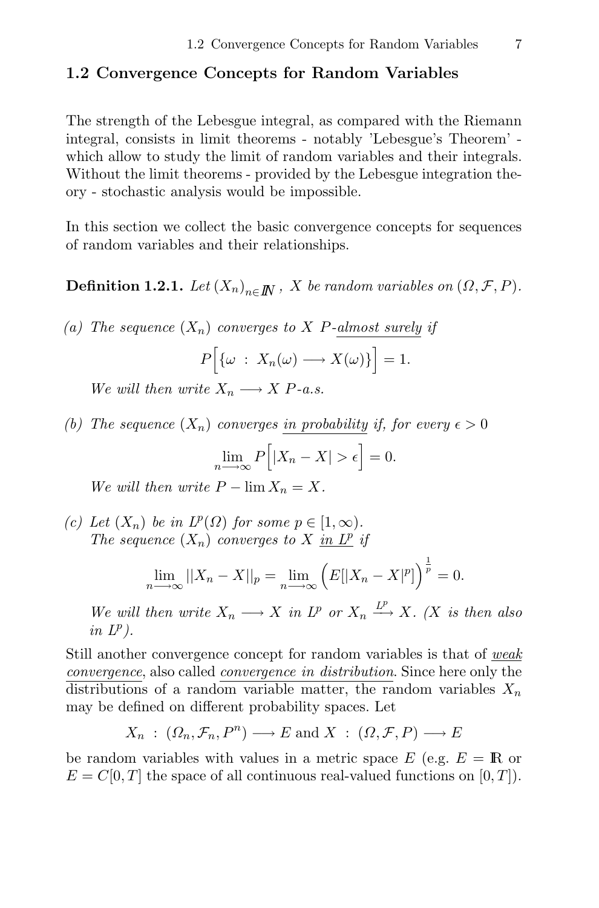## **1.2 Convergence Concepts for Random Variables**

The strength of the Lebesgue integral, as compared with the Riemann integral, consists in limit theorems - notably 'Lebesgue's Theorem' which allow to study the limit of random variables and their integrals. Without the limit theorems - provided by the Lebesgue integration theory - stochastic analysis would be impossible.

In this section we collect the basic convergence concepts for sequences of random variables and their relationships.

**Definition 1.2.1.** Let  $(X_n)_{n \in \mathbb{N}}$ , X be random variables on  $(\Omega, \mathcal{F}, P)$ .

(a) The sequence  $(X_n)$  converges to X P-almost surely if

$$
P\Big[\{\omega\;:\;X_n(\omega)\longrightarrow X(\omega)\}\Big]=1.
$$

We will then write  $X_n \longrightarrow X P$ -a.s.

(b) The sequence  $(X_n)$  converges in probability if, for every  $\epsilon > 0$ 

$$
\lim_{n \to \infty} P\Big[|X_n - X| > \epsilon\Big] = 0.
$$

We will then write  $P - \lim X_n = X$ .

(c) Let  $(X_n)$  be in  $L^p(\Omega)$  for some  $p \in [1,\infty)$ . The sequence  $(X_n)$  converges to X in  $L^p$  if

$$
\lim_{n \to \infty} ||X_n - X||_p = \lim_{n \to \infty} \left( E[|X_n - X|^p] \right)^{\frac{1}{p}} = 0.
$$

We will then write  $X_n \longrightarrow X$  in  $L^p$  or  $X_n \xrightarrow{L^p} X$ . (X is then also in  $L^p$ ).

Still another convergence concept for random variables is that of weak convergence, also called convergence in distribution. Since here only the distributions of a random variable matter, the random variables  $X_n$ may be defined on different probability spaces. Let

$$
X_n: (\Omega_n, \mathcal{F}_n, P^n) \longrightarrow E \text{ and } X: (\Omega, \mathcal{F}, P) \longrightarrow E
$$

be random variables with values in a metric space  $E$  (e.g.  $E = \mathbb{R}$  or  $E = C[0, T]$  the space of all continuous real-valued functions on  $[0, T]$ ).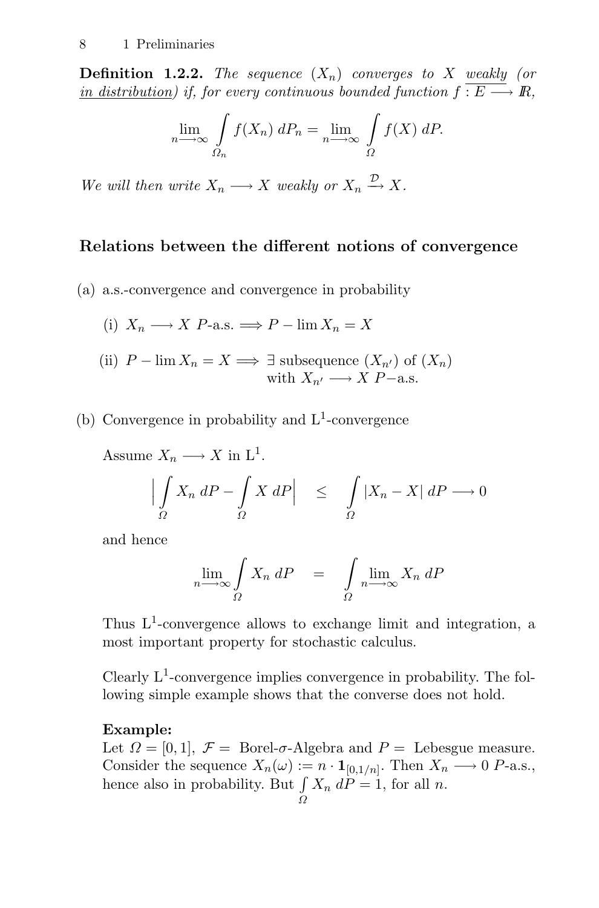**Definition 1.2.2.** The sequence  $(X_n)$  converges to X weakly (or in distribution) if, for every continuous bounded function  $f: E \longrightarrow \mathbb{R}$ ,

$$
\lim_{n \to \infty} \int_{\Omega_n} f(X_n) \, dP_n = \lim_{n \to \infty} \int_{\Omega} f(X) \, dP.
$$

We will then write  $X_n \longrightarrow X$  weakly or  $X_n \stackrel{\nu}{\longrightarrow} X$ .

## **Relations between the different notions of convergence**

(a) a.s.-convergence and convergence in probability

(i) 
$$
X_n \longrightarrow X
$$
 P-a.s.  $\Longrightarrow P - \lim X_n = X$ 

- (ii)  $P \lim X_n = X \Longrightarrow \exists$  subsequence  $(X_{n'})$  of  $(X_n)$ with  $X_{n'} \longrightarrow X P-a.s.$
- (b) Convergence in probability and  $L^1$ -convergence

Assume  $X_n \longrightarrow X$  in  $L^1$ .

$$
\left| \int\limits_{\Omega} X_n \, dP - \int\limits_{\Omega} X \, dP \right| \leq \int\limits_{\Omega} |X_n - X| \, dP \longrightarrow 0
$$

and hence

$$
\lim_{n \to \infty} \int_{\Omega} X_n \, dP = \int_{\Omega} \lim_{n \to \infty} X_n \, dP
$$

Thus  $L^1$ -convergence allows to exchange limit and integration, a most important property for stochastic calculus.

Clearly  $L^1$ -convergence implies convergence in probability. The following simple example shows that the converse does not hold.

#### **Example:**

Let  $\Omega = [0, 1], \mathcal{F} = \text{Borel-}\sigma$ -Algebra and  $P = \text{Lebesgue measure.}$ Consider the sequence  $X_n(\omega) := n \cdot \mathbf{1}_{[0,1/n]}$ . Then  $X_n \longrightarrow 0$  P-a.s., hence also in probability. But  $X_n$  dP = 1, for all n.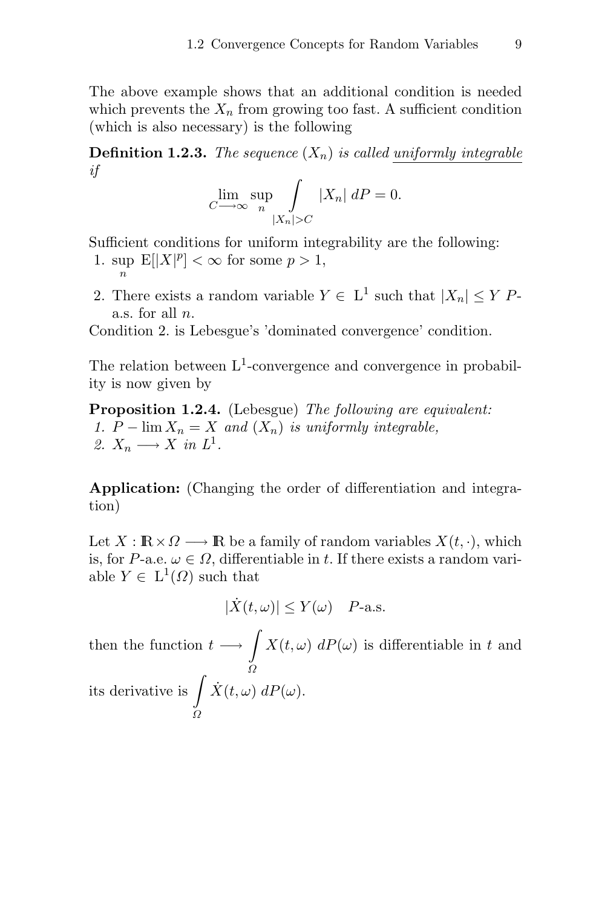The above example shows that an additional condition is needed which prevents the  $X_n$  from growing too fast. A sufficient condition (which is also necessary) is the following

**Definition 1.2.3.** The sequence  $(X_n)$  is called uniformly integrable if

$$
\lim_{C \to \infty} \sup_{n} \int \limits_{|X_n| > C} |X_n| \, dP = 0.
$$

Sufficient conditions for uniform integrability are the following:

- 1. sup  $\mathbb{E}[|X|^p] < \infty$  for some  $p > 1$ ,
- 2. There exists a random variable  $Y \in L^1$  such that  $|X_n| \leq Y$  Pa.s. for all n.

Condition 2. is Lebesgue's 'dominated convergence' condition.

The relation between  $L^1$ -convergence and convergence in probability is now given by

**Proposition 1.2.4.** (Lebesgue) The following are equivalent: 1.  $P - \lim_{n \to \infty} X_n = X$  and  $(X_n)$  is uniformly integrable, 2.  $X_n \longrightarrow X$  in  $L^1$ .

**Application:** (Changing the order of differentiation and integration)

Let  $X : \mathbb{R} \times \Omega \longrightarrow \mathbb{R}$  be a family of random variables  $X(t, \cdot)$ , which is, for P-a.e.  $\omega \in \Omega$ , differentiable in t. If there exists a random variable  $Y \in L^1(\Omega)$  such that

$$
|\dot{X}(t,\omega)| \le Y(\omega) \quad P\text{-a.s.}
$$

then the function  $t \longrightarrow \int X(t,\omega) dP(\omega)$  is differentiable in t and its derivative is  $\int \dot{X}(t,\omega)$  $\tilde{\Omega}$  $\dot{X}(t,\omega) dP(\omega)$ .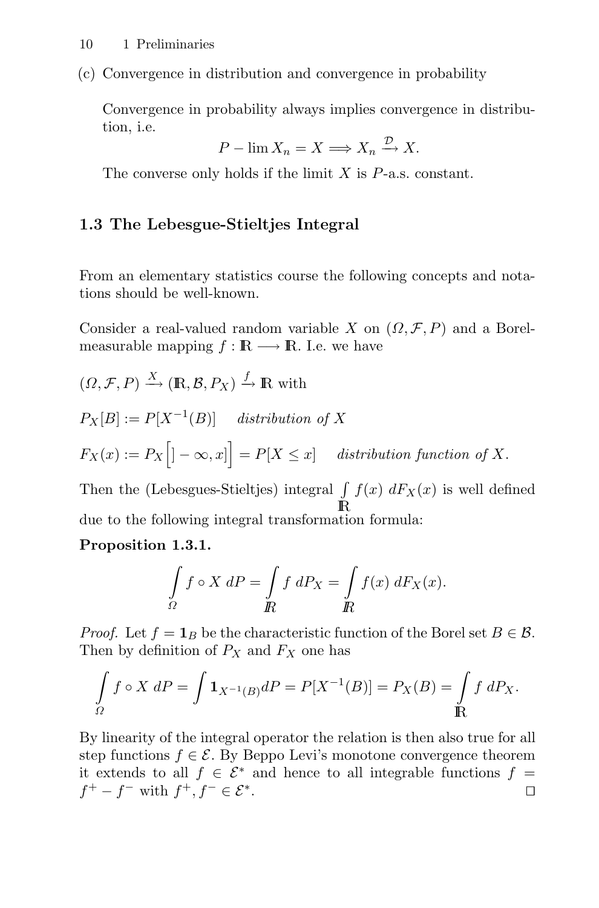(c) Convergence in distribution and convergence in probability

Convergence in probability always implies convergence in distribution, i.e.

$$
P - \lim X_n = X \Longrightarrow X_n \xrightarrow{\mathcal{D}} X.
$$

The converse only holds if the limit  $X$  is  $P$ -a.s. constant.

## **1.3 The Lebesgue-Stieltjes Integral**

From an elementary statistics course the following concepts and notations should be well-known.

Consider a real-valued random variable X on  $(\Omega, \mathcal{F}, P)$  and a Borelmeasurable mapping  $f : \mathbb{R} \longrightarrow \mathbb{R}$ . I.e. we have

$$
(\Omega, \mathcal{F}, P) \xrightarrow{X} (\mathbb{R}, \mathcal{B}, P_X) \xrightarrow{f} \mathbb{R}
$$
 with

$$
P_X[B] := P[X^{-1}(B)] \quad \text{distribution of } X
$$
  

$$
F_X(x) := P_X \Big[ ] - \infty, x \Big] = P[X \le x] \quad \text{distribution function of } X.
$$

Then the (Lebesgues-Stieltjes) integral  $\int f(x) dF_X(x)$  is well defined IR due to the following integral transformation formula:

## **Proposition 1.3.1.**

$$
\int_{\Omega} f \circ X \ dP = \int_{\mathbb{R}} f \ dP_X = \int_{\mathbb{R}} f(x) \ dF_X(x).
$$

*Proof.* Let  $f = \mathbf{1}_B$  be the characteristic function of the Borel set  $B \in \mathcal{B}$ . Then by definition of  $P_X$  and  $F_X$  one has

$$
\int_{\Omega} f \circ X \, dP = \int \mathbf{1}_{X^{-1}(B)} dP = P[X^{-1}(B)] = P_X(B) = \int_{\mathbb{R}} f \, dP_X.
$$

By linearity of the integral operator the relation is then also true for all step functions  $f \in \mathcal{E}$ . By Beppo Levi's monotone convergence theorem it extends to all  $f \in \mathcal{E}^*$  and hence to all integrable functions  $f = f^+ - f^-$  with  $f^+$ ,  $f^- \in \mathcal{E}^*$ . □  $f^+ - f^-$  with  $f^+, f^- \in \mathcal{E}^*$ .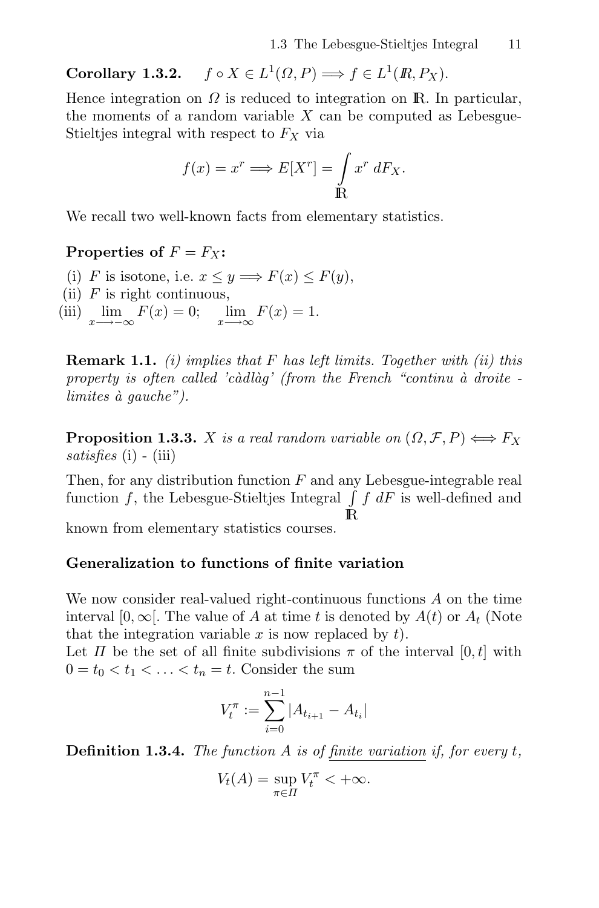**Corollary 1.3.2.**  $f \circ X \in L^1(\Omega, P) \Longrightarrow f \in L^1(\mathbb{R}, P_X)$ .

Hence integration on  $\Omega$  is reduced to integration on R. In particular, the moments of a random variable  $X$  can be computed as Lebesgue-Stieltjes integral with respect to  $F_X$  via

$$
f(x) = x^r \Longrightarrow E[X^r] = \int_{\mathbb{R}} x^r \, dF_X.
$$

We recall two well-known facts from elementary statistics.

### **Properties of**  $F = F_X$ :

- (i) F is isotone, i.e.  $x \leq y \Longrightarrow F(x) \leq F(y)$ ,
- (ii)  $F$  is right continuous,
- (iii)  $\lim_{x \to -\infty} F(x) = 0; \quad \lim_{x \to \infty} F(x) = 1.$

**Remark 1.1.** (i) implies that F has left limits. Together with (ii) this property is often called 'càdlàg' (from the French "continu à droite limites  $\dot{a}$  gauche").

**Proposition 1.3.3.** X is a real random variable on  $(\Omega, \mathcal{F}, P) \Longleftrightarrow F_X$ satisfies  $(i)$  -  $(iii)$ 

Then, for any distribution function  $F$  and any Lebesgue-integrable real function f, the Lebesgue-Stieltjes Integral  $\int f dF$  is well-defined and

 $\mathbb R$ 

known from elementary statistics courses.

### **Generalization to functions of finite variation**

We now consider real-valued right-continuous functions A on the time interval [0,  $\infty$ ]. The value of A at time t is denoted by  $A(t)$  or  $A_t$  (Note that the integration variable  $x$  is now replaced by  $t$ .

Let  $\Pi$  be the set of all finite subdivisions  $\pi$  of the interval  $[0, t]$  with  $0 = t_0 < t_1 < \ldots < t_n = t$ . Consider the sum

$$
V_t^{\pi} := \sum_{i=0}^{n-1} |A_{t_{i+1}} - A_{t_i}|
$$

**Definition 1.3.4.** The function A is of finite variation if, for every t,

$$
V_t(A) = \sup_{\pi \in \Pi} V_t^{\pi} < +\infty.
$$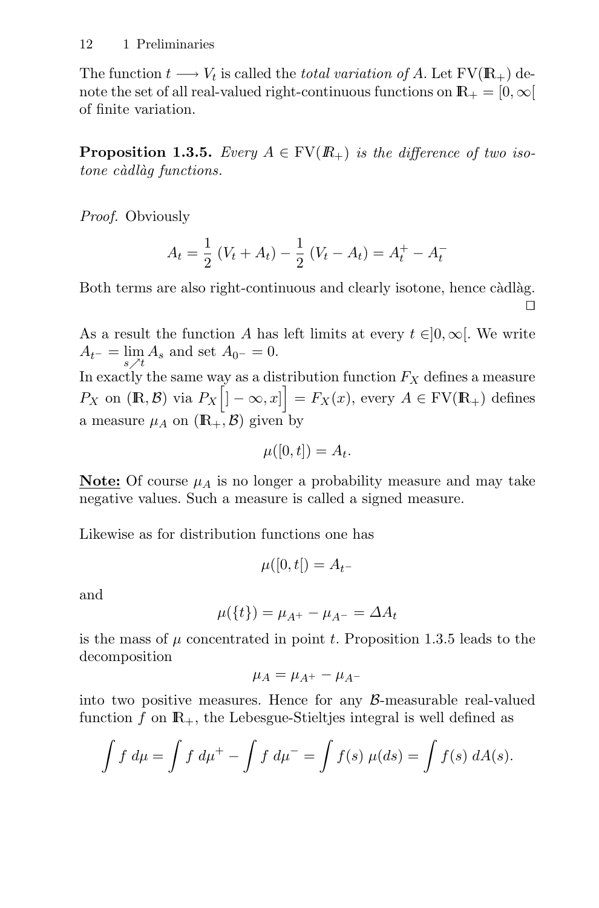The function  $t \longrightarrow V_t$  is called the *total variation of A*. Let  $FV(\mathbb{R}_+)$  denote the set of all real-valued right-continuous functions on  $\mathbb{R}_+ = [0, \infty[$ of finite variation.

**Proposition 1.3.5.** Every  $A \in FV(R_+)$  is the difference of two isotone càdlàg functions.

Proof. Obviously

$$
A_t = \frac{1}{2} (V_t + A_t) - \frac{1}{2} (V_t - A_t) = A_t^+ - A_t^-
$$

Both terms are also right-continuous and clearly isotone, hence càdlàg. П

As a result the function A has left limits at every  $t \in ]0, \infty[$ . We write  $A_{t^-} = \lim_{s \nearrow t} A_s$  and set  $A_{0^-} = 0$ .

In exactly the same way as a distribution function  $F_X$  defines a measure  $P_X$  on  $(\mathbb{R}, \mathcal{B})$  via  $P_X \left[ \left] -\infty, x \right] \right] = F_X(x)$ , every  $A \in \mathrm{FV}(\mathbb{R}_+)$  defines a measure  $\mu_A$  on  $(\mathbb{R}_+, \mathcal{B})$  given by

$$
\mu([0,t]) = A_t.
$$

**Note:** Of course  $\mu_A$  is no longer a probability measure and may take negative values. Such a measure is called a signed measure.

Likewise as for distribution functions one has

$$
\mu([0,t]) = A_{t^-}
$$

and

$$
\mu({t}) = \mu_{A^{+}} - \mu_{A^{-}} = \Delta A_t
$$

is the mass of  $\mu$  concentrated in point t. Proposition 1.3.5 leads to the decomposition

$$
\mu_A = \mu_{A^+} - \mu_{A^-}
$$

into two positive measures. Hence for any  $\beta$ -measurable real-valued function f on  $\mathbb{R}_+$ , the Lebesgue-Stieltjes integral is well defined as

$$
\int f \, d\mu = \int f \, d\mu^+ - \int f \, d\mu^- = \int f(s) \, \mu(ds) = \int f(s) \, dA(s).
$$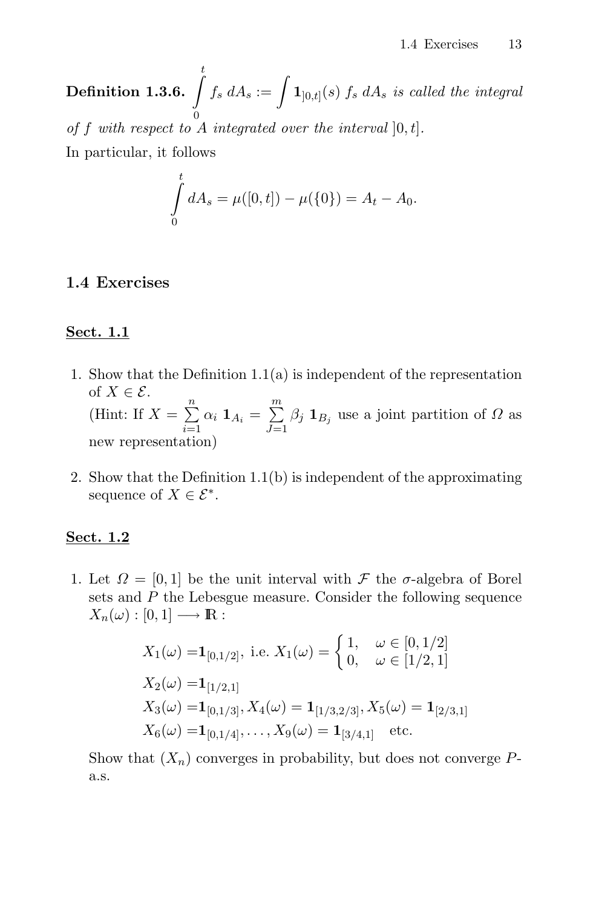$\mathrm{Definition\ 1.3.6.} \ \int\limits_0^t$  $\boldsymbol{0}$  $f_s \ dA_s := \int {\bf 1}_{]0,t]}(s) \ f_s \ dA_s \ is \ called \ the \ integral$ of f with respect to A integrated over the interval  $[0, t]$ . In particular, it follows

$$
\int_{0}^{t} dA_s = \mu([0, t]) - \mu(\{0\}) = A_t - A_0.
$$

## **1.4 Exercises**

## **Sect. 1.1**

- 1. Show that the Definition 1.1(a) is independent of the representation of  $X \in \mathcal{E}$ . (Hint: If  $X = \sum^{n}$  $\sum_{i=1}$  $\alpha_i$  **1** $A_i = \sum^m$  $\overline{J=1}$  $\beta_j$  **1**<sub>B<sub>j</sub> use a joint partition of  $\Omega$  as</sub> new representation)
- 2. Show that the Definition 1.1(b) is independent of the approximating sequence of  $X \in \mathcal{E}^*$ .

## **Sect. 1.2**

1. Let  $\Omega = [0, 1]$  be the unit interval with  $\mathcal F$  the  $\sigma$ -algebra of Borel sets and P the Lebesgue measure. Consider the following sequence  $X_n(\omega): [0,1] \longrightarrow \mathbb{R}$ :

$$
X_1(\omega) = \mathbf{1}_{[0,1/2]}, \text{ i.e. } X_1(\omega) = \begin{cases} 1, & \omega \in [0,1/2] \\ 0, & \omega \in [1/2,1] \end{cases}
$$
  
\n
$$
X_2(\omega) = \mathbf{1}_{[1/2,1]}
$$
  
\n
$$
X_3(\omega) = \mathbf{1}_{[0,1/3]}, X_4(\omega) = \mathbf{1}_{[1/3,2/3]}, X_5(\omega) = \mathbf{1}_{[2/3,1]}
$$
  
\n
$$
X_6(\omega) = \mathbf{1}_{[0,1/4]}, \dots, X_9(\omega) = \mathbf{1}_{[3/4,1]} \text{ etc.}
$$

Show that  $(X_n)$  converges in probability, but does not converge Pa.s.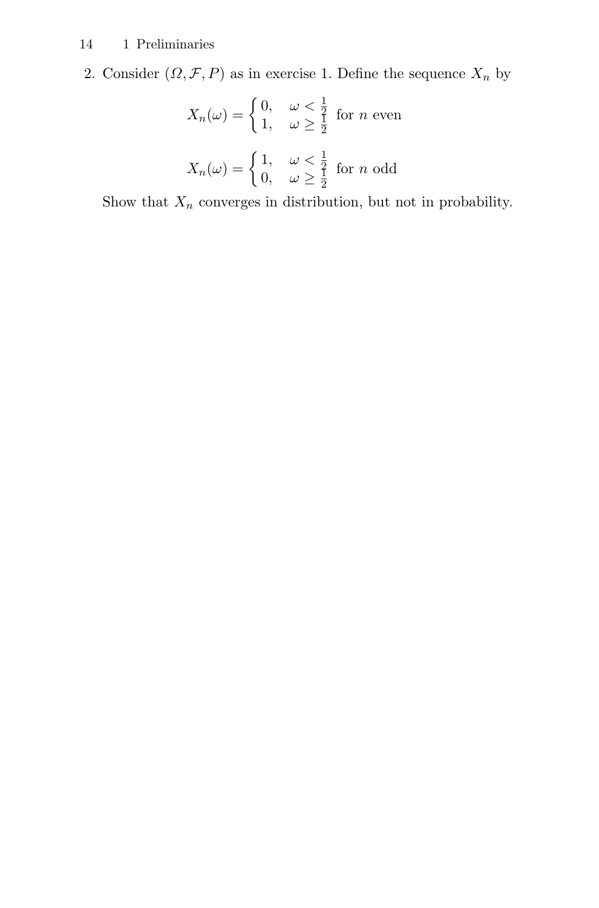2. Consider  $(\Omega, \mathcal{F}, P)$  as in exercise 1. Define the sequence  $X_n$  by

$$
X_n(\omega) = \begin{cases} 0, & \omega < \frac{1}{2} \\ 1, & \omega \ge \frac{1}{2} \end{cases} \text{ for } n \text{ even}
$$
\n
$$
X_n(\omega) = \begin{cases} 1, & \omega < \frac{1}{2} \\ 0, & \omega \ge \frac{1}{2} \end{cases} \text{ for } n \text{ odd}
$$

Show that  $X_n$  converges in distribution, but not in probability.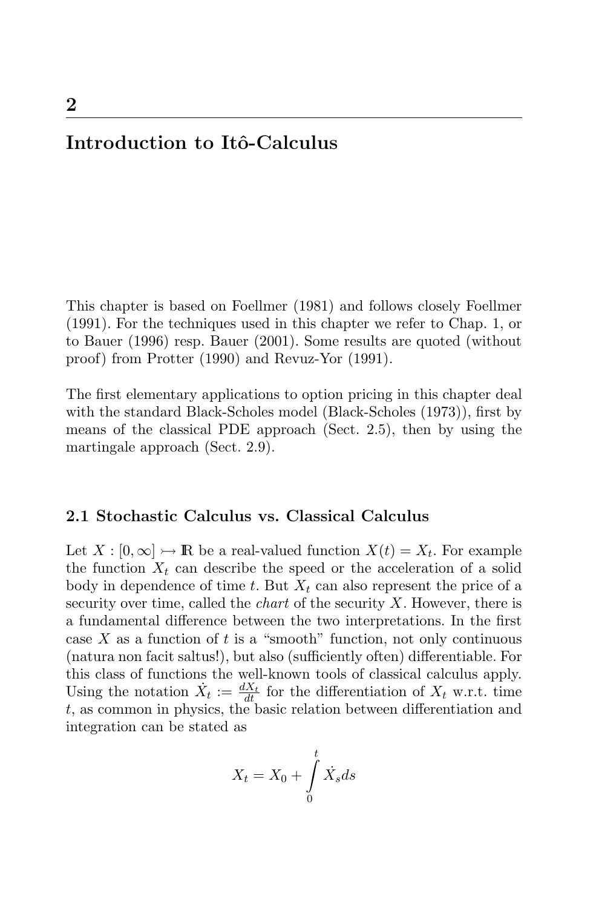## Introduction to Itô-Calculus

This chapter is based on Foellmer (1981) and follows closely Foellmer (1991). For the techniques used in this chapter we refer to Chap. 1, or to Bauer (1996) resp. Bauer (2001). Some results are quoted (without proof) from Protter (1990) and Revuz-Yor (1991).

The first elementary applications to option pricing in this chapter deal with the standard Black-Scholes model (Black-Scholes (1973)), first by means of the classical PDE approach (Sect. 2.5), then by using the martingale approach (Sect. 2.9).

## **2.1 Stochastic Calculus vs. Classical Calculus**

Let  $X : [0, \infty] \rightarrow \mathbb{R}$  be a real-valued function  $X(t) = X_t$ . For example the function  $X_t$  can describe the speed or the acceleration of a solid body in dependence of time t. But  $X_t$  can also represent the price of a security over time, called the *chart* of the security  $X$ . However, there is a fundamental difference between the two interpretations. In the first case X as a function of t is a "smooth" function, not only continuous (natura non facit saltus!), but also (sufficiently often) differentiable. For this class of functions the well-known tools of classical calculus apply. Using the notation  $\dot{X}_t := \frac{dX_t}{dt}$  for the differentiation of  $X_t$  w.r.t. time t, as common in physics, the basic relation between differentiation and integration can be stated as

$$
X_t = X_0 + \int\limits_0^t \dot{X}_s ds
$$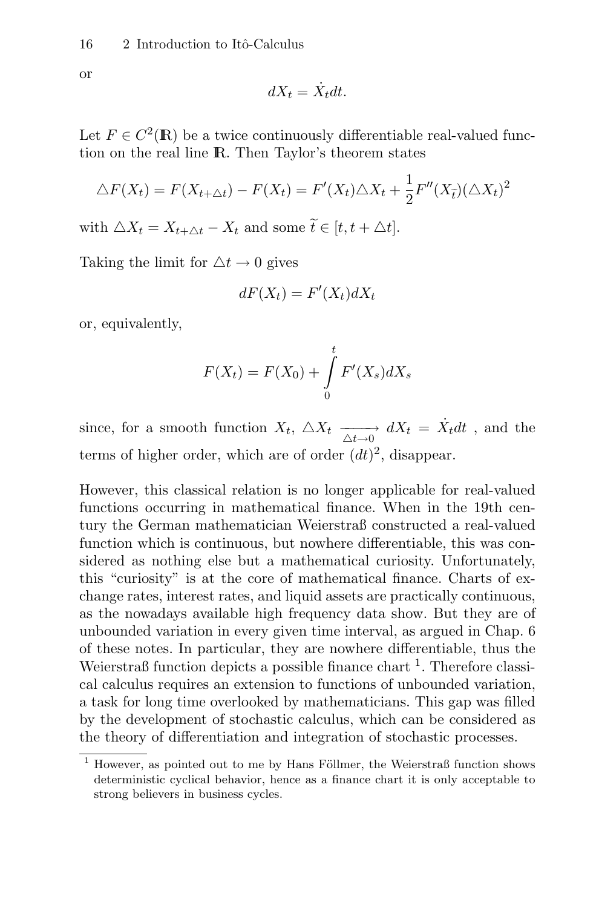or

$$
dX_t = \dot{X}_t dt.
$$

Let  $F \in C^2(\mathbb{R})$  be a twice continuously differentiable real-valued function on the real line IR. Then Taylor's theorem states

$$
\triangle F(X_t) = F(X_{t+\triangle t}) - F(X_t) = F'(X_t) \triangle X_t + \frac{1}{2} F''(X_{\tilde{t}}) (\triangle X_t)^2
$$

with  $\triangle X_t = X_{t+\wedge t} - X_t$  and some  $\widetilde{t} \in [t, t + \triangle t]$ .

Taking the limit for  $\Delta t \rightarrow 0$  gives

$$
dF(X_t) = F'(X_t) dX_t
$$

or, equivalently,

$$
F(X_t) = F(X_0) + \int\limits_0^t F'(X_s) dX_s
$$

since, for a smooth function  $X_t$ ,  $\triangle X_t$   $\xrightarrow[\triangle t\to 0]{\triangle t\to 0} dX_t = \dot{X}_t dt$ , and the terms of higher order, which are of order  $(dt)^2$ , disappear.

However, this classical relation is no longer applicable for real-valued functions occurring in mathematical finance. When in the 19th century the German mathematician Weierstraß constructed a real-valued function which is continuous, but nowhere differentiable, this was considered as nothing else but a mathematical curiosity. Unfortunately, this "curiosity" is at the core of mathematical finance. Charts of exchange rates, interest rates, and liquid assets are practically continuous, as the nowadays available high frequency data show. But they are of unbounded variation in every given time interval, as argued in Chap. 6 of these notes. In particular, they are nowhere differentiable, thus the Weierstraß function depicts a possible finance chart  $\frac{1}{1}$ . Therefore classical calculus requires an extension to functions of unbounded variation, a task for long time overlooked by mathematicians. This gap was filled by the development of stochastic calculus, which can be considered as the theory of differentiation and integration of stochastic processes.

 $1$  However, as pointed out to me by Hans Föllmer, the Weierstraß function shows deterministic cyclical behavior, hence as a finance chart it is only acceptable to strong believers in business cycles.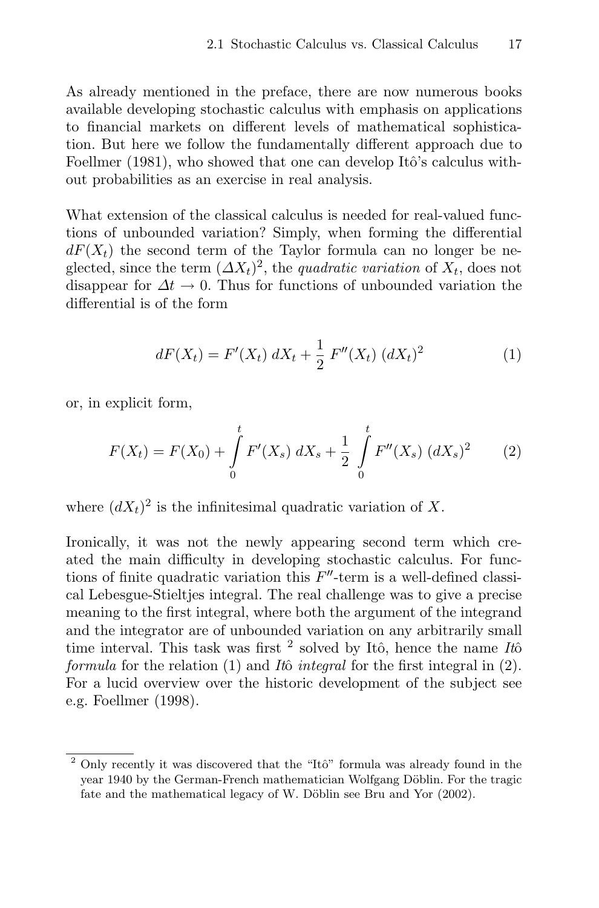As already mentioned in the preface, there are now numerous books available developing stochastic calculus with emphasis on applications to financial markets on different levels of mathematical sophistication. But here we follow the fundamentally different approach due to Foellmer (1981), who showed that one can develop Itô's calculus without probabilities as an exercise in real analysis.

What extension of the classical calculus is needed for real-valued functions of unbounded variation? Simply, when forming the differential  $dF(X_t)$  the second term of the Taylor formula can no longer be neglected, since the term  $(\Delta X_t)^2$ , the *quadratic variation* of  $X_t$ , does not disappear for  $\Delta t \to 0$ . Thus for functions of unbounded variation the differential is of the form

$$
dF(X_t) = F'(X_t) dX_t + \frac{1}{2} F''(X_t) (dX_t)^2
$$
\n(1)

or, in explicit form,

$$
F(X_t) = F(X_0) + \int_0^t F'(X_s) \, dX_s + \frac{1}{2} \int_0^t F''(X_s) \, (dX_s)^2 \tag{2}
$$

where  $(dX_t)^2$  is the infinitesimal quadratic variation of X.

Ironically, it was not the newly appearing second term which created the main difficulty in developing stochastic calculus. For functions of finite quadratic variation this  $F''$ -term is a well-defined classical Lebesgue-Stieltjes integral. The real challenge was to give a precise meaning to the first integral, where both the argument of the integrand and the integrator are of unbounded variation on any arbitrarily small time interval. This task was first  $^2$  solved by Itô, hence the name Itô formula for the relation  $(1)$  and Itô integral for the first integral in  $(2)$ . For a lucid overview over the historic development of the subject see e.g. Foellmer (1998).

 $2$  Only recently it was discovered that the "Itô" formula was already found in the year 1940 by the German-French mathematician Wolfgang Döblin. For the tragic fate and the mathematical legacy of W. Döblin see Bru and Yor (2002).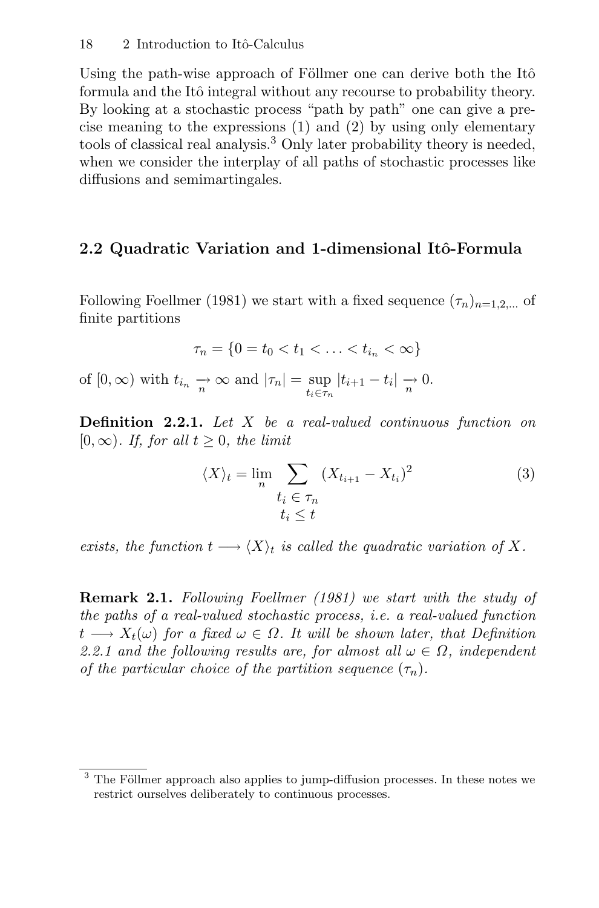Using the path-wise approach of Föllmer one can derive both the Itô formula and the Itô integral without any recourse to probability theory. By looking at a stochastic process "path by path" one can give a precise meaning to the expressions (1) and (2) by using only elementary tools of classical real analysis.<sup>3</sup> Only later probability theory is needed, when we consider the interplay of all paths of stochastic processes like diffusions and semimartingales.

## 2.2 Quadratic Variation and 1-dimensional Itô-Formula

Following Foellmer (1981) we start with a fixed sequence  $(\tau_n)_{n=1,2,\dots}$  of finite partitions

$$
\tau_n = \{0 = t_0 < t_1 < \ldots < t_{i_n} < \infty\}
$$

of  $[0, \infty)$  with  $t_{i_n} \xrightarrow[n \infty]{} \text{and } |\tau_n| = \sup_{t_i \in \tau_n} |t_{i+1} - t_i| \xrightarrow[n]{} 0.$ 

**Definition 2.2.1.** Let X be a real-valued continuous function on  $[0, \infty)$ . If, for all  $t \geq 0$ , the limit

$$
\langle X \rangle_t = \lim_n \sum_{\substack{t_i \in \tau_n \\ t_i \le t}} (X_{t_{i+1}} - X_{t_i})^2
$$
\n(3)

exists, the function  $t \longrightarrow \langle X \rangle_t$  is called the quadratic variation of X.

**Remark 2.1.** Following Foellmer (1981) we start with the study of the paths of a real-valued stochastic process, i.e. a real-valued function  $t \longrightarrow X_t(\omega)$  for a fixed  $\omega \in \Omega$ . It will be shown later, that Definition 2.2.1 and the following results are, for almost all  $\omega \in \Omega$ , independent of the particular choice of the partition sequence  $(\tau_n)$ .

<sup>&</sup>lt;sup>3</sup> The Föllmer approach also applies to jump-diffusion processes. In these notes we restrict ourselves deliberately to continuous processes.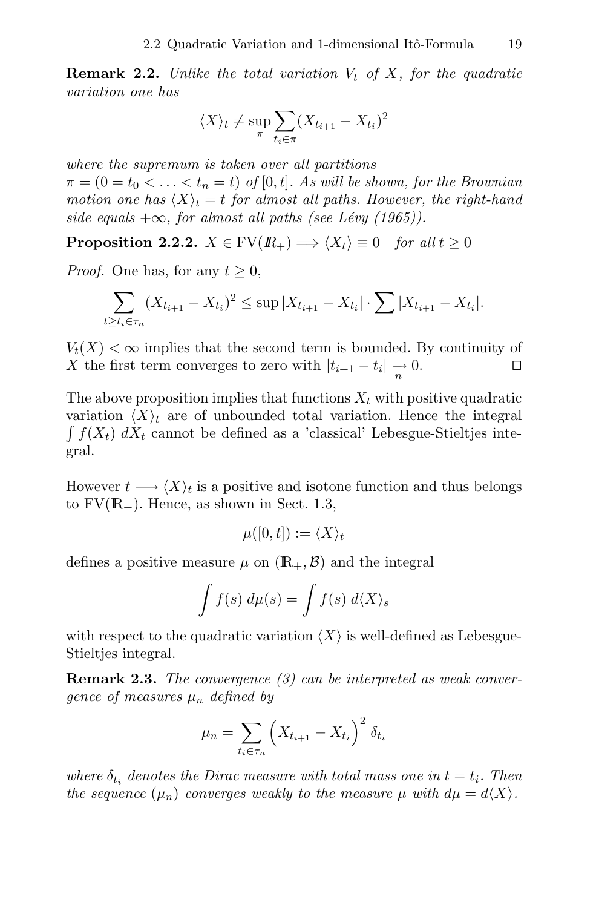**Remark 2.2.** Unlike the total variation  $V_t$  of X, for the quadratic variation one has

$$
\langle X \rangle_t \neq \sup_{\pi} \sum_{t_i \in \pi} (X_{t_{i+1}} - X_{t_i})^2
$$

where the supremum is taken over all partitions  $\pi = (0 = t_0 < \ldots < t_n = t)$  of [0, t]. As will be shown, for the Brownian motion one has  $\langle X \rangle_t = t$  for almost all paths. However, the right-hand side equals  $+\infty$ , for almost all paths (see Lévy (1965)).

**Proposition 2.2.2.**  $X \in \text{FV}(R_+) \Longrightarrow \langle X_t \rangle \equiv 0$  for all  $t \geq 0$ 

*Proof.* One has, for any  $t \geq 0$ ,

$$
\sum_{t \ge t_i \in \tau_n} (X_{t_{i+1}} - X_{t_i})^2 \le \sup |X_{t_{i+1}} - X_{t_i}| \cdot \sum |X_{t_{i+1}} - X_{t_i}|.
$$

 $V_t(X) < \infty$  implies that the second term is bounded. By continuity of X the first term converges to zero with  $|t_{i+1} - t_i| \to 0$ . X the first term converges to zero with  $|t_{i+1} - t_i| \rightarrow 0$ .

The above proposition implies that functions  $X_t$  with positive quadratic variation  $\langle X \rangle_t$  are of unbounded total variation. Hence the integral  $\int f(X_t) dX_t$  cannot be defined as a 'classical' Lebesgue-Stieltjes integral.

However  $t \longrightarrow \langle X \rangle_t$  is a positive and isotone function and thus belongs to  $FV(\mathbb{R}_{+})$ . Hence, as shown in Sect. 1.3,

$$
\mu([0,t]):=\langle X\rangle_t
$$

defines a positive measure  $\mu$  on  $(\mathbb{R}_+, \mathcal{B})$  and the integral

$$
\int f(s) \ d\mu(s) = \int f(s) \ d\langle X \rangle_s
$$

with respect to the quadratic variation  $\langle X \rangle$  is well-defined as Lebesgue-Stieltjes integral.

**Remark 2.3.** The convergence (3) can be interpreted as weak convergence of measures  $\mu_n$  defined by

$$
\mu_n = \sum_{t_i \in \tau_n} \left( X_{t_{i+1}} - X_{t_i} \right)^2 \delta_{t_i}
$$

where  $\delta_{t_i}$  denotes the Dirac measure with total mass one in  $t = t_i$ . Then the sequence  $(\mu_n)$  converges weakly to the measure  $\mu$  with  $d\mu = d\langle X \rangle$ .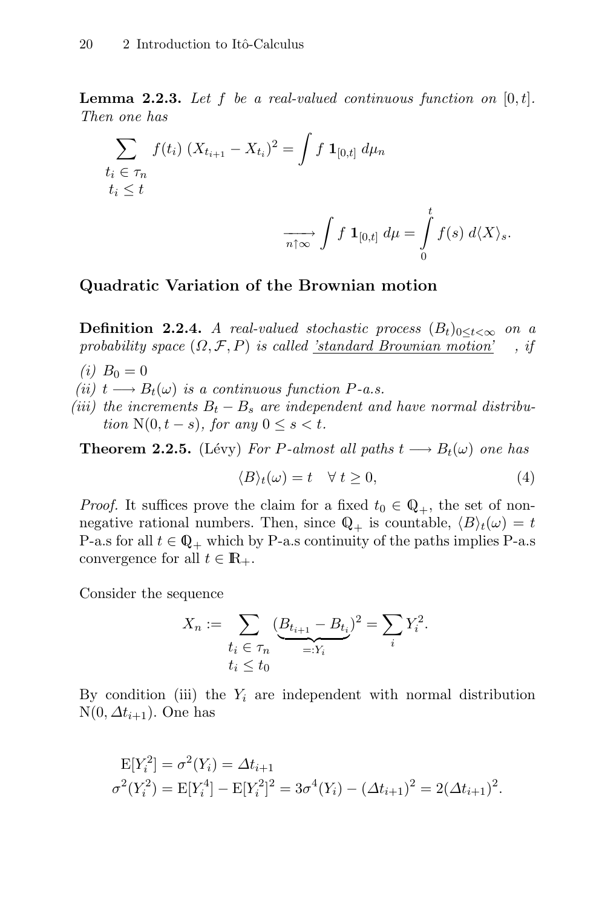**Lemma 2.2.3.** Let f be a real-valued continuous function on  $[0, t]$ . Then one has

$$
\sum_{\begin{subarray}{l}t_i \in \tau_n \\ t_i \leq t\end{subarray}} f(t_i) (X_{t_{i+1}} - X_{t_i})^2 = \int f \mathbf{1}_{[0,t]} d\mu_n
$$
\n
$$
\xrightarrow[n \uparrow \infty]{} \int f \mathbf{1}_{[0,t]} d\mu = \int_0^t f(s) d\langle X \rangle_s.
$$

## **Quadratic Variation of the Brownian motion**

**Definition 2.2.4.** A real-valued stochastic process  $(B_t)_{0 \leq t < \infty}$  on a probability space  $(\Omega, \mathcal{F}, P)$  is called 'standard Brownian motion', if probability space  $(\Omega, \mathcal{F}, P)$  is called 'standard Brownian motion'

- (*i*)  $B_0 = 0$
- (ii)  $t \longrightarrow B_t(\omega)$  is a continuous function P-a.s.
- (iii) the increments  $B_t B_s$  are independent and have normal distribution  $N(0, t - s)$ , for any  $0 \leq s < t$ .

**Theorem 2.2.5.** (Lévy) For P-almost all paths  $t \rightarrow B_t(\omega)$  one has

$$
\langle B \rangle_t(\omega) = t \quad \forall \ t \ge 0,
$$
\n<sup>(4)</sup>

*Proof.* It suffices prove the claim for a fixed  $t_0 \in \mathbb{Q}_+$ , the set of nonnegative rational numbers. Then, since  $\mathbb{Q}_+$  is countable,  $\langle B \rangle_t(\omega) = t$ P-a.s for all  $t \in \mathbb{Q}_+$  which by P-a.s continuity of the paths implies P-a.s convergence for all  $t \in \mathbb{R}_+$ .

Consider the sequence

$$
X_n := \sum_{\substack{t_i \in \tau_n \\ t_i \le t_0}} \underbrace{(B_{t_{i+1}} - B_{t_i})^2}_{=:Y_i} = \sum_i Y_i^2.
$$

By condition (iii) the  $Y_i$  are independent with normal distribution  $N(0, \Delta t_{i+1})$ . One has

$$
E[Y_i^2] = \sigma^2(Y_i) = \Delta t_{i+1}
$$
  

$$
\sigma^2(Y_i^2) = E[Y_i^4] - E[Y_i^2]^2 = 3\sigma^4(Y_i) - (\Delta t_{i+1})^2 = 2(\Delta t_{i+1})^2.
$$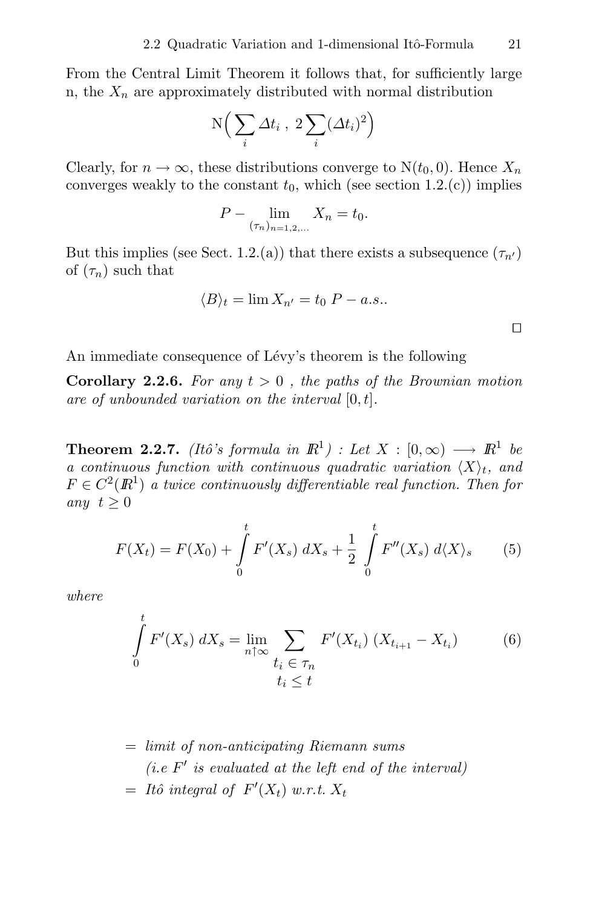From the Central Limit Theorem it follows that, for sufficiently large n, the  $X_n$  are approximately distributed with normal distribution

$$
N\Big(\sum_i \Delta t_i \;,\; 2\sum_i (\Delta t_i)^2\Big)
$$

Clearly, for  $n \to \infty$ , these distributions converge to  $N(t_0, 0)$ . Hence  $X_n$ converges weakly to the constant  $t_0$ , which (see section 1.2.(c)) implies

$$
P - \lim_{(\tau_n)_{n=1,2,...}} X_n = t_0.
$$

But this implies (see Sect. 1.2.(a)) that there exists a subsequence  $(\tau_{n'})$ of  $(\tau_n)$  such that

$$
\langle B \rangle_t = \lim X_{n'} = t_0 \ P - a.s..
$$

An immediate consequence of Lévy's theorem is the following

**Corollary 2.2.6.** For any  $t > 0$ , the paths of the Brownian motion are of unbounded variation on the interval  $[0, t]$ .

**Theorem 2.2.7.** (Itô's formula in  $\mathbb{R}^1$ ) : Let  $X : [0, \infty) \longrightarrow \mathbb{R}^1$  be a continuous function with continuous quadratic variation  $\langle X \rangle_t$ , and  $F \in C^2(\mathbb{R}^1)$  a twice continuously differentiable real function. Then for any  $t \geq 0$ 

$$
F(X_t) = F(X_0) + \int_0^t F'(X_s) \, dX_s + \frac{1}{2} \int_0^t F''(X_s) \, d\langle X \rangle_s \tag{5}
$$

where

$$
\int_{0}^{t} F'(X_s) \, dX_s = \lim_{n \uparrow \infty} \sum_{\substack{t_i \in \tau_n \\ t_i \le t}} F'(X_{t_i}) \, (X_{t_{i+1}} - X_{t_i}) \tag{6}
$$

 $=$  limit of non-anticipating Riemann sums (*i.e.*  $F'$  is evaluated at the left end of the interval)  $= It\hat{o}$  integral of  $F'(X_t)$  w.r.t.  $X_t$ 

 $\Box$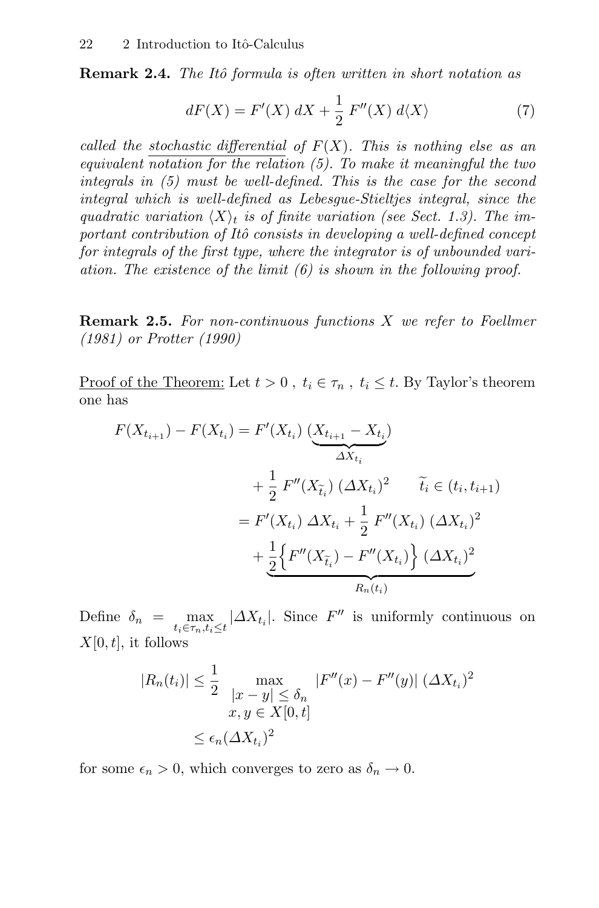**Remark 2.4.** The Itô formula is often written in short notation as

$$
dF(X) = F'(X) dX + \frac{1}{2} F''(X) d\langle X \rangle \tag{7}
$$

called the stochastic differential of  $F(X)$ . This is nothing else as an equivalent notation for the relation  $(5)$ . To make it meaningful the two integrals in (5) must be well-defined. This is the case for the second integral which is well-defined as Lebesgue-Stieltjes integral, since the quadratic variation  $\langle X \rangle_t$  is of finite variation (see Sect. 1.3). The important contribution of Itô consists in developing a well-defined concept for integrals of the first type, where the integrator is of unbounded variation. The existence of the limit (6) is shown in the following proof.

**Remark 2.5.** For non-continuous functions X we refer to Foellmer (1981) or Protter (1990)

Proof of the Theorem: Let  $t > 0$ ,  $t_i \in \tau_n$ ,  $t_i \leq t$ . By Taylor's theorem one has

$$
F(X_{t_{i+1}}) - F(X_{t_i}) = F'(X_{t_i}) \underbrace{(X_{t_{i+1}} - X_{t_i})}_{\Delta X_{t_i}} + \frac{1}{2} F''(X_{\tilde{t}_i}) (\Delta X_{t_i})^2 \quad \tilde{t}_i \in (t_i, t_{i+1})
$$
  

$$
= F'(X_{t_i}) \Delta X_{t_i} + \frac{1}{2} F''(X_{t_i}) (\Delta X_{t_i})^2 + \frac{1}{2} \left\{ F''(X_{\tilde{t}_i}) - F''(X_{t_i}) \right\} (\Delta X_{t_i})^2
$$
  

$$
R_n(t_i)
$$

Define  $\delta_n = \max_{t_i \in \tau_n, t_i \leq t} |\Delta X_{t_i}|$ . Since  $F''$  is uniformly continuous on  $X[0, t]$ , it follows

$$
|R_n(t_i)| \le \frac{1}{2} \max_{\begin{aligned} |x - y| &\le \delta_n \\ x, y &\in X[0, t] \end{aligned}} |F''(x) - F''(y)| (\Delta X_{t_i})^2
$$

$$
\le \epsilon_n (\Delta X_{t_i})^2
$$

for some  $\epsilon_n > 0$ , which converges to zero as  $\delta_n \to 0$ .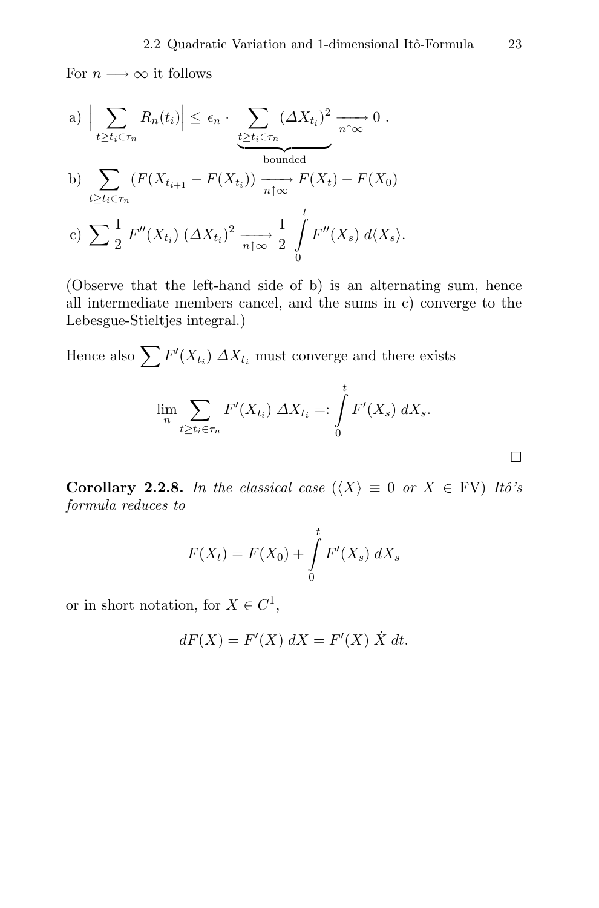For  $n \longrightarrow \infty$  it follows

a)     $\sum$  $t \geq t_i \in \tau_n$  $R_n(t_i) \leq \epsilon_n \cdot \sum_{t \geq 1}$  $t \geq t_i \in \tau_n$  $(\Delta X_{t_i})^2$  bounded  $\longrightarrow 0$ . b)  $\sum$  $\sum_{t \ge t_i \in \tau_n} (F(X_{t_{i+1}} - F(X_{t_i})) \xrightarrow[n \uparrow \infty]{} F(X_t) - F(X_0)$ 

c) 
$$
\sum \frac{1}{2} F''(X_{t_i}) (\Delta X_{t_i})^2 \xrightarrow[n \uparrow \infty]{}
$$
  $\frac{1}{2} \int_{0}^{t} F''(X_s) d\langle X_s \rangle.$ 

(Observe that the left-hand side of b) is an alternating sum, hence all intermediate members cancel, and the sums in c) converge to the Lebesgue-Stieltjes integral.)

Hence also  $\sum F'(X_{t_i}) \Delta X_{t_i}$  must converge and there exists

$$
\lim_{n} \sum_{t \ge t_i \in \tau_n} F'(X_{t_i}) \Delta X_{t_i} =: \int_{0}^{t} F'(X_s) \, dX_s.
$$

**Corollary 2.2.8.** In the classical case  $(\langle X \rangle \equiv 0 \text{ or } X \in FV)$  Itô's formula reduces to

$$
F(X_t) = F(X_0) + \int_{0}^{t} F'(X_s) \, dX_s
$$

or in short notation, for  $X \in C^1$ ,

$$
dF(X) = F'(X) dX = F'(X) \dot{X} dt.
$$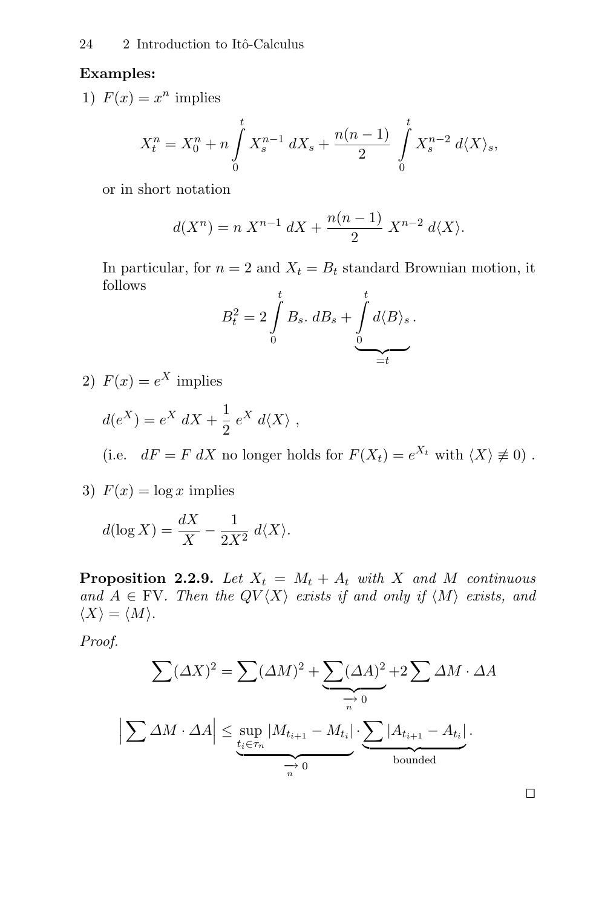## **Examples:**

1)  $F(x) = x^n$  implies

$$
X_t^n = X_0^n + n \int_0^t X_s^{n-1} dX_s + \frac{n(n-1)}{2} \int_0^t X_s^{n-2} d\langle X \rangle_s,
$$

or in short notation

$$
d(X^{n}) = n X^{n-1} dX + \frac{n(n-1)}{2} X^{n-2} d\langle X \rangle.
$$

In particular, for  $n = 2$  and  $X_t = B_t$  standard Brownian motion, it follows

$$
B_t^2 = 2 \int_0^t B_s \cdot dB_s + \underbrace{\int_0^t d\langle B \rangle_s}_{=t}.
$$

2)  $F(x) = e^X$  implies

$$
d(e^X) = e^X dX + \frac{1}{2} e^X d\langle X \rangle ,
$$
  
(i.e.  $dF = F dX$  no longer holds for  $F(X_t) = e^{X_t}$  with  $\langle X \rangle \neq 0$ ).

3)  $F(x) = \log x$  implies

$$
d(\log X) = \frac{dX}{X} - \frac{1}{2X^2} d\langle X \rangle.
$$

**Proposition 2.2.9.** Let  $X_t = M_t + A_t$  with X and M continuous and  $A \in \text{FV}$ . Then the  $QV\langle X \rangle$  exists if and only if  $\langle M \rangle$  exists, and  $\langle X \rangle = \langle M \rangle$ .

Proof.

$$
\sum (\Delta X)^2 = \sum (\Delta M)^2 + \underbrace{\sum (\Delta A)^2}_{n} + 2 \sum \Delta M \cdot \Delta A
$$
\n
$$
\left| \sum \Delta M \cdot \Delta A \right| \le \sup_{\underbrace{t_i \in \tau_n} |M_{t_{i+1}} - M_{t_i}|}_{n} \cdot \underbrace{\sum |A_{t_{i+1}} - A_{t_i}|}_{\text{bounded}}.
$$

 $\Box$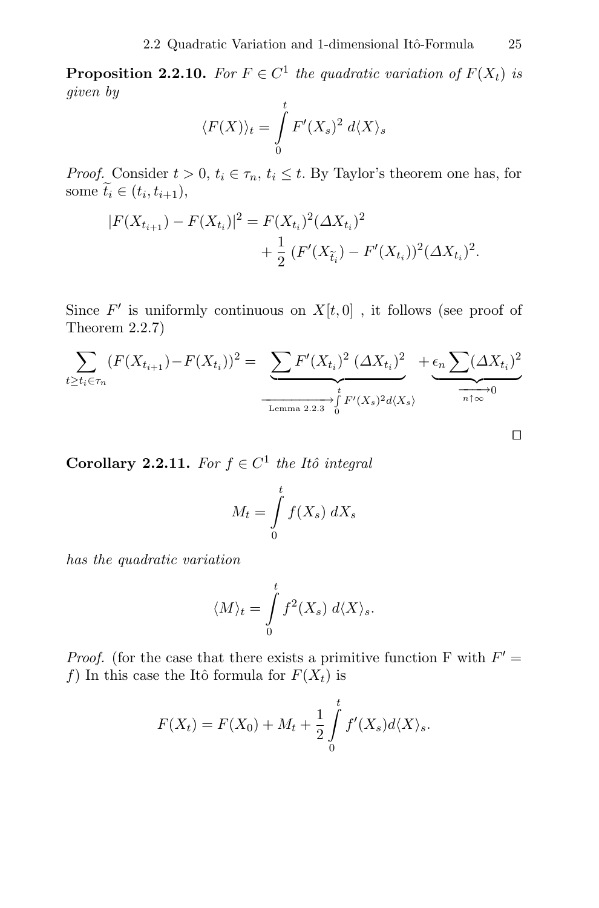**Proposition 2.2.10.** For  $F \in C^1$  the quadratic variation of  $F(X_t)$  is given by

$$
\langle F(X) \rangle_t = \int\limits_0^t F'(X_s)^2 \ d\langle X \rangle_s
$$

*Proof.* Consider  $t > 0$ ,  $t_i \in \tau_n$ ,  $t_i \leq t$ . By Taylor's theorem one has, for some  $\widetilde{t}_i \in (t_i, t_{i+1}),$ 

$$
|F(X_{t_{i+1}}) - F(X_{t_i})|^2 = F(X_{t_i})^2 (\Delta X_{t_i})^2
$$
  
+ 
$$
\frac{1}{2} (F'(X_{\tilde{t}_i}) - F'(X_{t_i}))^2 (\Delta X_{t_i})^2.
$$

Since  $F'$  is uniformly continuous on  $X[t, 0]$ , it follows (see proof of Theorem 2.2.7)

$$
\sum_{t \ge t_i \in \tau_n} (F(X_{t_{i+1}}) - F(X_{t_i}))^2 = \underbrace{\sum F'(X_{t_i})^2 (\Delta X_{t_i})^2}_{\text{Lemma 2.2.3}} + \underbrace{\epsilon_n \sum (\Delta X_{t_i})^2}_{0} \xrightarrow{\tau_n \infty} 0
$$

**Corollary 2.2.11.** For  $f \in C^1$  the Itô integral

$$
M_t = \int\limits_0^t f(X_s) \, dX_s
$$

has the quadratic variation

$$
\langle M\rangle_t=\int\limits_0^t f^2(X_s)\; d\langle X\rangle_s.
$$

*Proof.* (for the case that there exists a primitive function F with  $F' =$ f) In this case the Itô formula for  $F(X_t)$  is

$$
F(X_t) = F(X_0) + M_t + \frac{1}{2} \int_0^t f'(X_s) d\langle X \rangle_s.
$$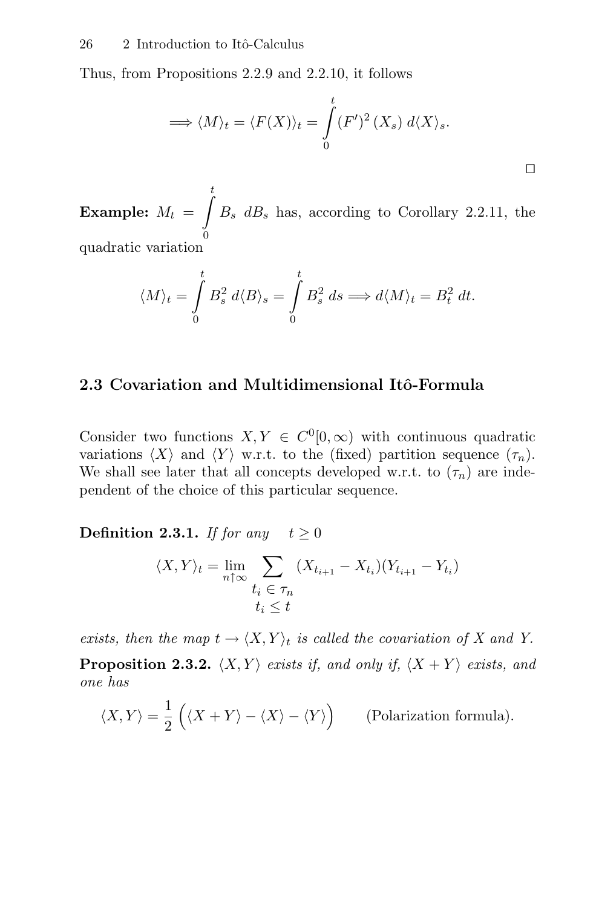Thus, from Propositions 2.2.9 and 2.2.10, it follows

$$
\Longrightarrow \langle M \rangle_t = \langle F(X) \rangle_t = \int_0^t (F')^2 \left( X_s \right) d \langle X \rangle_s.
$$

 $\Box$ 

 $\textbf{Example:} \ \ M_t \ =$  $\int$  $\mathbf{0}$  $B_s$  d $B_s$  has, according to Corollary 2.2.11, the quadratic variation

$$
\langle M\rangle_t=\int\limits_0^t B_s^2\;d\langle B\rangle_s=\int\limits_0^t B_s^2\;ds\Longrightarrow d\langle M\rangle_t=B_t^2\;dt.
$$

#### **2.3 Covariation and Multidimensional Itˆo-Formula**

Consider two functions  $X, Y \in C^{0}[0,\infty)$  with continuous quadratic variations  $\langle X \rangle$  and  $\langle Y \rangle$  w.r.t. to the (fixed) partition sequence  $(\tau_n)$ . We shall see later that all concepts developed w.r.t. to  $(\tau_n)$  are independent of the choice of this particular sequence.

**Definition 2.3.1.** If for any  $t > 0$ 

$$
\langle X, Y \rangle_t = \lim_{n \uparrow \infty} \sum_{\substack{t_i \in \tau_n \\ t_i \le t}} (X_{t_{i+1}} - X_{t_i})(Y_{t_{i+1}} - Y_{t_i})
$$

exists, then the map  $t \to \langle X, Y \rangle_t$  is called the covariation of X and Y.

**Proposition 2.3.2.**  $\langle X, Y \rangle$  exists if, and only if,  $\langle X + Y \rangle$  exists, and one has

$$
\langle X, Y \rangle = \frac{1}{2} \left( \langle X + Y \rangle - \langle X \rangle - \langle Y \rangle \right) \qquad \text{(Polarization formula)}.
$$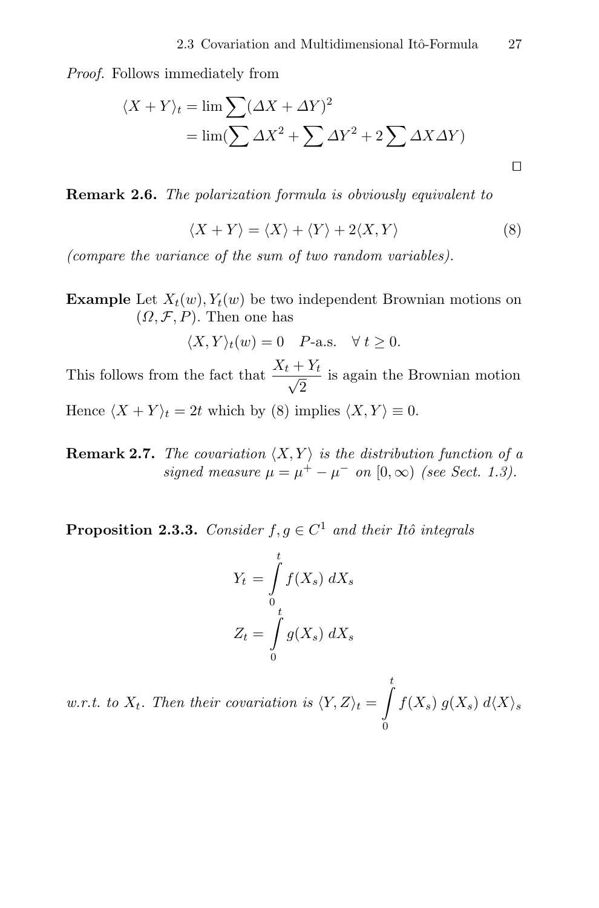Proof. Follows immediately from

$$
\langle X + Y \rangle_t = \lim \sum (\Delta X + \Delta Y)^2
$$
  
= 
$$
\lim (\sum \Delta X^2 + \sum \Delta Y^2 + 2 \sum \Delta X \Delta Y)
$$

**Remark 2.6.** The polarization formula is obviously equivalent to

$$
\langle X + Y \rangle = \langle X \rangle + \langle Y \rangle + 2 \langle X, Y \rangle \tag{8}
$$

(compare the variance of the sum of two random variables).

**Example** Let  $X_t(w)$ ,  $Y_t(w)$  be two independent Brownian motions on  $(\Omega, \mathcal{F}, P)$ . Then one has

$$
\langle X, Y \rangle_t(w) = 0 \quad P\text{-a.s.} \quad \forall \ t \ge 0.
$$

This follows from the fact that  $\frac{X_t + Y_t}{\sqrt{2}}$  is again the Brownian motion Hence  $\langle X + Y \rangle_t = 2t$  which by (8) implies  $\langle X, Y \rangle \equiv 0$ .

**Remark 2.7.** The covariation  $\langle X, Y \rangle$  is the distribution function of a signed measure  $\mu = \mu^+ - \mu^-$  on  $[0, \infty)$  (see Sect. 1.3).

**Proposition 2.3.3.** Consider  $f, g \in C^1$  and their Itô integrals

$$
Y_t = \int\limits_0^t f(X_s) \, dX_s
$$

$$
Z_t = \int\limits_0^t g(X_s) \, dX_s
$$

w.r.t. to  $X_t$ . Then their covariation is  $\langle Y, Z \rangle_t =$  $\frac{t}{\sqrt{t}}$ 0  $f(X_s)$   $g(X_s)$   $d\langle X \rangle_s$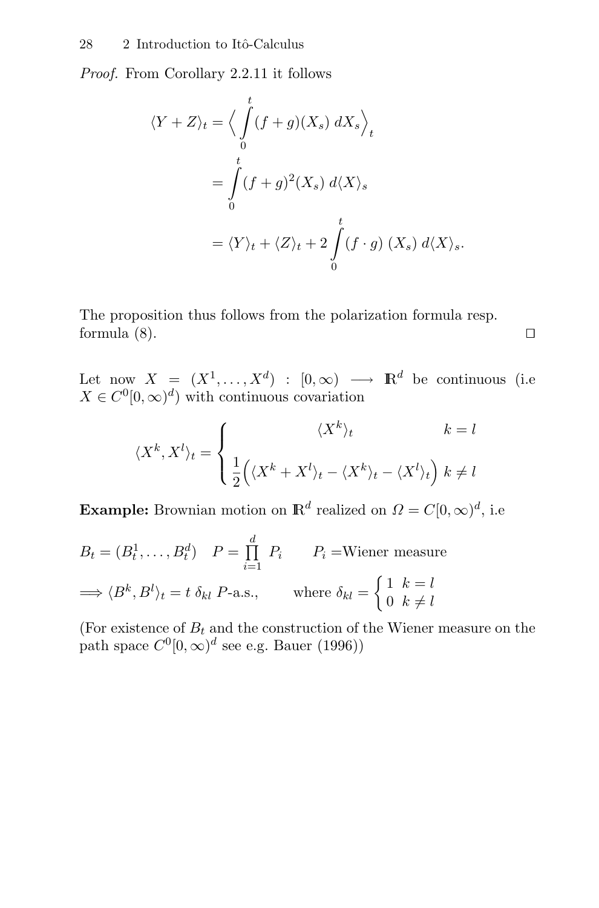Proof. From Corollary 2.2.11 it follows

$$
\langle Y + Z \rangle_t = \Big\langle \int_0^t (f + g)(X_s) \, dX_s \Big\rangle_t
$$
  
= 
$$
\int_0^t (f + g)^2 (X_s) \, d\langle X \rangle_s
$$
  
= 
$$
\langle Y \rangle_t + \langle Z \rangle_t + 2 \int_0^t (f \cdot g) \, (X_s) \, d\langle X \rangle_s.
$$

The proposition thus follows from the polarization formula resp. formula  $(8)$ .

Let now  $X = (X^1, \ldots, X^d) : [0, \infty) \longrightarrow \mathbb{R}^d$  be continuous (i.e  $X \in C^{0}[0,\infty)^{d}$  with continuous covariation

$$
\langle X^k, X^l \rangle_t = \begin{cases} \langle X^k \rangle_t & k = l \\ \frac{1}{2} \Big( \langle X^k + X^l \rangle_t - \langle X^k \rangle_t - \langle X^l \rangle_t \Big) & k \neq l \end{cases}
$$

**Example:** Brownian motion on  $\mathbb{R}^d$  realized on  $\Omega = C[0,\infty)^d$ , i.e.

$$
B_t = (B_t^1, \dots, B_t^d) \quad P = \prod_{i=1}^d P_i \qquad P_i = \text{Wiener measure}
$$
\n
$$
\implies \langle B^k, B^l \rangle_t = t \, \delta_{kl} \, P\text{-a.s.}, \qquad \text{where } \delta_{kl} = \begin{cases} 1 & k = l \\ 0 & k \neq l \end{cases}
$$

(For existence of  $B_t$  and the construction of the Wiener measure on the path space  $C^0[0,\infty)^d$  see e.g. Bauer (1996))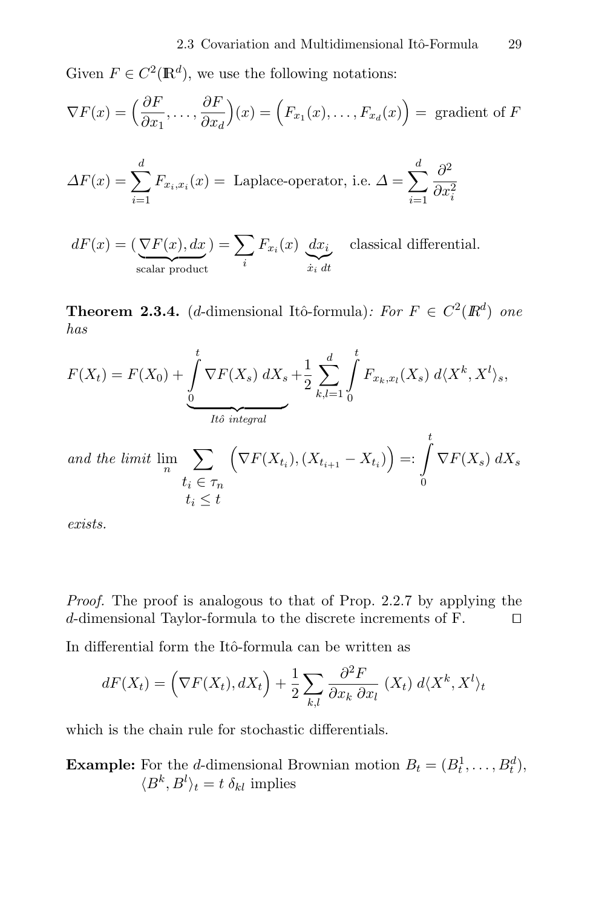Given  $F \in C^2(\mathbb{R}^d)$ , we use the following notations:

$$
\nabla F(x) = \left(\frac{\partial F}{\partial x_1}, \dots, \frac{\partial F}{\partial x_d}\right)(x) = \left(F_{x_1}(x), \dots, F_{x_d}(x)\right) = \text{gradient of } F
$$

$$
\Delta F(x) = \sum_{i=1}^{d} F_{x_i, x_i}(x) = \text{ Laplace-operator, i.e. } \Delta = \sum_{i=1}^{d} \frac{\partial^2}{\partial x_i^2}
$$

 $dF(x) = (\underbrace{\nabla F(x), dx}_{\text{scalar product}}) = \sum_i$ i  $F_{x_i}(x)$   $dx_i$  $x_i$  dt classical differential.

**Theorem 2.3.4.** (d-dimensional Itô-formula): For  $F \in C^2(\mathbb{R}^d)$  one has

$$
F(X_t) = F(X_0) + \underbrace{\int_{0}^{t} \nabla F(X_s) \ dX_s}_{\text{Ito integral}} + \frac{1}{2} \sum_{k,l=1}^{d} \int_{0}^{t} F_{x_k, x_l}(X_s) \ d\langle X^k, X^l \rangle_s,
$$

and the limit 
$$
\lim_{n} \sum_{t_i \in \tau_n} \left( \nabla F(X_{t_i}), (X_{t_{i+1}} - X_{t_i}) \right) =: \int_{0} \nabla F(X_s) dX_s
$$
  
 $t_i \leq t$ 

exists.

Proof. The proof is analogous to that of Prop. 2.2.7 by applying the d-dimensional Taylor-formula to the discrete increments of F.

In differential form the Itô-formula can be written as

$$
dF(X_t) = \left(\nabla F(X_t), dX_t\right) + \frac{1}{2} \sum_{k,l} \frac{\partial^2 F}{\partial x_k \partial x_l} (X_t) d\langle X^k, X^l \rangle_t
$$

which is the chain rule for stochastic differentials.

**Example:** For the d-dimensional Brownian motion  $B_t = (B_t^1, \ldots, B_t^d)$ ,  $\langle B^k, B^l \rangle_t = t \, \delta_{kl}$  implies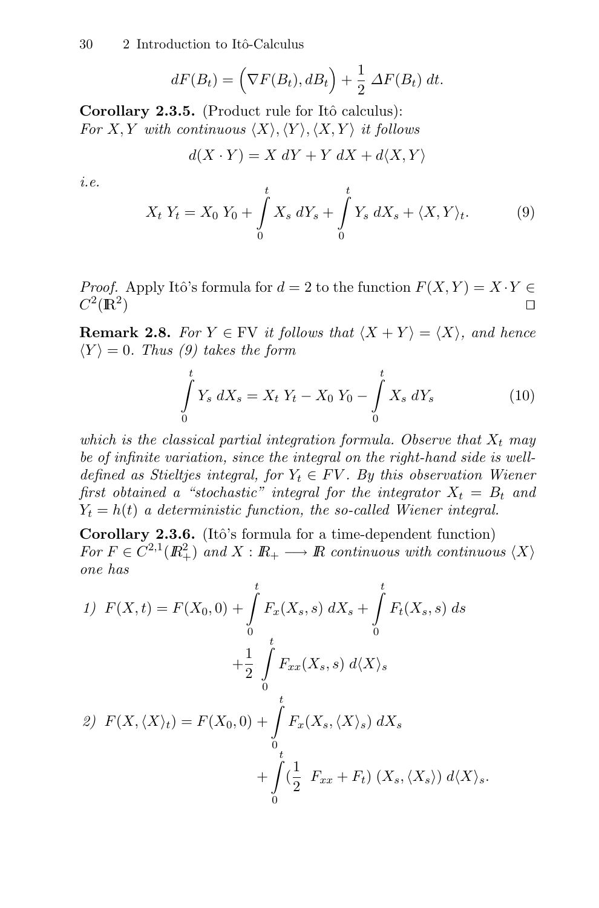$$
dF(B_t) = \left(\nabla F(B_t), dB_t\right) + \frac{1}{2} \Delta F(B_t) dt.
$$

**Corollary 2.3.5.** (Product rule for Itô calculus): For X, Y with continuous  $\langle X \rangle, \langle Y \rangle, \langle X, Y \rangle$  it follows

$$
d(X \cdot Y) = X \, dY + Y \, dX + d\langle X, Y \rangle
$$

i.e.

$$
X_t Y_t = X_0 Y_0 + \int_0^t X_s dY_s + \int_0^t Y_s dX_s + \langle X, Y \rangle_t. \tag{9}
$$

*Proof.* Apply Itô's formula for  $d = 2$  to the function  $F(X, Y) = X \cdot Y \in C^2(\mathbb{R}^2)$  $C^2(\mathbb{R}^2)$ 

**Remark 2.8.** For  $Y \in \text{FV}$  it follows that  $\langle X + Y \rangle = \langle X \rangle$ , and hence  $\langle Y \rangle = 0$ . Thus (9) takes the form

$$
\int_{0}^{t} Y_s \, dX_s = X_t \, Y_t - X_0 \, Y_0 - \int_{0}^{t} X_s \, dY_s \tag{10}
$$

which is the classical partial integration formula. Observe that  $X_t$  may be of infinite variation, since the integral on the right-hand side is welldefined as Stieltjes integral, for  $Y_t \in FV$ . By this observation Wiener first obtained a "stochastic" integral for the integrator  $X_t = B_t$  and  $Y_t = h(t)$  a deterministic function, the so-called Wiener integral.

**Corollary 2.3.6.** (Itô's formula for a time-dependent function) For  $F \in C^{2,1}(\mathbb{R}^2_+)$  and  $X : \mathbb{R}_+ \longrightarrow \mathbb{R}$  continuous with continuous  $\langle X \rangle$ one has

1) 
$$
F(X,t) = F(X_0, 0) + \int_0^t F_x(X_s, s) dX_s + \int_0^t F_t(X_s, s) ds
$$
  
  $+ \frac{1}{2} \int_0^t F_{xx}(X_s, s) d\langle X \rangle_s$   
2)  $F(X, \langle X \rangle_t) = F(X_0, 0) + \int_0^t F_x(X_s, \langle X \rangle_s) dX_s$   
 $+ \int_0^t (\frac{1}{2} F_{xx} + F_t) (X_s, \langle X_s \rangle) d\langle X \rangle_s.$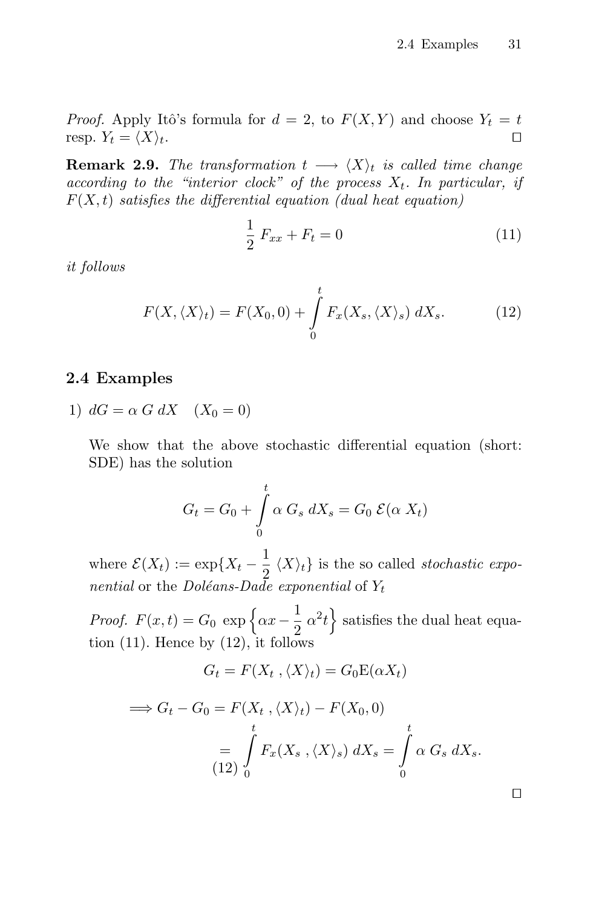*Proof.* Apply Itô's formula for  $d = 2$ , to  $F(X, Y)$  and choose  $Y_t = t$ resp.  $Y_t = \langle X \rangle_t$ .

**Remark 2.9.** The transformation  $t \rightarrow \langle X \rangle_t$  is called time change according to the "interior clock" of the process  $X_t$ . In particular, if  $F(X, t)$  satisfies the differential equation (dual heat equation)

$$
\frac{1}{2} F_{xx} + F_t = 0 \tag{11}
$$

it follows

$$
F(X, \langle X \rangle_t) = F(X_0, 0) + \int_0^t F_x(X_s, \langle X \rangle_s) dX_s.
$$
 (12)

### **2.4 Examples**

1)  $dG = \alpha G dX$   $(X_0 = 0)$ 

We show that the above stochastic differential equation (short: SDE) has the solution

$$
G_t = G_0 + \int\limits_0^t \alpha \, G_s \, dX_s = G_0 \, \mathcal{E}(\alpha \, X_t)
$$

where  $\mathcal{E}(X_t) := \exp\{X_t - \frac{1}{2} \langle X \rangle_t\}$  is the so called *stochastic expo*nential or the Doléans-Dade exponential of  $Y_t$ 

*Proof.*  $F(x,t) = G_0 \exp \left\{ \alpha x - \frac{1}{2} \alpha^2 t \right\}$  satisfies the dual heat equation  $(11)$ . Hence by  $(12)$ , it follows

$$
G_t = F(X_t, \langle X \rangle_t) = G_0 \mathcal{E}(\alpha X_t)
$$

$$
\implies G_t - G_0 = F(X_t, \langle X \rangle_t) - F(X_0, 0)
$$
  
= 
$$
\int_{(12)}^t F_x(X_s, \langle X \rangle_s) dX_s = \int_0^t \alpha G_s dX_s.
$$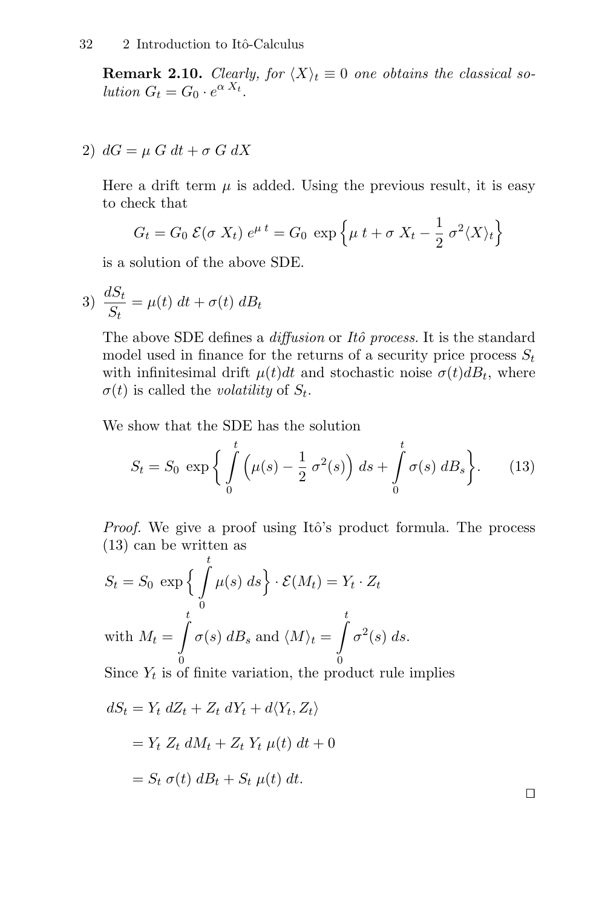**Remark 2.10.** Clearly, for  $\langle X \rangle_t \equiv 0$  one obtains the classical solution  $G_t = G_0 \cdot e^{\alpha X_t}$ .

2)  $dG = \mu G dt + \sigma G dX$ 

Here a drift term  $\mu$  is added. Using the previous result, it is easy to check that

$$
G_t = G_0 \mathcal{E}(\sigma X_t) e^{\mu t} = G_0 \exp \left\{ \mu t + \sigma X_t - \frac{1}{2} \sigma^2 \langle X \rangle_t \right\}
$$

is a solution of the above SDE.

$$
3) \frac{dS_t}{S_t} = \mu(t) dt + \sigma(t) dB_t
$$

The above SDE defines a *diffusion* or *Itô process*. It is the standard model used in finance for the returns of a security price process  $S_t$ with infinitesimal drift  $\mu(t)dt$  and stochastic noise  $\sigma(t)dB_t$ , where  $\sigma(t)$  is called the *volatility* of  $S_t$ .

We show that the SDE has the solution

$$
S_t = S_0 \exp\left\{ \int_0^t \left( \mu(s) - \frac{1}{2} \sigma^2(s) \right) ds + \int_0^t \sigma(s) dB_s \right\}.
$$
 (13)

*Proof.* We give a proof using Itô's product formula. The process (13) can be written as

$$
S_t = S_0 \exp\left\{\int_0^t \mu(s) \, ds\right\} \cdot \mathcal{E}(M_t) = Y_t \cdot Z_t
$$
  
with  $M_t = \int_0^t \sigma(s) \, dB_s$  and  $\langle M \rangle_t = \int_0^t \sigma^2(s) \, ds$ .

Since  $Y_t$  is of finite variation, the product rule implies

$$
dS_t = Y_t dZ_t + Z_t dY_t + d\langle Y_t, Z_t \rangle
$$
  
=  $Y_t Z_t dM_t + Z_t Y_t \mu(t) dt + 0$   
=  $S_t \sigma(t) dB_t + S_t \mu(t) dt$ .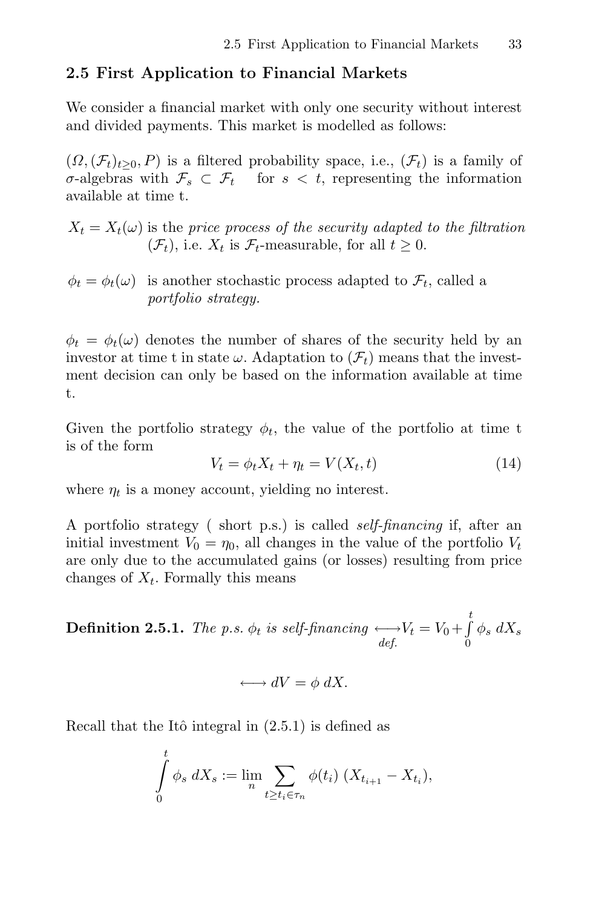### **2.5 First Application to Financial Markets**

We consider a financial market with only one security without interest and divided payments. This market is modelled as follows:

 $(\Omega,(\mathcal{F}_t)_{t>0}, P)$  is a filtered probability space, i.e.,  $(\mathcal{F}_t)$  is a family of σ-algebras with  $\mathcal{F}_s \subset \mathcal{F}_t$  for  $s < t$ , representing the information available at time t.

 $X_t = X_t(\omega)$  is the price process of the security adapted to the filtration  $(\mathcal{F}_t)$ , i.e.  $X_t$  is  $\mathcal{F}_t$ -measurable, for all  $t \geq 0$ .

 $\phi_t = \phi_t(\omega)$  is another stochastic process adapted to  $\mathcal{F}_t$ , called a portfolio strategy.

 $\phi_t = \phi_t(\omega)$  denotes the number of shares of the security held by an investor at time t in state  $\omega$ . Adaptation to  $(\mathcal{F}_t)$  means that the investment decision can only be based on the information available at time t.

Given the portfolio strategy  $\phi_t$ , the value of the portfolio at time t is of the form

$$
V_t = \phi_t X_t + \eta_t = V(X_t, t) \tag{14}
$$

where  $\eta_t$  is a money account, yielding no interest.

A portfolio strategy ( short p.s.) is called self-financing if, after an initial investment  $V_0 = \eta_0$ , all changes in the value of the portfolio  $V_t$ are only due to the accumulated gains (or losses) resulting from price changes of  $X_t$ . Formally this means

**Definition 2.5.1.** The p.s.  $\phi_t$  is self-financing  $\longleftrightarrow V_t = V_0 + \int_0^t V_t$  $\mathbf{0}$  $\phi_s dX_s$ 

$$
\longleftrightarrow dV = \phi \, dX.
$$

Recall that the Itô integral in  $(2.5.1)$  is defined as

$$
\int_{0}^{t} \phi_{s} dX_{s} := \lim_{n} \sum_{t \geq t_{i} \in \tau_{n}} \phi(t_{i}) (X_{t_{i+1}} - X_{t_{i}}),
$$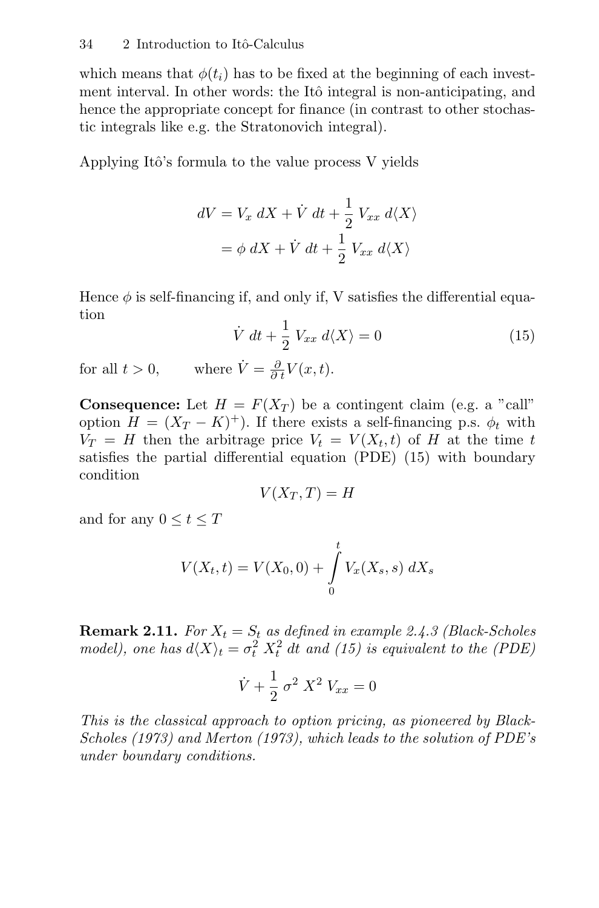which means that  $\phi(t_i)$  has to be fixed at the beginning of each investment interval. In other words: the Itô integral is non-anticipating, and hence the appropriate concept for finance (in contrast to other stochastic integrals like e.g. the Stratonovich integral).

Applying Itô's formula to the value process  $V$  yields

$$
dV = V_x \, dX + \dot{V} \, dt + \frac{1}{2} \, V_{xx} \, d\langle X \rangle
$$

$$
= \phi \, dX + \dot{V} \, dt + \frac{1}{2} \, V_{xx} \, d\langle X \rangle
$$

Hence  $\phi$  is self-financing if, and only if, V satisfies the differential equation

$$
\dot{V} dt + \frac{1}{2} V_{xx} d\langle X \rangle = 0 \tag{15}
$$

for all  $t > 0$ , where  $\dot{V} = \frac{\partial}{\partial t} V(x, t)$ .

**Consequence:** Let  $H = F(X_T)$  be a contingent claim (e.g. a "call" option  $H = (X_T - K)^+$ ). If there exists a self-financing p.s.  $\phi_t$  with  $V_T = H$  then the arbitrage price  $V_t = V(X_t, t)$  of H at the time t satisfies the partial differential equation (PDE) (15) with boundary condition

$$
V(X_T, T) = H
$$

and for any  $0 \le t \le T$ 

$$
V(X_t, t) = V(X_0, 0) + \int_{0}^{t} V_x(X_s, s) \, dX_s
$$

**Remark 2.11.** For  $X_t = S_t$  as defined in example 2.4.3 (Black-Scholes model), one has  $d\langle X \rangle_t = \sigma_t^2 X_t^2 dt$  and (15) is equivalent to the (PDE)

$$
\dot{V} + \frac{1}{2} \sigma^2 X^2 V_{xx} = 0
$$

This is the classical approach to option pricing, as pioneered by Black-Scholes (1973) and Merton (1973), which leads to the solution of PDE's under boundary conditions.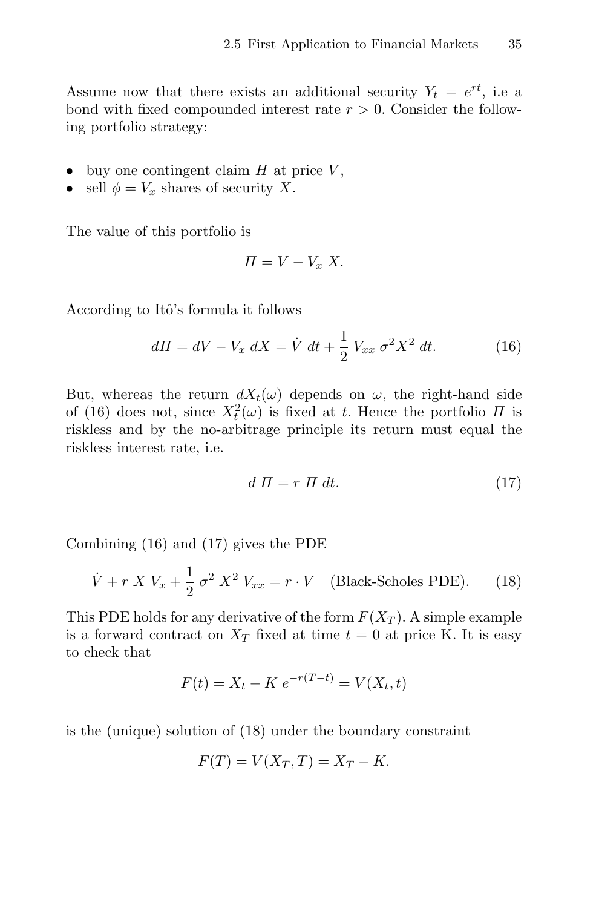Assume now that there exists an additional security  $Y_t = e^{rt}$ , i.e a bond with fixed compounded interest rate  $r > 0$ . Consider the following portfolio strategy:

- buy one contingent claim  $H$  at price  $V$ ,
- sell  $\phi = V_x$  shares of security X.

The value of this portfolio is

$$
\Pi = V - V_x X.
$$

According to Itô's formula it follows

$$
d\Pi = dV - V_x \, dX = \dot{V} \, dt + \frac{1}{2} \, V_{xx} \, \sigma^2 X^2 \, dt. \tag{16}
$$

But, whereas the return  $dX_t(\omega)$  depends on  $\omega$ , the right-hand side of (16) does not, since  $X_t^2(\omega)$  is fixed at t. Hence the portfolio  $\Pi$  is riskless and by the no-arbitrage principle its return must equal the riskless interest rate, i.e.

$$
d \Pi = r \Pi \, dt. \tag{17}
$$

Combining (16) and (17) gives the PDE

$$
\dot{V} + r X V_x + \frac{1}{2} \sigma^2 X^2 V_{xx} = r \cdot V \quad \text{(Black-Scholes PDE)}.
$$
 (18)

This PDE holds for any derivative of the form  $F(X_T)$ . A simple example is a forward contract on  $X_T$  fixed at time  $t = 0$  at price K. It is easy to check that

$$
F(t) = X_t - K e^{-r(T-t)} = V(X_t, t)
$$

is the (unique) solution of (18) under the boundary constraint

$$
F(T) = V(X_T, T) = X_T - K.
$$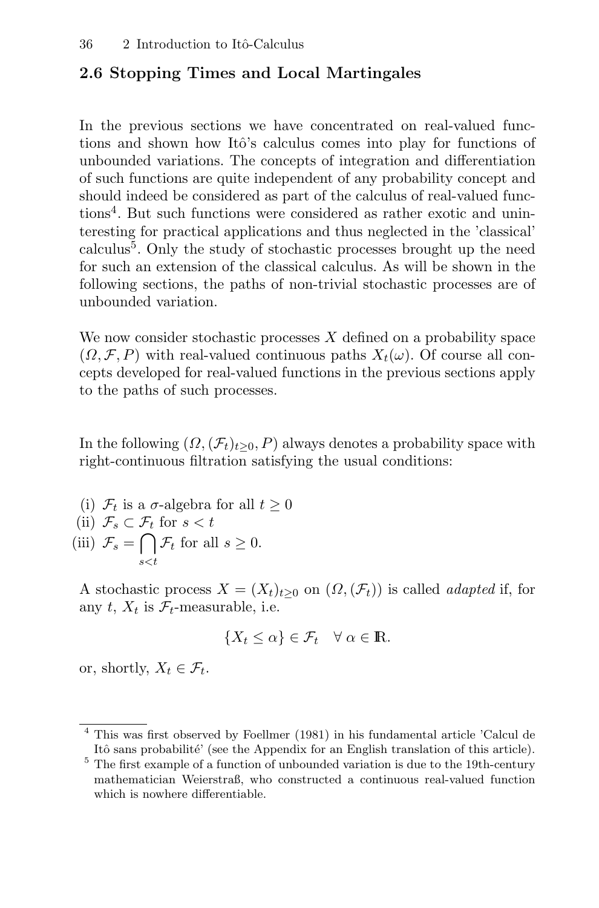# **2.6 Stopping Times and Local Martingales**

In the previous sections we have concentrated on real-valued functions and shown how Itô's calculus comes into play for functions of unbounded variations. The concepts of integration and differentiation of such functions are quite independent of any probability concept and should indeed be considered as part of the calculus of real-valued functions<sup>4</sup>. But such functions were considered as rather exotic and uninteresting for practical applications and thus neglected in the 'classical' calculus<sup>5</sup>. Only the study of stochastic processes brought up the need for such an extension of the classical calculus. As will be shown in the following sections, the paths of non-trivial stochastic processes are of unbounded variation.

We now consider stochastic processes  $X$  defined on a probability space  $(\Omega, \mathcal{F}, P)$  with real-valued continuous paths  $X_t(\omega)$ . Of course all concepts developed for real-valued functions in the previous sections apply to the paths of such processes.

In the following  $(\Omega,(\mathcal{F}_t)_{t>0}, P)$  always denotes a probability space with right-continuous filtration satisfying the usual conditions:

(i)  $\mathcal{F}_t$  is a  $\sigma$ -algebra for all  $t \geq 0$ (ii)  $\mathcal{F}_s \subset \mathcal{F}_t$  for  $s < t$ (iii)  $\mathcal{F}_s = \bigcap_{s < t} \mathcal{F}_t$  for all  $s \geq 0$ .

A stochastic process  $X = (X_t)_{t>0}$  on  $(\Omega, (\mathcal{F}_t))$  is called *adapted* if, for any t,  $X_t$  is  $\mathcal{F}_t$ -measurable, i.e.

$$
\{X_t \le \alpha\} \in \mathcal{F}_t \quad \forall \ \alpha \in \mathbb{R}.
$$

or, shortly,  $X_t \in \mathcal{F}_t$ .

<sup>4</sup> This was first observed by Foellmer (1981) in his fundamental article 'Calcul de Itô sans probabilité' (see the Appendix for an English translation of this article).

 $^5$  The first example of a function of unbounded variation is due to the 19th-century mathematician Weierstraß, who constructed a continuous real-valued function which is nowhere differentiable.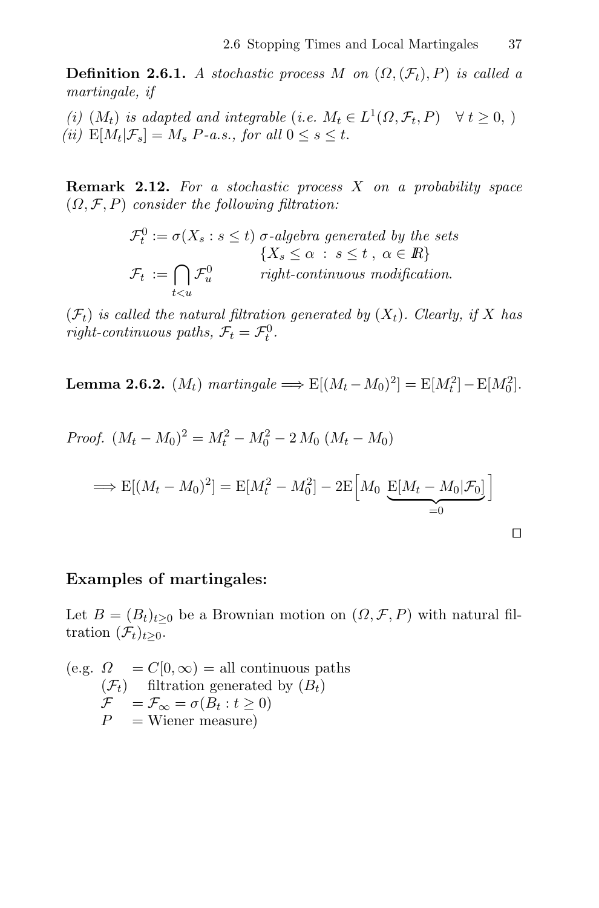**Definition 2.6.1.** A stochastic process M on  $(\Omega, (\mathcal{F}_t), P)$  is called a martingale, if

(i)  $(M_t)$  is adapted and integrable (i.e.  $M_t \in L^1(\Omega, \mathcal{F}_t, P) \quad \forall t \geq 0$ ,) (ii)  $E[M_t|\mathcal{F}_s] = M_s \ P$ -a.s., for all  $0 \leq s \leq t$ .

**Remark 2.12.** For a stochastic process X on a probability space  $(\Omega, \mathcal{F}, P)$  consider the following filtration:

$$
\mathcal{F}_t^0 := \sigma(X_s : s \le t) \sigma
$$
-algebra generated by the sets  

$$
\{X_s \le \alpha : s \le t, \ \alpha \in \mathbb{R}\}
$$

$$
\mathcal{F}_t := \bigcap_{t < u} \mathcal{F}_u^0 \qquad \text{right-continuous modification.}
$$

 $(\mathcal{F}_t)$  is called the natural filtration generated by  $(X_t)$ . Clearly, if X has right-continuous paths,  $\mathcal{F}_t = \mathcal{F}_t^0$ .

**Lemma 2.6.2.**  $(M_t)$  martingale  $\implies$   $E[(M_t - M_0)^2] = E[M_t^2] - E[M_0^2]$ .

Proof. 
$$
(M_t - M_0)^2 = M_t^2 - M_0^2 - 2 M_0 (M_t - M_0)
$$
  
\n $\implies E[(M_t - M_0)^2] = E[M_t^2 - M_0^2] - 2E[M_0 \underbrace{E[M_t - M_0 | \mathcal{F}_0]}_{=0}]$ 

### **Examples of martingales:**

Let  $B = (B_t)_{t>0}$  be a Brownian motion on  $(\Omega, \mathcal{F}, P)$  with natural filtration  $(\mathcal{F}_t)_{t\geq0}$ .

(e.g.  $\Omega = C[0,\infty) =$  all continuous paths  $(\mathcal{F}_t)$  filtration generated by  $(B_t)$  $\mathcal{F} = \mathcal{F}_{\infty} = \sigma(B_t : t \geq 0)$  $P =$ Wiener measure)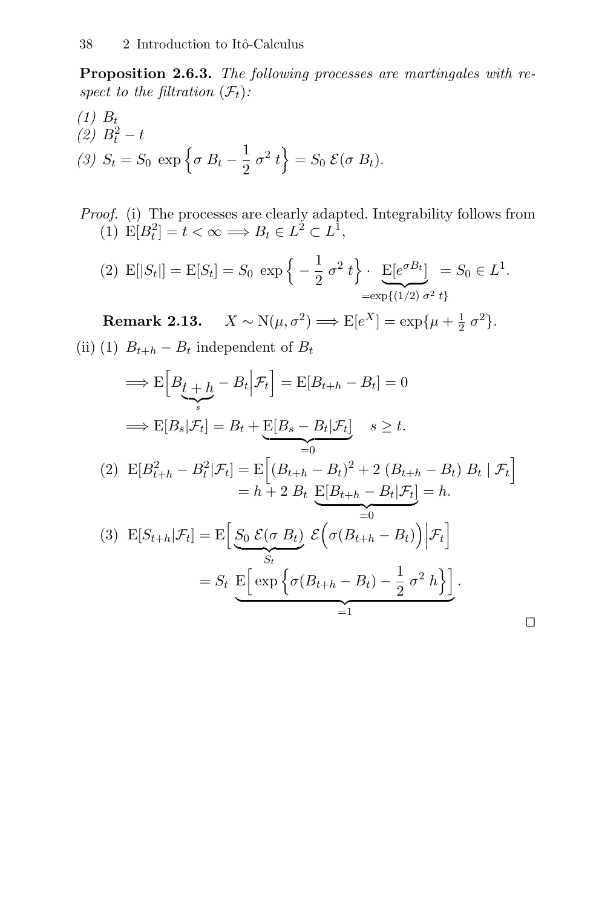**Proposition 2.6.3.** The following processes are martingales with respect to the filtration  $(\mathcal{F}_t)$ :

(1) 
$$
B_t
$$
  
(2)  $B_t^2 - t$   
(3)  $S_t = S_0 \exp \left\{ \sigma B_t - \frac{1}{2} \sigma^2 t \right\} = S_0 \mathcal{E}(\sigma B_t).$ 

Proof. (i) The processes are clearly adapted. Integrability follows from (1)  $E[B_t^2] = t < \infty \Longrightarrow B_t \in L^2 \subset L^1$ ,

(2) 
$$
E[|S_t|] = E[S_t] = S_0 \exp\left\{-\frac{1}{2}\sigma^2 t\right\} \cdot \underbrace{E[e^{\sigma B_t}]}_{=\exp\{(1/2)\sigma^2 t\}} = S_0 \in L^1.
$$

**Remark 2.13.**  $X \sim N(\mu, \sigma^2) \Longrightarrow E[e^X] = \exp{\mu + \frac{1}{2} \sigma^2}.$ (ii) (1)  $B_{t+h} - B_t$  independent of  $B_t$ 

$$
\Rightarrow E\Big[B_{t+h} - B_t \Big|\mathcal{F}_t\Big] = E[B_{t+h} - B_t] = 0
$$
  

$$
\Rightarrow E[B_s|\mathcal{F}_t] = B_t + E[B_s - B_t|\mathcal{F}_t] \quad s \ge t.
$$
  
(2) 
$$
E[B_{t+h}^2 - B_t^2 | \mathcal{F}_t] = E\Big[(B_{t+h} - B_t)^2 + 2(B_{t+h} - B_t) B_t | \mathcal{F}_t\Big]
$$

$$
= h + 2 B_t E[B_{t+h} - B_t | \mathcal{F}_t] = h.
$$
  
(3) 
$$
E[S_{t+h}|\mathcal{F}_t] = E\Big[\underbrace{S_0 \mathcal{E}(\sigma B_t)}_{S_t} \mathcal{E}\Big(\sigma(B_{t+h} - B_t)\Big) \Big|\mathcal{F}_t\Big]
$$

$$
= S_t E\Big[\exp\Big\{\sigma(B_{t+h} - B_t) - \frac{1}{2}\sigma^2 h\Big\}\Big].
$$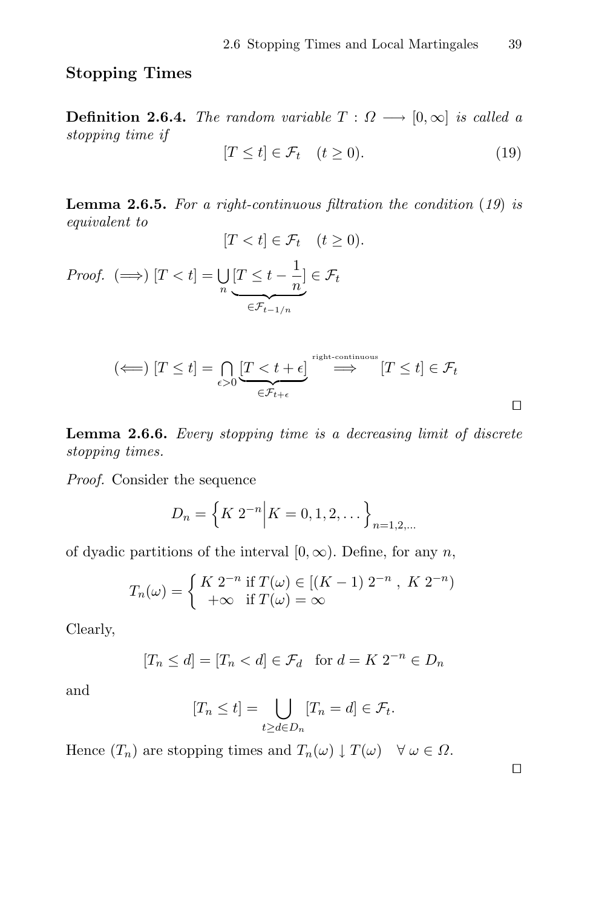# **Stopping Times**

**Definition 2.6.4.** The random variable  $T : \Omega \longrightarrow [0, \infty]$  is called a stopping time if

$$
[T \le t] \in \mathcal{F}_t \quad (t \ge 0). \tag{19}
$$

**Lemma 2.6.5.** For a right-continuous filtration the condition (19) is equivalent to  $[T < t] \in \mathcal{F}_t \quad (t \geq 0).$ 

Proof. 
$$
(\Longrightarrow) [T < t] = \bigcup_{n} \underbrace{[T \leq t - \frac{1}{n}]}_{\in \mathcal{F}_{t-1/n}} \in \mathcal{F}_t
$$

$$
(\Longleftarrow) [T \le t] = \bigcap_{\epsilon > 0} \underbrace{[T < t + \epsilon]}_{\in \mathcal{F}_{t+\epsilon}} \xrightarrow{\text{right-continuous}} [T \le t] \in \mathcal{F}_t
$$

**Lemma 2.6.6.** Every stopping time is a decreasing limit of discrete stopping times.

Proof. Consider the sequence

$$
D_n = \left\{ K \ 2^{-n} \middle| K = 0, 1, 2, \dots \right\}_{n=1, 2, \dots}
$$

of dyadic partitions of the interval  $[0, \infty)$ . Define, for any n,

$$
T_n(\omega) = \begin{cases} K 2^{-n} & \text{if } T(\omega) \in [(K-1) 2^{-n}, K 2^{-n}) \\ +\infty & \text{if } T(\omega) = \infty \end{cases}
$$

Clearly,

$$
[T_n \le d] = [T_n < d] \in \mathcal{F}_d \quad \text{for } d = K \ 2^{-n} \in D_n
$$

and

$$
[T_n \le t] = \bigcup_{t \ge d \in D_n} [T_n = d] \in \mathcal{F}_t.
$$

Hence  $(T_n)$  are stopping times and  $T_n(\omega) \downarrow T(\omega) \quad \forall \omega \in \Omega$ .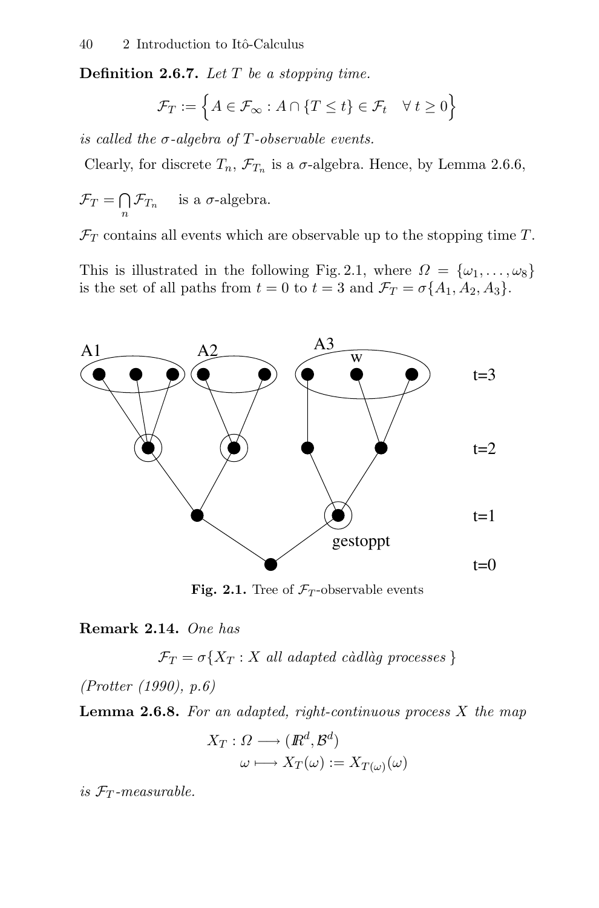**Definition 2.6.7.** Let T be a stopping time.

$$
\mathcal{F}_T := \left\{ A \in \mathcal{F}_{\infty} : A \cap \{ T \le t \} \in \mathcal{F}_t \quad \forall \ t \ge 0 \right\}
$$

is called the  $\sigma$ -algebra of T-observable events.

Clearly, for discrete  $T_n$ ,  $\mathcal{F}_{T_n}$  is a  $\sigma$ -algebra. Hence, by Lemma 2.6.6,

$$
\mathcal{F}_T = \bigcap_n \mathcal{F}_{T_n}
$$
 is a  $\sigma$ -algebra.

 $\mathcal{F}_T$  contains all events which are observable up to the stopping time  $T$ .

This is illustrated in the following Fig. 2.1, where  $\Omega = {\omega_1, \ldots, \omega_8}$ is the set of all paths from  $t = 0$  to  $t = 3$  and  $\mathcal{F}_T = \sigma\{A_1, A_2, A_3\}.$ 



**Fig. 2.1.** Tree of  $\mathcal{F}_T$ -observable events

**Remark 2.14.** One has

 $\mathcal{F}_T = \sigma\{X_T : X \text{ all adapted c\`adl\`ag processes }\}$ 

(Protter (1990), p.6)

**Lemma 2.6.8.** For an adapted, right-continuous process X the map

$$
X_T: \Omega \longrightarrow (I\!\!R^d, \mathcal{B}^d)
$$

$$
\omega \longmapsto X_T(\omega) := X_{T(\omega)}(\omega)
$$

is  $\mathcal{F}_T$ -measurable.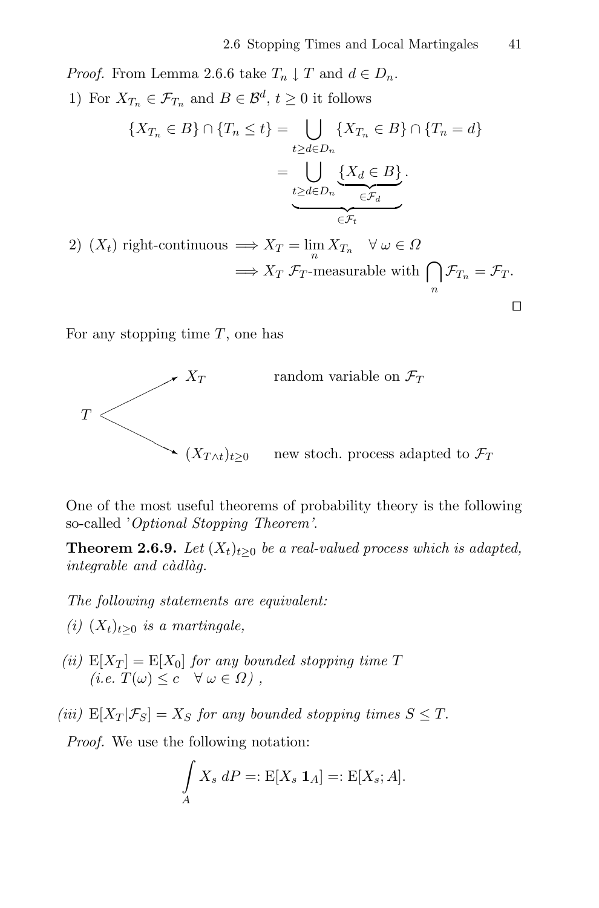*Proof.* From Lemma 2.6.6 take  $T_n \downarrow T$  and  $d \in D_n$ .

1) For  $X_{T_n} \in \mathcal{F}_{T_n}$  and  $B \in \mathcal{B}^d$ ,  $t \geq 0$  it follows

$$
\{X_{T_n} \in B\} \cap \{T_n \le t\} = \bigcup_{t \ge d \in D_n} \{X_{T_n} \in B\} \cap \{T_n = d\}
$$

$$
= \bigcup_{t \ge d \in D_n} \underbrace{\{X_d \in B\}}_{\in \mathcal{F}_d}.
$$
  
right-continuous  $\implies X_T = \lim_{t \to \infty} X_{T_n} \quad \forall \omega \in \Omega$ 

2)  $(X_t)$  right-continuous  $\implies X_T = \lim_n X_{T_n} \quad \forall \omega \in \Omega$  $\implies X_T \mathcal{F}_T$ -measurable with  $\bigcap_n \mathcal{F}_{T_n} = \mathcal{F}_T$ .

For any stopping time  $T$ , one has



One of the most useful theorems of probability theory is the following so-called 'Optional Stopping Theorem'.

**Theorem 2.6.9.** Let  $(X_t)_{t\geq0}$  be a real-valued process which is adapted,  $integable$  and  $c\grave{a}dl\grave{a}g$ .

The following statements are equivalent:

- (i)  $(X_t)_{t\geq0}$  is a martingale,
- (ii)  $E[X_T] = E[X_0]$  for any bounded stopping time T  $(i.e. T(\omega) \leq c \quad \forall \omega \in \Omega)$ ,
- (iii)  $E[X_T | \mathcal{F}_S] = X_S$  for any bounded stopping times  $S \leq T$ .

Proof. We use the following notation:

$$
\int\limits_A X_s \, dP =: \mathbf{E}[X_s \, \mathbf{1}_A] =: \mathbf{E}[X_s; A].
$$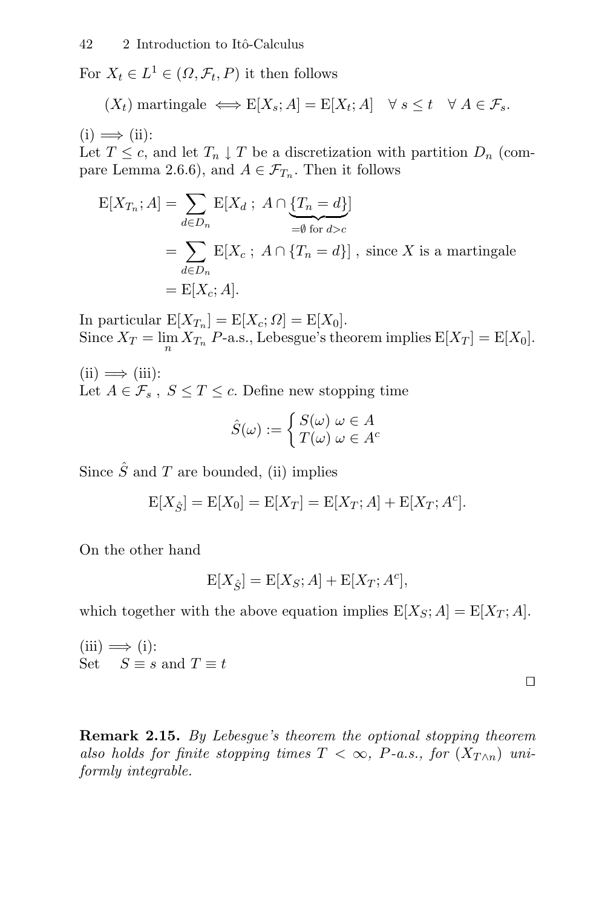For  $X_t \in L^1 \in (\Omega, \mathcal{F}_t, P)$  it then follows

$$
(X_t)
$$
 martingale  $\iff$   $E[X_s; A] = E[X_t; A] \quad \forall s \le t \quad \forall A \in \mathcal{F}_s.$ 

 $(i) \implies (ii)$ :

Let  $T \leq c$ , and let  $T_n \downarrow T$  be a discretization with partition  $D_n$  (compare Lemma 2.6.6), and  $A \in \mathcal{F}_{T_n}$ . Then it follows

$$
E[X_{T_n}; A] = \sum_{d \in D_n} E[X_d; A \cap \underbrace{\{T_n = d\}}_{=\emptyset \text{ for } d > c}]
$$
  
= 
$$
\sum_{d \in D_n} E[X_c; A \cap \{T_n = d\}], \text{ since } X \text{ is a martingale}
$$
  
= 
$$
E[X_c; A].
$$

In particular  $E[X_{T_n}] = E[X_c; \Omega] = E[X_0].$ Since  $X_T = \lim_n X_{T_n}$  P-a.s., Lebesgue's theorem implies  $E[X_T] = E[X_0]$ .

 $(ii) \implies (iii):$ Let  $A \in \mathcal{F}_s$ ,  $S \leq T \leq c$ . Define new stopping time

$$
\hat{S}(\omega) := \begin{cases} S(\omega) & \omega \in A \\ T(\omega) & \omega \in A^c \end{cases}
$$

Since  $\hat{S}$  and T are bounded, (ii) implies

$$
E[X_{\hat{S}}] = E[X_0] = E[X_T] = E[X_T; A] + E[X_T; A^c].
$$

On the other hand

$$
\mathcal{E}[X_{\hat{S}}] = \mathcal{E}[X_S; A] + \mathcal{E}[X_T; A^c],
$$

which together with the above equation implies  $E[X_S; A] = E[X_T; A]$ .

 $(iii) \implies (i):$ Set  $S \equiv s$  and  $T \equiv t$ 

 $\Box$ 

**Remark 2.15.** By Lebesgue's theorem the optional stopping theorem also holds for finite stopping times  $T < \infty$ , P-a.s., for  $(X_{T\wedge n})$  uniformly integrable.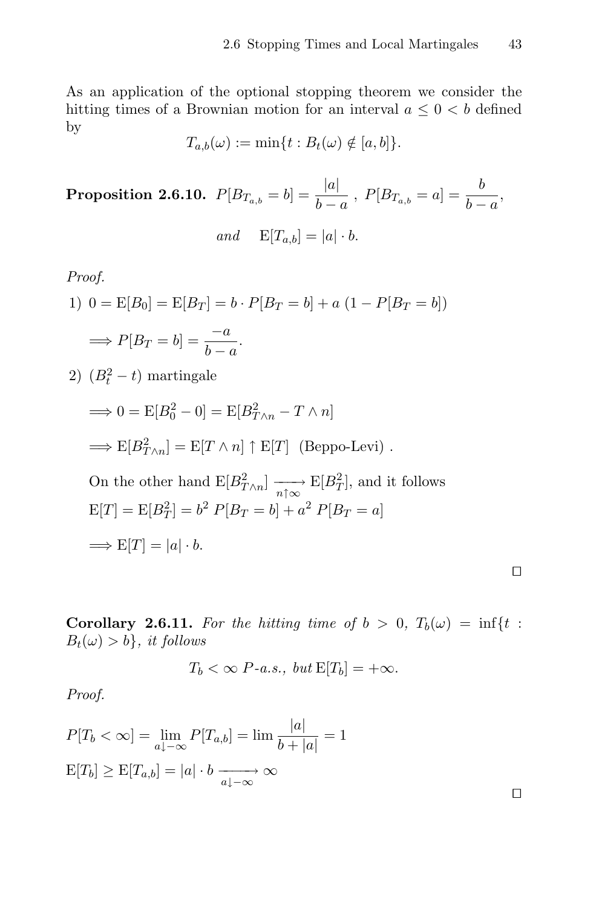As an application of the optional stopping theorem we consider the hitting times of a Brownian motion for an interval  $a \leq 0 < b$  defined by

$$
T_{a,b}(\omega) := \min\{t : B_t(\omega) \notin [a,b]\}.
$$

**Proposition 2.6.10.**  $P[B_{T_{a,b}} = b] = \frac{|a|}{b}$  $b - a$ ,  $P[B_{T_{a,b}} = a] = \frac{b}{b}$  $\frac{b-a}{b-a}$ and  $E[T_{a,b}] = |a| \cdot b.$ 

Proof.

1) 
$$
0 = E[B_0] = E[B_T] = b \cdot P[B_T = b] + a (1 - P[B_T = b])
$$
  
\n $\implies P[B_T = b] = \frac{-a}{b-a}.$ 

2)  $(B_t^2 - t)$  martingale

$$
\implies 0 = E[B_0^2 - 0] = E[B_{T \wedge n}^2 - T \wedge n]
$$

$$
\implies E[B_{T \wedge n}^2] = E[T \wedge n] \uparrow E[T] \text{ (Beppo-Levi)}.
$$

On the other hand 
$$
E[B_{T\wedge n}^2] \xrightarrow[n\uparrow\infty]{} E[B_T^2]
$$
, and it follows  
\n $E[T] = E[B_T^2] = b^2 P[B_T = b] + a^2 P[B_T = a]$   
\n $\implies E[T] = |a| \cdot b$ .

**Corollary 2.6.11.** For the hitting time of  $b > 0$ ,  $T_b(\omega) = \inf\{t : S \subseteq \mathbb{R}^d : S \subseteq \mathbb{R}^d\}$  $B_t(\omega) > b$ , it follows

$$
T_b < \infty \ P-a.s., \ but \ \mathbf{E}[T_b] = +\infty.
$$

Proof.

$$
P[T_b < \infty] = \lim_{a \downarrow -\infty} P[T_{a,b}] = \lim_{b \to -\infty} \frac{|a|}{b + |a|} = 1
$$
\n
$$
E[T_b] \ge E[T_{a,b}] = |a| \cdot b \xrightarrow[a \downarrow -\infty]{} \infty
$$

 $\Box$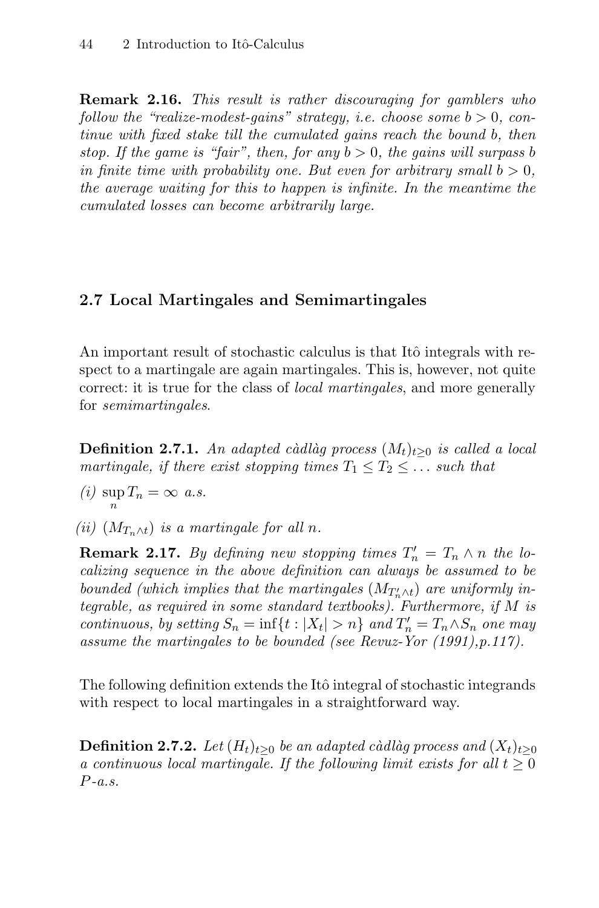**Remark 2.16.** This result is rather discouraging for gamblers who follow the "realize-modest-gains" strategy, i.e. choose some  $b > 0$ , continue with fixed stake till the cumulated gains reach the bound b, then stop. If the game is "fair", then, for any  $b > 0$ , the gains will surpass b in finite time with probability one. But even for arbitrary small  $b > 0$ , the average waiting for this to happen is infinite. In the meantime the cumulated losses can become arbitrarily large.

# **2.7 Local Martingales and Semimartingales**

An important result of stochastic calculus is that Itô integrals with respect to a martingale are again martingales. This is, however, not quite correct: it is true for the class of *local martingales*, and more generally for semimartingales.

**Definition 2.7.1.** An adapted càdlàg process  $(M_t)_{t\geq0}$  is called a local martingale, if there exist stopping times  $T_1 \leq T_2 \leq \ldots$  such that

- (*i*)  $\sup_n T_n = \infty$  a.s.
- (ii)  $(M_{T_n\wedge t})$  is a martingale for all n.

**Remark 2.17.** By defining new stopping times  $T'_n = T_n \wedge n$  the localizing sequence in the above definition can always be assumed to be bounded (which implies that the martingales  $(M_{T'_n \wedge t})$  are uniformly integrable, as required in some standard textbooks). Furthermore, if M is continuous, by setting  $S_n = \inf\{t : |X_t| > n\}$  and  $T'_n = T_n \wedge S_n$  one may assume the martingales to be bounded (see Revuz-Yor (1991),p.117).

The following definition extends the Itô integral of stochastic integrands with respect to local martingales in a straightforward way.

**Definition 2.7.2.** Let  $(H_t)_{t\geq 0}$  be an adapted càdlàg process and  $(X_t)_{t\geq 0}$ a continuous local martingale. If the following limit exists for all  $t \geq 0$  $P-a.s.$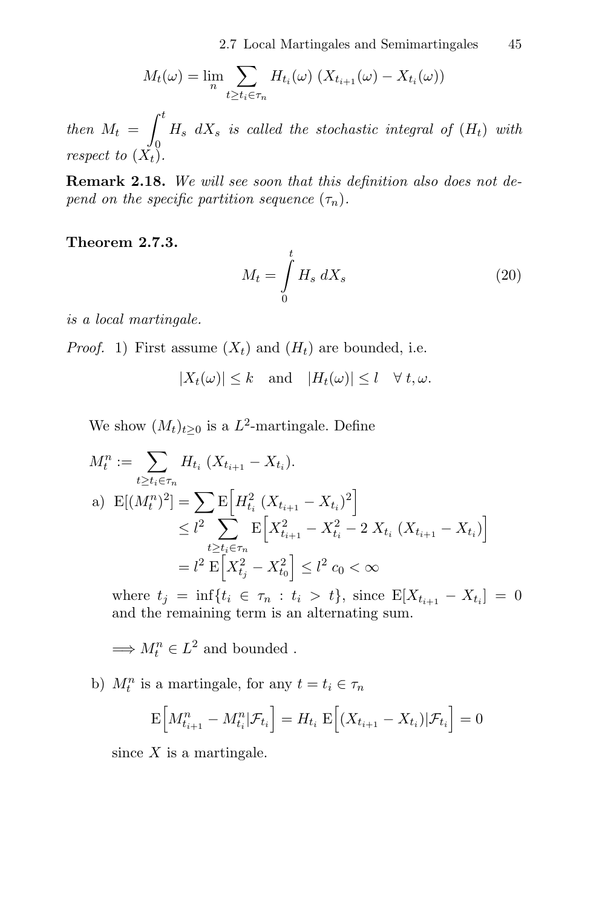$$
M_t(\omega) = \lim_{n} \sum_{t \ge t_i \in \tau_n} H_{t_i}(\omega) \left( X_{t_{i+1}}(\omega) - X_{t_i}(\omega) \right)
$$

then  $M_t =$  $\int_0^t$  $\hat{0}$  $H_s$  d $X_s$  is called the stochastic integral of  $(H_t)$  with respect to  $(X_t)$ .

**Remark 2.18.** We will see soon that this definition also does not depend on the specific partition sequence  $(\tau_n)$ .

**Theorem 2.7.3.**

$$
M_t = \int\limits_0^t H_s \, dX_s \tag{20}
$$

is a local martingale.

*Proof.* 1) First assume  $(X_t)$  and  $(H_t)$  are bounded, i.e.

 $|X_t(\omega)| \leq k$  and  $|H_t(\omega)| \leq l \quad \forall \ t, \omega$ .

We show  $(M_t)_{t>0}$  is a  $L^2$ -martingale. Define

$$
M_t^n := \sum_{t \ge t_i \in \tau_n} H_{t_i} (X_{t_{i+1}} - X_{t_i}).
$$
  
\na) 
$$
E[(M_t^n)^2] = \sum_{t \ge t_i \in \tau_n} E\Big[H_{t_i}^2 (X_{t_{i+1}} - X_{t_i})^2\Big] \le l^2 \sum_{t \ge t_i \in \tau_n} E\Big[X_{t_{i+1}}^2 - X_{t_i}^2 - 2 X_{t_i} (X_{t_{i+1}} - X_{t_i})\Big] = l^2 E\Big[X_{t_j}^2 - X_{t_0}^2\Big] \le l^2 c_0 < \infty
$$

where  $t_j = \inf\{t_i \in \tau_n : t_i > t\}$ , since  $E[X_{t_{i+1}} - X_{t_i}] = 0$ and the remaining term is an alternating sum.

 $\implies M_t^n \in L^2$  and bounded.

b)  $M_t^n$  is a martingale, for any  $t = t_i \in \tau_n$ 

$$
\mathbb{E}\Big[M^n_{t_{i+1}} - M^n_{t_i} | \mathcal{F}_{t_i}\Big] = H_{t_i} \mathbb{E}\Big[(X_{t_{i+1}} - X_{t_i}) | \mathcal{F}_{t_i}\Big] = 0
$$

since  $X$  is a martingale.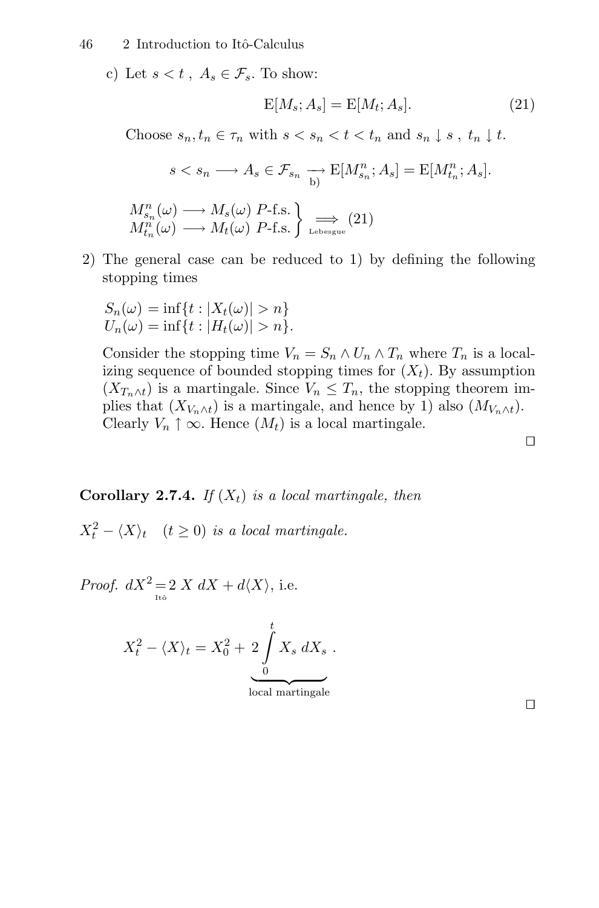#### 46 2 Introduction to Itô-Calculus

c) Let  $s < t$ ,  $A_s \in \mathcal{F}_s$ . To show:

$$
E[M_s; A_s] = E[M_t; A_s]. \tag{21}
$$

Choose  $s_n, t_n \in \tau_n$  with  $s < s_n < t < t_n$  and  $s_n \downarrow s$ ,  $t_n \downarrow t$ .

$$
s < s_n \longrightarrow A_s \in \mathcal{F}_{s_n} \longrightarrow \mathbb{E}[M_{s_n}^n; A_s] = \mathbb{E}[M_{t_n}^n; A_s].
$$

$$
M_{s_n}^n(\omega) \longrightarrow M_s(\omega) \ P\text{-f.s.}
$$
  

$$
M_{t_n}^n(\omega) \longrightarrow M_t(\omega) \ P\text{-f.s.}
$$

2) The general case can be reduced to 1) by defining the following stopping times

$$
S_n(\omega) = \inf\{t : |X_t(\omega)| > n\}
$$
  

$$
U_n(\omega) = \inf\{t : |H_t(\omega)| > n\}.
$$

Consider the stopping time  $V_n = S_n \wedge U_n \wedge T_n$  where  $T_n$  is a localizing sequence of bounded stopping times for  $(X_t)$ . By assumption  $(X_{T_n\wedge t})$  is a martingale. Since  $V_n \leq T_n$ , the stopping theorem implies that  $(X_{V_n \wedge t})$  is a martingale, and hence by 1) also  $(M_{V_n \wedge t})$ . Clearly  $V_n \uparrow \infty$ . Hence  $(M_t)$  is a local martingale.

**Corollary 2.7.4.** If  $(X_t)$  is a local martingale, then

 $X_t^2 - \langle X \rangle_t$   $(t \ge 0)$  is a local martingale.

*Proof.*  $dX^2 = 2 X dX + d\langle X \rangle$ , i.e.

$$
X_t^2 - \langle X \rangle_t = X_0^2 + 2 \int_0^t X_s \, dX_s \; .
$$

local martingale

 $\Box$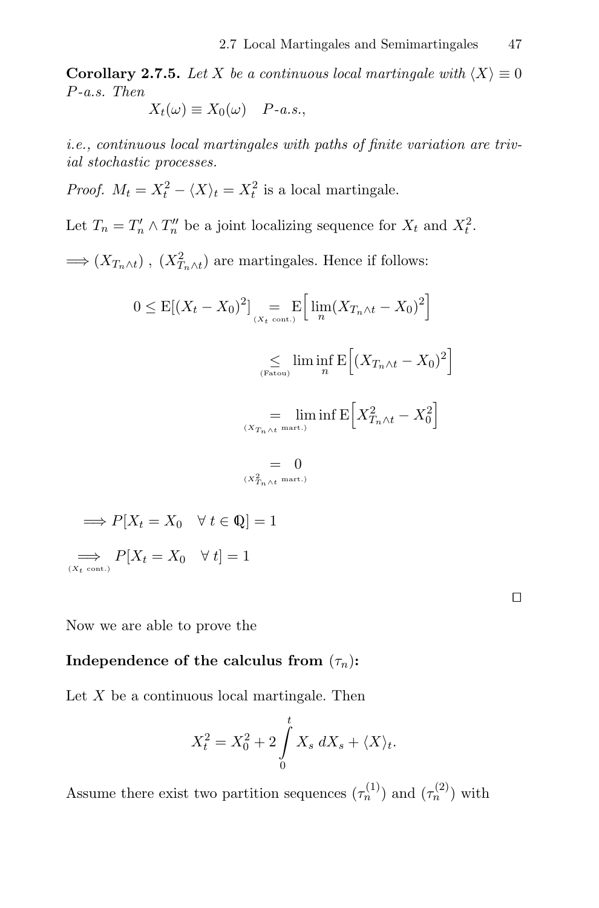**Corollary 2.7.5.** Let X be a continuous local martingale with  $\langle X \rangle \equiv 0$ P-a.s. Then

$$
X_t(\omega) \equiv X_0(\omega) \quad P-a.s.,
$$

i.e., continuous local martingales with paths of finite variation are trivial stochastic processes.

*Proof.*  $M_t = X_t^2 - \langle X \rangle_t = X_t^2$  is a local martingale.

Let  $T_n = T'_n \wedge T''_n$  be a joint localizing sequence for  $X_t$  and  $X_t^2$ .

 $\Longrightarrow (X_{T_n \wedge t})$ ,  $(X_{T_n \wedge t}^2)$  are martingales. Hence if follows:

$$
0 \leq E[(X_t - X_0)^2] = E\left[\lim_{(X_t \text{ cont.})} (X_{T_n \wedge t} - X_0)^2\right]
$$

$$
\leq \lim_{(F_{\text{atom}})} \lim_{n} E\left[(X_{T_n \wedge t} - X_0)^2\right]
$$

$$
= \lim_{(X_{T_n \wedge t} \text{ mart.})} \inf E\left[X_{T_n \wedge t}^2 - X_0^2\right]
$$

$$
= 0
$$

$$
\lim_{(X_{T_n \wedge t} \text{ mart.})} \to P[X_t = X_0 \quad \forall \ t \in \mathbb{Q}] = 1
$$

$$
\implies P[X_t = X_0 \quad \forall \ t] = 1
$$

Now we are able to prove the

# **Independence of the calculus from**  $(\tau_n)$ **:**

Let  $X$  be a continuous local martingale. Then

$$
X_t^2 = X_0^2 + 2 \int_0^t X_s \, dX_s + \langle X \rangle_t.
$$

 $\Box$ 

Assume there exist two partition sequences  $(\tau_n^{(1)})$  and  $(\tau_n^{(2)})$  with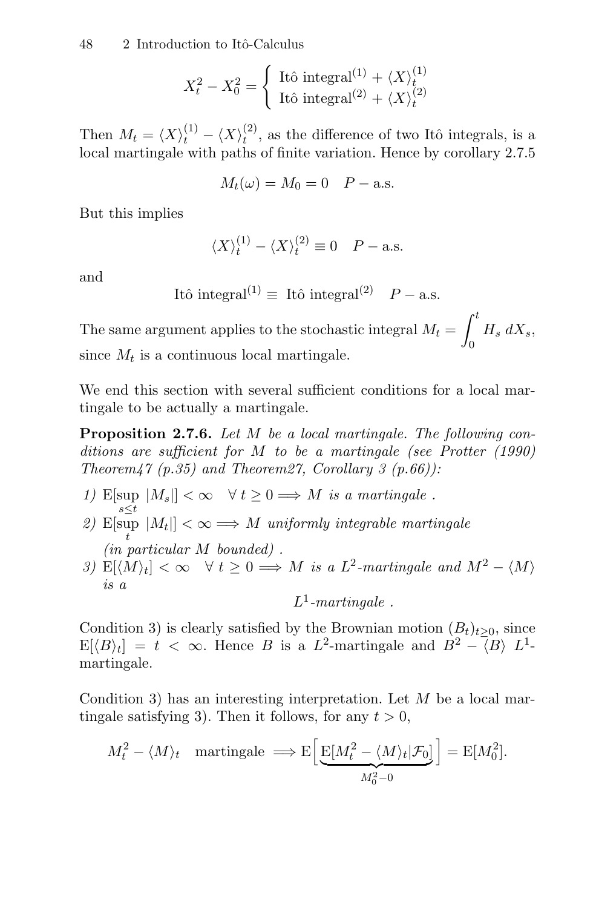$$
X_t^2 - X_0^2 = \begin{cases} \text{Itô integral}^{(1)} + \langle X \rangle_t^{(1)} \\ \text{Itô integral}^{(2)} + \langle X \rangle_t^{(2)} \end{cases}
$$

Then  $M_t = \langle X \rangle_t^{(1)} - \langle X \rangle_t^{(2)}$ , as the difference of two Itô integrals, is a local martingale with paths of finite variation. Hence by corollary 2.7.5

$$
M_t(\omega) = M_0 = 0 \quad P - \text{a.s.}
$$

But this implies

$$
\langle X \rangle_t^{(1)} - \langle X \rangle_t^{(2)} \equiv 0 \quad P-\text{a.s.}
$$

and

Itô integral<sup>(1)</sup> 
$$
\equiv
$$
 Itô integral<sup>(2)</sup>  $P - a.s.$ 

The same argument applies to the stochastic integral  $M_t =$  $\int_0^t$  $\mathbf 0$  $H_s dX_s$ since  $M_t$  is a continuous local martingale.

We end this section with several sufficient conditions for a local martingale to be actually a martingale.

**Proposition 2.7.6.** Let M be a local martingale. The following conditions are sufficient for M to be a martingale (see Protter (1990) Theorem47 (p.35) and Theorem27, Corollary 3 (p.66)):

- 1) E[sup  $|M_s|$ ]  $< \infty \quad \forall t \geq 0 \Longrightarrow M$  is a martingale.
- 2)  $\mathbb{E}[\sup_t |M_t|] < \infty \Longrightarrow M$  uniformly integrable martingale (in particular M bounded) .
- 3)  $E[\langle M \rangle_t] < \infty \quad \forall t \geq 0 \Longrightarrow M$  is a  $L^2$ -martingale and  $M^2 \langle M \rangle$ is a

 $L^1$ -martingale.

Condition 3) is clearly satisfied by the Brownian motion  $(B_t)_{t>0}$ , since  $E[\langle B \rangle_t] = t < \infty$ . Hence B is a L<sup>2</sup>-martingale and  $B^2 - \langle B \rangle L^1$ martingale.

Condition 3) has an interesting interpretation. Let  $M$  be a local martingale satisfying 3). Then it follows, for any  $t > 0$ ,

$$
M_t^2 - \langle M \rangle_t \quad \text{martingale} \implies E\Big[\underbrace{E[M_t^2 - \langle M \rangle_t | \mathcal{F}_0]}_{M_0^2 - 0}\Big] = E[M_0^2].
$$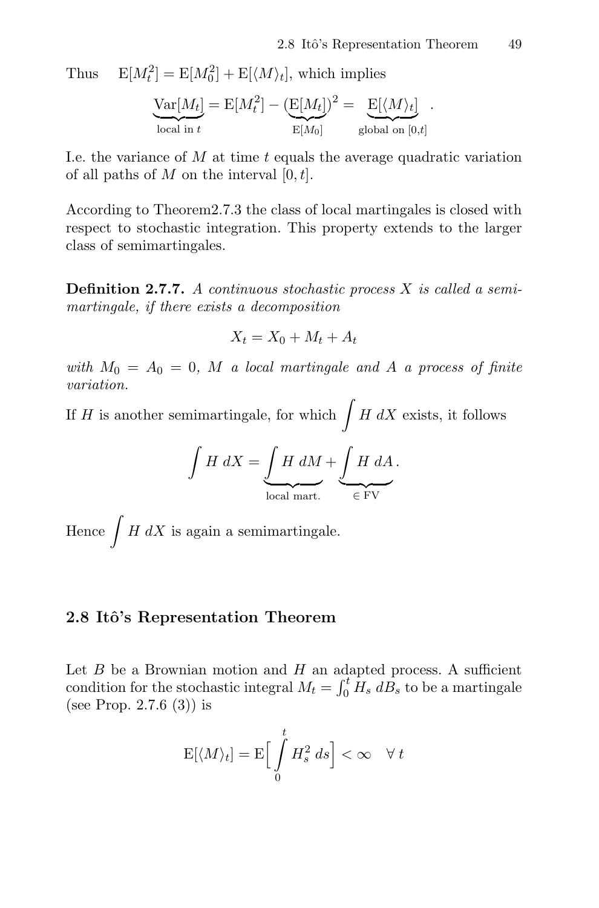Thus  $E[M_t^2] = E[M_0^2] + E[\langle M \rangle_t]$ , which implies

$$
\underbrace{\text{Var}[M_t]}_{\text{local in } t} = \text{E}[M_t^2] - \underbrace{(\text{E}[M_t])^2}_{\text{E}[M_0]} = \underbrace{\text{E}[\langle M \rangle_t]}_{\text{global on }[0,t]}.
$$

I.e. the variance of  $M$  at time  $t$  equals the average quadratic variation of all paths of M on the interval  $[0, t]$ .

According to Theorem2.7.3 the class of local martingales is closed with respect to stochastic integration. This property extends to the larger class of semimartingales.

**Definition 2.7.7.** A continuous stochastic process X is called a semimartingale, if there exists a decomposition

$$
X_t = X_0 + M_t + A_t
$$

with  $M_0 = A_0 = 0$ , M a local martingale and A a process of finite variation.

If H is another semimartingale, for which  $\int H dX$  exists, it follows

$$
\int H \ dX = \underbrace{\int H \ dM}_{\text{local mart.}} + \underbrace{\int H \ dA}_{\in \text{FV}}.
$$

Hence  $\int H dX$  is again a semimartingale.

### **2.8 Itˆo's Representation Theorem**

Let  $B$  be a Brownian motion and  $H$  an adapted process. A sufficient condition for the stochastic integral  $M_t = \int_0^t H_s \, dB_s$  to be a martingale (see Prop. 2.7.6 (3)) is

$$
\mathrm{E}[\langle M \rangle_t] = \mathrm{E}\Big[\int\limits_0^t H_s^2\ ds\Big] < \infty \quad \forall\ t
$$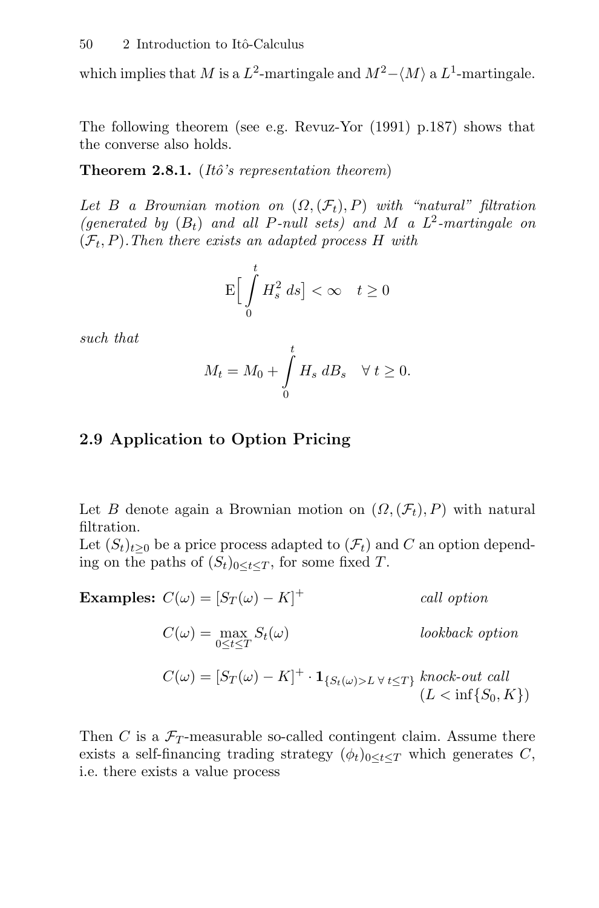which implies that M is a  $L^2$ -martingale and  $M^2 - \langle M \rangle$  a  $L^1$ -martingale.

The following theorem (see e.g. Revuz-Yor (1991) p.187) shows that the converse also holds.

**Theorem 2.8.1.** (*Itô's representation theorem*)

Let B a Brownian motion on  $(\Omega, (\mathcal{F}_t), P)$  with "natural" filtration (generated by  $(B_t)$  and all P-null sets) and M a  $L^2$ -martingale on  $(\mathcal{F}_t, P)$ . Then there exists an adapted process H with

$$
\mathbf{E}\Big[\int\limits_0^t H_s^2\ ds\Big]<\infty\quad t\geq 0
$$

such that

$$
M_t = M_0 + \int\limits_0^t H_s \, dB_s \quad \forall \ t \ge 0.
$$

# **2.9 Application to Option Pricing**

Let B denote again a Brownian motion on  $(\Omega,(\mathcal{F}_t), P)$  with natural filtration.

Let  $(S_t)_{t\geq0}$  be a price process adapted to  $(\mathcal{F}_t)$  and C an option depending on the paths of  $(S_t)_{0 \leq t \leq T}$ , for some fixed T.

Examples: 
$$
C(\omega) = [S_T(\omega) - K]^+
$$
 call option  
\n
$$
C(\omega) = \max_{0 \le t \le T} S_t(\omega)
$$
 lookback option  
\n
$$
C(\omega) = [S_T(\omega) - K]^+ \cdot \mathbf{1}_{\{S_t(\omega) > L \forall t \le T\}} \text{ knock-out call}
$$
\n
$$
(L < \inf\{S_0, K\})
$$

Then C is a  $\mathcal{F}_T$ -measurable so-called contingent claim. Assume there exists a self-financing trading strategy  $(\phi_t)_{0 \leq t \leq T}$  which generates C, i.e. there exists a value process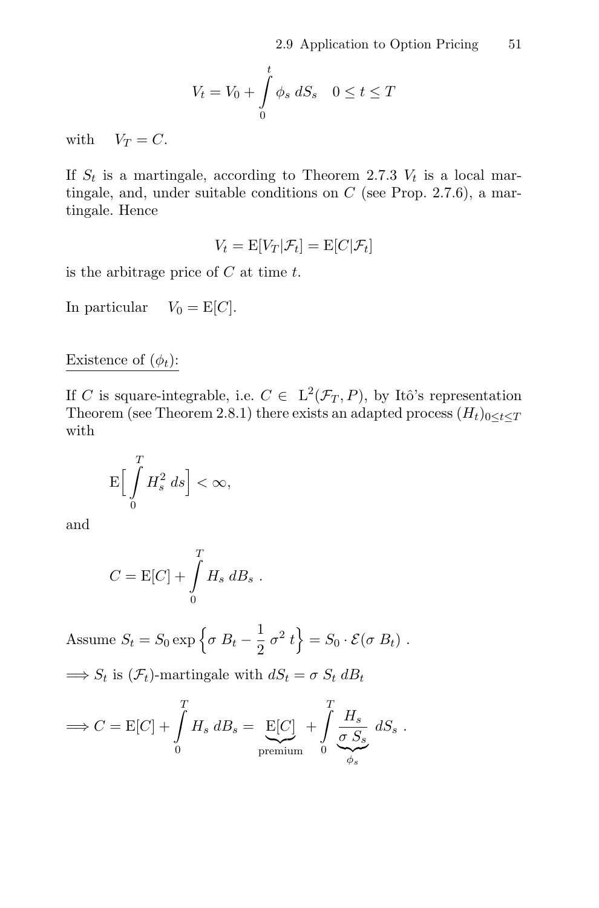$$
V_t = V_0 + \int\limits_0^t \phi_s \, dS_s \quad 0 \le t \le T
$$

with  $V_T = C$ .

If  $S_t$  is a martingale, according to Theorem 2.7.3  $V_t$  is a local martingale, and, under suitable conditions on  $C$  (see Prop. 2.7.6), a martingale. Hence

$$
V_t = \mathbb{E}[V_T|\mathcal{F}_t] = \mathbb{E}[C|\mathcal{F}_t]
$$

is the arbitrage price of  $C$  at time  $t$ .

In particular  $V_0 = E[C]$ .

# Existence of  $(\phi_t)$ :

If C is square-integrable, i.e.  $C \in L^2(\mathcal{F}_T, P)$ , by Itô's representation Theorem (see Theorem 2.8.1) there exists an adapted process  $(H_t)_{0 \leq t \leq T}$ with

$$
\mathbf{E}\Big[\int\limits_{0}^{T}H_{s}^{2}\ ds\Big]<\infty,
$$

and

$$
C = \mathbf{E}[C] + \int\limits_0^T H_s \, dB_s \; .
$$

Assume  $S_t = S_0 \exp \left\{ \sigma B_t - \frac{1}{2} \sigma^2 t \right\} = S_0 \cdot \mathcal{E}(\sigma B_t)$ .

 $\implies S_t$  is  $(\mathcal{F}_t)$ -martingale with  $dS_t = \sigma S_t dB_t$ 

$$
\implies C = \mathcal{E}[C] + \int_{0}^{T} H_s \, dB_s = \underbrace{\mathcal{E}[C]}_{\text{premium}} + \int_{0}^{T} \underbrace{\frac{H_s}{\sigma \, S_s}}_{\phi_s} \, dS_s \; .
$$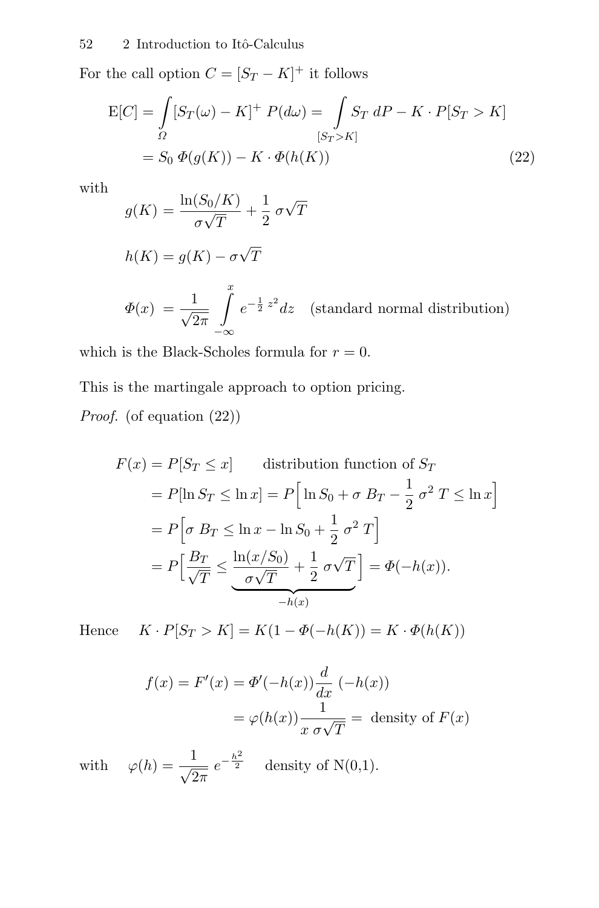For the call option  $C = [S_T - K]^+$  it follows

$$
E[C] = \int_{\Omega} [S_T(\omega) - K]^+ P(d\omega) = \int_{[S_T > K]} S_T dP - K \cdot P[S_T > K]
$$

$$
= S_0 \Phi(g(K)) - K \cdot \Phi(h(K))
$$
(22)

with

$$
g(K) = \frac{\ln(S_0/K)}{\sigma\sqrt{T}} + \frac{1}{2}\sigma\sqrt{T}
$$
  

$$
h(K) = g(K) - \sigma\sqrt{T}
$$
  

$$
\Phi(x) = \frac{1}{\sqrt{2\pi}} \int_{-\infty}^{x} e^{-\frac{1}{2}z^2} dz \quad \text{(standard normal distribution)}
$$

which is the Black-Scholes formula for  $r = 0$ .

This is the martingale approach to option pricing. Proof. (of equation  $(22)$ )

$$
F(x) = P[S_T \le x]
$$
 distribution function of  $S_T$   
=  $P[\ln S_T \le \ln x] = P\left[\ln S_0 + \sigma B_T - \frac{1}{2}\sigma^2 T \le \ln x\right]$   
=  $P\left[\sigma B_T \le \ln x - \ln S_0 + \frac{1}{2}\sigma^2 T\right]$   
=  $P\left[\frac{B_T}{\sqrt{T}} \le \frac{\ln(x/S_0)}{\sigma\sqrt{T}} + \frac{1}{2}\sigma\sqrt{T}\right] = \Phi(-h(x)).$ 

Hence  $K \cdot P[S_T > K] = K(1 - \Phi(-h(K))) = K \cdot \Phi(h(K))$ 

$$
f(x) = F'(x) = \Phi'(-h(x))\frac{d}{dx}(-h(x))
$$

$$
= \varphi(h(x))\frac{1}{x \sigma\sqrt{T}} = \text{ density of } F(x)
$$

with  $\varphi(h) = \frac{1}{\sqrt{2}}$  $\sqrt{2\pi}$  $e^{-\frac{h^2}{2}}$  density of N(0,1).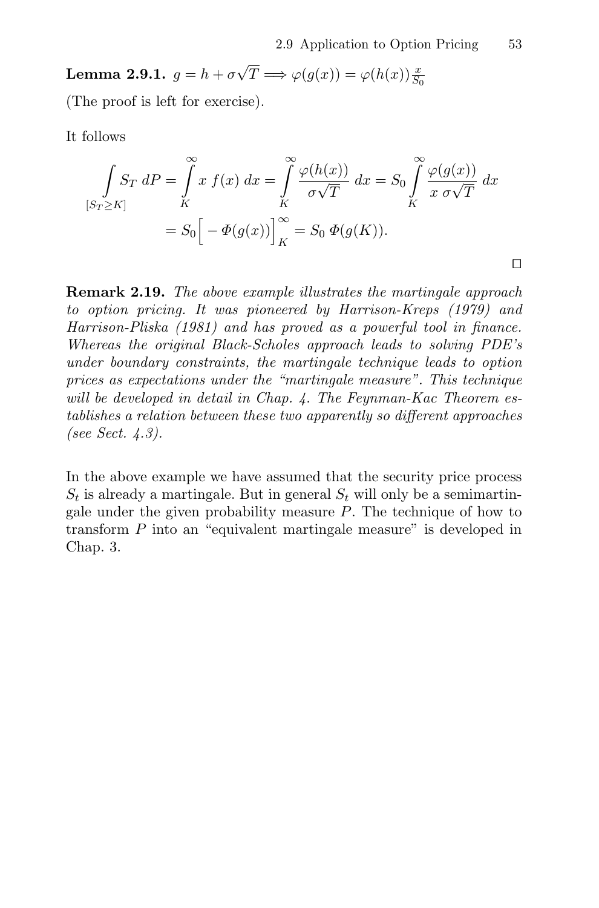**Lemma 2.9.1.**  $g = h + \sigma \sqrt{T} \Longrightarrow \varphi(g(x)) = \varphi(h(x)) \frac{x}{S_0}$ 

(The proof is left for exercise).

It follows

$$
\int_{[S_T \ge K]} S_T dP = \int_K^{\infty} x f(x) dx = \int_K^{\infty} \frac{\varphi(h(x))}{\sigma \sqrt{T}} dx = S_0 \int_K^{\infty} \frac{\varphi(g(x))}{x \sigma \sqrt{T}} dx
$$

$$
= S_0 \Big[ -\Phi(g(x)) \Big]_K^{\infty} = S_0 \Phi(g(K)).
$$

**Remark 2.19.** The above example illustrates the martingale approach to option pricing. It was pioneered by Harrison-Kreps (1979) and Harrison-Pliska (1981) and has proved as a powerful tool in finance. Whereas the original Black-Scholes approach leads to solving PDE's under boundary constraints, the martingale technique leads to option prices as expectations under the "martingale measure". This technique will be developed in detail in Chap. 4. The Feynman-Kac Theorem establishes a relation between these two apparently so different approaches (see Sect. 4.3).

In the above example we have assumed that the security price process  $S_t$  is already a martingale. But in general  $S_t$  will only be a semimartingale under the given probability measure  $P$ . The technique of how to transform P into an "equivalent martingale measure" is developed in Chap. 3.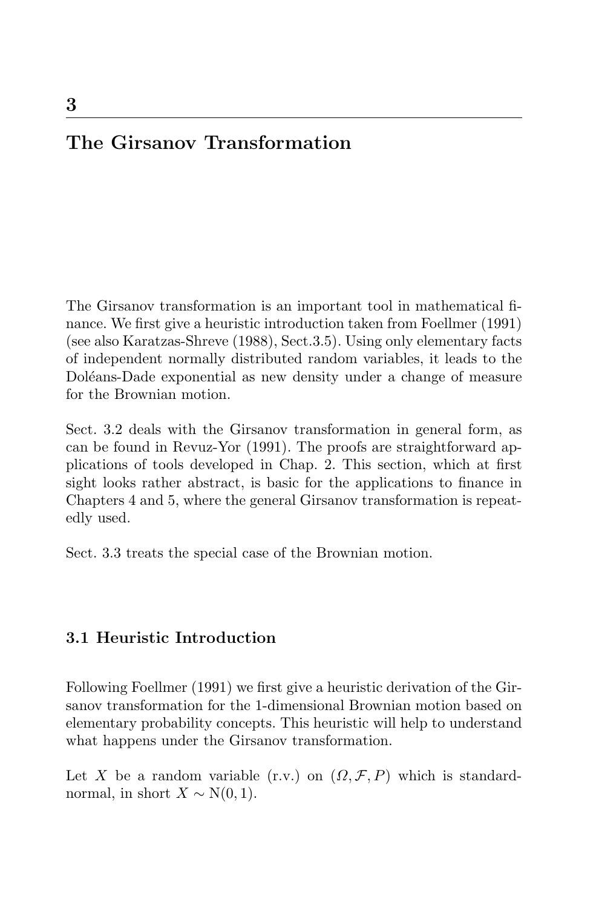# **The Girsanov Transformation**

The Girsanov transformation is an important tool in mathematical finance. We first give a heuristic introduction taken from Foellmer (1991) (see also Karatzas-Shreve (1988), Sect.3.5). Using only elementary facts of independent normally distributed random variables, it leads to the Doléans-Dade exponential as new density under a change of measure for the Brownian motion.

Sect. 3.2 deals with the Girsanov transformation in general form, as can be found in Revuz-Yor (1991). The proofs are straightforward applications of tools developed in Chap. 2. This section, which at first sight looks rather abstract, is basic for the applications to finance in Chapters 4 and 5, where the general Girsanov transformation is repeatedly used.

Sect. 3.3 treats the special case of the Brownian motion.

# **3.1 Heuristic Introduction**

Following Foellmer (1991) we first give a heuristic derivation of the Girsanov transformation for the 1-dimensional Brownian motion based on elementary probability concepts. This heuristic will help to understand what happens under the Girsanov transformation.

Let X be a random variable (r.v.) on  $(\Omega, \mathcal{F}, P)$  which is standardnormal, in short  $X \sim N(0, 1)$ .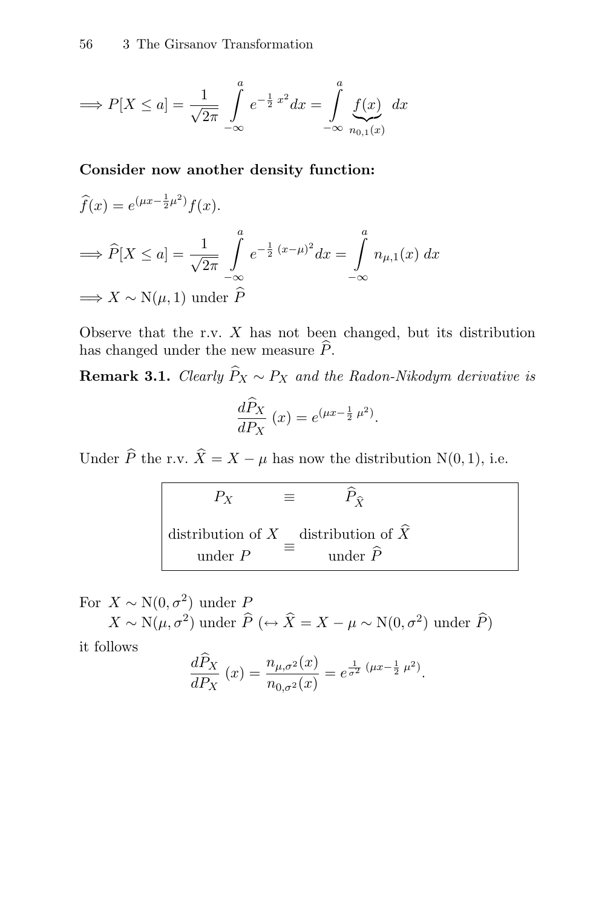$$
\implies P[X \le a] = \frac{1}{\sqrt{2\pi}} \int_{-\infty}^{a} e^{-\frac{1}{2}x^2} dx = \int_{-\infty}^{a} \underbrace{f(x)}_{n_{0,1}(x)} dx
$$

**Consider now another density function:**

$$
\hat{f}(x) = e^{(\mu x - \frac{1}{2}\mu^2)} f(x).
$$
\n
$$
\implies \hat{P}[X \le a] = \frac{1}{\sqrt{2\pi}} \int_{-\infty}^{a} e^{-\frac{1}{2}(x-\mu)^2} dx = \int_{-\infty}^{a} n_{\mu,1}(x) dx
$$
\n
$$
\implies X \sim N(\mu, 1) \text{ under } \hat{P}
$$

Observe that the r.v.  $X$  has not been changed, but its distribution has changed under the new measure  $\widehat{P}$ .

**Remark 3.1.** Clearly  $\widehat{P}_X \sim P_X$  and the Radon-Nikodym derivative is

$$
\frac{d\widehat{P}_X}{dP_X}(x) = e^{(\mu x - \frac{1}{2}\mu^2)}.
$$

Under  $\widehat{P}$  the r.v.  $\widehat{X} = X - \mu$  has now the distribution N(0, 1), i.e.

| $P_X$                                                    | $P_{\hat{Y}}$       |
|----------------------------------------------------------|---------------------|
| distribution of X distribution of $\hat{X}$<br>under $P$ | under $\widehat{P}$ |

For  $X \sim N(0, \sigma^2)$  under  $P$  $X \sim N(\mu, \sigma^2)$  under  $\widehat{P}$  (↔  $\widehat{X} = X - \mu \sim N(0, \sigma^2)$  under  $\widehat{P}$ )

it follows

$$
\frac{d\tilde{P}_X}{dP_X}(x) = \frac{n_{\mu,\sigma^2}(x)}{n_{0,\sigma^2}(x)} = e^{\frac{1}{\sigma^2}(\mu x - \frac{1}{2}\mu^2)}.
$$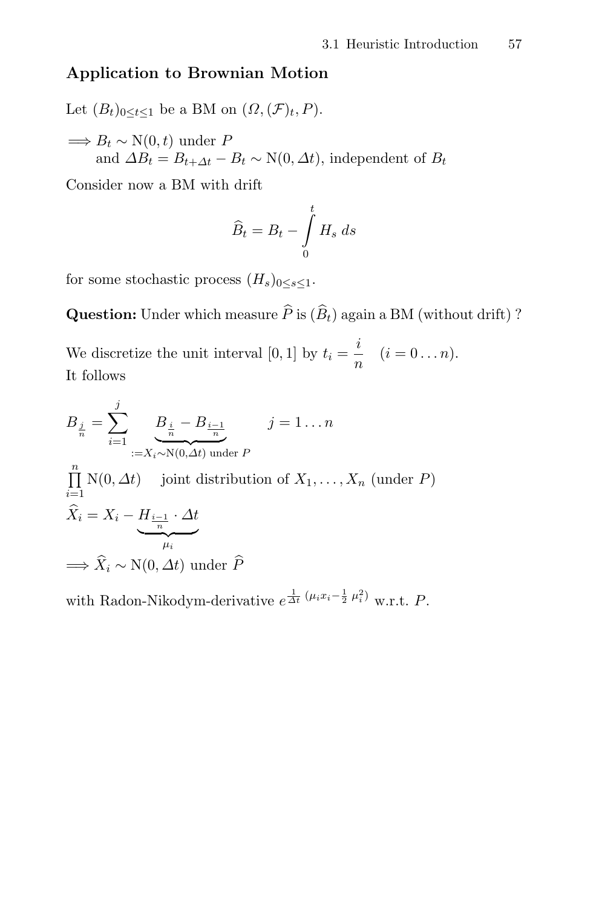# **Application to Brownian Motion**

Let  $(B_t)_{0 \leq t \leq 1}$  be a BM on  $(\Omega, (\mathcal{F})_t, P)$ .  $\Rightarrow B_t \sim N(0, t)$  under P and  $\Delta B_t = B_{t+\Delta t} - B_t \sim N(0, \Delta t)$ , independent of  $B_t$ 

Consider now a BM with drift

$$
\widehat{B}_t = B_t - \int\limits_0^t H_s \, ds
$$

for some stochastic process  $(H_s)_{0 \leq s \leq 1}$ .

**Question:** Under which measure  $\widehat{P}$  is  $(\widehat{B}_t)$  again a BM (without drift) ?

We discretize the unit interval [0, 1] by  $t_i = \frac{i}{n}$   $(i = 0...n)$ . It follows

$$
B_{\frac{j}{n}} = \sum_{i=1}^{j} \underbrace{B_{\frac{i}{n}} - B_{\frac{i-1}{n}}}_{:=X_i \sim N(0, \Delta t) \text{ under } P}
$$
\n
$$
\prod_{i=1}^{n} N(0, \Delta t) \text{ joint distribution of } X_1, \dots, X_n \text{ (under } P)
$$
\n
$$
\widehat{X}_i = X_i - \underbrace{H_{\frac{i-1}{n}} \cdot \Delta t}_{\mu_i}
$$
\n
$$
\implies \widehat{X}_i \sim N(0, \Delta t) \text{ under } \widehat{P}
$$

with Radon-Nikodym-derivative  $e^{\frac{1}{\Delta t}(\mu_i x_i - \frac{1}{2} \mu_i^2)}$  w.r.t. P.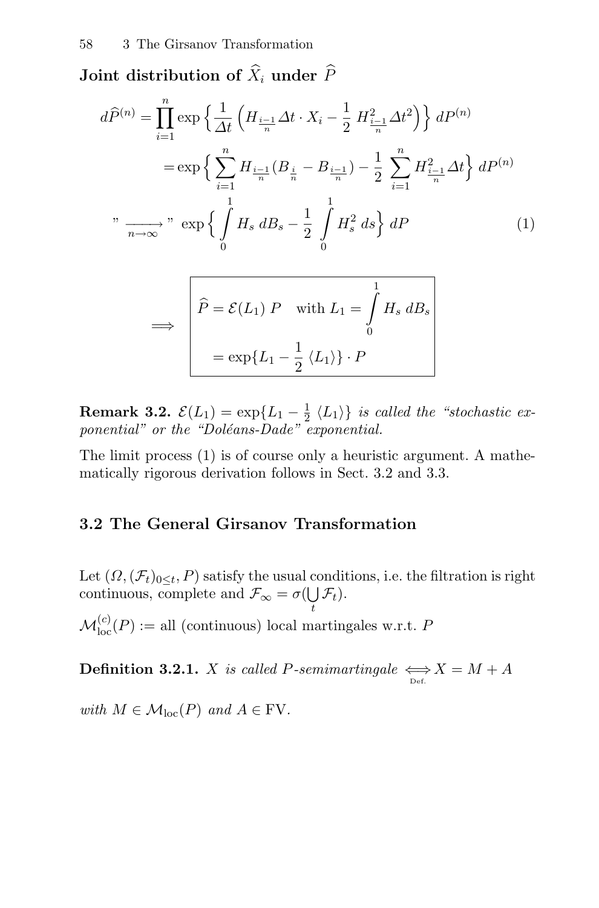Joint distribution of  $\widehat{X}_i$  under  $\widehat{P}$ 

$$
d\widehat{P}^{(n)} = \prod_{i=1}^{n} \exp\left\{\frac{1}{\Delta t} \left(H_{\frac{i-1}{n}} \Delta t \cdot X_i - \frac{1}{2} H_{\frac{i-1}{n}}^2 \Delta t^2\right)\right\} dP^{(n)}
$$
  

$$
= \exp\left\{\sum_{i=1}^{n} H_{\frac{i-1}{n}} (B_{\frac{i}{n}} - B_{\frac{i-1}{n}}) - \frac{1}{2} \sum_{i=1}^{n} H_{\frac{i-1}{n}}^2 \Delta t\right\} dP^{(n)}
$$
  

$$
"\xrightarrow[n \to \infty]{}" \exp\left\{\int_{0}^{1} H_s \, dB_s - \frac{1}{2} \int_{0}^{1} H_s^2 \, ds\right\} dP
$$
 (1)

$$
\Rightarrow \begin{cases} \hat{P} = \mathcal{E}(L_1) \, P & \text{with } L_1 = \int_0^1 H_s \, dB_s \\ = \exp\{L_1 - \frac{1}{2} \, \langle L_1 \rangle\} \cdot P \end{cases}
$$

**Remark 3.2.**  $\mathcal{E}(L_1) = \exp\{L_1 - \frac{1}{2} \langle L_1 \rangle\}$  is called the "stochastic exponential" or the "Doléans-Dade" exponential.

The limit process (1) is of course only a heuristic argument. A mathematically rigorous derivation follows in Sect. 3.2 and 3.3.

# **3.2 The General Girsanov Transformation**

Let  $(\Omega, (\mathcal{F}_t)_{0 \leq t}, P)$  satisfy the usual conditions, i.e. the filtration is right continuous, complete and  $\mathcal{F}_{\infty} = \sigma(\bigcup_{\alpha} \mathcal{F}_{\alpha \alpha})$  $\bigcup_t \mathcal{F}_t$ ).

 $\mathcal{M}_{\mathrm{loc}}^{(c)}(P):=$  all (continuous) local martingales w.r.t. P

**Definition 3.2.1.** X is called P-semimartingale  $\underset{\text{Def.}}{\Longleftrightarrow} X = M + A$ 

with  $M \in \mathcal{M}_{loc}(P)$  and  $A \in FV$ .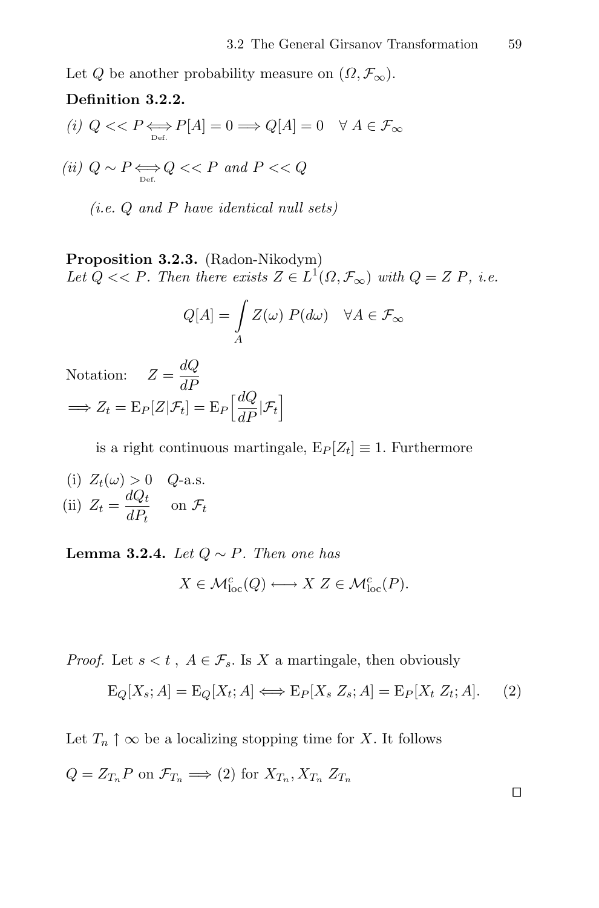Let Q be another probability measure on  $(\Omega, \mathcal{F}_{\infty})$ .

# **Definition 3.2.2.**

$$
(i) \ Q << P \underset{\mathrm{Def.}}{\Longleftrightarrow} P[A] = 0 \Longrightarrow Q[A] = 0 \quad \forall A \in \mathcal{F}_{\infty}
$$

(ii)  $Q \sim P \Longleftrightarrow Q << P$  and  $P << Q$ 

(i.e. Q and P have identical null sets)

**Proposition 3.2.3.** (Radon-Nikodym) Let  $Q \ll P$ . Then there exists  $Z \in L^1(\Omega, \mathcal{F}_{\infty})$  with  $Q = Z P$ , i.e.

$$
Q[A] = \int\limits_A Z(\omega) \ P(d\omega) \quad \forall A \in \mathcal{F}_{\infty}
$$

Notation:  $Z = \frac{dQ}{dP}$  $\implies Z_t = \mathrm{E}_P[Z|\mathcal{F}_t] = \mathrm{E}_P\Big[\frac{dQ}{dP}\Big]$  $\frac{dQ}{dP}$   $|\mathcal{F}_t\Big]$ 

is a right continuous martingale,  $E_P[Z_t] \equiv 1$ . Furthermore

(i) 
$$
Z_t(\omega) > 0
$$
 Q-a.s.  
(ii)  $Z_t = \frac{dQ_t}{dP_t}$  on  $\mathcal{F}_t$ 

**Lemma 3.2.4.** Let  $Q \sim P$ . Then one has

$$
X \in \mathcal{M}_{\text{loc}}^c(Q) \longleftrightarrow X \ Z \in \mathcal{M}_{\text{loc}}^c(P).
$$

*Proof.* Let  $s < t$ ,  $A \in \mathcal{F}_s$ . Is X a martingale, then obviously

$$
E_Q[X_s; A] = E_Q[X_t; A] \Longleftrightarrow E_P[X_s Z_s; A] = E_P[X_t Z_t; A]. \tag{2}
$$

Let  $T_n \uparrow \infty$  be a localizing stopping time for X. It follows

$$
Q = Z_{T_n} P \text{ on } \mathcal{F}_{T_n} \Longrightarrow (2) \text{ for } X_{T_n}, X_{T_n} \ Z_{T_n}
$$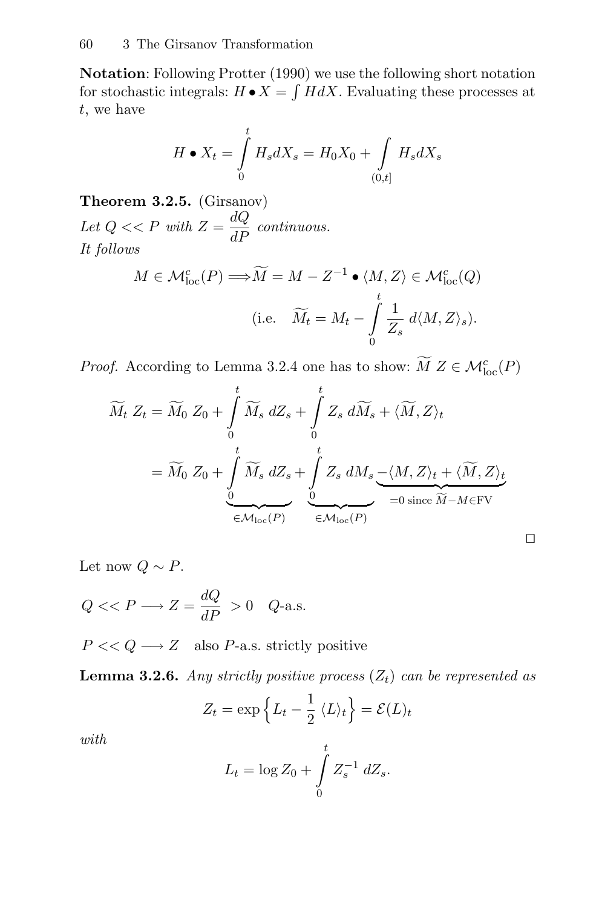**Notation**: Following Protter (1990) we use the following short notation for stochastic integrals:  $H \bullet X = \int H dX$ . Evaluating these processes at t, we have

$$
H \bullet X_t = \int\limits_0^t H_s dX_s = H_0 X_0 + \int\limits_{(0,t]} H_s dX_s
$$

**Theorem 3.2.5.** (Girsanov) Let  $Q \ll P$  with  $Z = \frac{dQ}{dP}$  continuous. It follows

 $\overline{a}$ 

$$
M \in \mathcal{M}_{\text{loc}}^c(P) \Longrightarrow \widetilde{M} = M - Z^{-1} \bullet \langle M, Z \rangle \in \mathcal{M}_{\text{loc}}^c(Q)
$$
  
(i.e.  $\widetilde{M}_t = M_t - \int_0^t \frac{1}{Z_s} d\langle M, Z \rangle_s).$ 

*Proof.* According to Lemma 3.2.4 one has to show:  $\widetilde{M} Z \in \mathcal{M}_{loc}^c(P)$ 

$$
\widetilde{M}_t Z_t = \widetilde{M}_0 Z_0 + \int_0^t \widetilde{M}_s dZ_s + \int_0^t Z_s d\widetilde{M}_s + \langle \widetilde{M}, Z \rangle_t
$$
  
=  $\widetilde{M}_0 Z_0 + \int_0^t \widetilde{M}_s dZ_s + \int_0^t Z_s dM_s \underbrace{-\langle M, Z \rangle_t + \langle \widetilde{M}, Z \rangle_t}_{\in \mathcal{M}_{\text{loc}}(P)} \underbrace{\bigcirc}_{=0 \text{ since } \widetilde{M} - M \in \text{FV}} \square$ 

Let now  $Q \sim P$ .

$$
Q \ll P \longrightarrow Z = \frac{dQ}{dP} > 0 \quad Q\text{-a.s.}
$$

 $P \ll Q \longrightarrow Z$  also P-a.s. strictly positive

**Lemma 3.2.6.** Any strictly positive process  $(Z_t)$  can be represented as

$$
Z_t = \exp\left\{L_t - \frac{1}{2} \langle L \rangle_t\right\} = \mathcal{E}(L)_t
$$

with

$$
L_t = \log Z_0 + \int\limits_0^t Z_s^{-1} \ dZ_s.
$$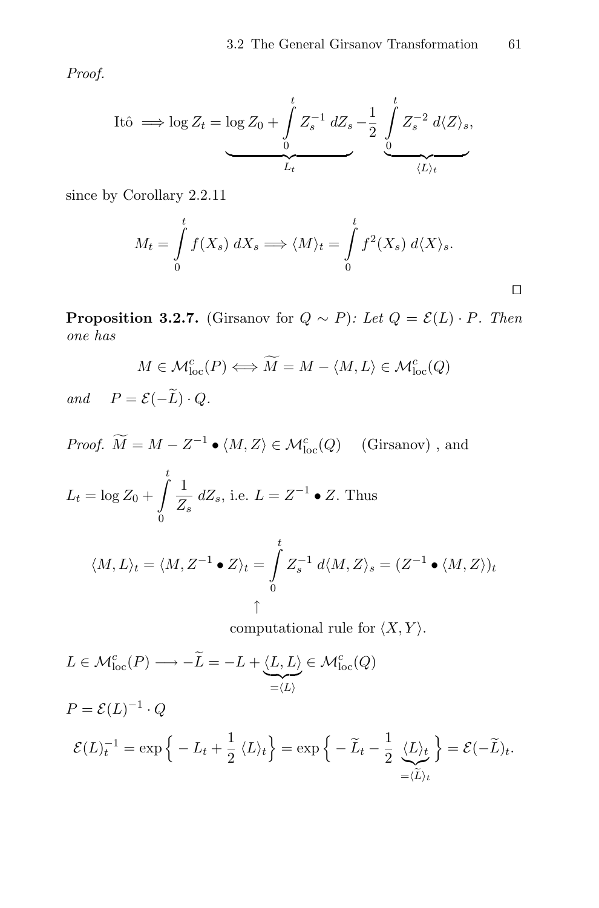Proof.

Itô 
$$
\implies
$$
 log  $Z_t = \log Z_0 + \int_0^t Z_s^{-1} dZ_s - \frac{1}{2} \int_0^t Z_s^{-2} d\langle Z \rangle_s$ ,

since by Corollary 2.2.11

$$
M_t = \int_0^t f(X_s) \, dX_s \Longrightarrow \langle M \rangle_t = \int_0^t f^2(X_s) \, d\langle X \rangle_s.
$$

**Proposition 3.2.7.** (Girsanov for  $Q \sim P$ ): Let  $Q = \mathcal{E}(L) \cdot P$ . Then one has

$$
M \in \mathcal{M}^c_{\text{loc}}(P) \Longleftrightarrow \widetilde{M} = M - \langle M, L \rangle \in \mathcal{M}^c_{\text{loc}}(Q)
$$
  
=  $\mathcal{E}(\widetilde{L}) \cdot Q$ 

and  $P = \mathcal{E}(-\widetilde{L}) \cdot Q$ .

*Proof.*  $\widetilde{M} = M - Z^{-1} \bullet \langle M, Z \rangle \in \mathcal{M}_{loc}^c(Q)$  (Girsanov), and  $L_t = \log Z_0 +$  $\int$  $\mathbf{0}$ 1  $\frac{1}{Z_s}$  d $Z_s$ , i.e.  $L = Z^{-1} \bullet Z$ . Thus  $\langle M, L \rangle_t = \langle M, Z^{-1} \bullet Z \rangle_t = \int_0^t$ 0  $Z_s^{-1} d\langle M,Z\rangle_s = (Z^{-1} \bullet \langle M,Z\rangle)_t$ ↑

computational rule for  $\langle X, Y \rangle$ .

 $L \in \mathcal{M}_{\text{loc}}^c(P) \longrightarrow -\widetilde{L} = -L + \underbrace{\langle L, L \rangle}_{=\langle L \rangle} \in \mathcal{M}_{\text{loc}}^c(Q)$ 

$$
P = \mathcal{E}(L)^{-1} \cdot Q
$$
  

$$
\mathcal{E}(L)^{-1} = \exp\left\{-L_t + \frac{1}{2} \langle L \rangle_t\right\} = \exp\left\{-\widetilde{L}_t - \frac{1}{2} \underbrace{\langle L \rangle_t}_{= \langle \widetilde{L} \rangle_t}\right\} = \mathcal{E}(-\widetilde{L})_t.
$$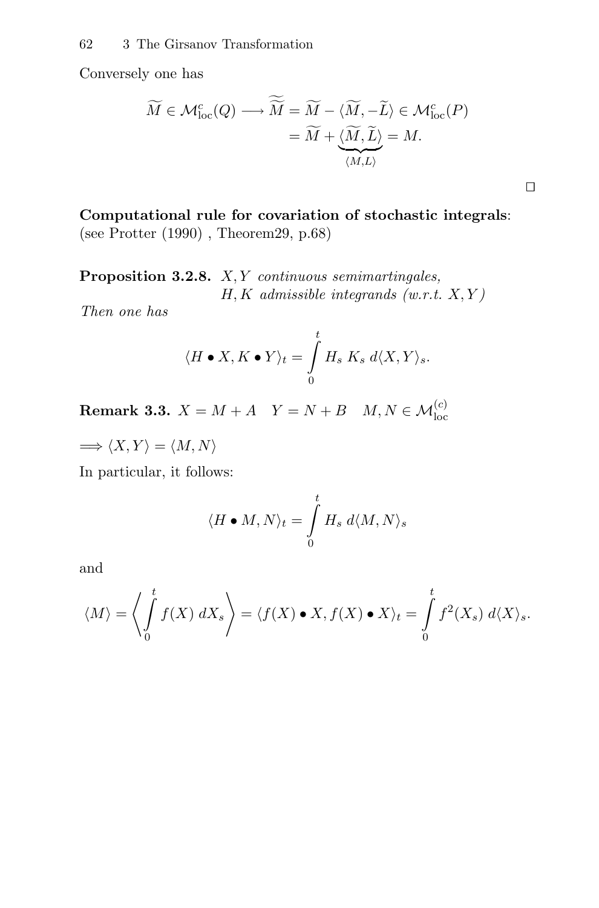Conversely one has

$$
\widetilde{M} \in \mathcal{M}_{\text{loc}}^c(Q) \longrightarrow \widetilde{\widetilde{M}} = \widetilde{M} - \langle \widetilde{M}, -\widetilde{L} \rangle \in \mathcal{M}_{\text{loc}}^c(P) \n= \widetilde{M} + \langle \widetilde{M}, \widetilde{L} \rangle = M.
$$

 $\Box$ 

**Computational rule for covariation of stochastic integrals**: (see Protter (1990) , Theorem29, p.68)

Proposition 3.2.8. X, Y continuous semimartingales,  $H, K$  admissible integrands (w.r.t.  $X, Y$ )

Then one has

$$
\langle H \bullet X, K \bullet Y \rangle_t = \int\limits_0^t H_s \, K_s \, d\langle X, Y \rangle_s.
$$

**Remark 3.3.**  $X = M + A$   $Y = N + B$   $M, N \in \mathcal{M}_{loc}^{(c)}$ 

 $\Longrightarrow \langle X, Y \rangle = \langle M, N \rangle$ 

In particular, it follows:

$$
\langle H \bullet M, N \rangle_t = \int\limits_0^t H_s \; d\langle M, N \rangle_s
$$

and

$$
\langle M \rangle = \left\langle \int_{0}^{t} f(X) \, dX_{s} \right\rangle = \langle f(X) \bullet X, f(X) \bullet X \rangle_{t} = \int_{0}^{t} f^{2}(X_{s}) \, d\langle X \rangle_{s}.
$$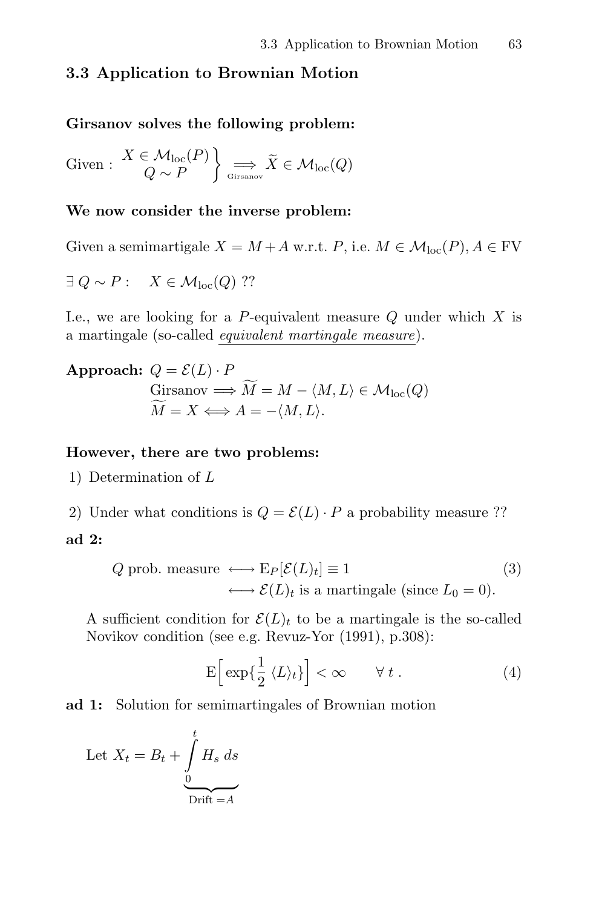# **3.3 Application to Brownian Motion**

#### **Girsanov solves the following problem:**

Given :  $X \in \mathcal{M}_{loc}(P)$  $Q \sim F$  $\mathcal{L}$  $\implies X \in \mathcal{M}_{\mathrm{loc}}(Q)$ 

### **We now consider the inverse problem:**

Given a semimartigale  $X = M + A$  w.r.t. P, i.e.  $M \in \mathcal{M}_{loc}(P), A \in \text{FV}$ 

$$
\exists Q \sim P: \quad X \in \mathcal{M}_{\text{loc}}(Q) \text{ ??}
$$

I.e., we are looking for a P-equivalent measure  $Q$  under which  $X$  is a martingale (so-called equivalent martingale measure).

**Approach:**  $Q = \mathcal{E}(L) \cdot P$ Girsanov  $\Longrightarrow M = M - \langle M, L \rangle \in \mathcal{M}_{loc}(Q)$  $M = X \Longleftrightarrow A = -\langle M, L \rangle.$ 

#### **However, there are two problems:**

1) Determination of L

2) Under what conditions is  $Q = \mathcal{E}(L) \cdot P$  a probability measure ??

#### **ad 2:**

$$
Q \text{ prob. measure } \longleftrightarrow E_P[\mathcal{E}(L)_t] \equiv 1 \tag{3}
$$

$$
\longleftrightarrow \mathcal{E}(L)_t \text{ is a martingale (since } L_0 = 0).
$$

A sufficient condition for  $\mathcal{E}(L)_t$  to be a martingale is the so-called Novikov condition (see e.g. Revuz-Yor (1991), p.308):

$$
\mathcal{E}\left[\exp\{\frac{1}{2}\langle L\rangle_t\}\right] < \infty \qquad \forall \ t \,. \tag{4}
$$

**ad 1:** Solution for semimartingales of Brownian motion

Let 
$$
X_t = B_t + \int_{0}^{t} H_s ds
$$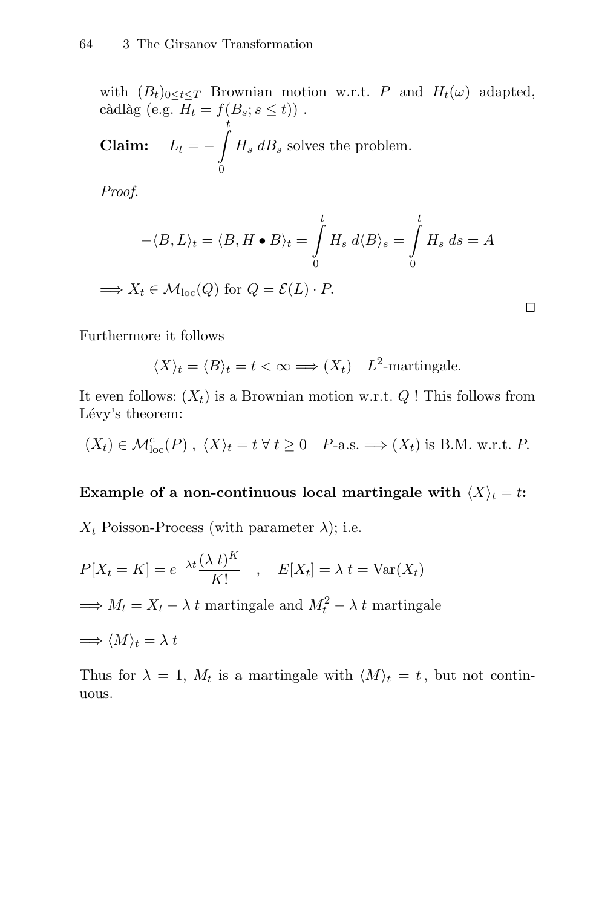with  $(B_t)_{0 \leq t \leq T}$  Brownian motion w.r.t. P and  $H_t(\omega)$  adapted, càdlàg (e.g.  $H_t = f(B_s; s \le t)$ ). **Claim:**  $L_t = \frac{t}{\sqrt{t}}$  $\boldsymbol{0}$  $H_s$  d $B_s$  solves the problem.

Proof.

$$
-\langle B, L \rangle_t = \langle B, H \bullet B \rangle_t = \int_0^t H_s \, d\langle B \rangle_s = \int_0^t H_s \, ds = A
$$

 $\Rightarrow X_t \in \mathcal{M}_{loc}(Q)$  for  $Q = \mathcal{E}(L) \cdot P$ .

Furthermore it follows

$$
\langle X \rangle_t = \langle B \rangle_t = t < \infty \Longrightarrow (X_t) \quad L^2
$$
-martingale.

It even follows:  $(X_t)$  is a Brownian motion w.r.t. Q ! This follows from Lévy's theorem:

$$
(X_t) \in \mathcal{M}_{loc}^c(P)
$$
,  $\langle X \rangle_t = t \,\forall \, t \geq 0$  P-a.s.  $\Longrightarrow (X_t)$  is B.M. w.r.t. P.

#### **Example of a non-continuous local martingale with**  $\langle X \rangle_t = t$ **:**

 $X_t$  Poisson-Process (with parameter  $\lambda$ ); i.e.

$$
P[X_t = K] = e^{-\lambda t} \frac{(\lambda t)^K}{K!} \quad , \quad E[X_t] = \lambda t = \text{Var}(X_t)
$$
  
\n
$$
\implies M_t = X_t - \lambda t \text{ martingale and } M_t^2 - \lambda t \text{ martingale}
$$
  
\n
$$
\implies \langle M \rangle_t = \lambda t
$$

Thus for  $\lambda = 1$ ,  $M_t$  is a martingale with  $\langle M \rangle_t = t$ , but not continuous.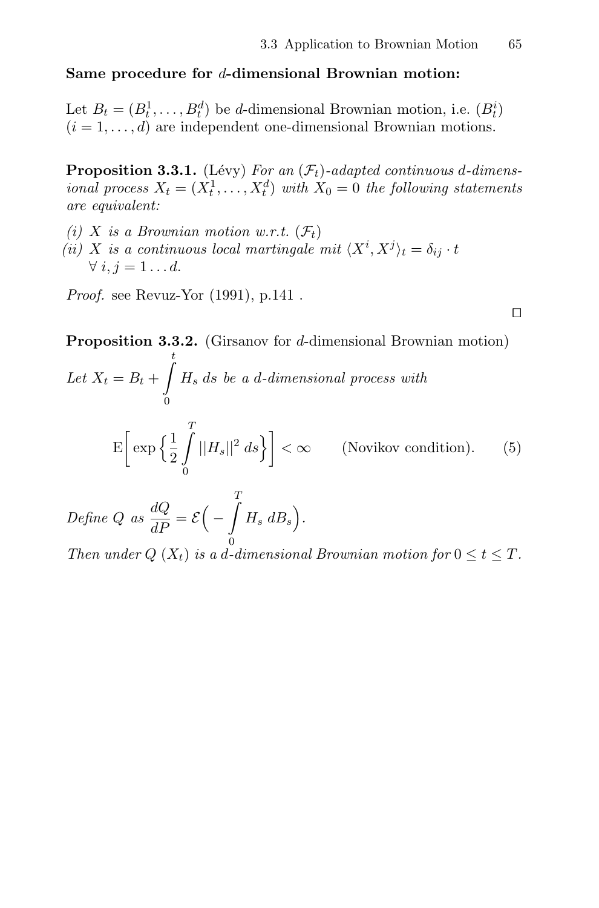$\Box$ 

### **Same procedure for** d**-dimensional Brownian motion:**

Let  $B_t = (B_t^1, \ldots, B_t^d)$  be d-dimensional Brownian motion, i.e.  $(B_t^i)$  $(i = 1, \ldots, d)$  are independent one-dimensional Brownian motions.

**Proposition 3.3.1.** (Lévy) For an  $(\mathcal{F}_t)$ -adapted continuous d-dimensional process  $X_t = (X_t^1, \ldots, X_t^d)$  with  $X_0 = 0$  the following statements are equivalent:

(i) X is a Brownian motion w.r.t.  $(\mathcal{F}_t)$ (ii) X is a continuous local martingale mit  $\langle X^i, X^j \rangle_t = \delta_{ij} \cdot t$  $\forall i, j = 1 \dots d$ .

*Proof.* see Revuz-Yor  $(1991)$ , p.141.

**Proposition 3.3.2.** (Girsanov for d-dimensional Brownian motion) t

Let  $X_t = B_t +$ -  $\boldsymbol{0}$  $H_s$  ds be a d-dimensional process with E  $\left[\exp\left\{\frac{1}{2}\right. \right.$  $\frac{1}{\sqrt{2}}$  $\left(\int_{0}^{1} ||H_s||^2 ds\right)$  <  $\infty$  (Novikov condition). (5)

Define Q as  $\frac{dQ}{dP} = \mathcal{E}$ −  $\frac{1}{\sqrt{2}}$  $H_s$   $dB_s$ ).

Then under  $Q(X_t)$  is a d-dimensional Brownian motion for  $0 \le t \le T$ .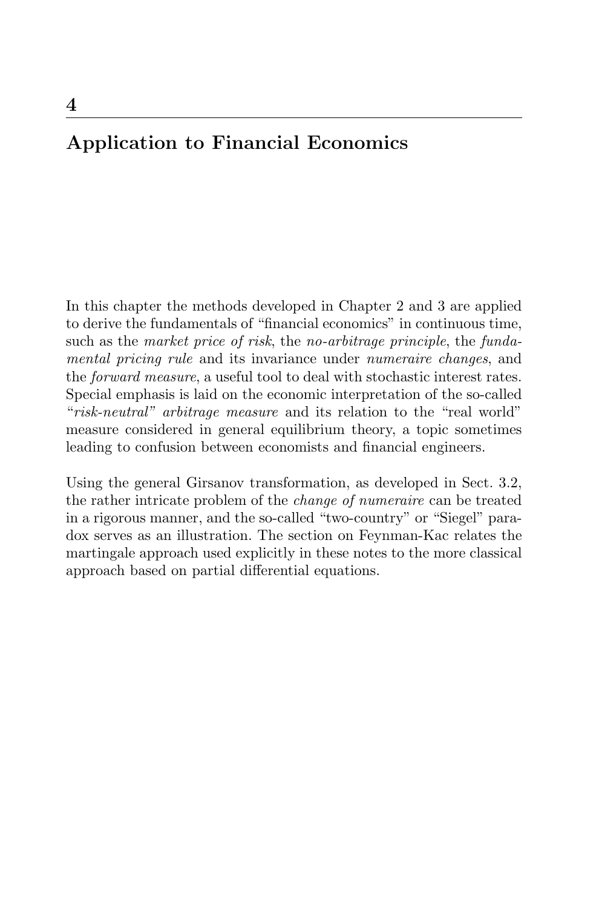# **Application to Financial Economics**

In this chapter the methods developed in Chapter 2 and 3 are applied to derive the fundamentals of "financial economics" in continuous time, such as the market price of risk, the no-arbitrage principle, the fundamental pricing rule and its invariance under numeraire changes, and the forward measure, a useful tool to deal with stochastic interest rates. Special emphasis is laid on the economic interpretation of the so-called "risk-neutral" arbitrage measure and its relation to the "real world" measure considered in general equilibrium theory, a topic sometimes leading to confusion between economists and financial engineers.

Using the general Girsanov transformation, as developed in Sect. 3.2, the rather intricate problem of the change of numeraire can be treated in a rigorous manner, and the so-called "two-country" or "Siegel" paradox serves as an illustration. The section on Feynman-Kac relates the martingale approach used explicitly in these notes to the more classical approach based on partial differential equations.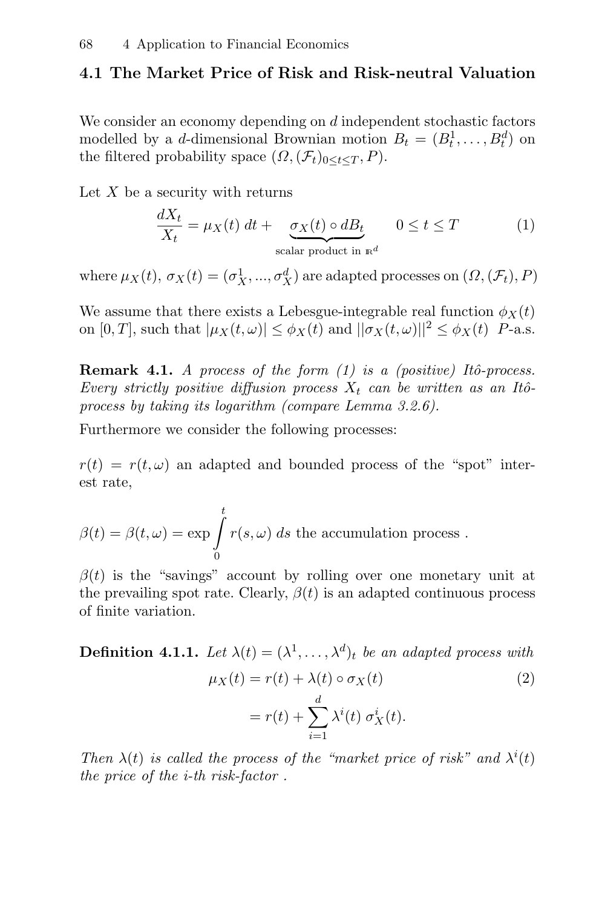## **4.1 The Market Price of Risk and Risk-neutral Valuation**

We consider an economy depending on d independent stochastic factors modelled by a *d*-dimensional Brownian motion  $B_t = (B_t^1, \ldots, B_t^d)$  on the filtered probability space  $(\Omega, (\mathcal{F}_t)_{0 \leq t \leq T}, P)$ .

Let  $X$  be a security with returns

$$
\frac{dX_t}{X_t} = \mu_X(t) \, dt + \underbrace{\sigma_X(t) \circ dB_t}_{\text{scalar product in } \mathbb{R}^d} \quad 0 \le t \le T \tag{1}
$$

where  $\mu_X(t), \sigma_X(t) = (\sigma_X^1, ..., \sigma_X^d)$  are adapted processes on  $(\Omega, (\mathcal{F}_t), P)$ 

We assume that there exists a Lebesgue-integrable real function  $\phi_X(t)$ on  $[0, T]$ , such that  $|\mu_X(t, \omega)| \leq \phi_X(t)$  and  $||\sigma_X(t, \omega)||^2 \leq \phi_X(t)$  P-a.s.

**Remark 4.1.** A process of the form  $(1)$  is a (positive) Itô-process. Every strictly positive diffusion process  $X_t$  can be written as an Itôprocess by taking its logarithm (compare Lemma 3.2.6).

Furthermore we consider the following processes:

 $r(t) = r(t, \omega)$  an adapted and bounded process of the "spot" interest rate,

$$
\beta(t) = \beta(t,\omega) = \exp \int_{0}^{t} r(s,\omega) \ ds
$$
 the accumulation process.

 $\beta(t)$  is the "savings" account by rolling over one monetary unit at the prevailing spot rate. Clearly,  $\beta(t)$  is an adapted continuous process of finite variation.

**Definition 4.1.1.** Let  $\lambda(t) = (\lambda^1, \ldots, \lambda^d)_t$  be an adapted process with

$$
\mu_X(t) = r(t) + \lambda(t) \circ \sigma_X(t)
$$
\n
$$
= r(t) + \sum_{i=1}^d \lambda^i(t) \sigma_X^i(t).
$$
\n(2)

Then  $\lambda(t)$  is called the process of the "market price of risk" and  $\lambda^{i}(t)$ the price of the i-th risk-factor .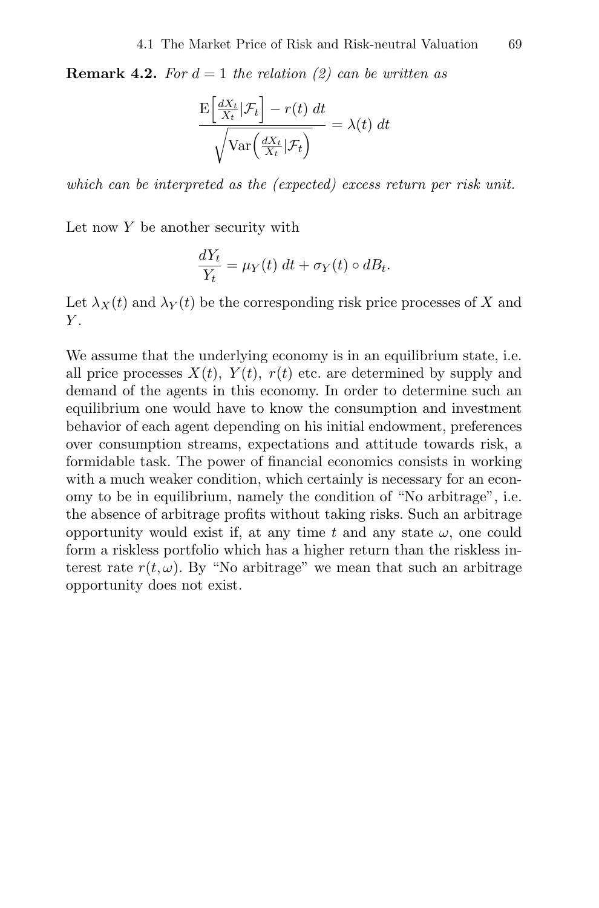**Remark 4.2.** For  $d = 1$  the relation (2) can be written as

$$
\frac{\mathrm{E}\left[\frac{dX_t}{X_t}|\mathcal{F}_t\right] - r(t) dt}{\sqrt{\mathrm{Var}\left(\frac{dX_t}{X_t}|\mathcal{F}_t\right)}} = \lambda(t) dt
$$

which can be interpreted as the (expected) excess return per risk unit.

Let now  $Y$  be another security with

$$
\frac{dY_t}{Y_t} = \mu_Y(t) \, dt + \sigma_Y(t) \circ dB_t.
$$

Let  $\lambda_X(t)$  and  $\lambda_Y(t)$  be the corresponding risk price processes of X and  $Y_{\cdot}$ 

We assume that the underlying economy is in an equilibrium state, i.e. all price processes  $X(t)$ ,  $Y(t)$ ,  $r(t)$  etc. are determined by supply and demand of the agents in this economy. In order to determine such an equilibrium one would have to know the consumption and investment behavior of each agent depending on his initial endowment, preferences over consumption streams, expectations and attitude towards risk, a formidable task. The power of financial economics consists in working with a much weaker condition, which certainly is necessary for an economy to be in equilibrium, namely the condition of "No arbitrage", i.e. the absence of arbitrage profits without taking risks. Such an arbitrage opportunity would exist if, at any time t and any state  $\omega$ , one could form a riskless portfolio which has a higher return than the riskless interest rate  $r(t, \omega)$ . By "No arbitrage" we mean that such an arbitrage opportunity does not exist.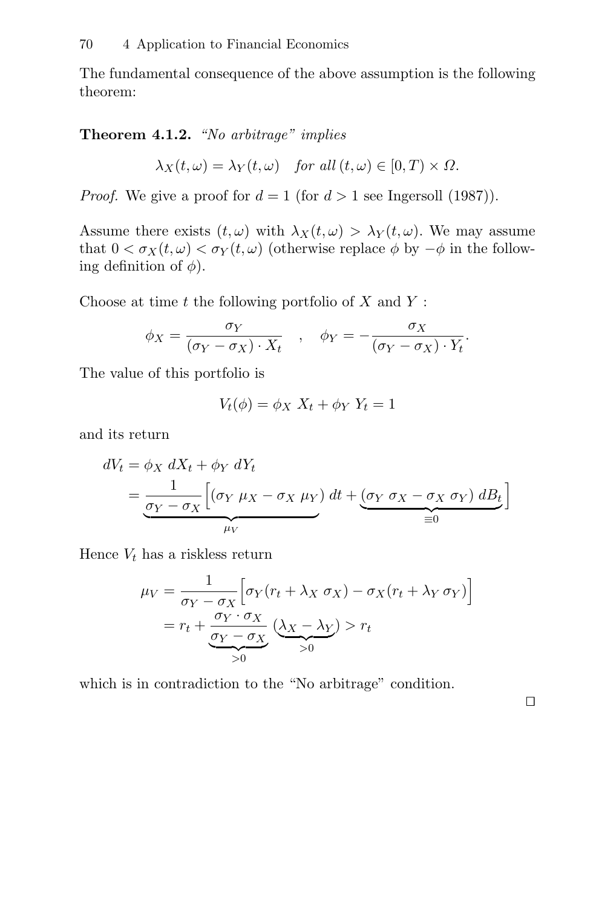The fundamental consequence of the above assumption is the following theorem:

**Theorem 4.1.2.** "No arbitrage" implies

$$
\lambda_X(t,\omega) = \lambda_Y(t,\omega) \quad \text{for all } (t,\omega) \in [0,T) \times \Omega.
$$

*Proof.* We give a proof for  $d = 1$  (for  $d > 1$  see Ingersoll (1987)).

Assume there exists  $(t, \omega)$  with  $\lambda_X(t, \omega) > \lambda_Y(t, \omega)$ . We may assume that  $0 < \sigma_X(t, \omega) < \sigma_Y(t, \omega)$  (otherwise replace  $\phi$  by  $-\phi$  in the following definition of  $\phi$ ).

Choose at time  $t$  the following portfolio of  $X$  and  $Y$ :

$$
\phi_X = \frac{\sigma_Y}{(\sigma_Y - \sigma_X) \cdot X_t} \quad , \quad \phi_Y = -\frac{\sigma_X}{(\sigma_Y - \sigma_X) \cdot Y_t}.
$$

The value of this portfolio is

$$
V_t(\phi) = \phi_X X_t + \phi_Y Y_t = 1
$$

and its return

$$
dV_t = \phi_X \, dX_t + \phi_Y \, dY_t
$$
  
=  $\frac{1}{\underbrace{\sigma_Y - \sigma_X}} \Big[ (\sigma_Y \, \mu_X - \sigma_X \, \mu_Y) \, dt + \underbrace{(\sigma_Y \, \sigma_X - \sigma_X \, \sigma_Y) \, dB_t}_{\equiv 0} \Big]$ 

Hence  $V_t$  has a riskless return

$$
\mu_V = \frac{1}{\sigma_Y - \sigma_X} \left[ \sigma_Y (r_t + \lambda_X \sigma_X) - \sigma_X (r_t + \lambda_Y \sigma_Y) \right]
$$

$$
= r_t + \underbrace{\frac{\sigma_Y \cdot \sigma_X}{\sigma_Y - \sigma_X}}_{>0} \underbrace{(\lambda_X - \lambda_Y)}_{>0} > r_t
$$

which is in contradiction to the "No arbitrage" condition.

 $\Box$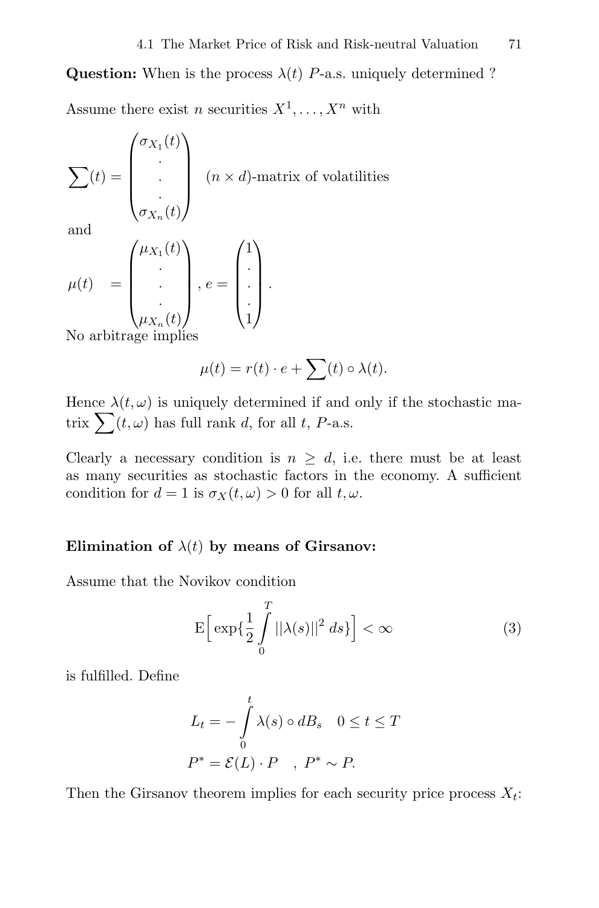**Question:** When is the process  $\lambda(t)$  P-a.s. uniquely determined ? Assume there exist *n* securities  $X^1, \ldots, X^n$  with

$$
\sum(t) = \begin{pmatrix} \sigma_{X_1}(t) \\ \cdot \\ \cdot \\ \sigma_{X_n}(t) \end{pmatrix}
$$
 (*n* × *d*)-matrix of volatilities

and

$$
\mu(t) = \begin{pmatrix} \mu_{X_1}(t) \\ \cdot \\ \cdot \\ \mu_{X_n}(t) \end{pmatrix}, e = \begin{pmatrix} 1 \\ \cdot \\ \cdot \\ 1 \end{pmatrix}.
$$

No arbitrage implies

$$
\mu(t) = r(t) \cdot e + \sum(t) \circ \lambda(t).
$$

Hence  $\lambda(t, \omega)$  is uniquely determined if and only if the stochastic matrix  $\sum(t,\omega)$  has full rank d, for all t, P-a.s.

Clearly a necessary condition is  $n \geq d$ , i.e. there must be at least as many securities as stochastic factors in the economy. A sufficient condition for  $d = 1$  is  $\sigma_X(t, \omega) > 0$  for all  $t, \omega$ .

#### **Elimination of**  $\lambda(t)$  by means of Girsanov:

Assume that the Novikov condition

$$
\mathcal{E}\left[\exp\left\{\frac{1}{2}\int\limits_{0}^{T}||\lambda(s)||^{2} ds\right\}\right] < \infty \tag{3}
$$

is fulfilled. Define

$$
L_t = -\int_0^t \lambda(s) \circ dB_s \quad 0 \le t \le T
$$
  

$$
P^* = \mathcal{E}(L) \cdot P \quad , \ P^* \sim P.
$$

Then the Girsanov theorem implies for each security price process  $X_t$ :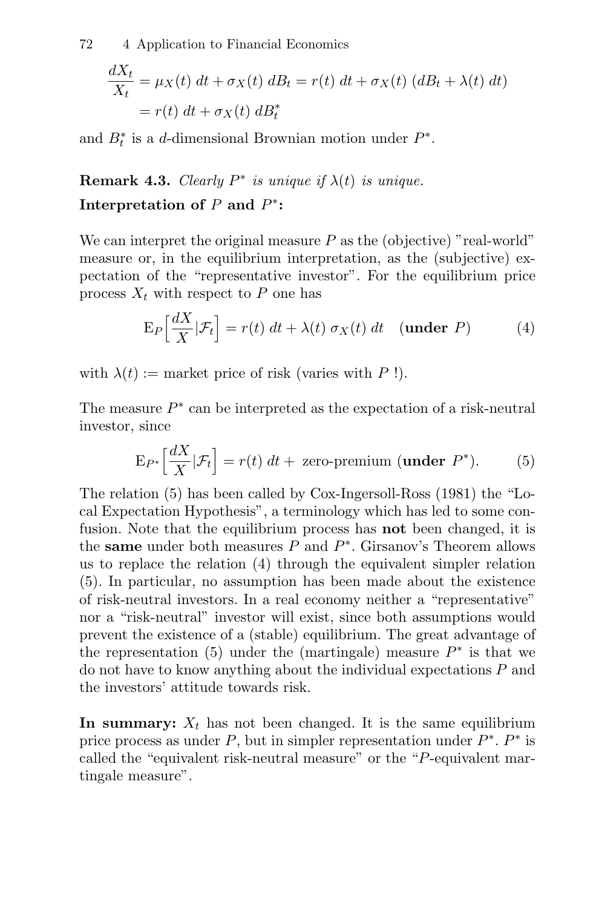72 4 Application to Financial Economics

$$
\frac{dX_t}{X_t} = \mu_X(t) dt + \sigma_X(t) dB_t = r(t) dt + \sigma_X(t) (dB_t + \lambda(t) dt)
$$

$$
= r(t) dt + \sigma_X(t) dB_t^*
$$

and  $B_t^*$  is a d-dimensional Brownian motion under  $P^*$ .

**Remark 4.3.** Clearly  $P^*$  is unique if  $\lambda(t)$  is unique.

## **Interpretation of**  $P$  **and**  $P^*$ **:**

We can interpret the original measure  $P$  as the (objective) "real-world" measure or, in the equilibrium interpretation, as the (subjective) expectation of the "representative investor". For the equilibrium price process  $X_t$  with respect to P one has

$$
E_P\left[\frac{dX}{X}|\mathcal{F}_t\right] = r(t) dt + \lambda(t) \sigma_X(t) dt \quad \text{(under } P\text{)} \tag{4}
$$

with  $\lambda(t) :=$  market price of risk (varies with P!).

The measure  $P^*$  can be interpreted as the expectation of a risk-neutral investor, since

$$
E_{P^*}\left[\frac{dX}{X}|\mathcal{F}_t\right] = r(t) \, dt + \text{ zero-premium (under } P^*). \tag{5}
$$

The relation (5) has been called by Cox-Ingersoll-Ross (1981) the "Local Expectation Hypothesis", a terminology which has led to some confusion. Note that the equilibrium process has **not** been changed, it is the **same** under both measures P and P∗. Girsanov's Theorem allows us to replace the relation (4) through the equivalent simpler relation (5). In particular, no assumption has been made about the existence of risk-neutral investors. In a real economy neither a "representative" nor a "risk-neutral" investor will exist, since both assumptions would prevent the existence of a (stable) equilibrium. The great advantage of the representation (5) under the (martingale) measure  $P^*$  is that we do not have to know anything about the individual expectations P and the investors' attitude towards risk.

In summary:  $X_t$  has not been changed. It is the same equilibrium price process as under P, but in simpler representation under  $P^*$ .  $P^*$  is called the "equivalent risk-neutral measure" or the "P-equivalent martingale measure".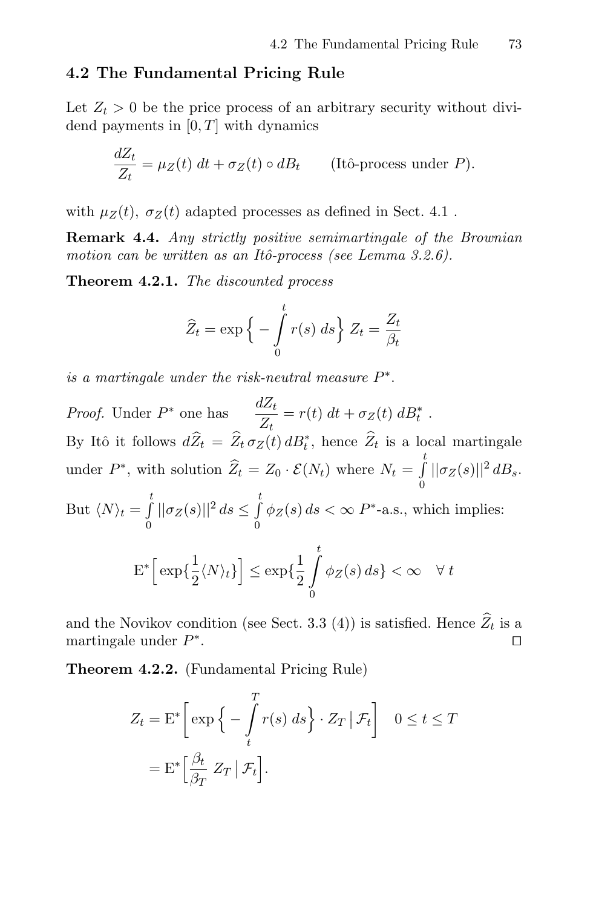## **4.2 The Fundamental Pricing Rule**

Let  $Z_t > 0$  be the price process of an arbitrary security without dividend payments in  $[0, T]$  with dynamics

$$
\frac{dZ_t}{Z_t} = \mu_Z(t) dt + \sigma_Z(t) \circ dB_t \qquad \text{(Itô-process under } P\text{)}.
$$

with  $\mu_Z(t)$ ,  $\sigma_Z(t)$  adapted processes as defined in Sect. 4.1.

**Remark 4.4.** Any strictly positive semimartingale of the Brownian motion can be written as an Itô-process (see Lemma  $3.2.6$ ).

**Theorem 4.2.1.** The discounted process

$$
\widehat{Z}_t = \exp\left\{-\int_0^t r(s) \, ds\right\} Z_t = \frac{Z_t}{\beta_t}
$$

is a martingale under the risk-neutral measure  $P^*$ .

*Proof.* Under  $P^*$  one has  $\frac{dZ_t}{Z_t} = r(t) dt + \sigma_Z(t) dB_t^*$ . By Itô it follows  $dZ_t = Z_t \sigma_Z(t) dZ_t^*$ , hence  $Z_t$  is a local martingale under  $P^*$ , with solution  $\widehat{Z}_t = Z_0 \cdot \mathcal{E}(N_t)$  where  $N_t = \int_s^t$  $\int\limits_{0} ||\sigma_{Z}(s)||^{2} dB_{s}.$ But  $\langle N \rangle_t = \int_a^t$  $\int_{0}^{t} ||\sigma_{Z}(s)||^{2} ds \leq \int_{0}^{t}$  $\int\limits_0^{\infty} \phi_Z(s) ds < \infty$  P<sup>\*</sup>-a.s., which implies:  $E^*\left[\exp\{\frac{1}{2}\right]$  $\frac{1}{2}\langle N \rangle_t \}$   $\leq$   $\exp\{\frac{1}{2}$  $\frac{t}{\sqrt{t}}$  $\phi_Z(s) ds \} < \infty \quad \forall t$ 

$$
\left[\begin{array}{c}\exp\left\{2\sqrt{1+t_1}\right\}\right] - \exp\left\{2\int_0^{t_1} \frac{1}{t_2(t_1)} \cdot \cos^{-1}(t_1)\right\} dt_1\end{array}
$$

and the Novikov condition (see Sect. 3.3 (4)) is satisfied. Hence  $\widehat{Z}_t$  is a martingale under  $P^*$ . martingale under  $P^*$ .

**Theorem 4.2.2.** (Fundamental Pricing Rule)

$$
Z_t = \mathbf{E}^* \left[ \exp \left\{ - \int_t^T r(s) \, ds \right\} \cdot Z_T \, | \, \mathcal{F}_t \right] \quad 0 \le t \le T
$$

$$
= \mathbf{E}^* \left[ \frac{\beta_t}{\beta_T} \, Z_T \, | \, \mathcal{F}_t \right].
$$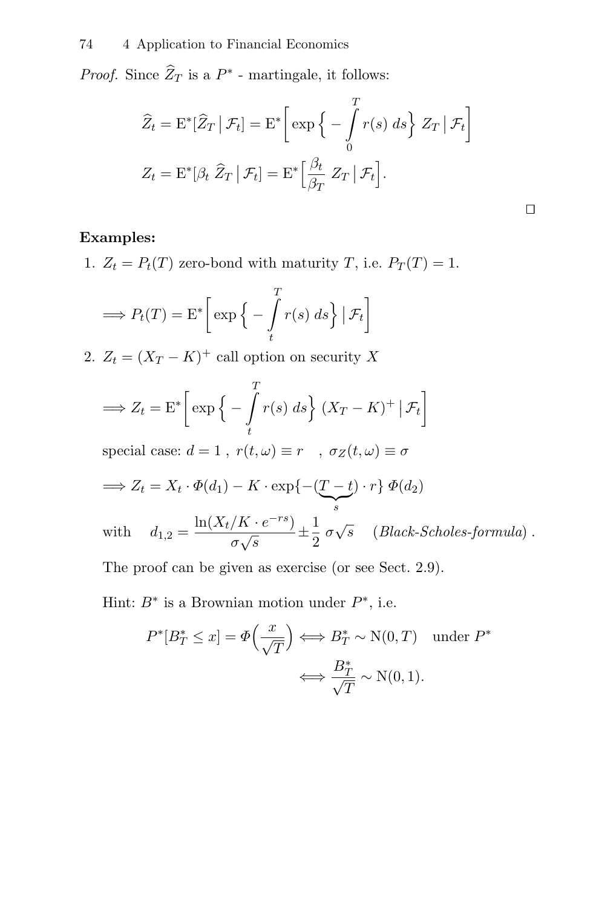*Proof.* Since  $\widehat{Z}_T$  is a  $P^*$  - martingale, it follows:

$$
\widehat{Z}_t = \mathbf{E}^* [\widehat{Z}_T | \mathcal{F}_t] = \mathbf{E}^* \bigg[ \exp \bigg\{ - \int_0^T r(s) \, ds \bigg\} Z_T | \mathcal{F}_t \bigg]
$$

$$
Z_t = \mathbf{E}^* [\beta_t \, \widehat{Z}_T | \mathcal{F}_t] = \mathbf{E}^* \bigg[ \frac{\beta_t}{\beta_T} Z_T | \mathcal{F}_t \bigg].
$$

 $\Box$ 

### **Examples:**

1.  $Z_t = P_t(T)$  zero-bond with maturity T, i.e.  $P_T(T) = 1$ .

$$
\Longrightarrow P_t(T) = \mathcal{E}^* \bigg[ \exp \bigg\{ - \int_t^T r(s) \, ds \bigg\} \, \big| \, \mathcal{F}_t \bigg]
$$

2.  $Z_t = (X_T - K)^+$  call option on security X

$$
\implies Z_t = \mathcal{E}^* \bigg[ \exp \bigg\{ - \int_t^T r(s) \, ds \bigg\} (X_T - K)^+ \big| \mathcal{F}_t \bigg]
$$
\n
$$
\text{special case: } d = 1 \text{ , } r(t, \omega) \equiv r \quad , \sigma_Z(t, \omega) \equiv \sigma
$$
\n
$$
\implies Z_t = X_t \cdot \Phi(d_1) - K \cdot \exp\{ - (\underbrace{T - t}_{s}) \cdot r \} \Phi(d_2)
$$
\n
$$
\text{with } d_{1,2} = \frac{\ln(X_t/K \cdot e^{-rs})}{\sigma \sqrt{s}} \pm \frac{1}{2} \sigma \sqrt{s} \quad (Black-Scholes-formula) .
$$
\n
$$
\text{The proof can be given as exercise (or see Sect. 2.9).}
$$

Hint:  $B^*$  is a Brownian motion under  $P^*$ , i.e.

$$
P^*[B_T^* \le x] = \Phi\left(\frac{x}{\sqrt{T}}\right) \Longleftrightarrow B_T^* \sim \mathcal{N}(0, T) \quad \text{under } P^*
$$

$$
\Longleftrightarrow \frac{B_T^*}{\sqrt{T}} \sim \mathcal{N}(0, 1).
$$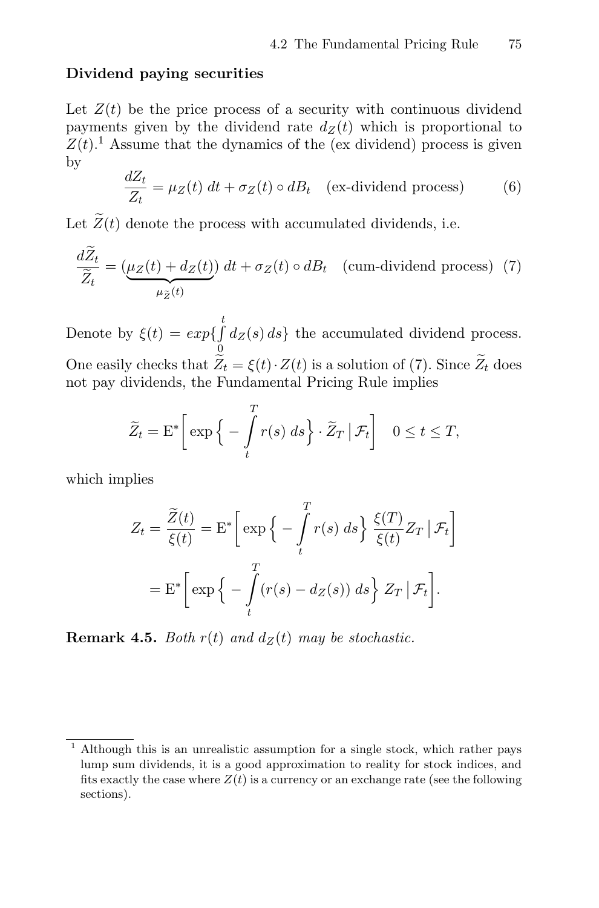#### **Dividend paying securities**

Let  $Z(t)$  be the price process of a security with continuous dividend payments given by the dividend rate  $d_Z(t)$  which is proportional to  $Z(t)$ <sup>1</sup>. Assume that the dynamics of the (ex dividend) process is given by

$$
\frac{dZ_t}{Z_t} = \mu_Z(t) \, dt + \sigma_Z(t) \circ dB_t \quad \text{(ex-dividend process)} \tag{6}
$$

Let  $\widetilde{Z}(t)$  denote the process with accumulated dividends, i.e.

$$
\frac{d\bar{Z}_t}{\widetilde{Z}_t} = \underbrace{(\mu_Z(t) + d_Z(t))}_{\mu_{\widetilde{Z}}(t)} dt + \sigma_Z(t) \circ dB_t \quad \text{(cum-dividend process)} \tag{7}
$$

Denote by  $\xi(t) = exp{\int_{t}^{t}}$  $\mathbf{0}$  $d_Z(s) ds$ } the accumulated dividend process. One easily checks that  $Z_t = \xi(t) \cdot Z(t)$  is a solution of (7). Since  $Z_t$  does not pay dividends, the Fundamental Pricing Rule implies

$$
\widetilde{Z}_t = \mathbf{E}^* \bigg[ \exp \bigg\{ - \int_t^T r(s) \, ds \bigg\} \cdot \widetilde{Z}_T \, \big| \, \mathcal{F}_t \bigg] \quad 0 \le t \le T,
$$

which implies

$$
Z_t = \frac{\widetilde{Z}(t)}{\xi(t)} = \mathbf{E}^* \left[ \exp \left\{ - \int_t^T r(s) \, ds \right\} \frac{\xi(T)}{\xi(t)} Z_T \, | \, \mathcal{F}_t \right]
$$

$$
= \mathbf{E}^* \left[ \exp \left\{ - \int_t^T (r(s) - d_Z(s)) \, ds \right\} Z_T \, | \, \mathcal{F}_t \right].
$$

**Remark 4.5.** Both  $r(t)$  and  $d_Z(t)$  may be stochastic.

<sup>&</sup>lt;sup>1</sup> Although this is an unrealistic assumption for a single stock, which rather pays lump sum dividends, it is a good approximation to reality for stock indices, and fits exactly the case where  $Z(t)$  is a currency or an exchange rate (see the following sections).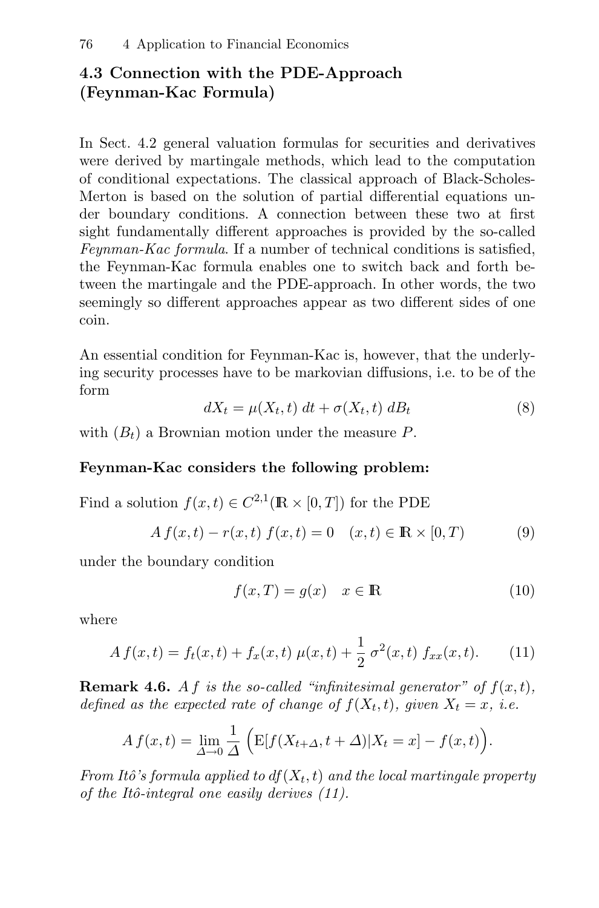## **4.3 Connection with the PDE-Approach (Feynman-Kac Formula)**

In Sect. 4.2 general valuation formulas for securities and derivatives were derived by martingale methods, which lead to the computation of conditional expectations. The classical approach of Black-Scholes-Merton is based on the solution of partial differential equations under boundary conditions. A connection between these two at first sight fundamentally different approaches is provided by the so-called Feynman-Kac formula. If a number of technical conditions is satisfied, the Feynman-Kac formula enables one to switch back and forth between the martingale and the PDE-approach. In other words, the two seemingly so different approaches appear as two different sides of one coin.

An essential condition for Feynman-Kac is, however, that the underlying security processes have to be markovian diffusions, i.e. to be of the form

$$
dX_t = \mu(X_t, t) \, dt + \sigma(X_t, t) \, dB_t \tag{8}
$$

with  $(B_t)$  a Brownian motion under the measure P.

#### **Feynman-Kac considers the following problem:**

Find a solution  $f(x, t) \in C^{2,1}(\mathbb{R} \times [0, T])$  for the PDE

$$
A f(x,t) - r(x,t) f(x,t) = 0 \quad (x,t) \in \mathbb{R} \times [0,T) \tag{9}
$$

under the boundary condition

$$
f(x,T) = g(x) \quad x \in \mathbb{R} \tag{10}
$$

where

$$
A f(x,t) = f_t(x,t) + f_x(x,t) \mu(x,t) + \frac{1}{2} \sigma^2(x,t) f_{xx}(x,t).
$$
 (11)

**Remark 4.6.** A f is the so-called "infinitesimal generator" of  $f(x,t)$ , defined as the expected rate of change of  $f(X_t, t)$ , given  $X_t = x$ , i.e.

$$
A f(x,t) = \lim_{\Delta \to 0} \frac{1}{\Delta} \left( \mathbb{E}[f(X_{t+\Delta}, t+\Delta)|X_t = x] - f(x,t) \right).
$$

From Itô's formula applied to  $df(X_t, t)$  and the local martingale property of the Itô-integral one easily derives  $(11)$ .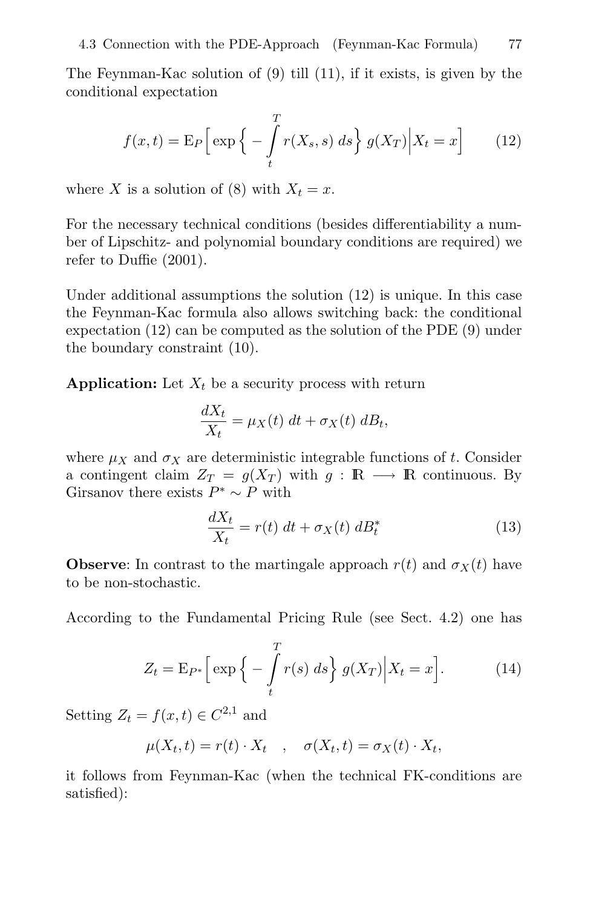The Feynman-Kac solution of (9) till (11), if it exists, is given by the conditional expectation

$$
f(x,t) = \mathcal{E}_P\left[\exp\left\{-\int_t^T r(X_s, s) \, ds\right\} g(X_T) \Big| X_t = x\right] \tag{12}
$$

where X is a solution of (8) with  $X_t = x$ .

For the necessary technical conditions (besides differentiability a number of Lipschitz- and polynomial boundary conditions are required) we refer to Duffie (2001).

Under additional assumptions the solution (12) is unique. In this case the Feynman-Kac formula also allows switching back: the conditional expectation (12) can be computed as the solution of the PDE (9) under the boundary constraint (10).

**Application:** Let  $X_t$  be a security process with return

$$
\frac{dX_t}{X_t} = \mu_X(t) \, dt + \sigma_X(t) \, dB_t,
$$

where  $\mu_X$  and  $\sigma_X$  are deterministic integrable functions of t. Consider a contingent claim  $Z_T = g(X_T)$  with  $g : \mathbb{R} \longrightarrow \mathbb{R}$  continuous. By Girsanov there exists  $P^* \sim P$  with

$$
\frac{dX_t}{X_t} = r(t) \, dt + \sigma_X(t) \, dB_t^* \tag{13}
$$

**Observe**: In contrast to the martingale approach  $r(t)$  and  $\sigma_X(t)$  have to be non-stochastic.

According to the Fundamental Pricing Rule (see Sect. 4.2) one has

$$
Z_t = \mathcal{E}_{P^*} \left[ \exp \left\{ - \int_t^T r(s) \, ds \right\} g(X_T) \Big| X_t = x \right]. \tag{14}
$$

Setting  $Z_t = f(x, t) \in C^{2,1}$  and

$$
\mu(X_t, t) = r(t) \cdot X_t \quad , \quad \sigma(X_t, t) = \sigma_X(t) \cdot X_t,
$$

it follows from Feynman-Kac (when the technical FK-conditions are satisfied):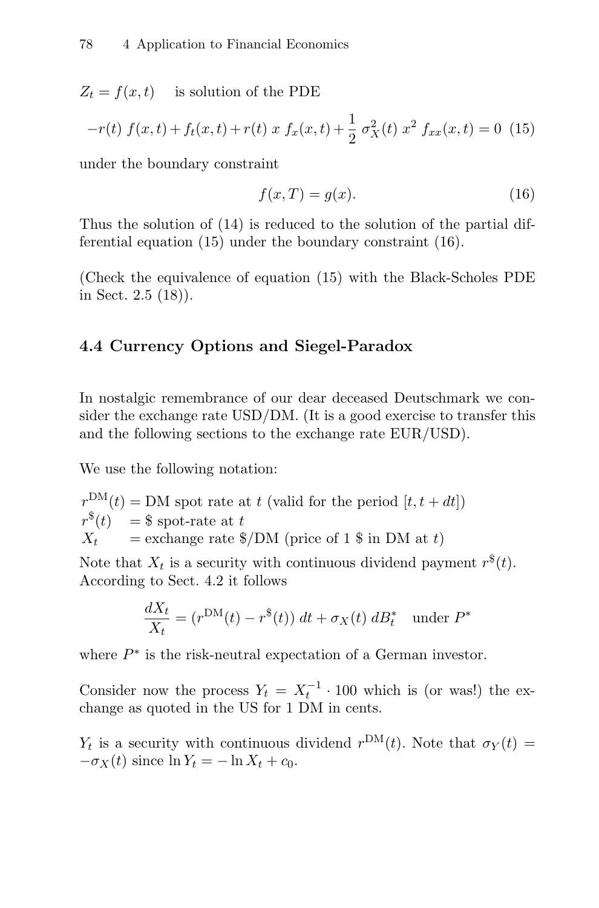$Z_t = f(x, t)$  is solution of the PDE

$$
-r(t) f(x,t) + f_t(x,t) + r(t) x f_x(x,t) + \frac{1}{2} \sigma_X^2(t) x^2 f_{xx}(x,t) = 0
$$
 (15)

under the boundary constraint

$$
f(x,T) = g(x). \tag{16}
$$

Thus the solution of (14) is reduced to the solution of the partial differential equation (15) under the boundary constraint (16).

(Check the equivalence of equation (15) with the Black-Scholes PDE in Sect. 2.5 (18)).

## **4.4 Currency Options and Siegel-Paradox**

In nostalgic remembrance of our dear deceased Deutschmark we consider the exchange rate USD/DM. (It is a good exercise to transfer this and the following sections to the exchange rate EUR/USD).

We use the following notation:

$$
r^{\text{DM}}(t) = \text{DM spot rate at } t \text{ (valid for the period } [t, t + dt])
$$
  

$$
r^{\$}(t) = \$
$$
 spot-rate at  $t$   

$$
X_t = \text{exchange rate } \$ / \text{DM (price of 1 } \$ \text{ in DM at } t)
$$

Note that  $X_t$  is a security with continuous dividend payment  $r^*(t)$ . According to Sect. 4.2 it follows

$$
\frac{dX_t}{X_t} = (r^{\text{DM}}(t) - r^{\$}(t)) dt + \sigma_X(t) dB_t^* \quad \text{under } P^*
$$

where  $P^*$  is the risk-neutral expectation of a German investor.

Consider now the process  $Y_t = X_t^{-1} \cdot 100$  which is (or was!) the exchange as quoted in the US for 1 DM in cents.

 $Y_t$  is a security with continuous dividend  $r^{DM}(t)$ . Note that  $\sigma_Y(t) =$  $-\sigma_X(t)$  since  $\ln Y_t = -\ln X_t + c_0$ .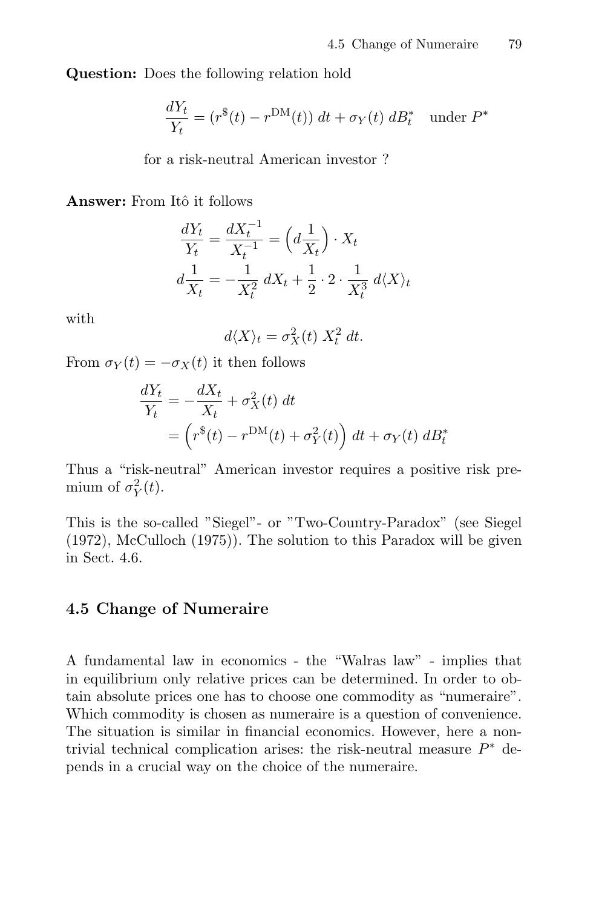**Question:** Does the following relation hold

$$
\frac{dY_t}{Y_t} = (r^*(t) - r^{\text{DM}}(t)) dt + \sigma_Y(t) dB_t^* \quad \text{under } P^*
$$

for a risk-neutral American investor ?

**Answer:** From Itô it follows

$$
\frac{dY_t}{Y_t} = \frac{dX_t^{-1}}{X_t^{-1}} = \left(d\frac{1}{X_t}\right) \cdot X_t
$$

$$
d\frac{1}{X_t} = -\frac{1}{X_t^2} dX_t + \frac{1}{2} \cdot 2 \cdot \frac{1}{X_t^3} d\langle X \rangle_t
$$

with

$$
d\langle X \rangle_t = \sigma_X^2(t) \; X_t^2 \; dt.
$$

From  $\sigma_Y(t) = -\sigma_X(t)$  it then follows

$$
\frac{dY_t}{Y_t} = -\frac{dX_t}{X_t} + \sigma_X^2(t) dt
$$
  
= 
$$
\left(r^*(t) - r^{DM}(t) + \sigma_Y^2(t)\right) dt + \sigma_Y(t) dB_t^*
$$

Thus a "risk-neutral" American investor requires a positive risk premium of  $\sigma_Y^2(t)$ .

This is the so-called "Siegel"- or "Two-Country-Paradox" (see Siegel (1972), McCulloch (1975)). The solution to this Paradox will be given in Sect. 4.6.

#### **4.5 Change of Numeraire**

A fundamental law in economics - the "Walras law" - implies that in equilibrium only relative prices can be determined. In order to obtain absolute prices one has to choose one commodity as "numeraire". Which commodity is chosen as numeraire is a question of convenience. The situation is similar in financial economics. However, here a nontrivial technical complication arises: the risk-neutral measure  $P^*$  depends in a crucial way on the choice of the numeraire.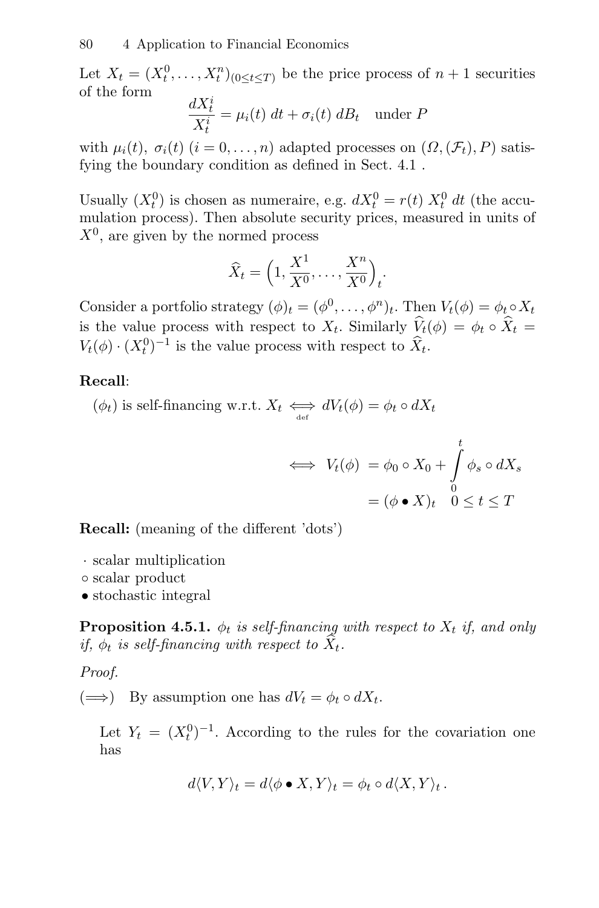Let  $X_t = (X_t^0, \ldots, X_t^n)_{0 \le t \le T}$  be the price process of  $n+1$  securities of the form

$$
\frac{dX_t^i}{X_t^i} = \mu_i(t) \, dt + \sigma_i(t) \, dB_t \quad \text{under } P
$$

with  $\mu_i(t)$ ,  $\sigma_i(t)$   $(i = 0, \ldots, n)$  adapted processes on  $(\Omega, (\mathcal{F}_t), P)$  satisfying the boundary condition as defined in Sect. 4.1 .

Usually  $(X_t^0)$  is chosen as numeraire, e.g.  $dX_t^0 = r(t) X_t^0 dt$  (the accumulation process). Then absolute security prices, measured in units of  $X^0$ , are given by the normed process

$$
\widehat{X}_t = \left(1, \frac{X^1}{X^0}, \dots, \frac{X^n}{X^0}\right)_t.
$$

Consider a portfolio strategy  $(\phi)_t = (\phi^0, \ldots, \phi^n)_t$ . Then  $V_t(\phi) = \phi_t \circ X_t$ is the value process with respect to  $X_t$ . Similarly  $\hat{V}_t(\phi) = \phi_t \circ \hat{X}_t =$  $V_t(\phi) \cdot (X_t^0)^{-1}$  is the value process with respect to  $\hat{X}_t$ .

#### **Recall**:

 $(\phi_t)$  is self-financing w.r.t.  $X_t \iff dV_t(\phi) = \phi_t \circ dX_t$ 

$$
\iff V_t(\phi) = \phi_0 \circ X_0 + \int_0^t \phi_s \circ dX_s
$$

$$
= (\phi \bullet X)_t \quad 0 \le t \le T
$$

**Recall:** (meaning of the different 'dots')

- · scalar multiplication
- scalar product
- stochastic integral

**Proposition 4.5.1.**  $\phi_t$  is self-financing with respect to  $X_t$  if, and only if,  $\phi_t$  is self-financing with respect to  $\hat{X}_t$ .

#### Proof.

 $(\Longrightarrow)$  By assumption one has  $dV_t = \phi_t \circ dX_t$ .

Let  $Y_t = (X_t^0)^{-1}$ . According to the rules for the covariation one has

$$
d\langle V, Y \rangle_t = d\langle \phi \bullet X, Y \rangle_t = \phi_t \circ d\langle X, Y \rangle_t.
$$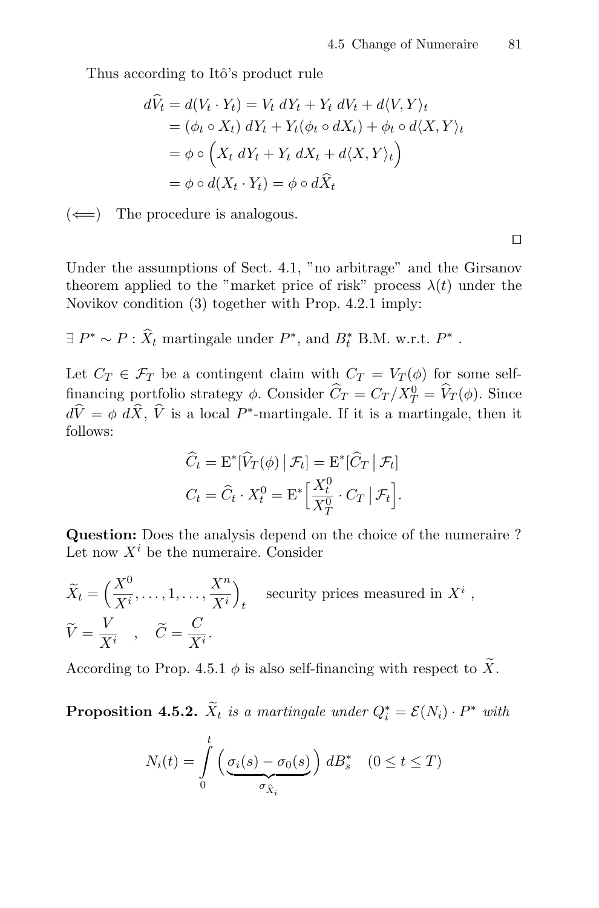Thus according to Itô's product rule

$$
d\tilde{V}_t = d(V_t \cdot Y_t) = V_t dY_t + Y_t dV_t + d\langle V, Y \rangle_t
$$
  
=  $(\phi_t \circ X_t) dY_t + Y_t (\phi_t \circ dX_t) + \phi_t \circ d\langle X, Y \rangle_t$   
=  $\phi \circ (X_t dY_t + Y_t dX_t + d\langle X, Y \rangle_t)$   
=  $\phi \circ d(X_t \cdot Y_t) = \phi \circ d\tilde{X}_t$ 

 $(\Leftarrow)$  The procedure is analogous.

Under the assumptions of Sect. 4.1, "no arbitrage" and the Girsanov theorem applied to the "market price of risk" process  $\lambda(t)$  under the Novikov condition (3) together with Prop. 4.2.1 imply:

$$
\exists P^* \sim P : \hat{X}_t
$$
 martingale under  $P^*$ , and  $B_t^*$  B.M. w.r.t.  $P^*$ .

Let  $C_T \in \mathcal{F}_T$  be a contingent claim with  $C_T = V_T(\phi)$  for some selffinancing portfolio strategy  $\phi$ . Consider  $\hat{C}_T = C_T / X_T^0 = \hat{V}_T(\phi)$ . Since  $d\hat{V} = \phi \, d\hat{X}, \hat{V}$  is a local P<sup>\*</sup>-martingale. If it is a martingale, then it follows:

$$
\widehat{C}_t = \mathcal{E}^*[\widehat{V}_T(\phi) | \mathcal{F}_t] = \mathcal{E}^*[\widehat{C}_T | \mathcal{F}_t]
$$

$$
C_t = \widehat{C}_t \cdot X_t^0 = \mathcal{E}^* \Big[ \frac{X_t^0}{X_T^0} \cdot C_T | \mathcal{F}_t \Big].
$$

**Question:** Does the analysis depend on the choice of the numeraire ? Let now  $X^i$  be the numeraire. Consider

$$
\widetilde{X}_t = \left(\frac{X^0}{X^i}, \dots, 1, \dots, \frac{X^n}{X^i}\right)_t \quad \text{security prices measured in } X^i,
$$
\n
$$
\widetilde{V} = \frac{V}{X^i} \quad , \quad \widetilde{C} = \frac{C}{X^i}.
$$

According to Prop. 4.5.1  $\phi$  is also self-financing with respect to  $\widetilde{X}.$ 

**Proposition 4.5.2.**  $X_t$  is a martingale under  $Q_i^* = \mathcal{E}(N_i) \cdot P^*$  with

$$
N_i(t) = \int\limits_0^t \left( \underbrace{\sigma_i(s) - \sigma_0(s)}_{\sigma_{\hat{X}_i}} \right) dB_s^* \quad (0 \le t \le T)
$$

 $\Box$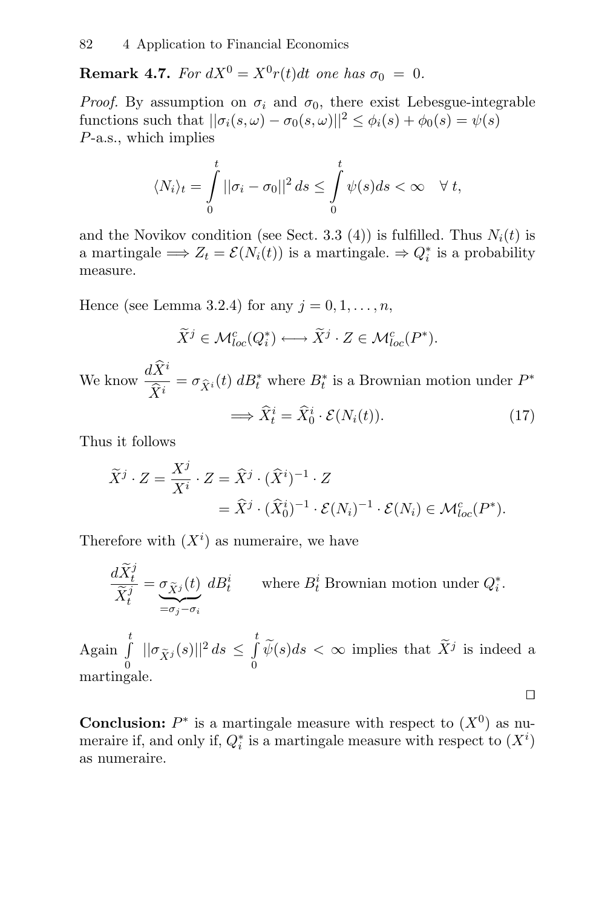**Remark 4.7.** For  $dX^0 = X^0r(t)dt$  one has  $\sigma_0 = 0$ .

*Proof.* By assumption on  $\sigma_i$  and  $\sigma_0$ , there exist Lebesgue-integrable functions such that  $||\sigma_i(s,\omega) - \sigma_0(s,\omega)||^2 \leq \phi_i(s) + \phi_0(s) = \psi(s)$ P-a.s., which implies

$$
\langle N_i \rangle_t = \int\limits_0^t ||\sigma_i - \sigma_0||^2 ds \leq \int\limits_0^t \psi(s) ds < \infty \quad \forall \ t,
$$

and the Novikov condition (see Sect. 3.3 (4)) is fulfilled. Thus  $N_i(t)$  is a martingale  $\implies Z_t = \mathcal{E}(N_i(t))$  is a martingale.  $\Rightarrow Q_i^*$  is a probability measure.

Hence (see Lemma 3.2.4) for any  $j = 0, 1, \ldots, n$ ,

$$
\widetilde{X}^j \in \mathcal{M}_{loc}^c(Q_i^*) \longleftrightarrow \widetilde{X}^j \cdot Z \in \mathcal{M}_{loc}^c(P^*).
$$

We know  $\frac{d\widehat{X}^i}{\widehat{X}^i}$  $\frac{\partial \mathcal{L}}{\hat{X}^i} = \sigma_{\hat{X}^i}(t) d_t^*$  where  $B_t^*$  is a Brownian motion under  $P^*$ 

$$
\Longrightarrow \widehat{X}_t^i = \widehat{X}_0^i \cdot \mathcal{E}(N_i(t)). \tag{17}
$$

□

Thus it follows

$$
\widetilde{X}^j \cdot Z = \frac{X^j}{X^i} \cdot Z = \widehat{X}^j \cdot (\widehat{X}^i)^{-1} \cdot Z
$$
  
=  $\widehat{X}^j \cdot (\widehat{X}_0^i)^{-1} \cdot \mathcal{E}(N_i)^{-1} \cdot \mathcal{E}(N_i) \in \mathcal{M}_{loc}^c(P^*).$ 

Therefore with  $(X<sup>i</sup>)$  as numeraire, we have

$$
\frac{d\widetilde{X}_t^j}{\widetilde{X}_t^j} = \underbrace{\sigma_{\widetilde{X}^j}(t)}_{=\sigma_j - \sigma_i} \, dB_t^i \qquad \text{where } B_t^i \text{ Brownian motion under } Q_t^*.
$$

Again  $\int_0^t$  $\int\limits_0^t$   $||\sigma_{\widetilde{X}^j}(s)||^2 ds \leq \int\limits_0^t$  $\int_{0}^{\tilde{y}} \tilde{\psi}(s)ds < \infty$  implies that  $\tilde{X}^{j}$  is indeed a martingale.

**Conclusion:**  $P^*$  is a martingale measure with respect to  $(X^0)$  as numeraire if, and only if,  $Q_i^*$  is a martingale measure with respect to  $(X^i)$ as numeraire.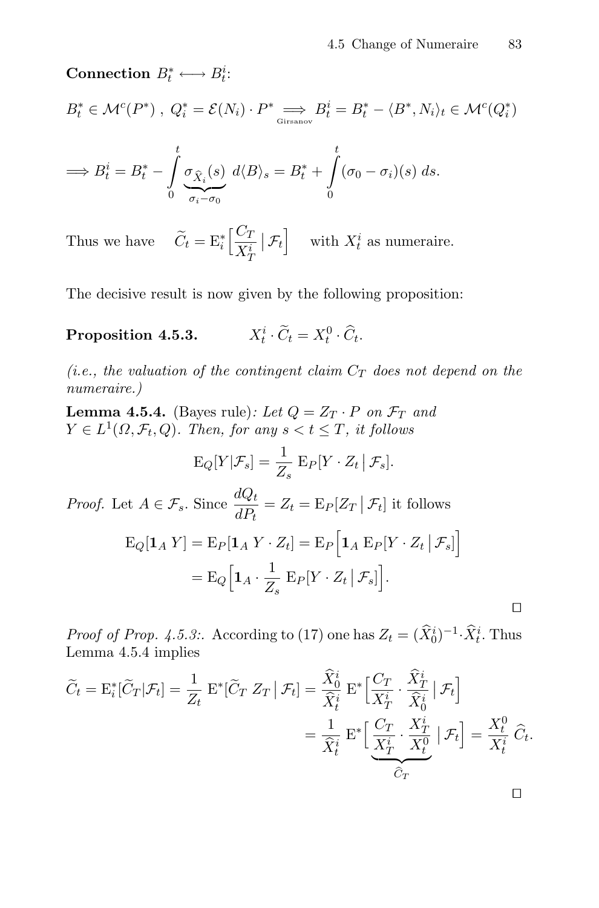**Connection**  $B_t^* \longleftrightarrow B_t^i$ :

$$
B_t^* \in \mathcal{M}^c(P^*) , Q_i^* = \mathcal{E}(N_i) \cdot P^* \underset{\text{Girsanov}}{\Longrightarrow} B_t^i = B_t^* - \langle B^*, N_i \rangle_t \in \mathcal{M}^c(Q_i^*)
$$

$$
\implies B_t^i = B_t^* - \int_0^t \underbrace{\sigma_{\hat{X}_i}(s)}_{\sigma_i - \sigma_0} d\langle B \rangle_s = B_t^* + \int_0^t (\sigma_0 - \sigma_i)(s) ds.
$$

Thus we have  $\widetilde{C}_t = \mathrm{E}_i^* \left[ \frac{C_T}{X_i^i} \right]$  $\overline{X^i_I}$  $\left| \mathcal{F}_t \right|$  with  $X_t^i$  as numeraire.

The decisive result is now given by the following proposition:

Proposition 4.5.3.  $t_i^i \cdot \widetilde{C}_t = X_t^0 \cdot \widehat{C}_t.$ 

(i.e., the valuation of the contingent claim  $C_T$  does not depend on the numeraire.)

**Lemma 4.5.4.** (Bayes rule): Let  $Q = Z_T \cdot P$  on  $\mathcal{F}_T$  and  $Y \in L^1(\Omega, \mathcal{F}_t, Q)$ . Then, for any  $s < t \leq T$ , it follows

$$
\mathrm{E}_{Q}[Y|\mathcal{F}_s] = \frac{1}{Z_s} \mathrm{E}_{P}[Y \cdot Z_t | \mathcal{F}_s].
$$

*Proof.* Let  $A \in \mathcal{F}_s$ . Since  $\frac{dQ_t}{dP_t} = Z_t = \mathrm{E}_P[Z_T | \mathcal{F}_t]$  it follows  $\mathrm{E}_{Q}[\mathbf{1}_{A} Y]=\mathrm{E}_{P}[\mathbf{1}_{A} Y \cdot Z_{t}]=\mathrm{E}_{P}\Big[\mathbf{1}_{A} \mathrm{E}_{P} [Y \cdot Z_{t} | \mathcal{F}_{s}]\Big]$  $= \mathbf{E}_{Q} \Big[\mathbf{1}_{A} \cdot \frac{1}{Z_{s}}\ \mathbf{E}_{P} [Y \cdot Z_{t} \,|\, \mathcal{F}_{s}]\Big].$ 

Proof of Prop. 4.5.3:. According to (17) one has  $Z_t = (\widehat{X}_0^i)^{-1} \cdot \widehat{X}_t^i$ . Thus Lemma 4.5.4 implies

$$
\widetilde{C}_t = \mathbf{E}_i^* [\widetilde{C}_T | \mathcal{F}_t] = \frac{1}{Z_t} \mathbf{E}^* [\widetilde{C}_T | Z_T | \mathcal{F}_t] = \frac{\widehat{X}_0^i}{\widehat{X}_t^i} \mathbf{E}^* \Big[ \frac{C_T}{X_T^i} \cdot \frac{\widehat{X}_T^i}{\widehat{X}_0^i} | \mathcal{F}_t \Big] \n= \frac{1}{\widehat{X}_t^i} \mathbf{E}^* \Big[ \underbrace{\frac{C_T}{X_T^i} \cdot \frac{X_T^i}{X_U^0}}_{\widehat{C}_T} | \mathcal{F}_t \Big] = \frac{X_t^0}{X_t^i} \widehat{C}_t.
$$

 $\Box$ 

 $\Box$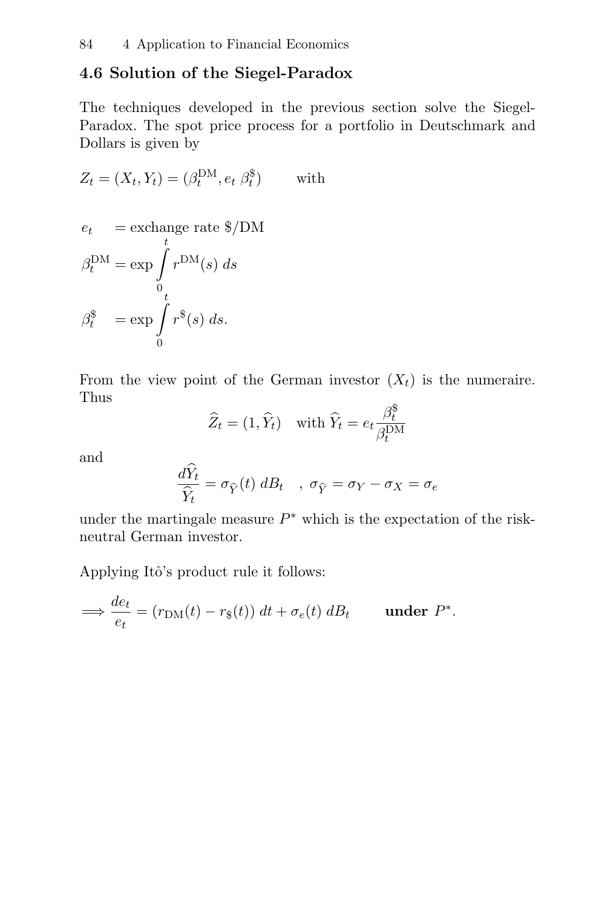## **4.6 Solution of the Siegel-Paradox**

The techniques developed in the previous section solve the Siegel-Paradox. The spot price process for a portfolio in Deutschmark and Dollars is given by

$$
Z_t = (X_t, Y_t) = (\beta_t^{\text{DM}}, e_t \ \beta_t^{\$}) \qquad \text{with}
$$

$$
e_t = \text{exchange rate } \$/\text{DM}
$$

$$
\beta_t^{\text{DM}} = \exp \int_0^t r^{\text{DM}}(s) \, ds
$$

$$
\beta_t^{\$} = \exp \int_0^t r^{\$}(s) \, ds.
$$

From the view point of the German investor  $(X_t)$  is the numeraire. Thus

$$
\widehat{Z}_t = (1, \widehat{Y}_t) \quad \text{with } \widehat{Y}_t = e_t \frac{\beta_t^{\$}}{\beta_t^{\text{DM}}}
$$

and

$$
\frac{d\dot{Y}_t}{\hat{Y}_t} = \sigma_{\hat{Y}}(t) dB_t \quad , \ \sigma_{\hat{Y}} = \sigma_Y - \sigma_X = \sigma_e
$$

under the martingale measure  $P^*$  which is the expectation of the riskneutral German investor.

Applying Itô's product rule it follows:

$$
\implies \frac{de_t}{e_t} = (r_{\text{DM}}(t) - r_{\text{s}}(t)) dt + \sigma_e(t) dB_t \quad \text{under } P^*.
$$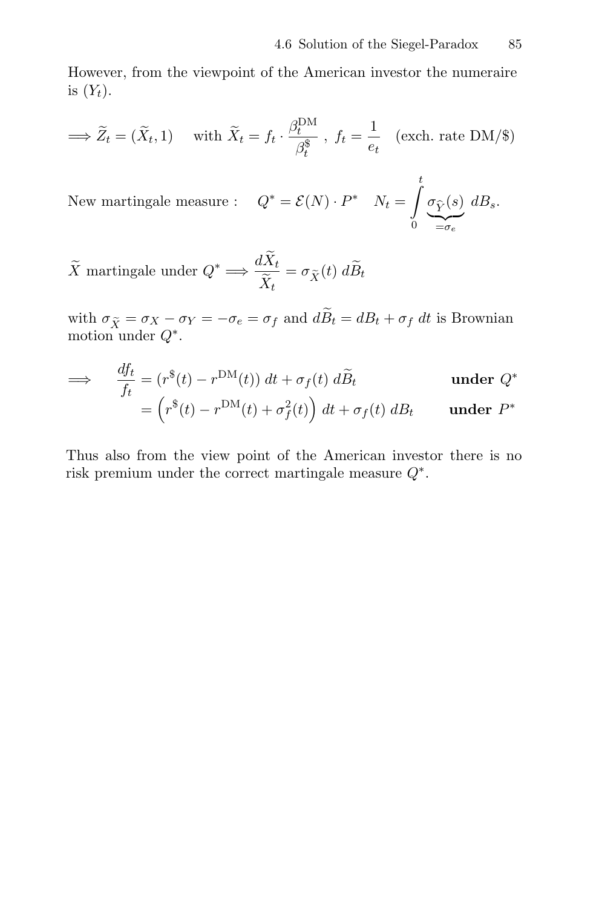However, from the viewpoint of the American investor the numeraire is  $(Y_t)$ .

$$
\implies \widetilde{Z}_t = (\widetilde{X}_t, 1) \quad \text{with } \widetilde{X}_t = f_t \cdot \frac{\beta_t^{DM}}{\beta_t^{\$}}, \ f_t = \frac{1}{e_t} \quad \text{(exch. rate DM/\$)}
$$

New martingale measure :  $Q^* = \mathcal{E}(N) \cdot P^*$   $N_t =$  $\frac{t}{\sqrt{t}}$  $\int\limits_{0}^{\infty} \underbrace{\sigma_{\widehat{Y}}(s)}_{=\sigma_{e}} dB_{s}.$ 

 $\widetilde{X}$  martingale under  $Q^* \Longrightarrow \frac{dX_t}{\widetilde{X}_t}$  $\frac{\partial \mathbf{X}_t}{\partial \widetilde{X}_t} = \sigma_{\widetilde{X}}(t) \; dB_t$ 

with  $\sigma_{\tilde{X}} = \sigma_X - \sigma_Y = -\sigma_e = \sigma_f$  and  $d\tilde{B}_t = dB_t + \sigma_f dt$  is Brownian motion under  $Q^*$ .

$$
\implies \frac{df_t}{f_t} = (r^*(t) - r^{\text{DM}}(t)) dt + \sigma_f(t) d\widetilde{B}_t \qquad \text{under } Q^*
$$
  

$$
= (r^*(t) - r^{\text{DM}}(t) + \sigma_f^2(t)) dt + \sigma_f(t) dB_t \qquad \text{under } P^*
$$

Thus also from the view point of the American investor there is no risk premium under the correct martingale measure  $Q^*$ .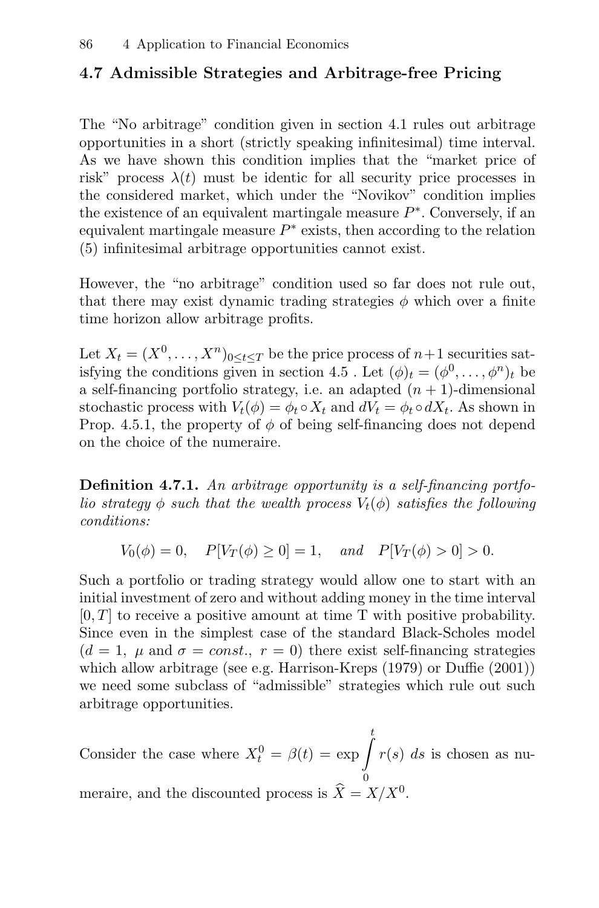## **4.7 Admissible Strategies and Arbitrage-free Pricing**

The "No arbitrage" condition given in section 4.1 rules out arbitrage opportunities in a short (strictly speaking infinitesimal) time interval. As we have shown this condition implies that the "market price of risk" process  $\lambda(t)$  must be identic for all security price processes in the considered market, which under the "Novikov" condition implies the existence of an equivalent martingale measure  $P^*$ . Conversely, if an equivalent martingale measure  $P^*$  exists, then according to the relation (5) infinitesimal arbitrage opportunities cannot exist.

However, the "no arbitrage" condition used so far does not rule out, that there may exist dynamic trading strategies  $\phi$  which over a finite time horizon allow arbitrage profits.

Let  $X_t = (X^0, \ldots, X^n)_{0 \le t \le T}$  be the price process of  $n+1$  securities satisfying the conditions given in section 4.5. Let  $(\phi)_t = (\phi^0, \dots, \phi^n)_t$  be a self-financing portfolio strategy, i.e. an adapted  $(n + 1)$ -dimensional stochastic process with  $V_t(\phi) = \phi_t \circ X_t$  and  $dV_t = \phi_t \circ dX_t$ . As shown in Prop. 4.5.1, the property of  $\phi$  of being self-financing does not depend on the choice of the numeraire.

**Definition 4.7.1.** An arbitrage opportunity is a self-financing portfolio strategy  $\phi$  such that the wealth process  $V_t(\phi)$  satisfies the following conditions:

$$
V_0(\phi) = 0
$$
,  $P[V_T(\phi) \ge 0] = 1$ , and  $P[V_T(\phi) > 0] > 0$ .

Such a portfolio or trading strategy would allow one to start with an initial investment of zero and without adding money in the time interval  $[0, T]$  to receive a positive amount at time T with positive probability. Since even in the simplest case of the standard Black-Scholes model  $(d = 1, \mu \text{ and } \sigma = const., r = 0)$  there exist self-financing strategies which allow arbitrage (see e.g. Harrison-Kreps (1979) or Duffie (2001)) we need some subclass of "admissible" strategies which rule out such arbitrage opportunities.

Consider the case where  $X_t^0 = \beta(t) = \exp \left( \frac{t}{t} \right)$ 0  $r(s)$  ds is chosen as numeraire, and the discounted process is  $\widehat{X} = X/X^0$ .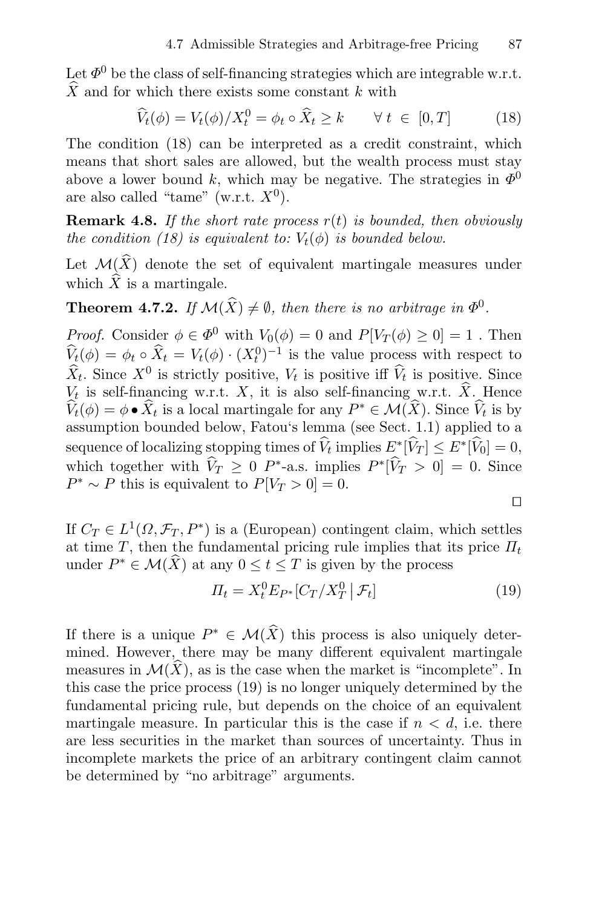Let  $\Phi^0$  be the class of self-financing strategies which are integrable w.r.t.  $\hat{X}$  and for which there exists some constant k with

$$
\widehat{V}_t(\phi) = V_t(\phi)/X_t^0 = \phi_t \circ \widehat{X}_t \ge k \qquad \forall \ t \in [0, T] \tag{18}
$$

The condition (18) can be interpreted as a credit constraint, which means that short sales are allowed, but the wealth process must stay above a lower bound k, which may be negative. The strategies in  $\Phi^0$ are also called "tame" (w.r.t.  $X^0$ ).

**Remark 4.8.** If the short rate process  $r(t)$  is bounded, then obviously the condition (18) is equivalent to:  $V_t(\phi)$  is bounded below.

Let  $\mathcal{M}(\widehat{X})$  denote the set of equivalent martingale measures under which  $\widehat{X}$  is a martingale.

**Theorem 4.7.2.** If  $\mathcal{M}(\widehat{X}) \neq \emptyset$ , then there is no arbitrage in  $\Phi^0$ .

*Proof.* Consider  $\phi \in \Phi^0$  with  $V_0(\phi) = 0$  and  $P[V_T(\phi) \geq 0] = 1$ . Then  $\hat{V}_t(\phi) = \phi_t \circ \hat{X}_t = V_t(\phi) \cdot (X_t^0)^{-1}$  is the value process with respect to  $\widehat{X}_t$ . Since  $X^0$  is strictly positive,  $V_t$  is positive iff  $\widehat{V}_t$  is positive. Since  $V_t$  is self-financing w.r.t. X, it is also self-financing w.r.t.  $\hat{X}$ . Hence  $\hat{V}_t(\phi) = \phi \bullet \hat{X}_t$  is a local martingale for any  $P^* \in \mathcal{M}(\hat{X})$ . Since  $\hat{V}_t$  is by assumption bounded below, Fatou's lemma (see Sect. 1.1) applied to a sequence of localizing stopping times of  $\hat{V}_t$  implies  $E^*[\hat{V}_T] \leq E^*[\hat{V}_0] = 0$ , which together with  $\hat{V}_T \geq 0$  P<sup>\*</sup>-a.s. implies  $P^*[\hat{V}_T > 0] = 0$ . Since  $P^* \sim P$  this is equivalent to  $P[V_T > 0] = 0$ .

$$
\Box
$$

If  $C_T \in L^1(\Omega, \mathcal{F}_T, P^*)$  is a (European) contingent claim, which settles at time T, then the fundamental pricing rule implies that its price  $\Pi_t$ under  $P^* \in \mathcal{M}(\widehat{X})$  at any  $0 \le t \le T$  is given by the process

$$
\Pi_t = X_t^0 E_{P^*} [C_T / X_T^0 \mid \mathcal{F}_t]
$$
\n(19)

If there is a unique  $P^* \in \mathcal{M}(\widehat{X})$  this process is also uniquely determined. However, there may be many different equivalent martingale measures in  $\mathcal{M}(\widehat{X})$ , as is the case when the market is "incomplete". In this case the price process (19) is no longer uniquely determined by the fundamental pricing rule, but depends on the choice of an equivalent martingale measure. In particular this is the case if  $n < d$ , i.e. there are less securities in the market than sources of uncertainty. Thus in incomplete markets the price of an arbitrary contingent claim cannot be determined by "no arbitrage" arguments.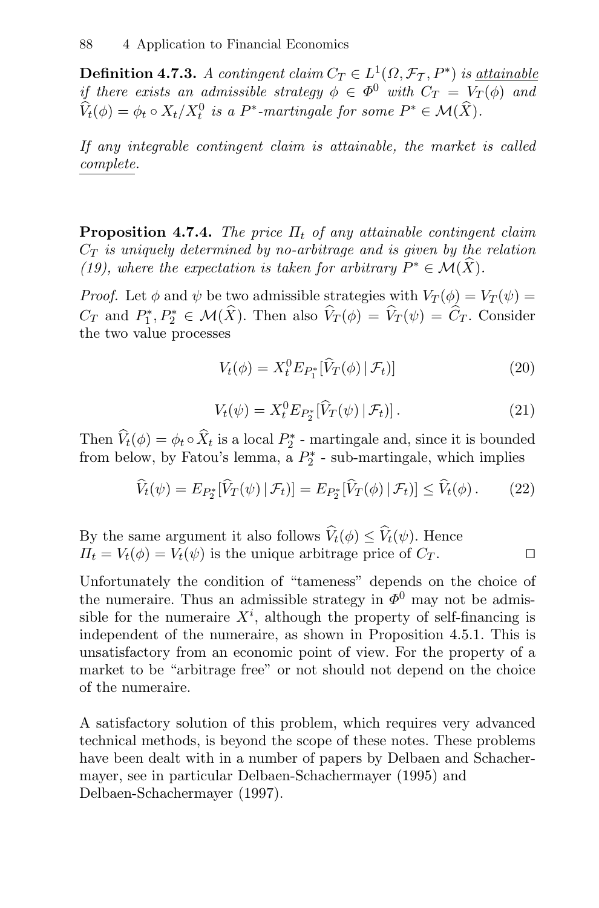**Definition 4.7.3.** A contingent claim  $C_T \in L^1(\Omega, \mathcal{F}_T, P^*)$  is <u>attainable</u> if there exists an admissible strategy  $\phi \in \Phi^0$  with  $C_T = V_T(\phi)$  and  $\hat{V}_t(\phi) = \phi_t \circ X_t/X_t^0$  is a P<sup>\*</sup>-martingale for some  $P^* \in \mathcal{M}(X)$ .

If any integrable contingent claim is attainable, the market is called complete.

**Proposition 4.7.4.** The price  $\Pi_t$  of any attainable contingent claim  $C_T$  is uniquely determined by no-arbitrage and is given by the relation (19), where the expectation is taken for arbitrary  $P^* \in \mathcal{M}(X)$ .

*Proof.* Let  $\phi$  and  $\psi$  be two admissible strategies with  $V_T(\phi) = V_T(\psi)$  $C_T$  and  $P_1^*, P_2^* \in \mathcal{M}(X)$ . Then also  $V_T(\phi) = V_T(\psi) = C_T$ . Consider the two value processes

$$
V_t(\phi) = X_t^0 E_{P_1^*}[\hat{V}_T(\phi) | \mathcal{F}_t]]
$$
\n(20)

$$
V_t(\psi) = X_t^0 E_{P_2^*}[\hat{V}_T(\psi) | \mathcal{F}_t]. \tag{21}
$$

Then  $V_t(\phi) = \phi_t \circ X_t$  is a local  $P_2^*$  - martingale and, since it is bounded from below, by Fatou's lemma, a  $P_2^*$  - sub-martingale, which implies

$$
\widehat{V}_t(\psi) = E_{P_2^*}[\widehat{V}_T(\psi) | \mathcal{F}_t]] = E_{P_2^*}[\widehat{V}_T(\phi) | \mathcal{F}_t]] \le \widehat{V}_t(\phi).
$$
 (22)

By the same argument it also follows  $\hat{V}_t(\phi) \leq \hat{V}_t(\psi)$ . Hence  $\Pi_t = V_t(\phi) = V_t(\psi)$  is the unique arbitrage price of  $C_T$ .

Unfortunately the condition of "tameness" depends on the choice of the numeraire. Thus an admissible strategy in  $\Phi^0$  may not be admissible for the numeraire  $X^i$ , although the property of self-financing is independent of the numeraire, as shown in Proposition 4.5.1. This is unsatisfactory from an economic point of view. For the property of a market to be "arbitrage free" or not should not depend on the choice of the numeraire.

A satisfactory solution of this problem, which requires very advanced technical methods, is beyond the scope of these notes. These problems have been dealt with in a number of papers by Delbaen and Schachermayer, see in particular Delbaen-Schachermayer (1995) and Delbaen-Schachermayer (1997).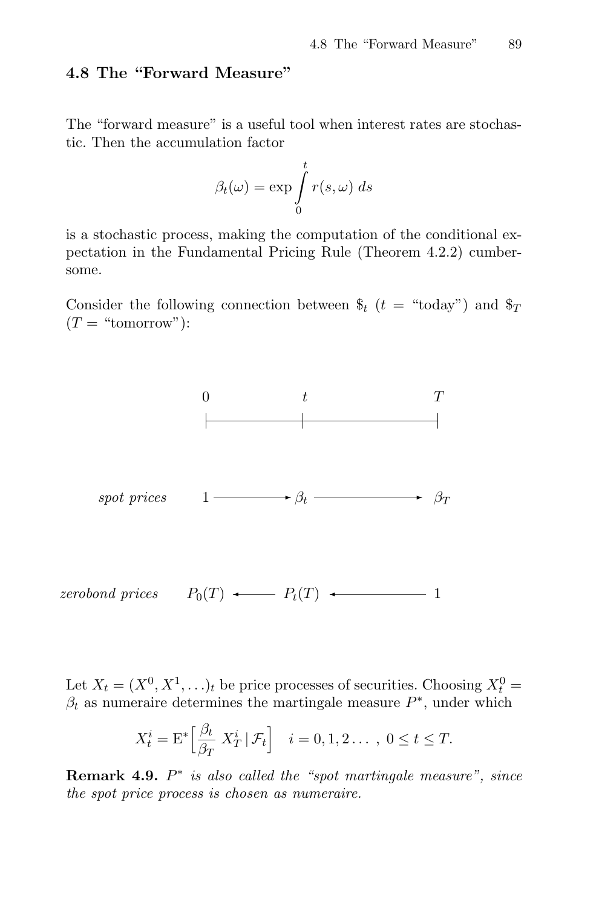## **4.8 The "Forward Measure"**

The "forward measure" is a useful tool when interest rates are stochastic. Then the accumulation factor

$$
\beta_t(\omega) = \exp \int_0^t r(s, \omega) \ ds
$$

is a stochastic process, making the computation of the conditional expectation in the Fundamental Pricing Rule (Theorem 4.2.2) cumbersome.

Consider the following connection between  $\hat{\mathbf{s}}_t$  ( $t =$  "today") and  $\hat{\mathbf{s}}_T$  $(T = "tomorrow")$ :



Let  $X_t = (X^0, X^1, \ldots)_t$  be price processes of securities. Choosing  $X_t^0 =$  $\beta_t$  as numeraire determines the martingale measure  $P^*$ , under which

$$
X_t^i = \mathcal{E}^* \Big[ \frac{\beta_t}{\beta_T} \ X_T^i \, \big| \, \mathcal{F}_t \Big] \quad i = 0, 1, 2 \dots, \ 0 \le t \le T.
$$

**Remark 4.9.** P∗ is also called the "spot martingale measure", since the spot price process is chosen as numeraire.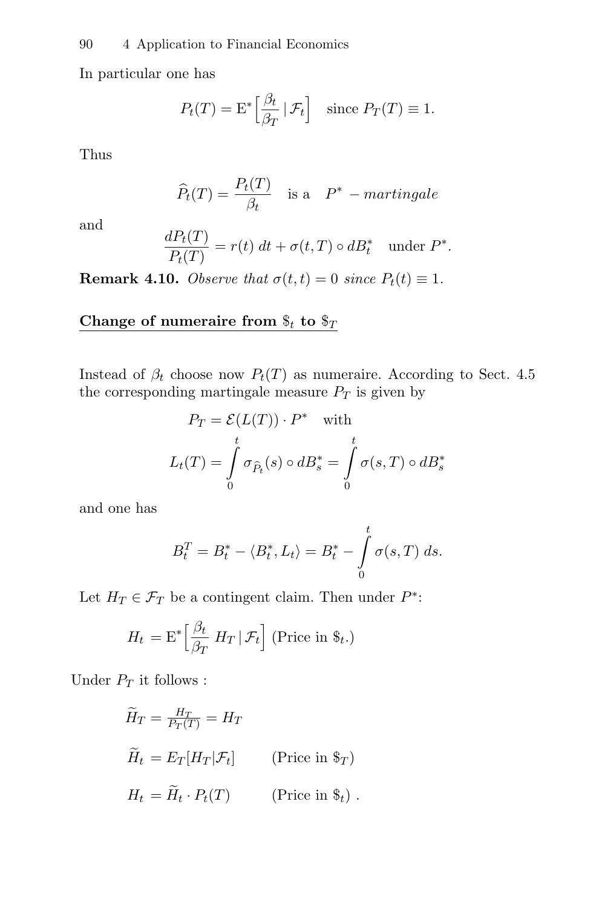In particular one has

$$
P_t(T) = \mathcal{E}^* \left[ \frac{\beta_t}{\beta_T} \, \vert \, \mathcal{F}_t \right] \quad \text{since } P_T(T) \equiv 1.
$$

Thus

$$
\widehat{P}_t(T) = \frac{P_t(T)}{\beta_t} \quad \text{is a} \quad P^* - martingale
$$

and

$$
\frac{dP_t(T)}{P_t(T)} = r(t) dt + \sigma(t,T) \circ dB_t^* \quad \text{under } P^*.
$$

**Remark 4.10.** Observe that  $\sigma(t, t) = 0$  since  $P_t(t) \equiv 1$ .

### Change of numeraire from  $\$_t$  to  $\$_T$

Instead of  $\beta_t$  choose now  $P_t(T)$  as numeraire. According to Sect. 4.5 the corresponding martingale measure  $P_T$  is given by

$$
P_T = \mathcal{E}(L(T)) \cdot P^* \quad \text{with}
$$
  

$$
L_t(T) = \int_0^t \sigma_{\hat{P}_t}(s) \circ dB_s^* = \int_0^t \sigma(s, T) \circ dB_s^*
$$

and one has

$$
B_t^T = B_t^* - \langle B_t^*, L_t \rangle = B_t^* - \int_0^t \sigma(s, T) \, ds.
$$

Let  $H_T \in \mathcal{F}_T$  be a contingent claim. Then under  $P^*$ :

$$
H_t = \mathrm{E}^* \left[ \frac{\beta_t}{\beta_T} \ H_T \, \middle| \, \mathcal{F}_t \right] \text{ (Price in } \$_t.)
$$

Under  $\mathcal{P}_T$  it follows :

$$
\widetilde{H}_T = \frac{H_T}{P_T(T)} = H_T
$$
\n
$$
\widetilde{H}_t = E_T[H_T|\mathcal{F}_t]
$$
\n(Price in  $\$\tau$)$ )

\n
$$
H_t = \widetilde{H}_t \cdot P_t(T)
$$
\n(Price in  $\$\_t$ )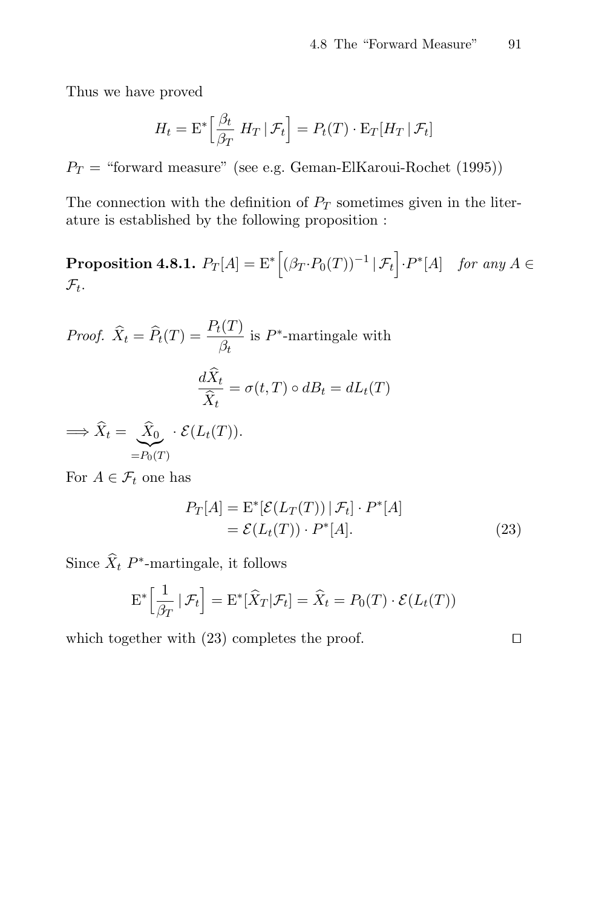Thus we have proved

$$
H_t = \mathrm{E}^* \left[ \frac{\beta_t}{\beta_T} \ H_T \, \vert \, \mathcal{F}_t \right] = P_t(T) \cdot \mathrm{E}_T[H_T \, \vert \, \mathcal{F}_t]
$$

 $P_T$  = "forward measure" (see e.g. Geman-ElKaroui-Rochet (1995))

The connection with the definition of  $P_T$  sometimes given in the literature is established by the following proposition :

**Proposition 4.8.1.**  $P_T[A] = \mathrm{E}^* \left[ (\beta_T \cdot P_0(T))^{-1} | \mathcal{F}_t \right] \cdot P^*[A]$  for any  $A \in$  $\mathcal{F}_t$ .

Proof. 
$$
\widehat{X}_t = \widehat{P}_t(T) = \frac{P_t(T)}{\beta_t}
$$
 is  $P^*$ -martingale with  
\n
$$
\frac{d\widehat{X}_t}{\widehat{X}_t} = \sigma(t,T) \circ dB_t = dL_t(T)
$$
\n
$$
\implies \widehat{X}_t = \underbrace{\widehat{X}_0}_{=P_0(T)} \cdot \mathcal{E}(L_t(T)).
$$

For  $A \in \mathcal{F}_t$  one has

$$
P_T[A] = \mathcal{E}^*[\mathcal{E}(L_T(T)) | \mathcal{F}_t] \cdot P^*[A]
$$
  
=  $\mathcal{E}(L_t(T)) \cdot P^*[A].$  (23)

Since  $\widehat{X}_t$  P<sup>\*</sup>-martingale, it follows

$$
\mathcal{E}^*\left[\frac{1}{\beta_T} \,|\, \mathcal{F}_t\right] = \mathcal{E}^*\left[\widehat{X}_T | \mathcal{F}_t\right] = \widehat{X}_t = P_0(T) \cdot \mathcal{E}(L_t(T))
$$

which together with  $(23)$  completes the proof.  $\square$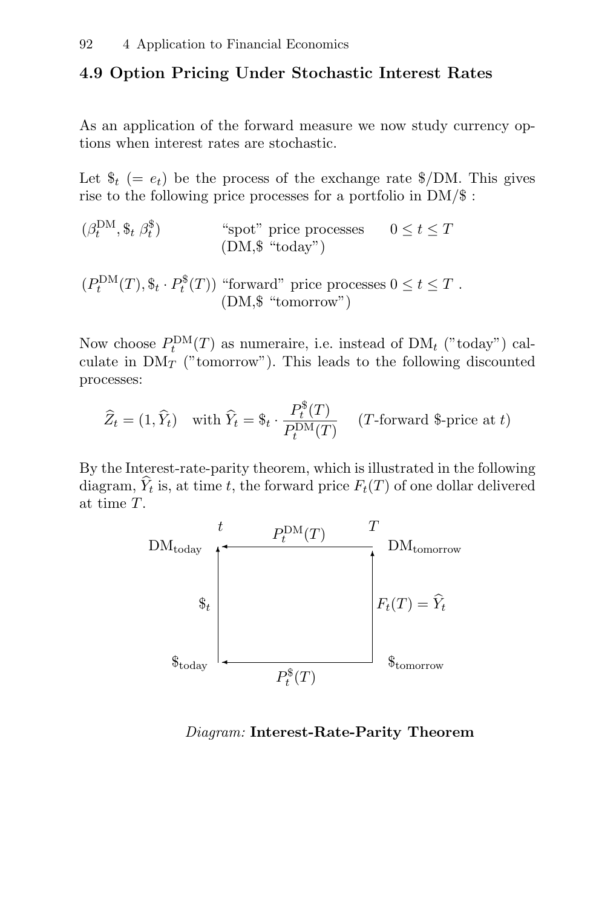## **4.9 Option Pricing Under Stochastic Interest Rates**

As an application of the forward measure we now study currency options when interest rates are stochastic.

Let  $\$_t \ (= e_t)$  be the process of the exchange rate  $\$/DM$ . This gives rise to the following price processes for a portfolio in DM/\$ :

$$
(\beta_t^{\text{DM}}, \$_t \beta_t^{\$}) \qquad \text{``spot'' price processes} \qquad 0 \le t \le T
$$
  
(DM, \$ "today")

 $(P_t^{\text{DM}}(T), \$_t \cdot P_t^{\$}(T))$  "forward" price processes  $0 \le t \le T$ . (DM,\$ "tomorrow")

Now choose  $P_t^{\text{DM}}(T)$  as numeraire, i.e. instead of  $\text{DM}_t$  ("today") calculate in  $\mathrm{DM}_{T}$  ("tomorrow"). This leads to the following discounted processes:

$$
\widehat{Z}_t = (1, \widehat{Y}_t) \quad \text{with } \widehat{Y}_t = \$_t \cdot \frac{P_t^{\$}(T)}{P_t^{\text{DM}}(T)} \quad (T\text{-forward } \$ \text{-price at } t)
$$

By the Interest-rate-parity theorem, which is illustrated in the following diagram,  $\hat{Y}_t$  is, at time t, the forward price  $F_t(T)$  of one dollar delivered at time T.



Diagram: **Interest-Rate-Parity Theorem**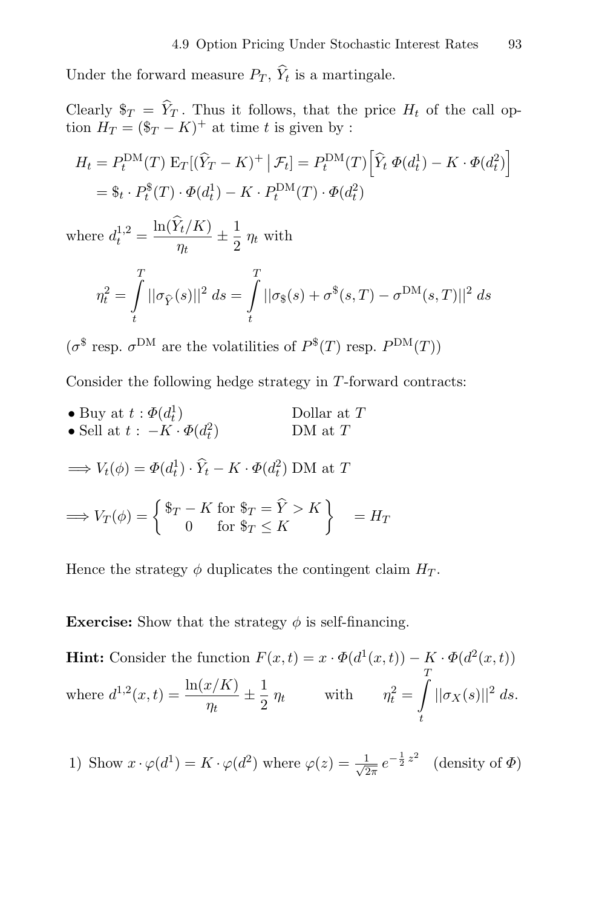Under the forward measure  $P_T$ ,  $\hat{Y}_t$  is a martingale.

Clearly  $\$_T = \hat{Y}_T$ . Thus it follows, that the price  $H_t$  of the call option  $H_T = (\$_{T} - K)^+$  at time t is given by :

$$
H_t = P_t^{\text{DM}}(T) \mathbb{E}_T[(\hat{Y}_T - K)^+ | \mathcal{F}_t] = P_t^{\text{DM}}(T) \left[ \hat{Y}_t \ \Phi(d_t^1) - K \cdot \Phi(d_t^2) \right]
$$
  
=  $\$_t \cdot P_t^{\$}(T) \cdot \Phi(d_t^1) - K \cdot P_t^{\text{DM}}(T) \cdot \Phi(d_t^2)$ 

where  $d_t^{1,2} = \frac{\ln(Y_t/K)}{\eta_t} \pm \frac{1}{\eta_t}$  $\frac{1}{2}$   $\eta_t$  with

$$
\eta_t^2 = \int_t^T ||\sigma_{\hat{Y}}(s)||^2 ds = \int_t^T ||\sigma_{\hat{Y}}(s) + \sigma^{\hat{Y}}(s,T) - \sigma^{\text{DM}}(s,T)||^2 ds
$$

 $(\sigma^{\$}$  resp.  $\sigma^{DM}$  are the volatilities of  $P^{\$}(T)$  resp.  $P^{DM}(T)$ )

Consider the following hedge strategy in T-forward contracts:

• Buy at  $t : \Phi(d_t)$  $\bigcup_{t=1}^{T}$  Dollar at T • Sell at  $t : -K \cdot \Phi(d_t^2)$  DM at T

$$
\implies V_t(\phi) = \Phi(d_t^1) \cdot \hat{Y}_t - K \cdot \Phi(d_t^2) \text{ DM at } T
$$

$$
\implies V_T(\phi) = \begin{cases} \frac{\$T - K \text{ for } \$T = \hat{Y} > K} \\ 0 & \text{for } \$T \le K \end{cases} = H_T
$$

Hence the strategy  $\phi$  duplicates the contingent claim  $H_T$ .

**Exercise:** Show that the strategy  $\phi$  is self-financing.

**Hint:** Consider the function  $F(x,t) = x \cdot \Phi(d^1(x,t)) - K \cdot \Phi(d^2(x,t))$ where  $d^{1,2}(x,t) = \frac{\ln(x/K)}{\eta_t} \pm$  $\frac{1}{2} \eta_t$  with  $\eta_t^2 =$ t  $||\sigma_X(s)||^2 ds.$ 

1) Show  $x \cdot \varphi(d^1) = K \cdot \varphi(d^2)$  where  $\varphi(z) = \frac{1}{\sqrt{2\pi}} e^{-\frac{1}{2}z^2}$  (density of  $\Phi$ )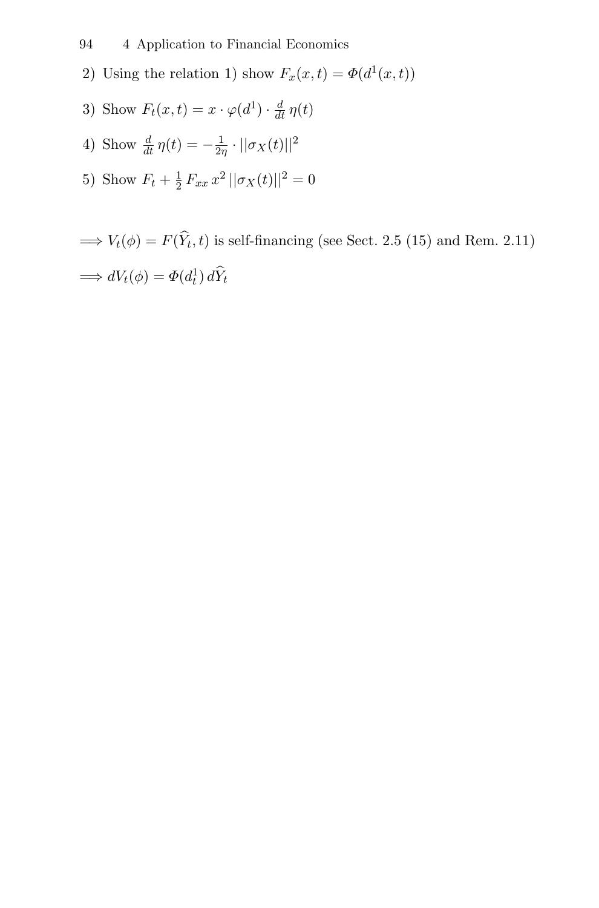94 4 Application to Financial Economics

- 2) Using the relation 1) show  $F_x(x,t) = \Phi(d^1(x,t))$
- 3) Show  $F_t(x,t) = x \cdot \varphi(d^1) \cdot \frac{d}{dt} \eta(t)$
- 4) Show  $\frac{d}{dt} \eta(t) = -\frac{1}{2\eta} \cdot ||\sigma_X(t)||^2$
- 5) Show  $F_t + \frac{1}{2} F_{xx} x^2 ||\sigma_X(t)||^2 = 0$

 $\Longrightarrow V_t(\phi)=F(\widehat{Y}_t,t)$  is self-financing (see Sect. 2.5 (15) and Rem. 2.11)  $\implies dV_t(\phi) = \Phi(d_t^1) d\hat{Y}_t$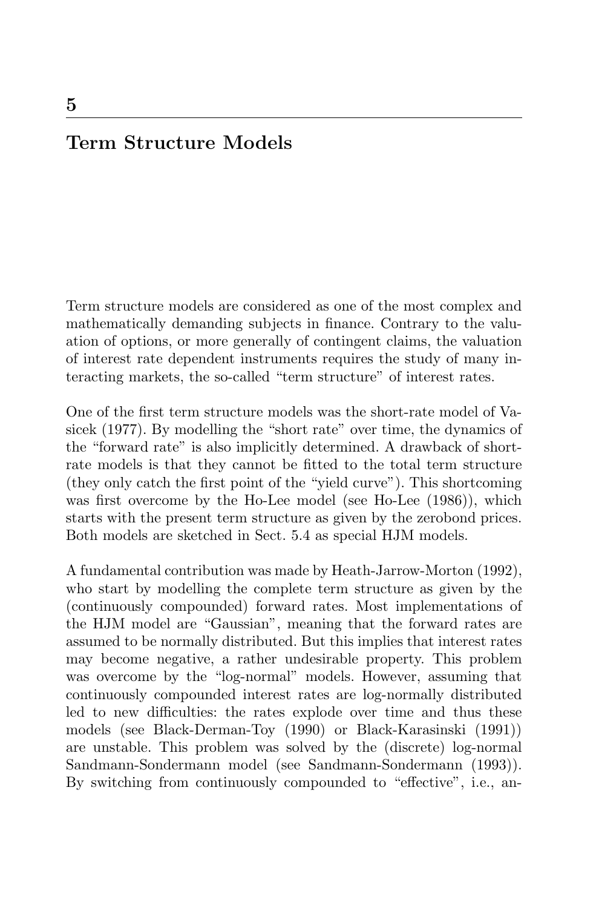## **Term Structure Models**

Term structure models are considered as one of the most complex and mathematically demanding subjects in finance. Contrary to the valuation of options, or more generally of contingent claims, the valuation of interest rate dependent instruments requires the study of many interacting markets, the so-called "term structure" of interest rates.

One of the first term structure models was the short-rate model of Vasicek (1977). By modelling the "short rate" over time, the dynamics of the "forward rate" is also implicitly determined. A drawback of shortrate models is that they cannot be fitted to the total term structure (they only catch the first point of the "yield curve"). This shortcoming was first overcome by the Ho-Lee model (see Ho-Lee (1986)), which starts with the present term structure as given by the zerobond prices. Both models are sketched in Sect. 5.4 as special HJM models.

A fundamental contribution was made by Heath-Jarrow-Morton (1992), who start by modelling the complete term structure as given by the (continuously compounded) forward rates. Most implementations of the HJM model are "Gaussian", meaning that the forward rates are assumed to be normally distributed. But this implies that interest rates may become negative, a rather undesirable property. This problem was overcome by the "log-normal" models. However, assuming that continuously compounded interest rates are log-normally distributed led to new difficulties: the rates explode over time and thus these models (see Black-Derman-Toy (1990) or Black-Karasinski (1991)) are unstable. This problem was solved by the (discrete) log-normal Sandmann-Sondermann model (see Sandmann-Sondermann (1993)). By switching from continuously compounded to "effective", i.e., an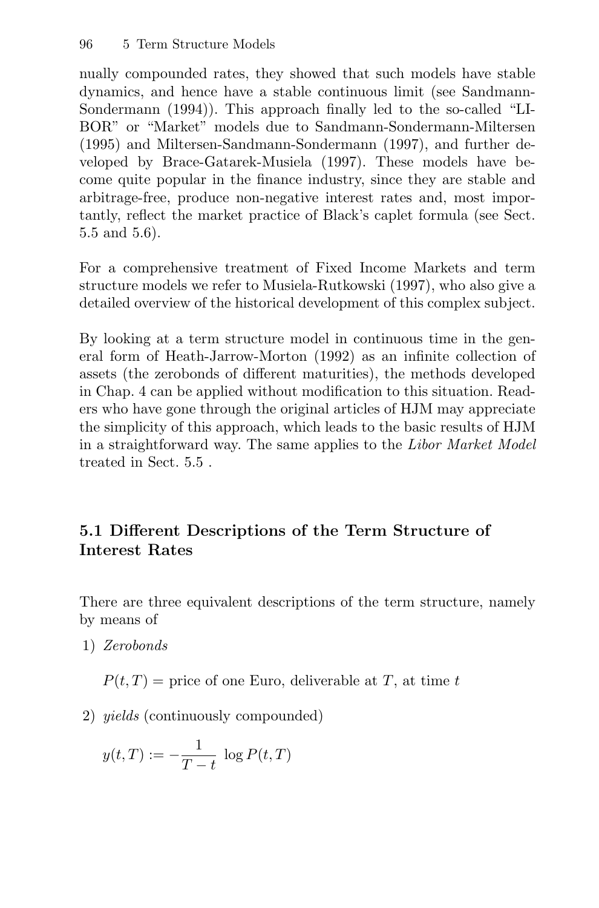nually compounded rates, they showed that such models have stable dynamics, and hence have a stable continuous limit (see Sandmann-Sondermann (1994)). This approach finally led to the so-called "LI-BOR" or "Market" models due to Sandmann-Sondermann-Miltersen (1995) and Miltersen-Sandmann-Sondermann (1997), and further developed by Brace-Gatarek-Musiela (1997). These models have become quite popular in the finance industry, since they are stable and arbitrage-free, produce non-negative interest rates and, most importantly, reflect the market practice of Black's caplet formula (see Sect. 5.5 and 5.6).

For a comprehensive treatment of Fixed Income Markets and term structure models we refer to Musiela-Rutkowski (1997), who also give a detailed overview of the historical development of this complex subject.

By looking at a term structure model in continuous time in the general form of Heath-Jarrow-Morton (1992) as an infinite collection of assets (the zerobonds of different maturities), the methods developed in Chap. 4 can be applied without modification to this situation. Readers who have gone through the original articles of HJM may appreciate the simplicity of this approach, which leads to the basic results of HJM in a straightforward way. The same applies to the Libor Market Model treated in Sect. 5.5 .

## **5.1 Different Descriptions of the Term Structure of Interest Rates**

There are three equivalent descriptions of the term structure, namely by means of

1) Zerobonds

 $P(t,T)$  = price of one Euro, deliverable at T, at time t

2) yields (continuously compounded)

$$
y(t,T) := -\frac{1}{T-t} \log P(t,T)
$$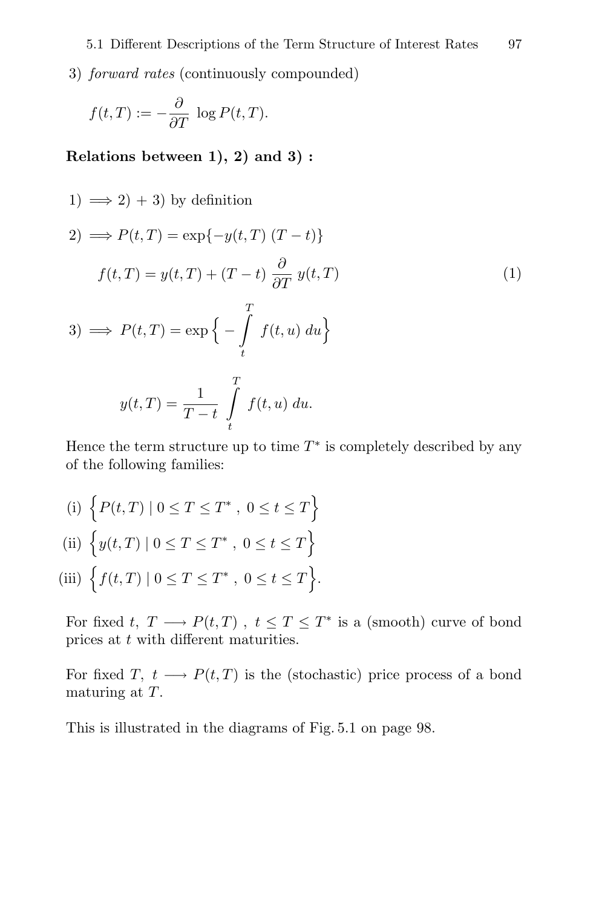3) forward rates (continuously compounded)

$$
f(t,T) := -\frac{\partial}{\partial T} \, \log P(t,T).
$$

**Relations between 1), 2) and 3) :**

1) 
$$
\implies
$$
 2) + 3) by definition  
\n2)  $\implies$   $P(t,T) = \exp{-y(t,T) (T-t)}$   
\n $f(t,T) = y(t,T) + (T-t) \frac{\partial}{\partial T} y(t,T)$   
\n3)  $\implies$   $P(t,T) = \exp\{-\int_{t}^{T} f(t,u) du\}$   
\n $y(t,T) = \frac{1}{T-t} \int_{t}^{T} f(t,u) du.$  (1)

Hence the term structure up to time  $T^*$  is completely described by any of the following families:

(i)  $\{P(t,T) | 0 \le T \le T^* , 0 \le t \le T \}$ (ii)  $\{y(t,T) | 0 \le T \le T^* , 0 \le t \le T\}$ (iii)  $\Big\{ f(t,T) \mid 0 \leq T \leq T^* , 0 \leq t \leq T \Big\}.$ 

 $T - t$ 

t

For fixed t,  $T \longrightarrow P(t,T)$ ,  $t \leq T \leq T^*$  is a (smooth) curve of bond prices at t with different maturities.

For fixed T,  $t \longrightarrow P(t,T)$  is the (stochastic) price process of a bond maturing at T.

This is illustrated in the diagrams of Fig. 5.1 on page 98.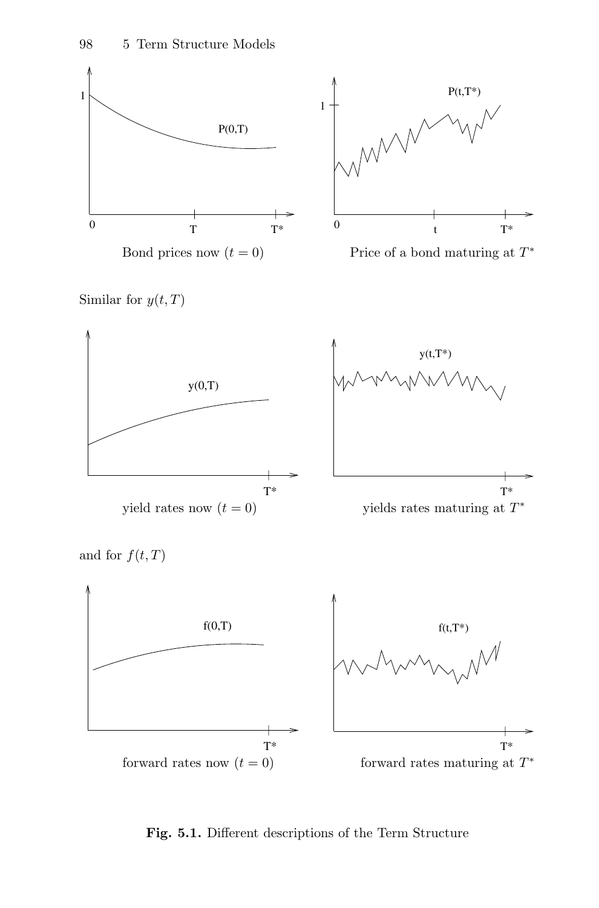

**Fig. 5.1.** Different descriptions of the Term Structure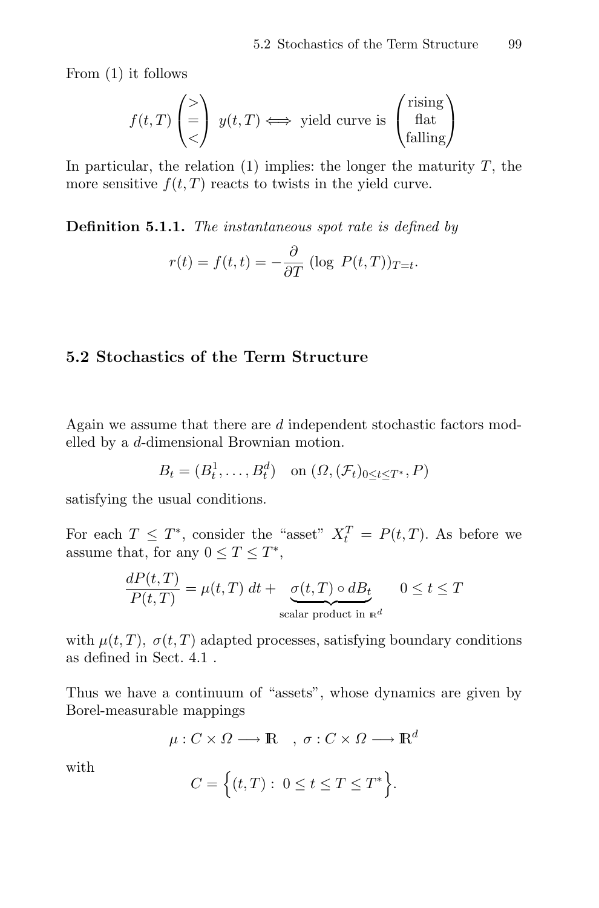From (1) it follows

$$
f(t,T) \begin{pmatrix} > \\ = \\ < \end{pmatrix} y(t,T) \Longleftrightarrow \text{ yield curve is } \begin{pmatrix} \text{rising} \\ \text{flat} \\ \text{falling} \end{pmatrix}
$$

In particular, the relation  $(1)$  implies: the longer the maturity  $T$ , the more sensitive  $f(t, T)$  reacts to twists in the yield curve.

**Definition 5.1.1.** The instantaneous spot rate is defined by

$$
r(t) = f(t, t) = -\frac{\partial}{\partial T} (\log P(t, T))_{T=t}.
$$

## **5.2 Stochastics of the Term Structure**

Again we assume that there are d independent stochastic factors modelled by a d-dimensional Brownian motion.

$$
B_t = (B_t^1, \dots, B_t^d) \quad \text{on } (\Omega, (\mathcal{F}_t)_{0 \le t \le T^*}, P)
$$

satisfying the usual conditions.

For each  $T \leq T^*$ , consider the "asset"  $X_t^T = P(t,T)$ . As before we assume that, for any  $0 \leq T \leq T^*$ ,

$$
\frac{dP(t,T)}{P(t,T)} = \mu(t,T) dt + \underbrace{\sigma(t,T) \circ dB_t}_{\text{scalar product in } \mathbb{R}^d} \quad 0 \le t \le T
$$

with  $\mu(t, T)$ ,  $\sigma(t, T)$  adapted processes, satisfying boundary conditions as defined in Sect. 4.1 .

Thus we have a continuum of "assets", whose dynamics are given by Borel-measurable mappings

$$
\mu: C \times \Omega \longrightarrow \mathbb{R} \quad , \ \sigma: C \times \Omega \longrightarrow \mathbb{R}^d
$$

with

$$
C = \Big\{ (t,T): 0 \le t \le T \le T^* \Big\}.
$$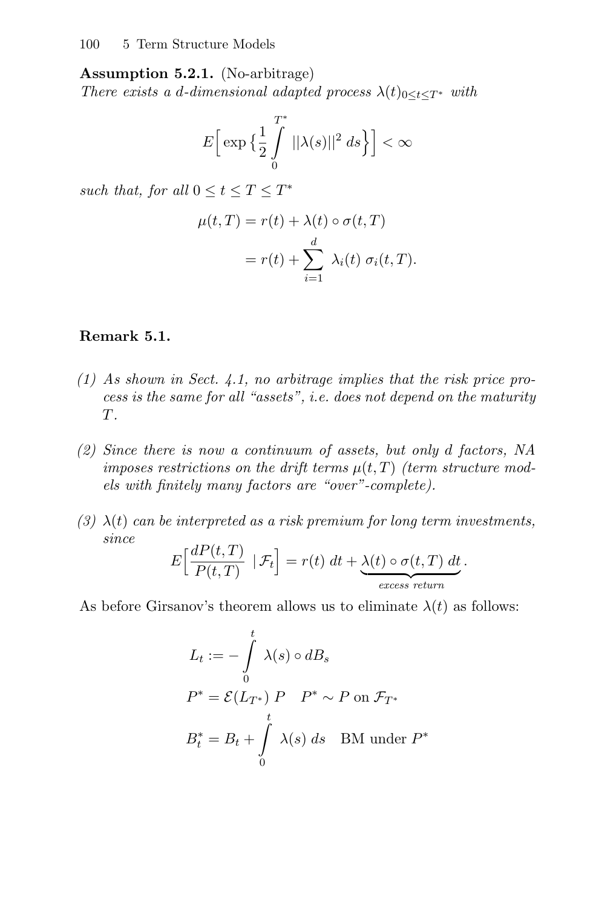**Assumption 5.2.1.** (No-arbitrage) There exists a d-dimensional adapted process  $\lambda(t)_{0 \leq t \leq T^*}$  with

$$
E\Big[\exp\big\{\frac{1}{2}\int\limits_{0}^{T^*}||\lambda(s)||^2\ ds\Big\}\Big]<\infty
$$

such that, for all  $0 \le t \le T \le T^*$ 

$$
\mu(t,T) = r(t) + \lambda(t) \circ \sigma(t,T)
$$

$$
= r(t) + \sum_{i=1}^{d} \lambda_i(t) \sigma_i(t,T).
$$

#### **Remark 5.1.**

- (1) As shown in Sect. 4.1, no arbitrage implies that the risk price process is the same for all "assets", i.e. does not depend on the maturity T.
- (2) Since there is now a continuum of assets, but only d factors, NA imposes restrictions on the drift terms  $\mu(t,T)$  (term structure models with finitely many factors are "over"-complete).
- (3)  $\lambda(t)$  can be interpreted as a risk premium for long term investments, since

$$
E\left[\frac{dP(t,T)}{P(t,T)} | \mathcal{F}_t\right] = r(t) dt + \underbrace{\lambda(t) \circ \sigma(t,T) dt}_{excess return}.
$$

As before Girsanov's theorem allows us to eliminate  $\lambda(t)$  as follows:

$$
L_t := -\int_0^t \lambda(s) \circ dB_s
$$
  
\n
$$
P^* = \mathcal{E}(L_{T^*}) \, P \quad P^* \sim P \text{ on } \mathcal{F}_{T^*}
$$
  
\n
$$
B_t^* = B_t + \int_0^t \lambda(s) \, ds \quad \text{BM under } P^*
$$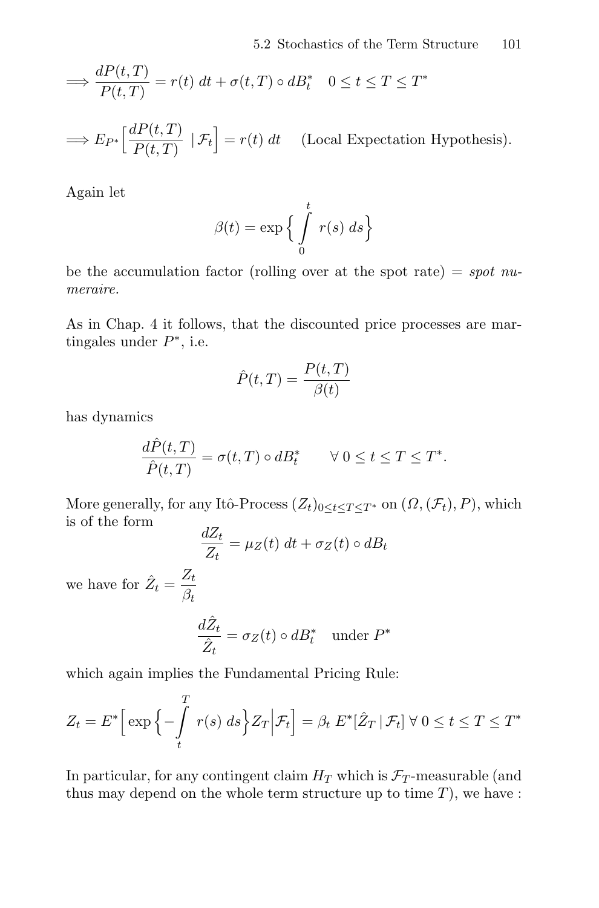$$
\implies \frac{dP(t,T)}{P(t,T)} = r(t) \, dt + \sigma(t,T) \circ dB_t^* \quad 0 \le t \le T \le T^*
$$

$$
\implies E_{P^*}\left[\frac{dP(t,T)}{P(t,T)} \mid \mathcal{F}_t\right] = r(t) dt \quad \text{(Local Expectation Hypothesis)}.
$$

Again let

$$
\beta(t) = \exp\left\{\int\limits_0^t r(s) \, ds\right\}
$$

be the accumulation factor (rolling over at the spot rate) = spot numeraire.

As in Chap. 4 it follows, that the discounted price processes are martingales under  $P^*$ , i.e.

$$
\hat{P}(t,T) = \frac{P(t,T)}{\beta(t)}
$$

has dynamics

$$
\frac{d\hat{P}(t,T)}{\hat{P}(t,T)} = \sigma(t,T) \circ dB_t^* \qquad \forall \ 0 \le t \le T \le T^*.
$$

More generally, for any Itô-Process  $(Z_t)_{0 \leq t \leq T \leq T^*}$  on  $(\Omega, (\mathcal{F}_t), P)$ , which is of the form

$$
\frac{dZ_t}{Z_t} = \mu_Z(t) \, dt + \sigma_Z(t) \circ dB_t
$$

we have for  $\hat{Z}_t = \frac{Z_t}{\beta_t}$ 

$$
\frac{d\hat{Z}_t}{\hat{Z}_t} = \sigma_Z(t) \circ dB_t^* \quad \text{under } P^*
$$

which again implies the Fundamental Pricing Rule:

 $\overline{a}$ 

$$
Z_t = E^* \Big[ \exp \Big\{-\int\limits_t^T r(s) \; ds \Big\} Z_T \Big| \mathcal{F}_t \Big] = \beta_t \; E^* [\hat{Z}_T \, | \, \mathcal{F}_t] \; \forall \; 0 \le t \le T \le T^*
$$

In particular, for any contingent claim  $H_T$  which is  $\mathcal{F}_T$ -measurable (and thus may depend on the whole term structure up to time  $T$ ), we have :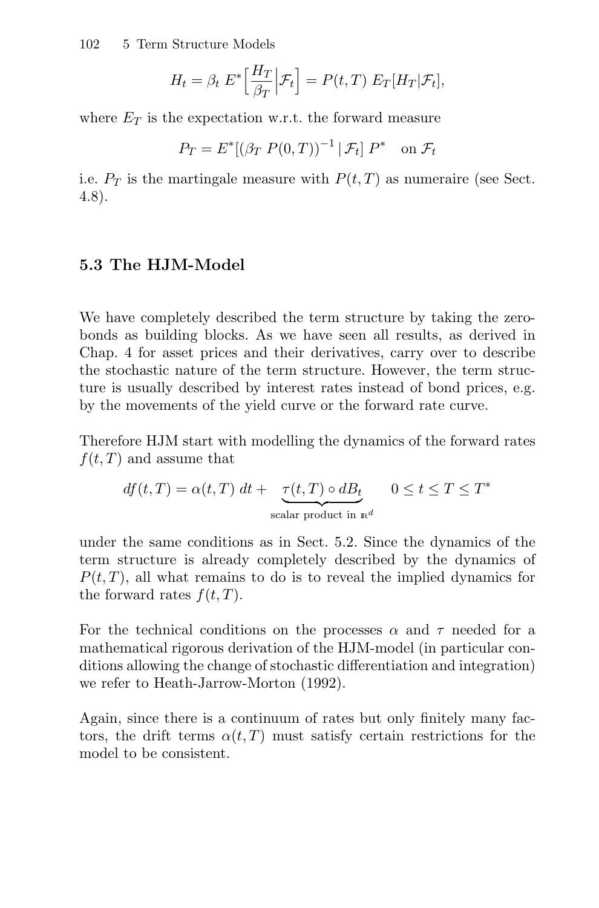102 5 Term Structure Models

$$
H_t = \beta_t \ E^* \Big[ \frac{H_T}{\beta_T} \Big| \mathcal{F}_t \Big] = P(t,T) \ E_T[H_T | \mathcal{F}_t],
$$

where  $E_T$  is the expectation w.r.t. the forward measure

$$
P_T = E^*[(\beta_T P(0,T))^{-1} | \mathcal{F}_t] P^* \quad \text{on } \mathcal{F}_t
$$

i.e.  $P_T$  is the martingale measure with  $P(t,T)$  as numeraire (see Sect. 4.8).

#### **5.3 The HJM-Model**

We have completely described the term structure by taking the zerobonds as building blocks. As we have seen all results, as derived in Chap. 4 for asset prices and their derivatives, carry over to describe the stochastic nature of the term structure. However, the term structure is usually described by interest rates instead of bond prices, e.g. by the movements of the yield curve or the forward rate curve.

Therefore HJM start with modelling the dynamics of the forward rates  $f(t, T)$  and assume that

$$
df(t,T) = \alpha(t,T) \, dt + \underbrace{\tau(t,T) \circ dB_t}_{\text{scalar product in } \mathbb{R}^d} \quad 0 \le t \le T \le T^*
$$

under the same conditions as in Sect. 5.2. Since the dynamics of the term structure is already completely described by the dynamics of  $P(t, T)$ , all what remains to do is to reveal the implied dynamics for the forward rates  $f(t, T)$ .

For the technical conditions on the processes  $\alpha$  and  $\tau$  needed for a mathematical rigorous derivation of the HJM-model (in particular conditions allowing the change of stochastic differentiation and integration) we refer to Heath-Jarrow-Morton (1992).

Again, since there is a continuum of rates but only finitely many factors, the drift terms  $\alpha(t, T)$  must satisfy certain restrictions for the model to be consistent.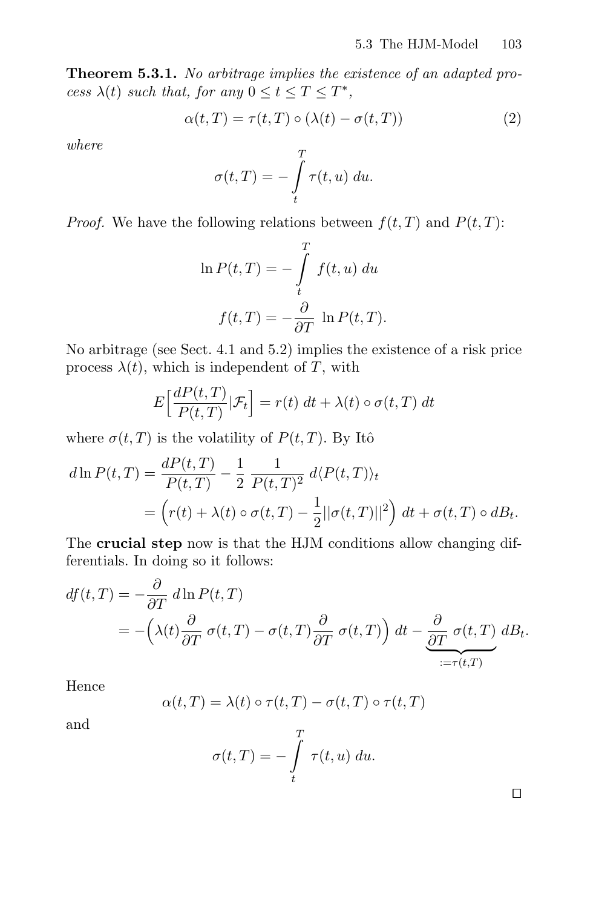**Theorem 5.3.1.** No arbitrage implies the existence of an adapted process  $\lambda(t)$  such that, for any  $0 \le t \le T \le T^*$ ,

$$
\alpha(t,T) = \tau(t,T) \circ (\lambda(t) - \sigma(t,T)) \tag{2}
$$

where

$$
\sigma(t,T) = -\int_{t}^{T} \tau(t,u) \ du.
$$

*Proof.* We have the following relations between  $f(t, T)$  and  $P(t, T)$ :

$$
\ln P(t,T) = -\int_{t}^{T} f(t,u) du
$$

$$
f(t,T) = -\frac{\partial}{\partial T} \ln P(t,T).
$$

No arbitrage (see Sect. 4.1 and 5.2) implies the existence of a risk price process  $\lambda(t)$ , which is independent of T, with

$$
E\left[\frac{dP(t,T)}{P(t,T)}|\mathcal{F}_t\right] = r(t) dt + \lambda(t) \circ \sigma(t,T) dt
$$

where  $\sigma(t,T)$  is the volatility of  $P(t,T)$ . By Itô

$$
d\ln P(t,T) = \frac{dP(t,T)}{P(t,T)} - \frac{1}{2} \frac{1}{P(t,T)^2} d\langle P(t,T) \rangle_t
$$
  
= 
$$
\left(r(t) + \lambda(t) \circ \sigma(t,T) - \frac{1}{2} ||\sigma(t,T)||^2\right) dt + \sigma(t,T) \circ dB_t.
$$

The **crucial step** now is that the HJM conditions allow changing differentials. In doing so it follows:

$$
df(t,T) = -\frac{\partial}{\partial T} d\ln P(t,T)
$$
  
=  $-\left(\lambda(t)\frac{\partial}{\partial T}\sigma(t,T) - \sigma(t,T)\frac{\partial}{\partial T}\sigma(t,T)\right) dt - \underbrace{\frac{\partial}{\partial T}\sigma(t,T)}_{:=\tau(t,T)} dB_t.$ 

Hence

$$
\alpha(t,T) = \lambda(t) \circ \tau(t,T) - \sigma(t,T) \circ \tau(t,T)
$$

and

$$
\sigma(t,T) = -\int\limits_t^T \tau(t,u) \ du.
$$

 $\Box$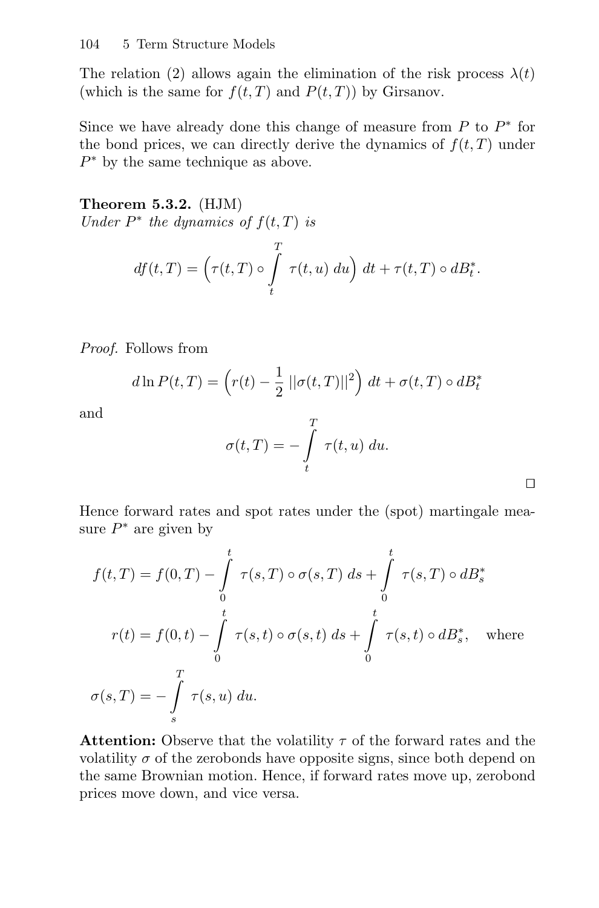The relation (2) allows again the elimination of the risk process  $\lambda(t)$ (which is the same for  $f(t, T)$  and  $P(t, T)$ ) by Girsanov.

Since we have already done this change of measure from  $P$  to  $P^*$  for the bond prices, we can directly derive the dynamics of  $f(t, T)$  under  $P^*$  by the same technique as above.

**Theorem 5.3.2.** (HJM) Under  $P^*$  the dynamics of  $f(t,T)$  is

$$
df(t,T) = \left(\tau(t,T) \circ \int\limits_t^T \tau(t,u) \ du\right) dt + \tau(t,T) \circ dB_t^*.
$$

Proof. Follows from

$$
d\ln P(t,T) = \left(r(t) - \frac{1}{2}||\sigma(t,T)||^2\right) dt + \sigma(t,T) \circ dB_t^*
$$

and

$$
\sigma(t,T) = -\int\limits_t^T \tau(t,u) \ du.
$$

 $\Box$ 

Hence forward rates and spot rates under the (spot) martingale measure  $P^*$  are given by

$$
f(t,T) = f(0,T) - \int_{0}^{t} \tau(s,T) \circ \sigma(s,T) ds + \int_{0}^{t} \tau(s,T) \circ dB_s^*
$$

$$
r(t) = f(0,t) - \int_{0}^{t} \tau(s,t) \circ \sigma(s,t) ds + \int_{0}^{t} \tau(s,t) \circ dB_s^*, \quad \text{where}
$$

$$
\sigma(s,T) = -\int_{s}^{T} \tau(s,u) du.
$$

**Attention:** Observe that the volatility  $\tau$  of the forward rates and the volatility  $\sigma$  of the zerobonds have opposite signs, since both depend on the same Brownian motion. Hence, if forward rates move up, zerobond prices move down, and vice versa.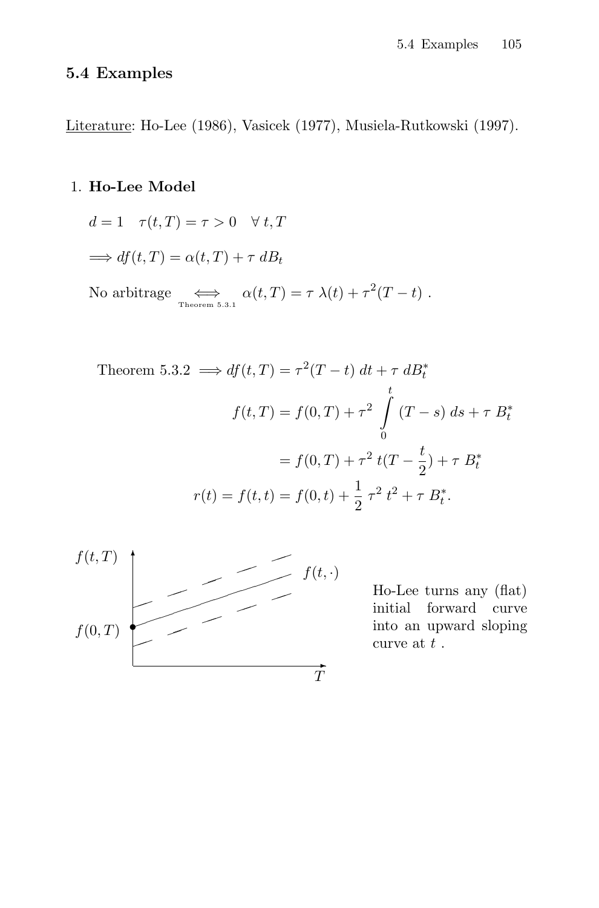## **5.4 Examples**

Literature: Ho-Lee (1986), Vasicek (1977), Musiela-Rutkowski (1997).

## 1. **Ho-Lee Model**

$$
d = 1 \quad \tau(t,T) = \tau > 0 \quad \forall \ t,T
$$
  
\n
$$
\implies df(t,T) = \alpha(t,T) + \tau \, dB_t
$$
  
\nNo arbitrage  
\n
$$
\iff_{\text{Theorem 5.3.1}} \alpha(t,T) = \tau \lambda(t) + \tau^2(T-t) .
$$

Theorem 5.3.2 
$$
\implies df(t,T) = \tau^2(T-t) dt + \tau dB_t^*
$$
  
\n
$$
f(t,T) = f(0,T) + \tau^2 \int_0^t (T-s) ds + \tau B_t^*
$$
\n
$$
= f(0,T) + \tau^2 t(T - \frac{t}{2}) + \tau B_t^*
$$
\n
$$
r(t) = f(t,t) = f(0,t) + \frac{1}{2} \tau^2 t^2 + \tau B_t^*.
$$



Ho-Lee turns any (flat) initial forward curve into an upward sloping curve at  $t$  .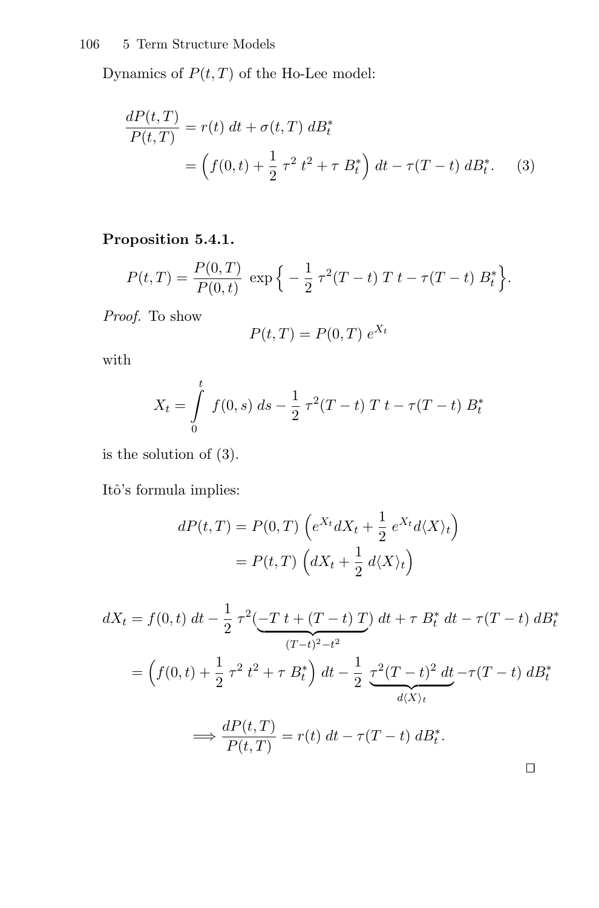Dynamics of  $P(t, T)$  of the Ho-Lee model:

$$
\frac{dP(t,T)}{P(t,T)} = r(t) dt + \sigma(t,T) dB_t^*
$$
  
=  $\left(f(0,t) + \frac{1}{2} \tau^2 t^2 + \tau B_t^*\right) dt - \tau(T-t) dB_t^*.$  (3)

## **Proposition 5.4.1.**

$$
P(t,T) = \frac{P(0,T)}{P(0,t)} \exp \left\{-\frac{1}{2} \tau^2 (T-t) T t - \tau (T-t) B_t^* \right\}.
$$

Proof. To show

$$
P(t,T) = P(0,T) e^{X_t}
$$

with

$$
X_t = \int\limits_0^t f(0, s) \, ds - \frac{1}{2} \, \tau^2 (T - t) \, T \, t - \tau (T - t) \, B_t^*
$$

is the solution of (3).

Itô's formula implies:

$$
dP(t,T) = P(0,T) \left( e^{X_t} dX_t + \frac{1}{2} e^{X_t} d\langle X \rangle_t \right)
$$

$$
= P(t,T) \left( dX_t + \frac{1}{2} d\langle X \rangle_t \right)
$$

$$
dX_t = f(0, t) dt - \frac{1}{2} \tau^2 \left( \frac{-T t + (T - t) T}{(T - t)^2 - t^2} \right) dt + \tau B_t^* dt - \tau (T - t) dB_t^*
$$
  

$$
= \left( f(0, t) + \frac{1}{2} \tau^2 t^2 + \tau B_t^* \right) dt - \frac{1}{2} \underbrace{\tau^2 (T - t)^2 dt}_{d\langle X \rangle_t} - \tau (T - t) dB_t^*
$$
  

$$
\implies \frac{dP(t, T)}{P(t, T)} = r(t) dt - \tau (T - t) dB_t^*.
$$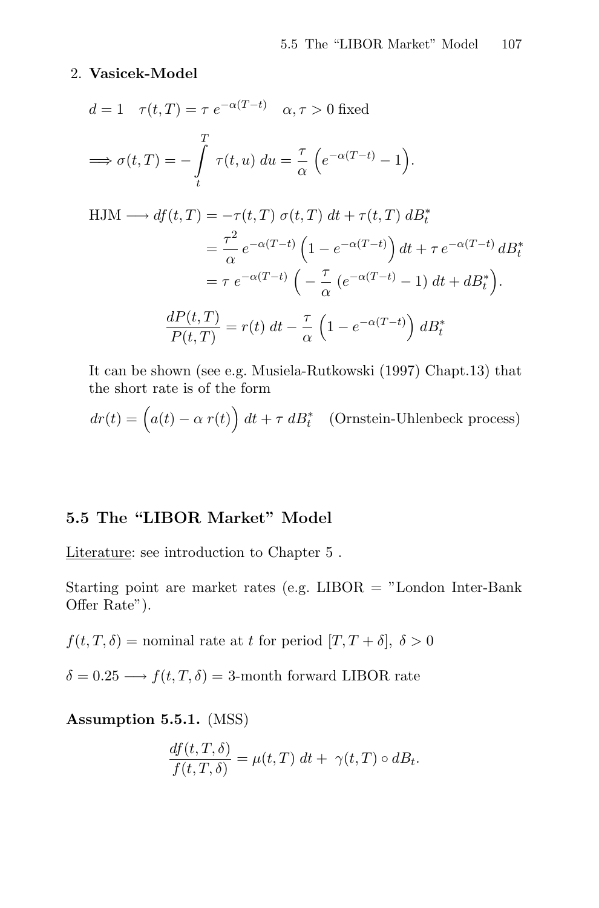#### 2. **Vasicek-Model**

$$
d = 1 \quad \tau(t, T) = \tau e^{-\alpha(T-t)} \quad \alpha, \tau > 0 \text{ fixed}
$$
  
\n
$$
\implies \sigma(t, T) = -\int_{t}^{T} \tau(t, u) du = \frac{\tau}{\alpha} \left( e^{-\alpha(T-t)} - 1 \right).
$$
  
\nHJM  $\longrightarrow df(t, T) = -\tau(t, T) \sigma(t, T) dt + \tau(t, T) dB_t^*$   
\n
$$
= \frac{\tau^2}{\alpha} e^{-\alpha(T-t)} \left( 1 - e^{-\alpha(T-t)} \right) dt + \tau e^{-\alpha(T-t)} dB_t^*
$$
  
\n
$$
= \tau e^{-\alpha(T-t)} \left( -\frac{\tau}{\alpha} \left( e^{-\alpha(T-t)} - 1 \right) dt + dB_t^* \right).
$$
  
\n
$$
\frac{dP(t, T)}{P(t, T)} = r(t) dt - \frac{\tau}{\alpha} \left( 1 - e^{-\alpha(T-t)} \right) dB_t^*
$$

It can be shown (see e.g. Musiela-Rutkowski (1997) Chapt.13) that the short rate is of the form

$$
dr(t) = \left(a(t) - \alpha r(t)\right) dt + \tau dB_t^*
$$
 (Ornstein-Uhlenbeck process)

## **5.5 The "LIBOR Market" Model**

Literature: see introduction to Chapter 5 .

Starting point are market rates (e.g.  $LIBOR = "London Inter-Bank"$ Offer Rate").

 $f(t, T, \delta)$  = nominal rate at t for period  $[T, T + \delta], \delta > 0$ 

 $\delta = 0.25 \longrightarrow f(t, T, \delta) = 3$ -month forward LIBOR rate

**Assumption 5.5.1.** (MSS)

$$
\frac{df(t,T,\delta)}{f(t,T,\delta)} = \mu(t,T) dt + \gamma(t,T) \circ dB_t.
$$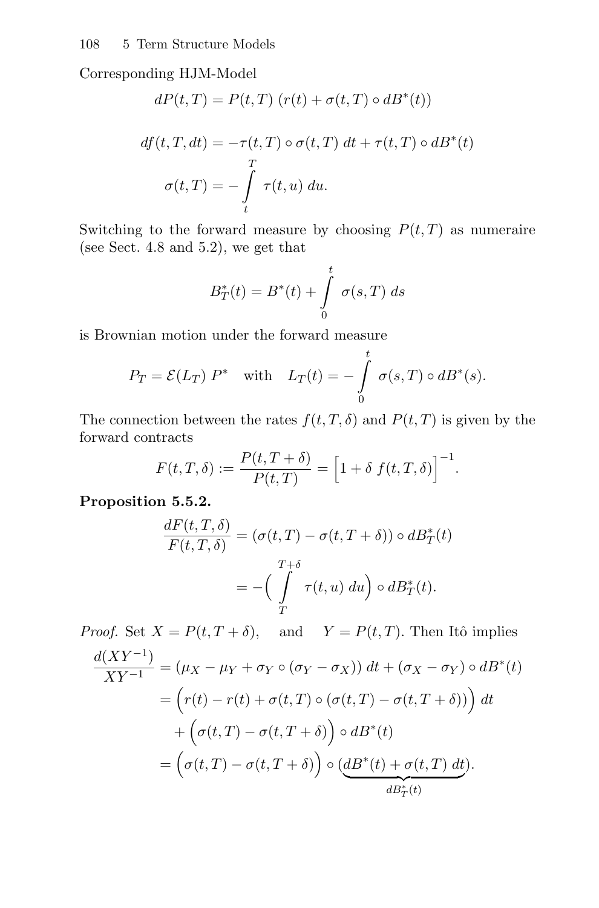Corresponding HJM-Model

$$
dP(t,T) = P(t,T) (r(t) + \sigma(t,T) \circ dB^*(t))
$$
  

$$
df(t,T,dt) = -\tau(t,T) \circ \sigma(t,T) dt + \tau(t,T) \circ dB^*(t)
$$

$$
\sigma(t,T) = -\int\limits_t^T \tau(t,u) \ du.
$$

Switching to the forward measure by choosing  $P(t,T)$  as numeraire (see Sect. 4.8 and 5.2), we get that

$$
B_T^*(t) = B^*(t) + \int_{0}^{t} \sigma(s,T) \, ds
$$

is Brownian motion under the forward measure

$$
P_T = \mathcal{E}(L_T) P^* \quad \text{with} \quad L_T(t) = -\int_0^t \sigma(s,T) \circ dB^*(s).
$$

The connection between the rates  $f(t, T, \delta)$  and  $P(t, T)$  is given by the forward contracts

$$
F(t,T,\delta) := \frac{P(t,T+\delta)}{P(t,T)} = \left[1 + \delta f(t,T,\delta)\right]^{-1}.
$$

**Proposition 5.5.2.**

$$
\frac{dF(t,T,\delta)}{F(t,T,\delta)} = (\sigma(t,T) - \sigma(t,T+\delta)) \circ dB^*_T(t)
$$

$$
= -\left(\int\limits_T^{T+\delta} \tau(t,u) \, du\right) \circ dB^*_T(t).
$$

*Proof.* Set  $X = P(t, T + \delta)$ , and  $Y = P(t, T)$ . Then Itô implies

$$
\frac{d(XY^{-1})}{XY^{-1}} = (\mu_X - \mu_Y + \sigma_Y \circ (\sigma_Y - \sigma_X)) dt + (\sigma_X - \sigma_Y) \circ dB^*(t)
$$
  
=  $(r(t) - r(t) + \sigma(t,T) \circ (\sigma(t,T) - \sigma(t,T+\delta))) dt$   
+  $(\sigma(t,T) - \sigma(t,T+\delta)) \circ dB^*(t)$   
=  $(\sigma(t,T) - \sigma(t,T+\delta)) \circ (\underbrace{dB^*(t) + \sigma(t,T) dt}_{dB^*_T(t)}).$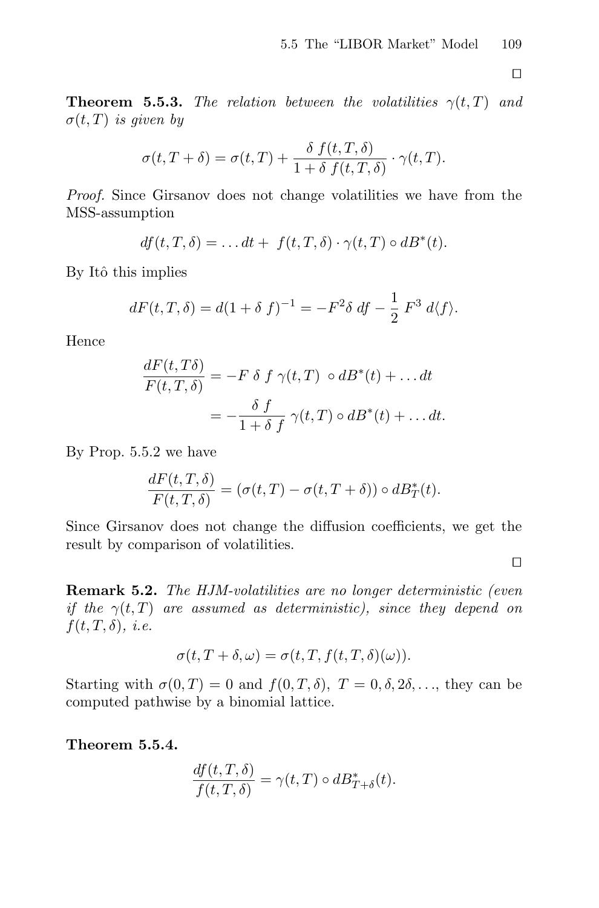$\Box$ 

**Theorem 5.5.3.** The relation between the volatilities  $\gamma(t,T)$  and  $\sigma(t,T)$  is given by

$$
\sigma(t,T+\delta) = \sigma(t,T) + \frac{\delta f(t,T,\delta)}{1+\delta f(t,T,\delta)} \cdot \gamma(t,T).
$$

Proof. Since Girsanov does not change volatilities we have from the MSS-assumption

$$
df(t,T,\delta) = \dots dt + f(t,T,\delta) \cdot \gamma(t,T) \circ dB^*(t).
$$

By Itô this implies

$$
dF(t, T, \delta) = d(1 + \delta f)^{-1} = -F^2 \delta df - \frac{1}{2} F^3 d \langle f \rangle.
$$

Hence

$$
\frac{dF(t,T\delta)}{F(t,T,\delta)} = -F \delta f \gamma(t,T) \circ dB^*(t) + \dots dt
$$

$$
= -\frac{\delta f}{1+\delta f} \gamma(t,T) \circ dB^*(t) + \dots dt.
$$

By Prop. 5.5.2 we have

$$
\frac{dF(t,T,\delta)}{F(t,T,\delta)} = (\sigma(t,T) - \sigma(t,T+\delta)) \circ dB^*_T(t).
$$

Since Girsanov does not change the diffusion coefficients, we get the result by comparison of volatilities.

 $\Box$ 

**Remark 5.2.** The HJM-volatilities are no longer deterministic (even if the  $\gamma(t,T)$  are assumed as deterministic), since they depend on  $f(t, T, \delta), i.e.$ 

$$
\sigma(t, T + \delta, \omega) = \sigma(t, T, f(t, T, \delta)(\omega)).
$$

Starting with  $\sigma(0,T) = 0$  and  $f(0,T,\delta)$ ,  $T = 0, \delta, 2\delta, \ldots$ , they can be computed pathwise by a binomial lattice.

**Theorem 5.5.4.**

$$
\frac{df(t, T, \delta)}{f(t, T, \delta)} = \gamma(t, T) \circ dB_{T+\delta}^*(t).
$$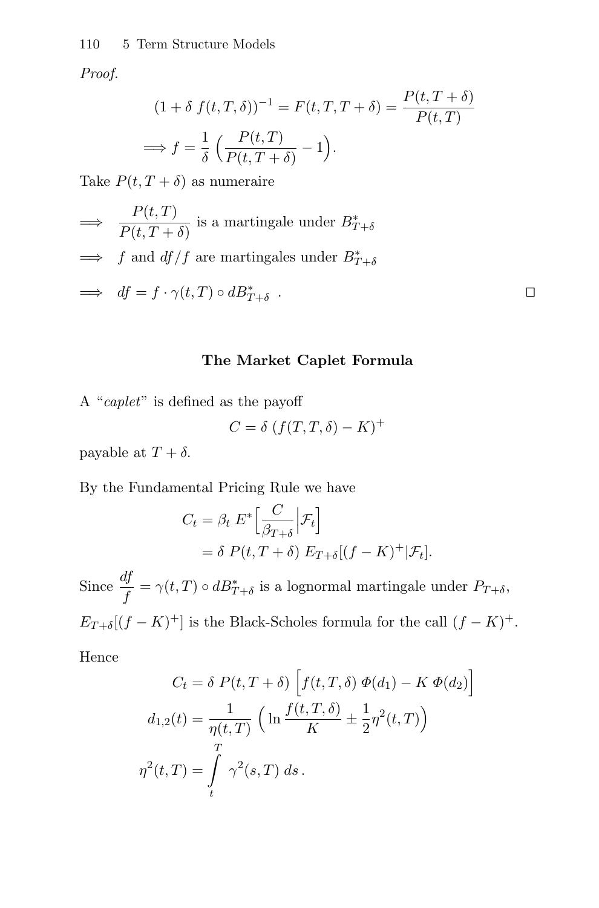#### 110 5 Term Structure Models

Proof.

$$
(1 + \delta f(t, T, \delta))^{-1} = F(t, T, T + \delta) = \frac{P(t, T + \delta)}{P(t, T)}
$$

$$
\implies f = \frac{1}{\delta} \left( \frac{P(t, T)}{P(t, T + \delta)} - 1 \right).
$$

Take  $P(t, T + \delta)$  as numeraire

$$
\implies \frac{P(t,T)}{P(t,T+\delta)} \text{ is a martingale under } B_{T+\delta}^* \n\implies f \text{ and } df/f \text{ are martingales under } B_{T+\delta}^* \n\implies df = f \cdot \gamma(t,T) \circ dB_{T+\delta}^* .
$$

#### **The Market Caplet Formula**

A "caplet" is defined as the payoff

$$
C = \delta \left( f(T, T, \delta) - K \right)^{+}
$$

payable at  $T + \delta$ .

By the Fundamental Pricing Rule we have

$$
C_t = \beta_t E^* \Big[ \frac{C}{\beta_{T+\delta}} \Big| \mathcal{F}_t \Big]
$$
  
=  $\delta P(t, T + \delta) E_{T+\delta} [(f - K)^+ | \mathcal{F}_t].$ 

Since  $\frac{df}{f} = \gamma(t,T) \circ dB_{T+\delta}^*$  is a lognormal martingale under  $P_{T+\delta}$ ,  $E_{T+\delta}[(f-K)^+]$  is the Black-Scholes formula for the call  $(f-K)^+.$ 

Hence

$$
C_t = \delta P(t, T + \delta) \left[ f(t, T, \delta) \Phi(d_1) - K \Phi(d_2) \right]
$$
  

$$
d_{1,2}(t) = \frac{1}{\eta(t, T)} \left( \ln \frac{f(t, T, \delta)}{K} \pm \frac{1}{2} \eta^2(t, T) \right)
$$
  

$$
\eta^2(t, T) = \int_t^T \gamma^2(s, T) ds.
$$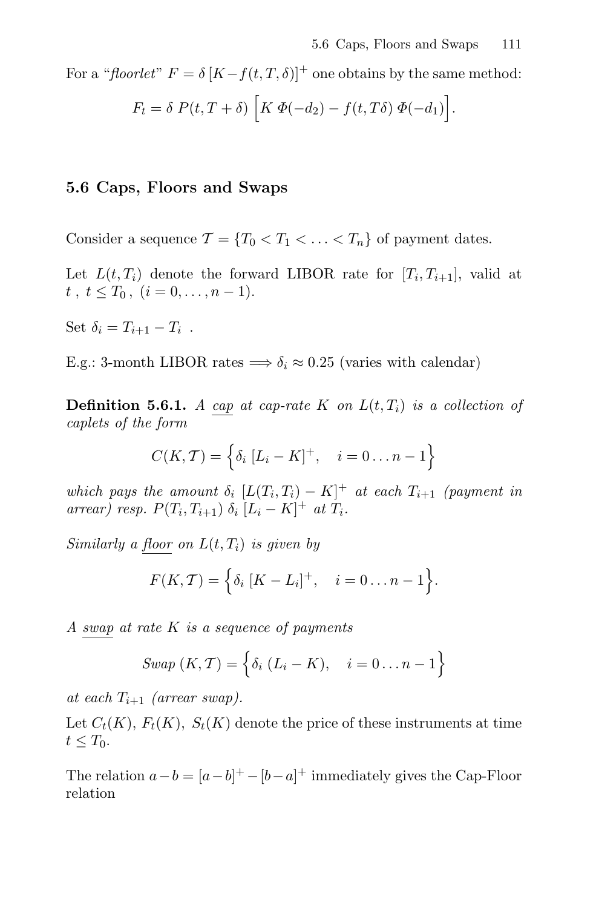For a "floorlet"  $F = \delta [K - f(t, T, \delta)]^+$  one obtains by the same method:

$$
F_t = \delta P(t, T + \delta) \left[ K \Phi(-d_2) - f(t, T\delta) \Phi(-d_1) \right].
$$

#### **5.6 Caps, Floors and Swaps**

Consider a sequence  $\mathcal{T} = \{T_0 < T_1 < \ldots < T_n\}$  of payment dates.

Let  $L(t, T_i)$  denote the forward LIBOR rate for  $[T_i, T_{i+1}]$ , valid at  $t, t \leq T_0, (i = 0, \ldots, n-1).$ 

Set  $\delta_i = T_{i+1} - T_i$ .

E.g.: 3-month LIBOR rates  $\Longrightarrow \delta_i \approx 0.25$  (varies with calendar)

**Definition 5.6.1.** A cap at cap-rate K on  $L(t,T_i)$  is a collection of caplets of the form

$$
C(K, \mathcal{T}) = \left\{ \delta_i \ [L_i - K]^+, \quad i = 0 \dots n - 1 \right\}
$$

which pays the amount  $\delta_i$   $[L(T_i, T_i) - K]^+$  at each  $T_{i+1}$  (payment in arrear) resp.  $P(T_i, T_{i+1}) \delta_i [L_i - K]^+$  at  $T_i$ .

Similarly a floor on  $L(t, T_i)$  is given by

$$
F(K, \mathcal{T}) = \Big\{ \delta_i \ [K - L_i]^+, \quad i = 0 \dots n - 1 \Big\}.
$$

A swap at rate K is a sequence of payments

*Swap* 
$$
(K, T) = \{ \delta_i (L_i - K), \quad i = 0 ... n - 1 \}
$$

at each  $T_{i+1}$  (arrear swap).

Let  $C_t(K)$ ,  $F_t(K)$ ,  $S_t(K)$  denote the price of these instruments at time  $t\leq T_0$ .

The relation  $a - b = [a - b]^{+} - [b - a]^{+}$  immediately gives the Cap-Floor relation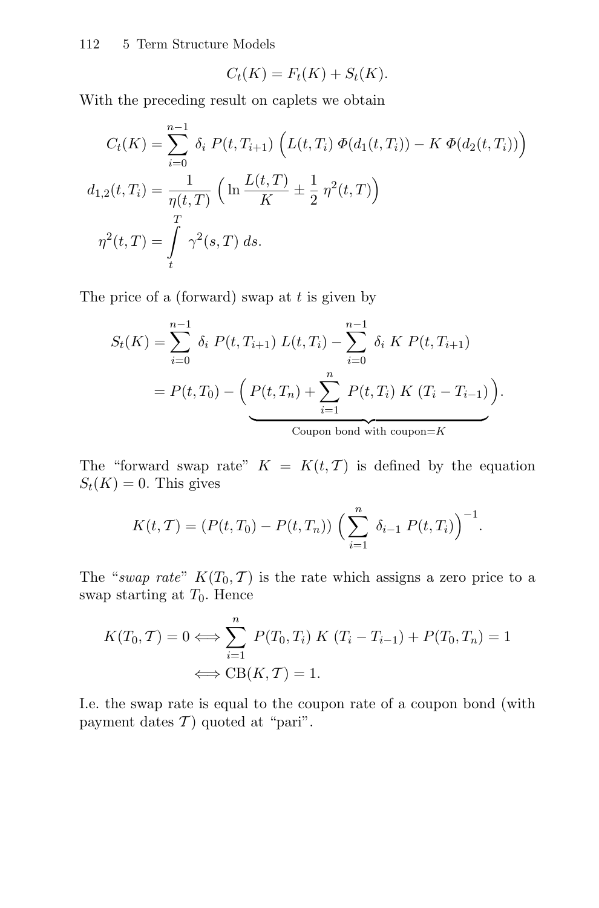112 5 Term Structure Models

$$
C_t(K) = F_t(K) + S_t(K).
$$

With the preceding result on caplets we obtain

$$
C_t(K) = \sum_{i=0}^{n-1} \delta_i P(t, T_{i+1}) \left( L(t, T_i) \Phi(d_1(t, T_i)) - K \Phi(d_2(t, T_i)) \right)
$$
  

$$
d_{1,2}(t, T_i) = \frac{1}{\eta(t, T)} \left( \ln \frac{L(t, T)}{K} \pm \frac{1}{2} \eta^2(t, T) \right)
$$
  

$$
\eta^2(t, T) = \int_t^T \gamma^2(s, T) ds.
$$

The price of a (forward) swap at  $t$  is given by

$$
S_t(K) = \sum_{i=0}^{n-1} \delta_i P(t, T_{i+1}) L(t, T_i) - \sum_{i=0}^{n-1} \delta_i K P(t, T_{i+1})
$$
  
=  $P(t, T_0) - \left( P(t, T_n) + \sum_{i=1}^{n} P(t, T_i) K (T_i - T_{i-1}) \right).$   
 coupon bond with coupon=

The "forward swap rate"  $K = K(t, T)$  is defined by the equation  $S_t(K) = 0$ . This gives

$$
K(t, T) = (P(t, T_0) - P(t, T_n)) \left(\sum_{i=1}^n \delta_{i-1} P(t, T_i)\right)^{-1}.
$$

The "swap rate"  $K(T_0, T)$  is the rate which assigns a zero price to a swap starting at  $T_0$ . Hence

$$
K(T_0, T) = 0 \Longleftrightarrow \sum_{i=1}^n P(T_0, T_i) K (T_i - T_{i-1}) + P(T_0, T_n) = 1
$$

$$
\Longleftrightarrow CB(K, T) = 1.
$$

I.e. the swap rate is equal to the coupon rate of a coupon bond (with payment dates  $\mathcal{T}$  ) quoted at "pari".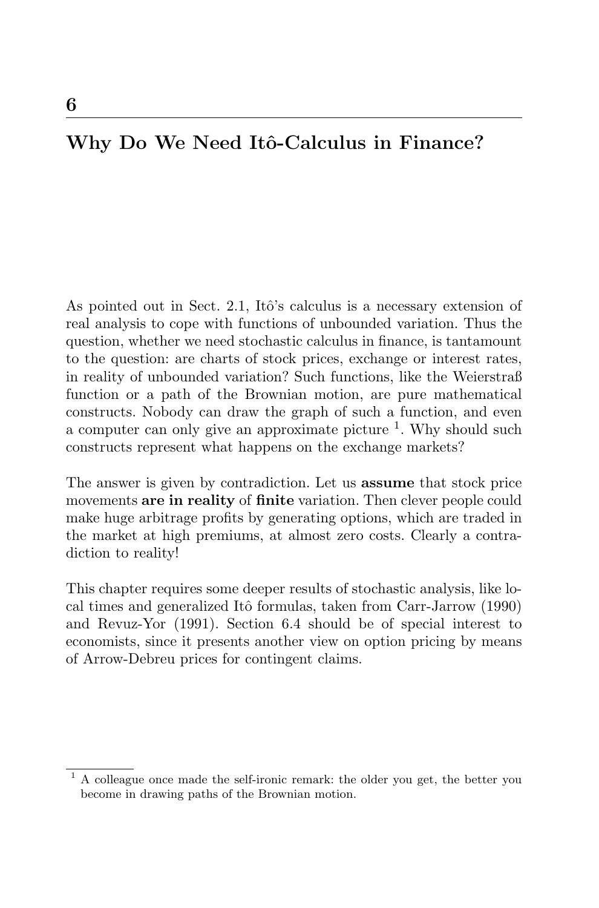# Why Do We Need Itô-Calculus in Finance?

As pointed out in Sect. 2.1, Itô's calculus is a necessary extension of real analysis to cope with functions of unbounded variation. Thus the question, whether we need stochastic calculus in finance, is tantamount to the question: are charts of stock prices, exchange or interest rates, in reality of unbounded variation? Such functions, like the Weierstraß function or a path of the Brownian motion, are pure mathematical constructs. Nobody can draw the graph of such a function, and even a computer can only give an approximate picture  $\frac{1}{1}$ . Why should such constructs represent what happens on the exchange markets?

The answer is given by contradiction. Let us **assume** that stock price movements **are in reality** of **finite** variation. Then clever people could make huge arbitrage profits by generating options, which are traded in the market at high premiums, at almost zero costs. Clearly a contradiction to reality!

This chapter requires some deeper results of stochastic analysis, like local times and generalized Itô formulas, taken from Carr-Jarrow (1990) and Revuz-Yor (1991). Section 6.4 should be of special interest to economists, since it presents another view on option pricing by means of Arrow-Debreu prices for contingent claims.

 $<sup>1</sup>$  A colleague once made the self-ironic remark: the older you get, the better you</sup> become in drawing paths of the Brownian motion.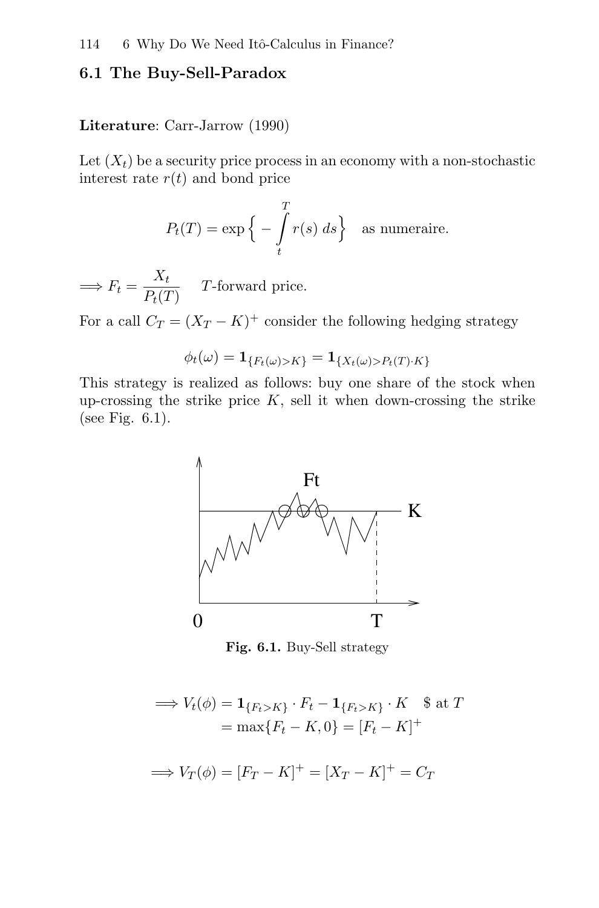#### **6.1 The Buy-Sell-Paradox**

#### **Literature**: Carr-Jarrow (1990)

Let  $(X_t)$  be a security price process in an economy with a non-stochastic interest rate  $r(t)$  and bond price

$$
P_t(T) = \exp\left\{-\int_t^T r(s) \, ds\right\} \quad \text{as numeraire.}
$$

 $\implies F_t = \frac{X_t}{P_t(T)}$  T-forward price.

For a call  $C_T = (X_T - K)^+$  consider the following hedging strategy

$$
\phi_t(\omega) = \mathbf{1}_{\{F_t(\omega) > K\}} = \mathbf{1}_{\{X_t(\omega) > P_t(T) \cdot K\}}
$$

This strategy is realized as follows: buy one share of the stock when up-crossing the strike price  $K$ , sell it when down-crossing the strike (see Fig. 6.1).



**Fig. 6.1.** Buy-Sell strategy

$$
\implies V_t(\phi) = \mathbf{1}_{\{F_t > K\}} \cdot F_t - \mathbf{1}_{\{F_t > K\}} \cdot K \quad \text{\$ at } T
$$
\n
$$
= \max\{F_t - K, 0\} = [F_t - K]^+
$$
\n
$$
\implies V_T(\phi) = [F_T - K]^+ = [X_T - K]^+ = C_T
$$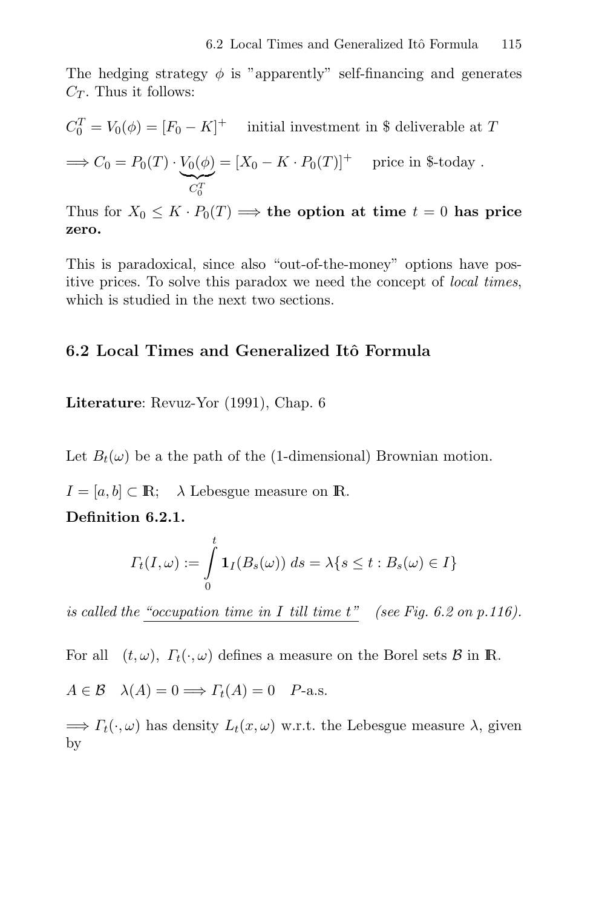The hedging strategy  $\phi$  is "apparently" self-financing and generates  $C_T$ . Thus it follows:

$$
C_0^T = V_0(\phi) = [F_0 - K]^+
$$
 initial investment in \$ deliverable at  $T$   
\n
$$
\implies C_0 = P_0(T) \cdot \underbrace{V_0(\phi)}_{C_0^T} = [X_0 - K \cdot P_0(T)]^+
$$
 price in \$-today.

Thus for  $X_0 \leq K \cdot P_0(T) \Longrightarrow$  the option at time  $t = 0$  has price **zero.**

This is paradoxical, since also "out-of-the-money" options have positive prices. To solve this paradox we need the concept of local times, which is studied in the next two sections.

### **6.2 Local Times and Generalized Itˆo Formula**

**Literature**: Revuz-Yor (1991), Chap. 6

Let  $B_t(\omega)$  be a the path of the (1-dimensional) Brownian motion.

 $I = [a, b] \subset \mathbb{R}; \quad \lambda$  Lebesgue measure on  $\mathbb{R}.$ 

**Definition 6.2.1.**

$$
\Gamma_t(I,\omega) := \int\limits_0^t \mathbf{1}_I(B_s(\omega)) \ ds = \lambda \{ s \le t : B_s(\omega) \in I \}
$$

is called the "occupation time in I till time  $t$ " (see Fig. 6.2 on p.116).

For all  $(t, \omega)$ ,  $\Gamma_t(\cdot, \omega)$  defines a measure on the Borel sets  $\beta$  in R.

 $A \in \mathcal{B}$   $\lambda(A) = 0 \Longrightarrow \Gamma_t(A) = 0$  P-a.s.

 $\Rightarrow$   $\Gamma_t(\cdot, \omega)$  has density  $L_t(x, \omega)$  w.r.t. the Lebesgue measure  $\lambda$ , given by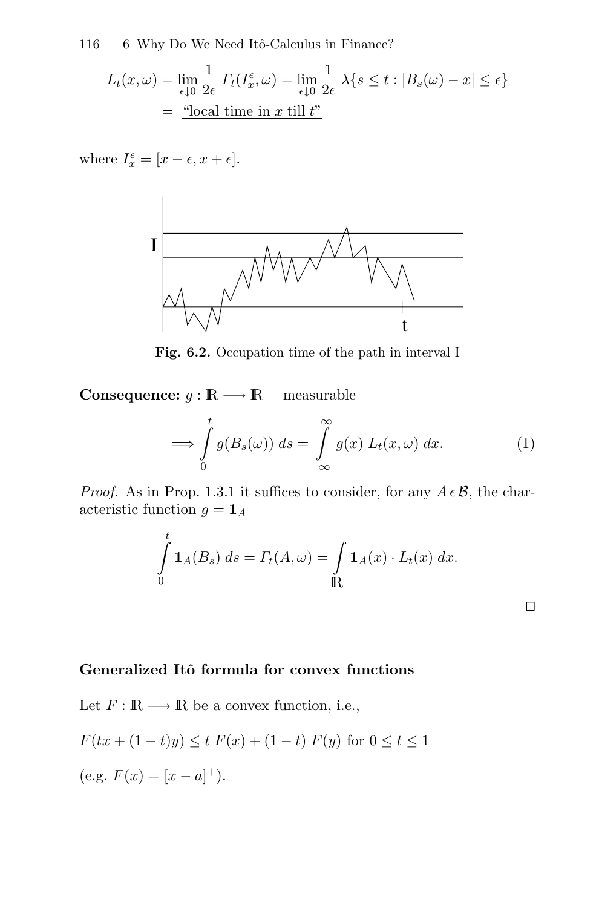116 6 Why Do We Need Itô-Calculus in Finance?

$$
L_t(x,\omega) = \lim_{\epsilon \downarrow 0} \frac{1}{2\epsilon} \, I_t(I_x^{\epsilon}, \omega) = \lim_{\epsilon \downarrow 0} \frac{1}{2\epsilon} \, \lambda \{ s \le t : |B_s(\omega) - x| \le \epsilon \}
$$

$$
= \frac{\text{``local time in } x \text{ till } t\text{''}}
$$

where  $I_x^{\epsilon} = [x - \epsilon, x + \epsilon].$ 



**Fig. 6.2.** Occupation time of the path in interval I

**Consequence:**  $g : \mathbb{R} \longrightarrow \mathbb{R}$  measurable

$$
\implies \int_{0}^{t} g(B_s(\omega)) ds = \int_{-\infty}^{\infty} g(x) L_t(x, \omega) dx.
$$
 (1)

*Proof.* As in Prop. 1.3.1 it suffices to consider, for any  $A \in \mathcal{B}$ , the characteristic function  $g = \mathbf{1}_A$ 

$$
\int_{0}^{t} \mathbf{1}_{A}(B_s) ds = \Gamma_t(A, \omega) = \int_{\mathbb{R}} \mathbf{1}_{A}(x) \cdot L_t(x) dx.
$$

#### **Generalized Itˆo formula for convex functions**

Let  $F : \mathbb{R} \longrightarrow \mathbb{R}$  be a convex function, i.e.,

$$
F(tx + (1-t)y) \le t F(x) + (1-t) F(y) \text{ for } 0 \le t \le 1
$$

(e.g.  $F(x) = [x - a]^+$ ).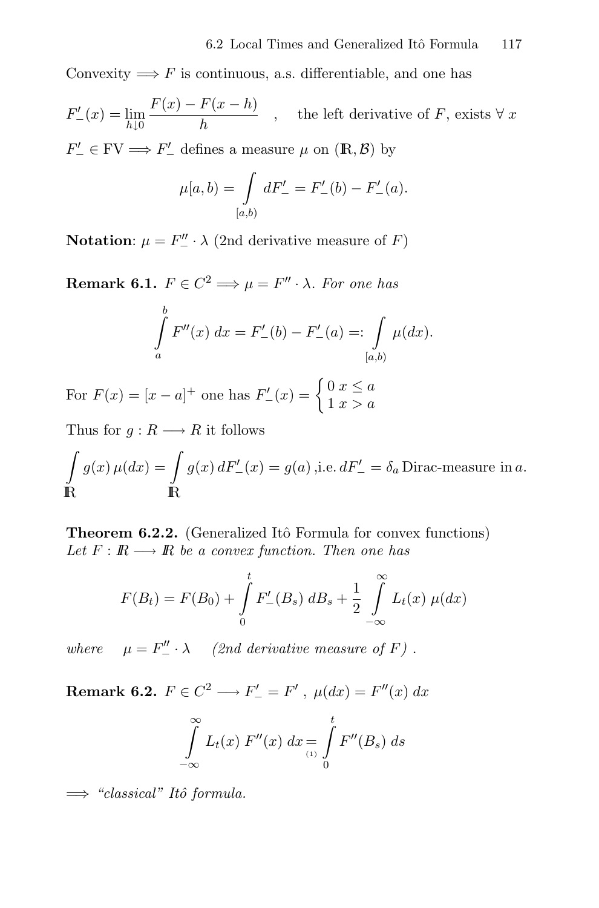Convexity  $\implies$  F is continuous, a.s. differentiable, and one has

$$
F'_{-}(x) = \lim_{h \downarrow 0} \frac{F(x) - F(x - h)}{h}
$$
, the left derivative of *F*, exists  $\forall x$   

$$
F'_{-}(x) = F'_{-}(x) + F'_{-}(x)
$$

 $F'_{-} \in \text{FV} \Longrightarrow F'_{-}$  defines a measure  $\mu$  on  $(\mathbb{R}, \mathcal{B})$  by

$$
\mu[a, b) = \int_{[a,b)} dF'_{-} = F'_{-}(b) - F'_{-}(a).
$$

**Notation**:  $\mu = F''_-\cdot \lambda$  (2nd derivative measure of F)

**Remark 6.1.**  $F \in C^2 \Longrightarrow \mu = F'' \cdot \lambda$ . For one has

$$
\int_{a}^{b} F''(x) dx = F'_{-}(b) - F'_{-}(a) =: \int_{[a,b)} \mu(dx).
$$

For  $F(x) = [x - a]^+$  one has  $F'_{-}(x) = \begin{cases} 0 & x \le a \\ 1 & x > a \end{cases}$ 

Thus for  $g: R \longrightarrow R$  it follows

$$
\int_{\mathbb{R}} g(x) \,\mu(dx) = \int_{\mathbb{R}} g(x) \, dF'_{-}(x) = g(a) \text{ ,i.e. } dF'_{-} = \delta_{a} \text{ Dirac-measure in } a.
$$

**Theorem 6.2.2.** (Generalized Itô Formula for convex functions) Let  $F : \mathbb{R} \longrightarrow \mathbb{R}$  be a convex function. Then one has

$$
F(B_t) = F(B_0) + \int_{0}^{t} F'_{-}(B_s) dB_s + \frac{1}{2} \int_{-\infty}^{\infty} L_t(x) \mu(dx)
$$

where  $\mu = F''_-\cdot \lambda$  (2nd derivative measure of F).

**Remark 6.2.**  $F \in C^2 \longrightarrow F'_{-} = F'$ ,  $\mu(dx) = F''(x) dx$ 

$$
\int_{-\infty}^{\infty} L_t(x) F''(x) dx = \int_{(1)}^{t} F''(B_s) ds
$$

 $\implies$  "classical" Itô formula.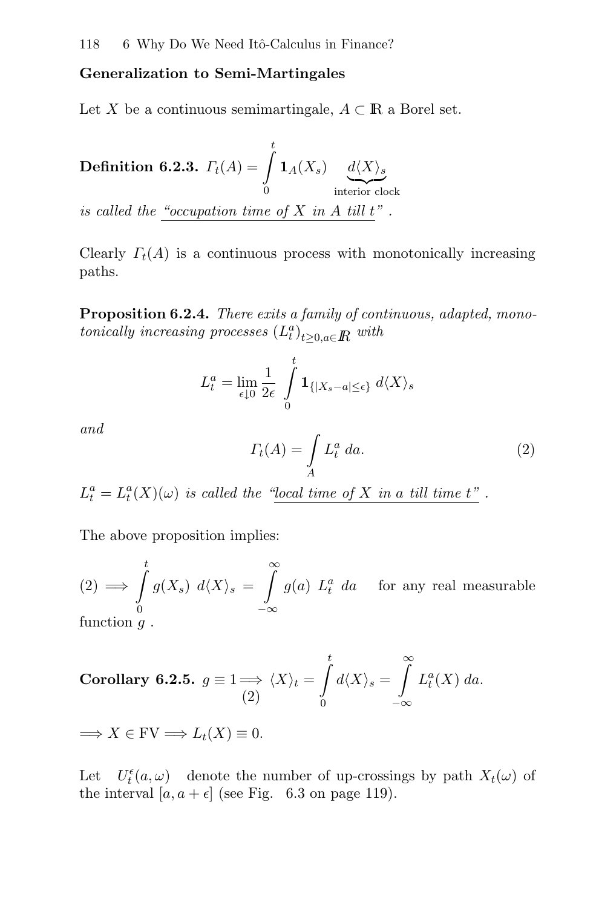#### **Generalization to Semi-Martingales**

Let X be a continuous semimartingale,  $A \subset \mathbb{R}$  a Borel set.

 $\textbf{Definition 6.2.3.} \ \ \Gamma_{t}(A)=\int\limits_{0}^{t}$  $\int\limits_{0}^{\cdot} \mathbf{1}_{A}(X_{s}) \underbrace{d\langle X\rangle_{s}}_{\text{interior clock}}$ is called the "occupation time of  $X$  in  $A$  till  $t$ ".

Clearly  $\Gamma_t(A)$  is a continuous process with monotonically increasing paths.

**Proposition 6.2.4.** There exits a family of continuous, adapted, monotonically increasing processes  $(L_t^a)_{t\geq0, a\in\mathbb{R}}$  with

$$
L_t^a = \lim_{\epsilon \downarrow 0} \frac{1}{2\epsilon} \int\limits_0^t \mathbf{1}_{\{|X_s - a| \leq \epsilon\}} d\langle X \rangle_s
$$

and

$$
\Gamma_t(A) = \int_A L_t^a \, da. \tag{2}
$$

 $L_t^a = L_t^a(X)(\omega)$  is called the "local time of X in a till time t".

The above proposition implies:

 $(2) \implies$  $\int_{0}^{t}$  $\boldsymbol{0}$  $g(X_s)$   $d\langle X \rangle_s =$  $\int_0^\infty$ −∞  $g(a) L_t^a$  da for any real measurable

function  $q$ .

Corollary 6.2.5. 
$$
g \equiv 1 \Longrightarrow \langle X \rangle_t = \int_0^t d \langle X \rangle_s = \int_{-\infty}^{\infty} L_t^a(X) \, da.
$$

 $\Longrightarrow X \in \text{FV} \Longrightarrow L_t(X) \equiv 0.$ 

Let  $U_t^{\epsilon}(a,\omega)$  denote the number of up-crossings by path  $X_t(\omega)$  of the interval  $[a, a + \epsilon]$  (see Fig. 6.3 on page 119).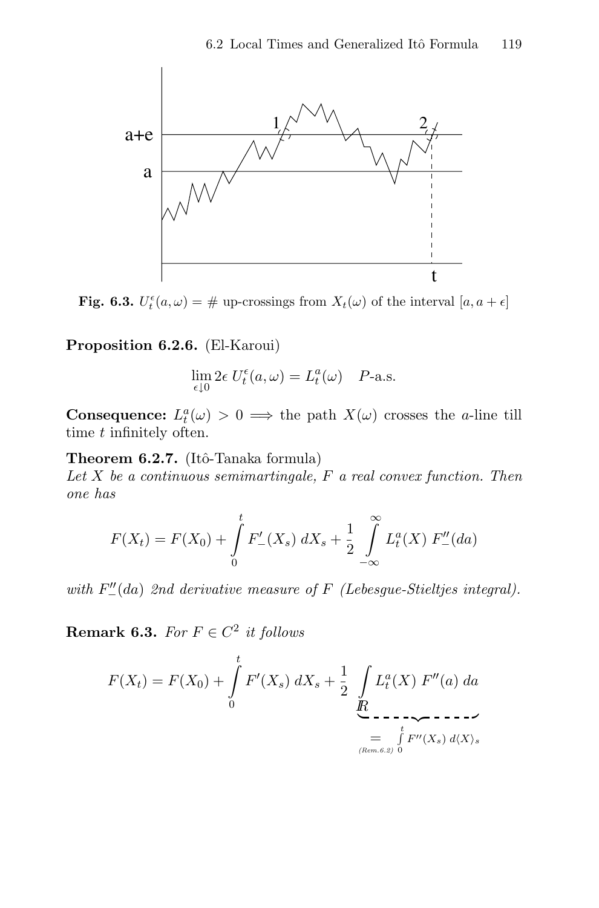

**Fig. 6.3.**  $U_t^{\epsilon}(a,\omega) = \#$  up-crossings from  $X_t(\omega)$  of the interval  $[a, a + \epsilon]$ 

**Proposition 6.2.6.** (El-Karoui)

$$
\lim_{\epsilon \downarrow 0} 2\epsilon \ U_t^{\epsilon}(a,\omega) = L_t^a(\omega) \quad P\text{-a.s.}
$$

**Consequence:**  $L_t^a(\omega) > 0 \implies$  the path  $X(\omega)$  crosses the *a*-line till time t infinitely often.

**Theorem 6.2.7.** (Itô-Tanaka formula)

Let  $X$  be a continuous semimartingale,  $F$  a real convex function. Then one has

$$
F(X_t) = F(X_0) + \int_0^t F'_{-}(X_s) \, dX_s + \frac{1}{2} \int_{-\infty}^{\infty} L_t^a(X) \, F''_{-}(da)
$$

with  $F''_{-}(da)$  2nd derivative measure of F (Lebesgue-Stieltjes integral).

**Remark 6.3.** For  $F \in C^2$  it follows

$$
F(X_t) = F(X_0) + \int_0^t F'(X_s) \, dX_s + \frac{1}{2} \int_{\substack{R \\ \text{R} \\ (\text{Rem. 6.2})}} L_t^a(X) \, F''(a) \, da
$$
\n
$$
= \int_{\substack{R \\ (\text{Rem. 6.2})}}^t F''(X_s) \, d\langle X \rangle_s
$$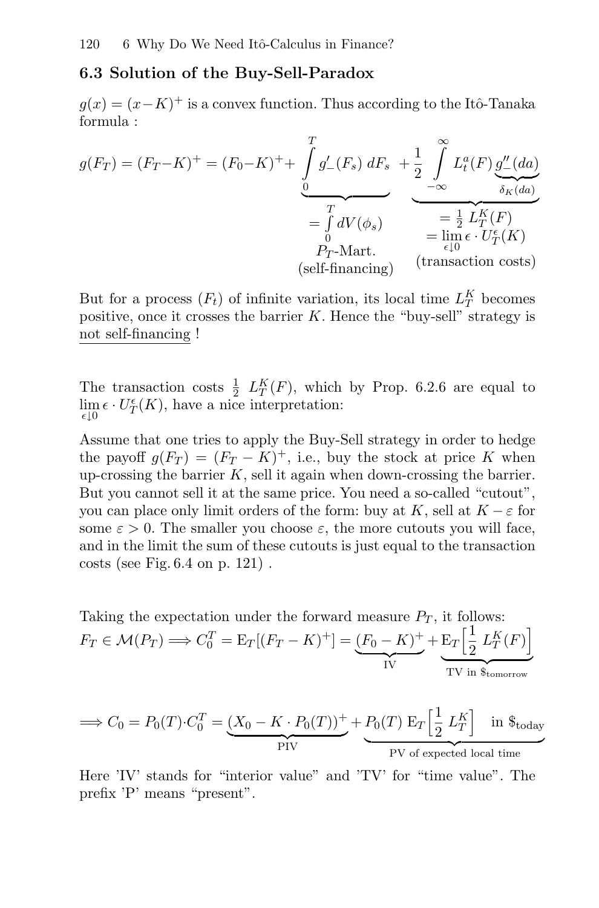#### **6.3 Solution of the Buy-Sell-Paradox**

 $g(x)=(x-K)^+$  is a convex function. Thus according to the Itô-Tanaka formula :

$$
g(F_T) = (F_T - K)^+ = (F_0 - K)^+ + \underbrace{\int_0^T g'_-(F_s) dF_s}_{= \int_0^T dV(\phi_s)} + \underbrace{\frac{1}{2} \int_0^\infty L_t^a(F) \underbrace{g''_-(da)}_{\delta_K(da)}}_{= \int_0^T dV(\phi_s)}_{= \lim_{\epsilon \downarrow 0} \epsilon \cdot U_T^{\epsilon}(K)} = \lim_{\epsilon \downarrow 0} \epsilon \cdot U_T^{\epsilon}(K)
$$
\n(self-financing) (transaction costs)

But for a process  $(F_t)$  of infinite variation, its local time  $L_T^K$  becomes positive, once it crosses the barrier  $K$ . Hence the "buy-sell" strategy is not self-financing !

The transaction costs  $\frac{1}{2}$   $L_T^K(F)$ , which by Prop. 6.2.6 are equal to  $\lim_{\epsilon \to 0} \epsilon \cdot U_T^{\epsilon}(K)$ , have a nice interpretation:  $\epsilon\downarrow0$ 

Assume that one tries to apply the Buy-Sell strategy in order to hedge the payoff  $g(F_T) = (F_T - K)^+$ , i.e., buy the stock at price K when up-crossing the barrier  $K$ , sell it again when down-crossing the barrier. But you cannot sell it at the same price. You need a so-called "cutout", you can place only limit orders of the form: buy at K, sell at  $K - \varepsilon$  for some  $\varepsilon > 0$ . The smaller you choose  $\varepsilon$ , the more cutouts you will face, and in the limit the sum of these cutouts is just equal to the transaction costs (see Fig. 6.4 on p. 121) .

Taking the expectation under the forward measure  $P_T$ , it follows:  $F_T \in \mathcal{M}(P_T) \Longrightarrow C_0^T = \mathbb{E}_T[(F_T - K)^+] = (F_0 - K)^+$ IV<sub>IV</sub>  $+ E_T \left[ \frac{1}{2} \right]$  $\frac{1}{2}$   $L_T^K(F)$ TV in \$tomorrow

$$
\implies C_0 = P_0(T) \cdot C_0^T = \underbrace{(X_0 - K \cdot P_0(T))^+}_{\text{PIV}} + \underbrace{P_0(T) E_T \left[\frac{1}{2} L_T^K\right]}_{\text{PV of expected local time}} \text{ in } \$\text{today}
$$

Here 'IV' stands for "interior value" and 'TV' for "time value". The prefix 'P' means "present".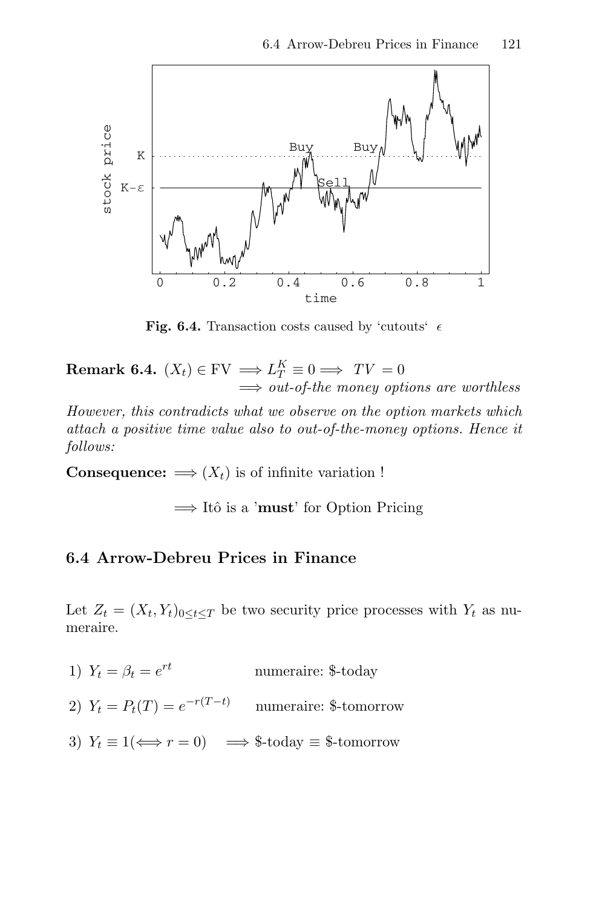

**Fig. 6.4.** Transaction costs caused by 'cutouts'  $\epsilon$ 

**Remark 6.4.**  $(X_t) \in \text{FV} \implies L_T^K \equiv 0 \implies TV = 0$  $\Rightarrow$  out-of-the money options are worthless

However, this contradicts what we observe on the option markets which attach a positive time value also to out-of-the-money options. Hence it follows:

**Consequence:**  $\implies$   $(X_t)$  is of infinite variation !

 $\implies$  Itô is a '**must**' for Option Pricing

#### **6.4 Arrow-Debreu Prices in Finance**

Let  $Z_t = (X_t, Y_t)_{0 \le t \le T}$  be two security price processes with  $Y_t$  as numeraire.

- 1)  $Y_t = \beta_t = e^{rt}$  numeraire: \$-today
- 2)  $Y_t = P_t(T) = e^{-r(T-t)}$  numeraire: \$-tomorrow
- 3)  $Y_t \equiv 1 \iff r = 0$   $\implies$  \$-today  $\equiv$  \$-tomorrow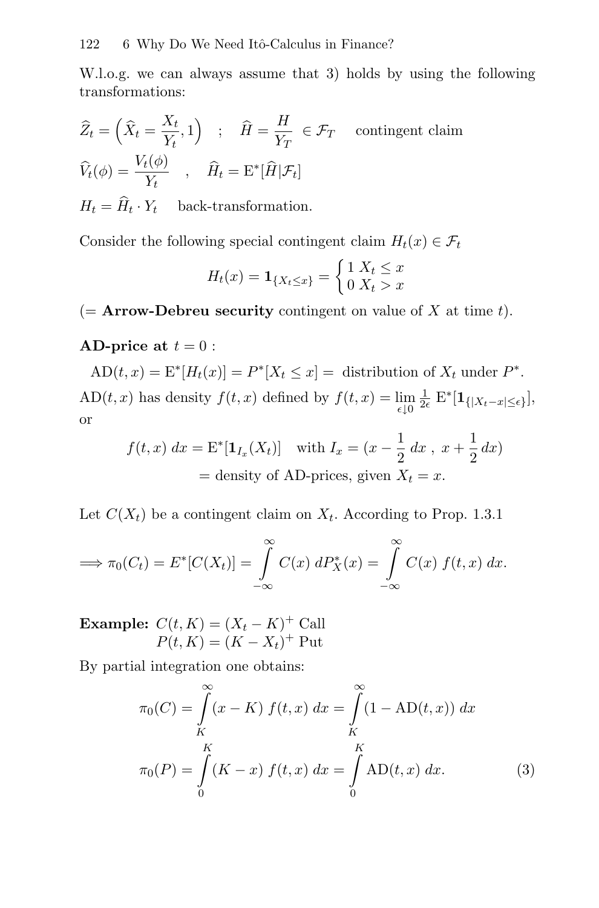W.l.o.g. we can always assume that 3) holds by using the following transformations:

$$
\widehat{Z}_t = \left(\widehat{X}_t = \frac{X_t}{Y_t}, 1\right) \quad ; \quad \widehat{H} = \frac{H}{Y_T} \in \mathcal{F}_T \quad \text{contingent claim}
$$
\n
$$
\widehat{V}_t(\phi) = \frac{V_t(\phi)}{Y_t} \quad , \quad \widehat{H}_t = \mathcal{E}^*[\widehat{H}|\mathcal{F}_t]
$$

 $H_t = \hat{H}_t \cdot Y_t$  back-transformation.

Consider the following special contingent claim  $H_t(x) \in \mathcal{F}_t$ 

$$
H_t(x) = \mathbf{1}_{\{X_t \le x\}} = \begin{cases} 1 & X_t \le x \\ 0 & X_t > x \end{cases}
$$

 $($  **Arrow-Debreu security** contingent on value of X at time t).

### **AD-price at**  $t = 0$ :

 $AD(t, x) = E^*[H_t(x)] = P^*[X_t \leq x] =$  distribution of  $X_t$  under  $P^*$ . AD(*t*, *x*) has density  $f(t, x)$  defined by  $f(t, x) = \lim_{\epsilon \downarrow 0} \frac{1}{2\epsilon} E^*[\mathbf{1}_{\{|X_t - x| \leq \epsilon\}}],$ or

$$
f(t, x) dx = \mathbf{E}^*[\mathbf{1}_{I_x}(X_t)] \text{ with } I_x = (x - \frac{1}{2} dx, x + \frac{1}{2} dx)
$$
  
= density of AD-prices, given  $X_t = x$ .

Let  $C(X_t)$  be a contingent claim on  $X_t$ . According to Prop. 1.3.1

$$
\implies \pi_0(C_t) = E^*[C(X_t)] = \int_{-\infty}^{\infty} C(x) \ dP_X^*(x) = \int_{-\infty}^{\infty} C(x) \ f(t,x) \ dx.
$$

**Example:**  $C(t, K) = (X_t - K)^+$  Call  $P(t, K) = (K - X_t)^+$  Put

By partial integration one obtains:

$$
\pi_0(C) = \int_{K}^{\infty} (x - K) f(t, x) dx = \int_{K}^{\infty} (1 - AD(t, x)) dx
$$

$$
\pi_0(P) = \int_{0}^{K} (K - x) f(t, x) dx = \int_{0}^{K} AD(t, x) dx.
$$
(3)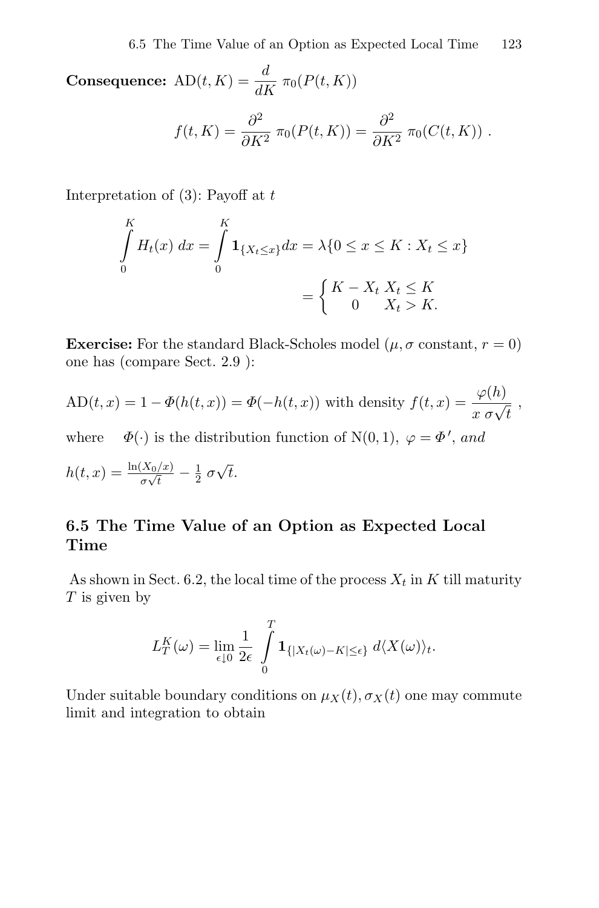**Consequence:**  $AD(t, K) = \frac{d}{dK} \pi_0(P(t, K))$  $f(t, K) = \frac{\partial^2}{\partial K^2} \pi_0(P(t, K)) = \frac{\partial^2}{\partial K^2} \pi_0(C(t, K))$ .

Interpretation of  $(3)$ : Payoff at t

$$
\int_{0}^{K} H_{t}(x) dx = \int_{0}^{K} \mathbf{1}_{\{X_{t} \le x\}} dx = \lambda \{0 \le x \le K : X_{t} \le x\}
$$
\n
$$
= \begin{cases} K - X_{t} X_{t} \le K \\ 0 X_{t} > K. \end{cases}
$$

**Exercise:** For the standard Black-Scholes model  $(\mu, \sigma \text{ constant}, r = 0)$ one has (compare Sect. 2.9 ):

$$
AD(t, x) = 1 - \Phi(h(t, x)) = \Phi(-h(t, x))
$$
 with density  $f(t, x) = \frac{\varphi(h)}{x \sigma \sqrt{t}}$ ,

where  $\Phi(\cdot)$  is the distribution function of N(0, 1),  $\varphi = \Phi'$ , and

$$
h(t,x) = \frac{\ln(X_0/x)}{\sigma\sqrt{t}} - \frac{1}{2} \sigma\sqrt{t}.
$$

## **6.5 The Time Value of an Option as Expected Local Time**

As shown in Sect. 6.2, the local time of the process  $X_t$  in K till maturity  $T$  is given by

$$
L_T^K(\omega) = \lim_{\epsilon \downarrow 0} \frac{1}{2\epsilon} \int\limits_0^T \mathbf{1}_{\{|X_t(\omega) - K| \leq \epsilon\}} d\langle X(\omega) \rangle_t.
$$

Under suitable boundary conditions on  $\mu_X(t)$ ,  $\sigma_X(t)$  one may commute limit and integration to obtain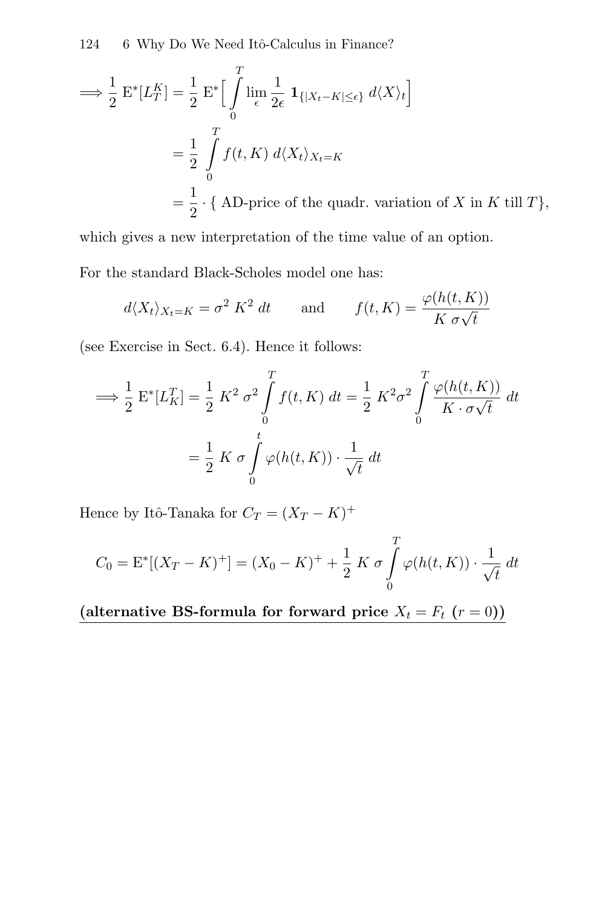124 6 Why Do We Need Itô-Calculus in Finance?

$$
\implies \frac{1}{2} \mathbf{E}^*[L_T^K] = \frac{1}{2} \mathbf{E}^* \Big[ \int_0^T \lim_{\epsilon} \frac{1}{2\epsilon} \mathbf{1}_{\{|X_t - K| \le \epsilon\}} d\langle X \rangle_t \Big]
$$
  

$$
= \frac{1}{2} \int_0^T f(t, K) d\langle X_t \rangle_{X_t = K}
$$
  

$$
= \frac{1}{2} \cdot \{\text{ AD-price of the quadrant, variation of } X \text{ in } K \text{ till } T\},
$$

which gives a new interpretation of the time value of an option. For the standard Black-Scholes model one has:

$$
d\langle X_t \rangle_{X_t=K} = \sigma^2 K^2 dt \quad \text{and} \quad f(t,K) = \frac{\varphi(h(t,K))}{K \sigma \sqrt{t}}
$$

(see Exercise in Sect. 6.4). Hence it follows:

$$
\implies \frac{1}{2} \mathcal{E}^*[L_K^T] = \frac{1}{2} K^2 \sigma^2 \int_0^T f(t, K) dt = \frac{1}{2} K^2 \sigma^2 \int_0^T \frac{\varphi(h(t, K))}{K \cdot \sigma \sqrt{t}} dt
$$

$$
= \frac{1}{2} K \sigma \int_0^t \varphi(h(t, K)) \cdot \frac{1}{\sqrt{t}} dt
$$

Hence by Itô-Tanaka for  $C_T = (X_T - K)^+$ 

$$
C_0 = \mathcal{E}^*[(X_T - K)^+] = (X_0 - K)^+ + \frac{1}{2} K \sigma \int_0^T \varphi(h(t, K)) \cdot \frac{1}{\sqrt{t}} dt
$$

(alternative BS-formula for forward price  $X_t = F_t$   $(r = 0)$ )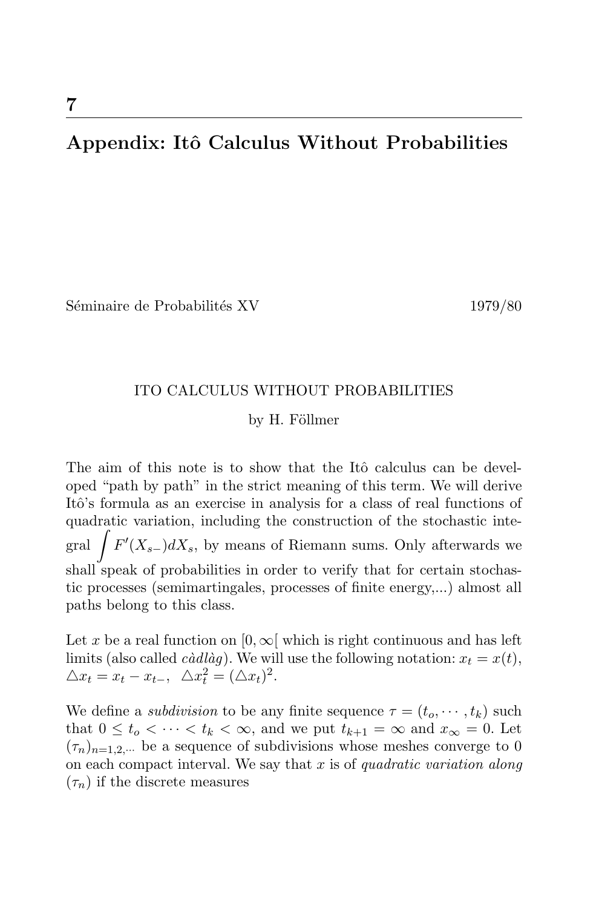# **Appendix: Itˆo Calculus Without Probabilities**

Séminaire de Probabilités XV 1979/80

#### ITO CALCULUS WITHOUT PROBABILITIES

#### by H. Föllmer

The aim of this note is to show that the Itô calculus can be developed "path by path" in the strict meaning of this term. We will derive Itô's formula as an exercise in analysis for a class of real functions of quadratic variation, including the construction of the stochastic integral  $\int F'(X_{s-})dX_s$ , by means of Riemann sums. Only afterwards we shall speak of probabilities in order to verify that for certain stochastic processes (semimartingales, processes of finite energy,...) almost all paths belong to this class.

Let x be a real function on  $[0, \infty)$  which is right continuous and has left limits (also called *càdlàg*). We will use the following notation:  $x_t = x(t)$ ,  $\triangle x_t = x_t - x_{t-}, \ \ \triangle x_t^2 = (\triangle x_t)^2.$ 

We define a *subdivision* to be any finite sequence  $\tau = (t_0, \dots, t_k)$  such that  $0 \leq t_o < \cdots < t_k < \infty$ , and we put  $t_{k+1} = \infty$  and  $x_{\infty} = 0$ . Let  $(\tau_n)_{n=1,2,\dots}$  be a sequence of subdivisions whose meshes converge to 0 on each compact interval. We say that  $x$  is of quadratic variation along  $(\tau_n)$  if the discrete measures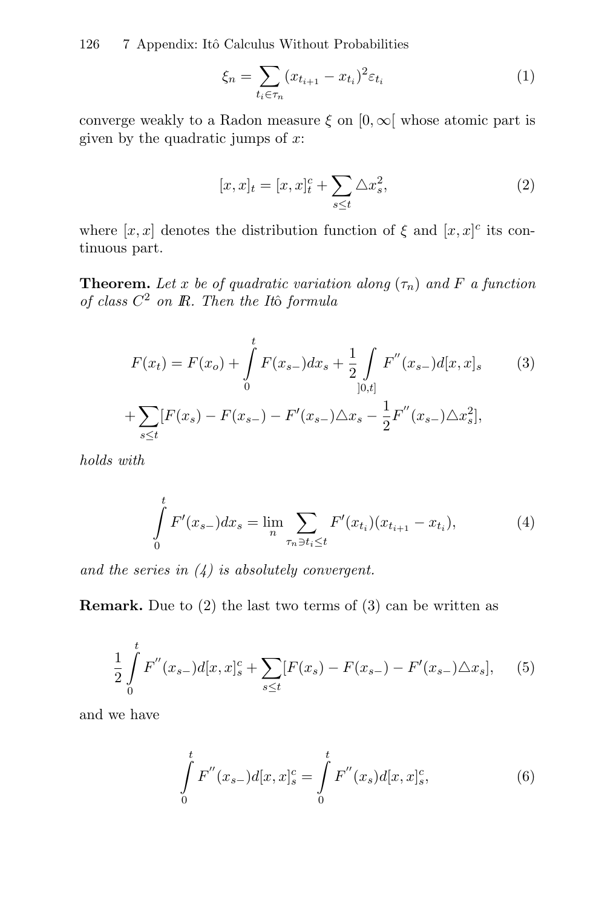126 7 Appendix: Itô Calculus Without Probabilities

$$
\xi_n = \sum_{t_i \in \tau_n} (x_{t_{i+1}} - x_{t_i})^2 \varepsilon_{t_i} \tag{1}
$$

converge weakly to a Radon measure  $\xi$  on  $[0, \infty]$  whose atomic part is given by the quadratic jumps of  $x$ :

$$
[x,x]_t = [x,x]_t^c + \sum_{s \le t} \Delta x_s^2,\tag{2}
$$

where  $[x, x]$  denotes the distribution function of  $\xi$  and  $[x, x]$ <sup>c</sup> its continuous part.

**Theorem.** Let x be of quadratic variation along  $(\tau_n)$  and F a function of class  $C^2$  on  $\mathbb R$ . Then the Itô formula

$$
F(x_t) = F(x_o) + \int_0^t F(x_{s-})dx_s + \frac{1}{2} \int_{]0,t]} F''(x_{s-})d[x,x]_s
$$
 (3)  
+ 
$$
\sum_{s \le t} [F(x_s) - F(x_{s-}) - F'(x_{s-})\triangle x_s - \frac{1}{2}F''(x_{s-})\triangle x_s^2],
$$

holds with

$$
\int_{0}^{t} F'(x_{s-}) dx_{s} = \lim_{n} \sum_{\tau_{n} \ni t_{i} \leq t} F'(x_{t_{i}})(x_{t_{i+1}} - x_{t_{i}}),
$$
\n(4)

and the series in  $(4)$  is absolutely convergent.

**Remark.** Due to (2) the last two terms of (3) can be written as

$$
\frac{1}{2} \int_{0}^{t} F''(x_{s-})d[x,x]_{s}^{c} + \sum_{s \le t} [F(x_{s}) - F(x_{s-}) - F'(x_{s-}) \triangle x_{s}], \quad (5)
$$

and we have

$$
\int_{0}^{t} F''(x_{s-})d[x,x]_{s}^{c} = \int_{0}^{t} F''(x_{s})d[x,x]_{s}^{c},
$$
\n(6)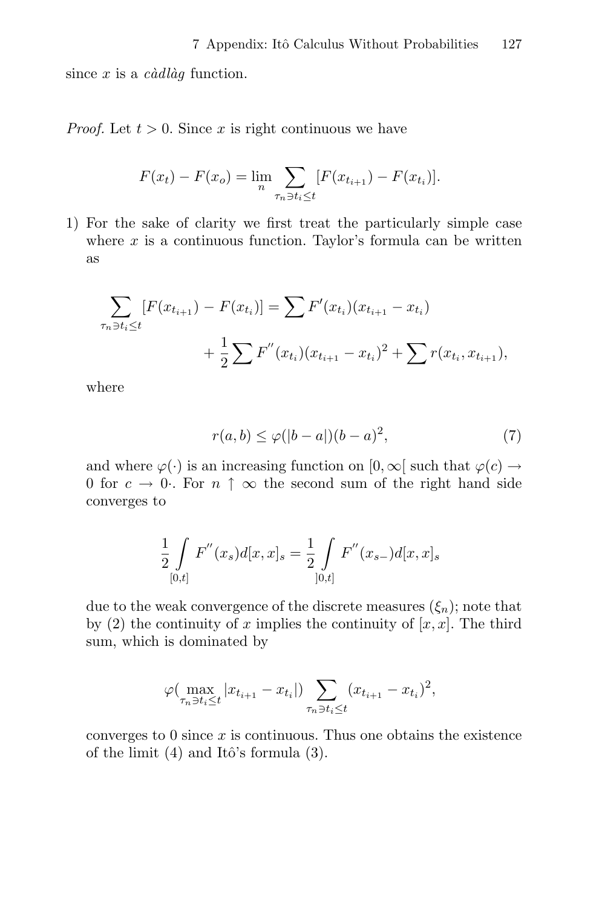since  $x$  is a *c*àdlàg function.

*Proof.* Let  $t > 0$ . Since x is right continuous we have

$$
F(x_t) - F(x_0) = \lim_{n} \sum_{\tau_n \ni t_i \le t} [F(x_{t_{i+1}}) - F(x_{t_i})].
$$

1) For the sake of clarity we first treat the particularly simple case where  $x$  is a continuous function. Taylor's formula can be written as

$$
\sum_{\tau_n \ni t_i \le t} [F(x_{t_{i+1}}) - F(x_{t_i})] = \sum F'(x_{t_i})(x_{t_{i+1}} - x_{t_i}) + \frac{1}{2} \sum F''(x_{t_i})(x_{t_{i+1}} - x_{t_i})^2 + \sum r(x_{t_i}, x_{t_{i+1}}),
$$

where

$$
r(a,b) \le \varphi(|b-a|)(b-a)^2,\tag{7}
$$

and where  $\varphi(\cdot)$  is an increasing function on  $[0,\infty]$  such that  $\varphi(c) \to$ 0 for  $c \to 0$ . For  $n \uparrow \infty$  the second sum of the right hand side converges to

$$
\frac{1}{2} \int_{[0,t]} F''(x_s) d[x,x]_s = \frac{1}{2} \int_{[0,t]} F''(x_{s-}) d[x,x]_s
$$

due to the weak convergence of the discrete measures  $(\xi_n)$ ; note that by (2) the continuity of x implies the continuity of  $[x, x]$ . The third sum, which is dominated by

$$
\varphi(\max_{\tau_n \ni t_i \leq t} |x_{t_{i+1}} - x_{t_i}|) \sum_{\tau_n \ni t_i \leq t} (x_{t_{i+1}} - x_{t_i})^2,
$$

converges to  $0$  since  $x$  is continuous. Thus one obtains the existence of the limit  $(4)$  and Itô's formula  $(3)$ .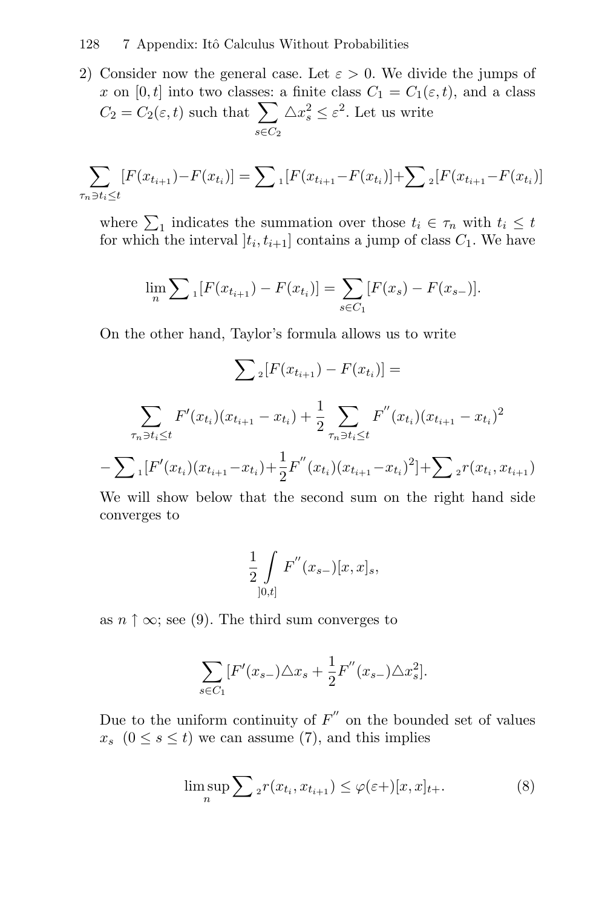2) Consider now the general case. Let  $\varepsilon > 0$ . We divide the jumps of x on [0, t] into two classes: a finite class  $C_1 = C_1(\varepsilon, t)$ , and a class  $C_2 = C_2(\varepsilon, t)$  such that  $\sum$  $s \in C_2$  $\triangle x_s^2 \leq \varepsilon^2$ . Let us write

$$
\sum_{\tau_n \ni t_i \le t} [F(x_{t_{i+1}}) - F(x_{t_i})] = \sum_{i} [F(x_{t_{i+1}} - F(x_{t_i})] + \sum_{i} [F(x_{t_{i+1}} - F(x_{t_i}))]
$$

where  $\sum_{1}$  indicates the summation over those  $t_i \in \tau_n$  with  $t_i \leq t$ for which the interval  $[t_i, t_{i+1}]$  contains a jump of class  $C_1$ . We have

$$
\lim_{n} \sum_{i} [F(x_{t_{i+1}}) - F(x_{t_i})] = \sum_{s \in C_1} [F(x_s) - F(x_{s-})].
$$

On the other hand, Taylor's formula allows us to write

$$
\sum_{\tau_i \ni t_i \leq t} F(x_{t_{i+1}}) - F(x_{t_i}) =
$$
\n
$$
\sum_{\tau_n \ni t_i \leq t} F'(x_{t_i})(x_{t_{i+1}} - x_{t_i}) + \frac{1}{2} \sum_{\tau_n \ni t_i \leq t} F''(x_{t_i})(x_{t_{i+1}} - x_{t_i})^2
$$
\n
$$
-\sum_{i} [F'(x_{t_i})(x_{t_{i+1}} - x_{t_i}) + \frac{1}{2} F''(x_{t_i})(x_{t_{i+1}} - x_{t_i})^2] + \sum_{i} F(x_{t_i}, x_{t_{i+1}})
$$

We will show below that the second sum on the right hand side converges to

$$
\frac{1}{2} \int\limits_{]0,t]} F^{''}(x_{s-})[x,x]_{s},
$$

as  $n \uparrow \infty$ ; see (9). The third sum converges to

$$
\sum_{s \in C_1} [F'(x_{s-}) \triangle x_s + \frac{1}{2} F''(x_{s-}) \triangle x_s^2].
$$

Due to the uniform continuity of  $F''$  on the bounded set of values  $x_s$   $(0 \le s \le t)$  we can assume (7), and this implies

$$
\limsup_{n} \sum_{2} r(x_{t_i}, x_{t_{i+1}}) \leq \varphi(\varepsilon +)[x, x]_{t+}.
$$
\n(8)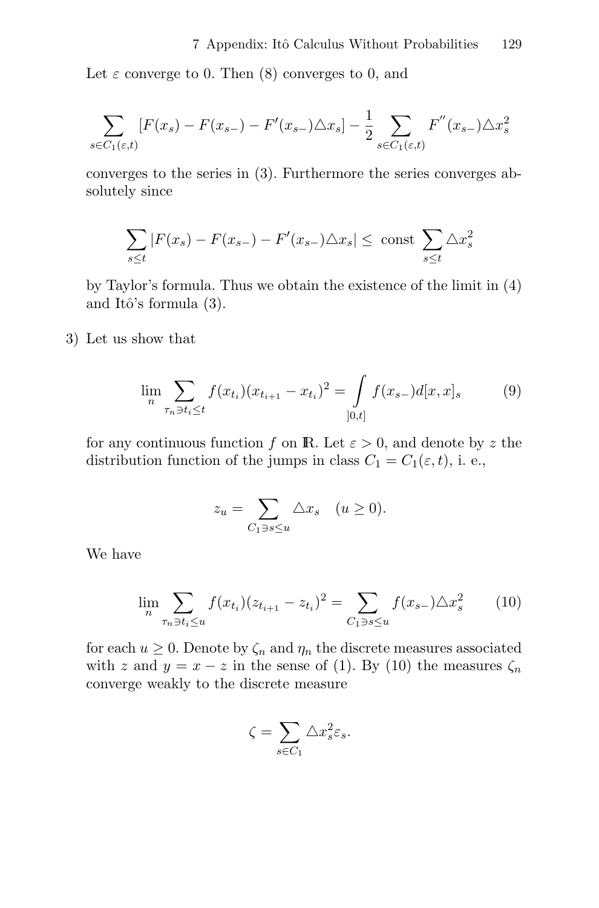Let  $\varepsilon$  converge to 0. Then (8) converges to 0, and

$$
\sum_{s \in C_1(\varepsilon, t)} [F(x_s) - F(x_{s-}) - F'(x_{s-}) \triangle x_s] - \frac{1}{2} \sum_{s \in C_1(\varepsilon, t)} F''(x_{s-}) \triangle x_s^2
$$

converges to the series in (3). Furthermore the series converges absolutely since

$$
\sum_{s\leq t} |F(x_s) - F(x_{s-}) - F'(x_{s-})\triangle x_s| \leq \text{ const } \sum_{s\leq t} \triangle x_s^2
$$

by Taylor's formula. Thus we obtain the existence of the limit in (4) and Itô's formula  $(3)$ .

3) Let us show that

$$
\lim_{n} \sum_{\tau_n \ni t_i \le t} f(x_{t_i}) (x_{t_{i+1}} - x_{t_i})^2 = \int_{[0,t]} f(x_{s-}) d[x, x]_s \tag{9}
$$

for any continuous function f on **R**. Let  $\varepsilon > 0$ , and denote by z the distribution function of the jumps in class  $C_1 = C_1(\varepsilon, t)$ , i. e.,

$$
z_u = \sum_{C_1 \ni s \le u} \triangle x_s \quad (u \ge 0).
$$

We have

$$
\lim_{n} \sum_{\tau_n \ni t_i \le u} f(x_{t_i})(z_{t_{i+1}} - z_{t_i})^2 = \sum_{C_1 \ni s \le u} f(x_{s-}) \triangle x_s^2 \tag{10}
$$

for each  $u \geq 0$ . Denote by  $\zeta_n$  and  $\eta_n$  the discrete measures associated with z and  $y = x - z$  in the sense of (1). By (10) the measures  $\zeta_n$ converge weakly to the discrete measure

$$
\zeta = \sum_{s \in C_1} \triangle x_s^2 \varepsilon_s.
$$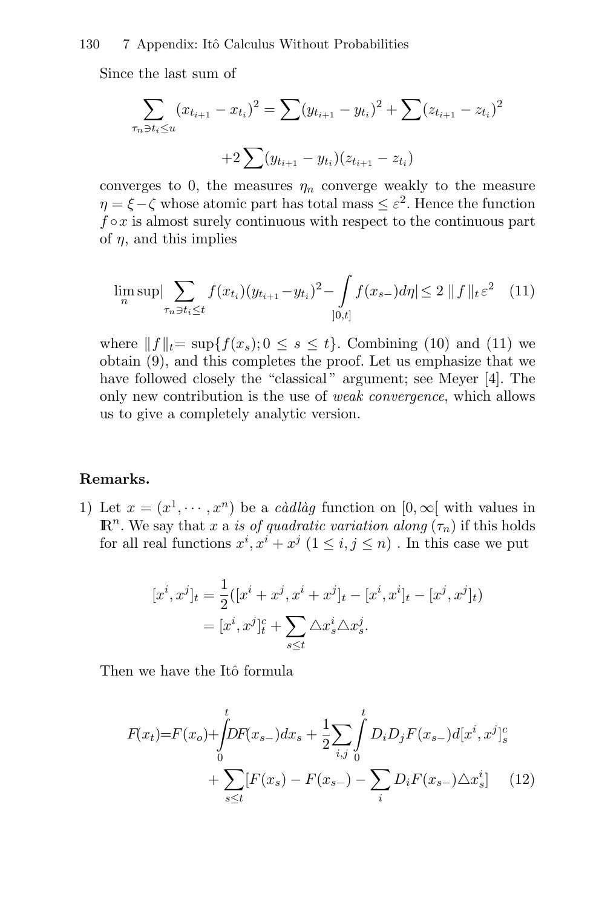#### 130 7 Appendix: Itô Calculus Without Probabilities

Since the last sum of

$$
\sum_{\tau_n \ni t_i \le u} (x_{t_{i+1}} - x_{t_i})^2 = \sum (y_{t_{i+1}} - y_{t_i})^2 + \sum (z_{t_{i+1}} - z_{t_i})^2
$$

$$
+ 2 \sum (y_{t_{i+1}} - y_{t_i}) (z_{t_{i+1}} - z_{t_i})
$$

converges to 0, the measures  $\eta_n$  converge weakly to the measure  $\eta = \xi - \zeta$  whose atomic part has total mass  $\leq \varepsilon^2$ . Hence the function  $f \circ x$  is almost surely continuous with respect to the continuous part of  $\eta$ , and this implies

$$
\lim_{n} \sup \Big| \sum_{\tau_n \ni t_i \le t} f(x_{t_i}) (y_{t_{i+1}} - y_{t_i})^2 - \int_{[0,t]} f(x_{s-}) d\eta \Big| \le 2 \|f\|_{t} \varepsilon^2 \tag{11}
$$

where  $|| f ||_{t} = \sup\{f(x_s); 0 \le s \le t\}$ . Combining (10) and (11) we obtain (9), and this completes the proof. Let us emphasize that we have followed closely the "classical" argument; see Meyer [4]. The only new contribution is the use of weak convergence, which allows us to give a completely analytic version.

#### **Remarks.**

1) Let  $x = (x^1, \dots, x^n)$  be a *càdlàg* function on  $[0, \infty)$  with values in  $\mathbb{R}^n$ . We say that x a is of quadratic variation along  $(\tau_n)$  if this holds for all real functions  $x^i, x^i + x^j$   $(1 \le i, j \le n)$ . In this case we put

$$
[x^{i}, x^{j}]_{t} = \frac{1}{2}([x^{i} + x^{j}, x^{i} + x^{j}]_{t} - [x^{i}, x^{i}]_{t} - [x^{j}, x^{j}]_{t})
$$

$$
= [x^{i}, x^{j}]_{t}^{c} + \sum_{s \leq t} \triangle x_{s}^{i} \triangle x_{s}^{j}.
$$

Then we have the Itô formula

$$
F(x_t) = F(x_o) + \int_0^t DF(x_{s-})dx_s + \frac{1}{2}\sum_{i,j} \int_0^t D_i D_j F(x_{s-})d[x^i, x^j]_s^c
$$
  
+ 
$$
\sum_{s \le t} [F(x_s) - F(x_{s-}) - \sum_i D_i F(x_{s-}) \triangle x_s^i]
$$
 (12)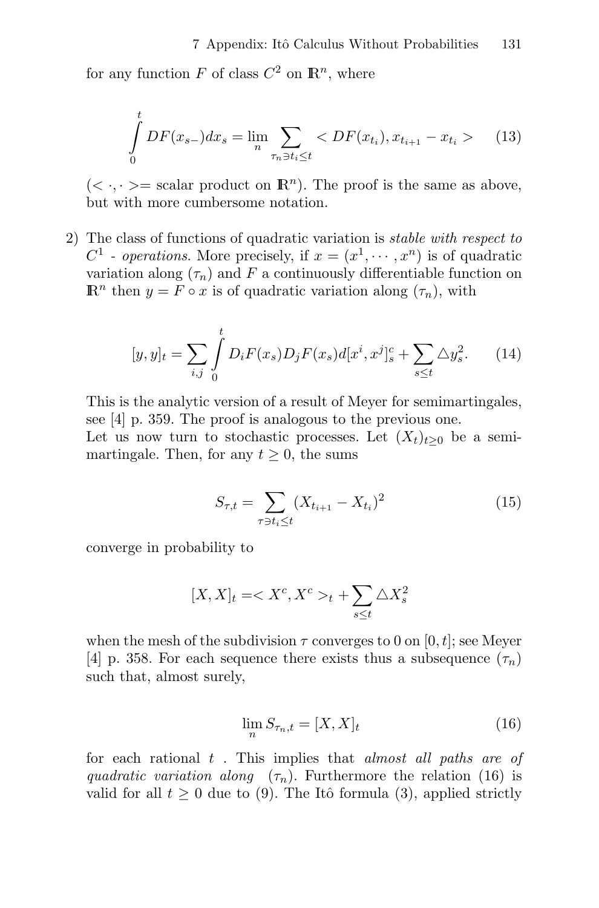for any function F of class  $C^2$  on  $\mathbb{R}^n$ , where

$$
\int_{0}^{t} DF(x_{s-})dx_{s} = \lim_{n} \sum_{\tau_{n} \ni t_{i} \leq t} \langle DF(x_{t_{i}}), x_{t_{i+1}} - x_{t_{i}} \rangle \qquad (13)
$$

 $(< \cdot, \cdot> =$  scalar product on  $\mathbb{R}^{n}$ ). The proof is the same as above, but with more cumbersome notation.

2) The class of functions of quadratic variation is stable with respect to  $C^1$  - operations. More precisely, if  $x = (x^1, \dots, x^n)$  is of quadratic variation along  $(\tau_n)$  and F a continuously differentiable function on  $\mathbb{R}^n$  then  $y = F \circ x$  is of quadratic variation along  $(\tau_n)$ , with

$$
[y, y]_t = \sum_{i,j} \int_0^t D_i F(x_s) D_j F(x_s) d[x^i, x^j]_s^c + \sum_{s \le t} \Delta y_s^2.
$$
 (14)

This is the analytic version of a result of Meyer for semimartingales, see [4] p. 359. The proof is analogous to the previous one. Let us now turn to stochastic processes. Let  $(X_t)_{t>0}$  be a semimartingale. Then, for any  $t \geq 0$ , the sums

$$
S_{\tau,t} = \sum_{\tau \ni t_i \le t} (X_{t_{i+1}} - X_{t_i})^2
$$
 (15)

converge in probability to

$$
[X,X]_t = _t + \sum_{s\leq t} \triangle X_s^2
$$

when the mesh of the subdivision  $\tau$  converges to 0 on [0, t]; see Meyer [4] p. 358. For each sequence there exists thus a subsequence  $(\tau_n)$ such that, almost surely,

$$
\lim_{n} S_{\tau_n,t} = [X,X]_t \tag{16}
$$

for each rational  $t$ . This implies that *almost all paths are of* quadratic variation along  $(\tau_n)$ . Furthermore the relation (16) is valid for all  $t \geq 0$  due to (9). The Itô formula (3), applied strictly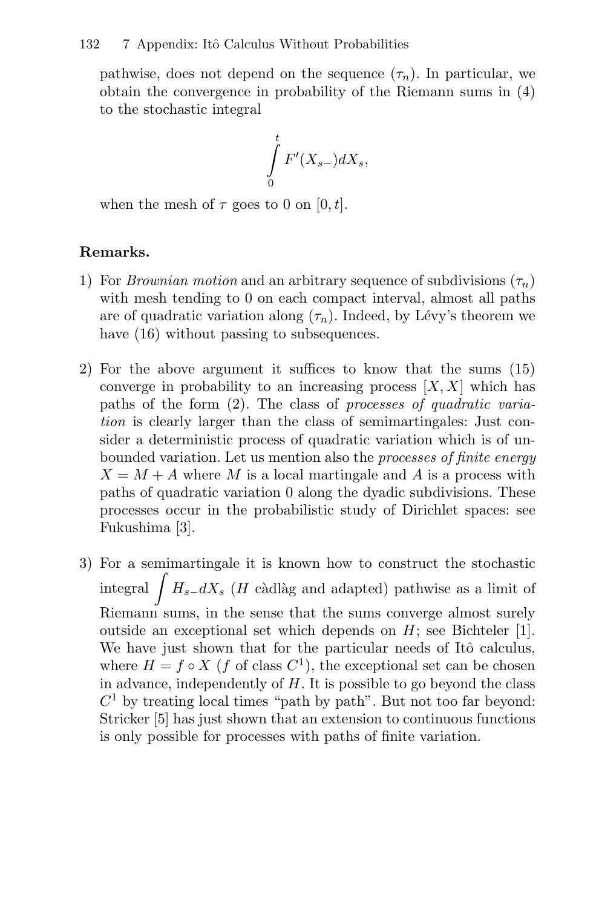pathwise, does not depend on the sequence  $(\tau_n)$ . In particular, we obtain the convergence in probability of the Riemann sums in (4) to the stochastic integral

$$
\int\limits_0^t F'(X_{s-})dX_s,
$$

when the mesh of  $\tau$  goes to 0 on [0, t].

#### **Remarks.**

- 1) For *Brownian motion* and an arbitrary sequence of subdivisions  $(\tau_n)$ with mesh tending to 0 on each compact interval, almost all paths are of quadratic variation along  $(\tau_n)$ . Indeed, by Lévy's theorem we have  $(16)$  without passing to subsequences.
- 2) For the above argument it suffices to know that the sums (15) converge in probability to an increasing process  $[X, X]$  which has paths of the form (2). The class of processes of quadratic variation is clearly larger than the class of semimartingales: Just consider a deterministic process of quadratic variation which is of unbounded variation. Let us mention also the *processes of finite energy*  $X = M + A$  where M is a local martingale and A is a process with paths of quadratic variation 0 along the dyadic subdivisions. These processes occur in the probabilistic study of Dirichlet spaces: see Fukushima [3].
- 3) For a semimartingale it is known how to construct the stochastic integral  $\int H_{s-}dX_{s}$  (*H* càdlàg and adapted) pathwise as a limit of Riemann sums, in the sense that the sums converge almost surely outside an exceptional set which depends on H; see Bichteler [1]. We have just shown that for the particular needs of Itô calculus, where  $H = f \circ X$  (f of class  $C^1$ ), the exceptional set can be chosen in advance, independently of  $H$ . It is possible to go beyond the class  $C<sup>1</sup>$  by treating local times "path by path". But not too far beyond: Stricker [5] has just shown that an extension to continuous functions is only possible for processes with paths of finite variation.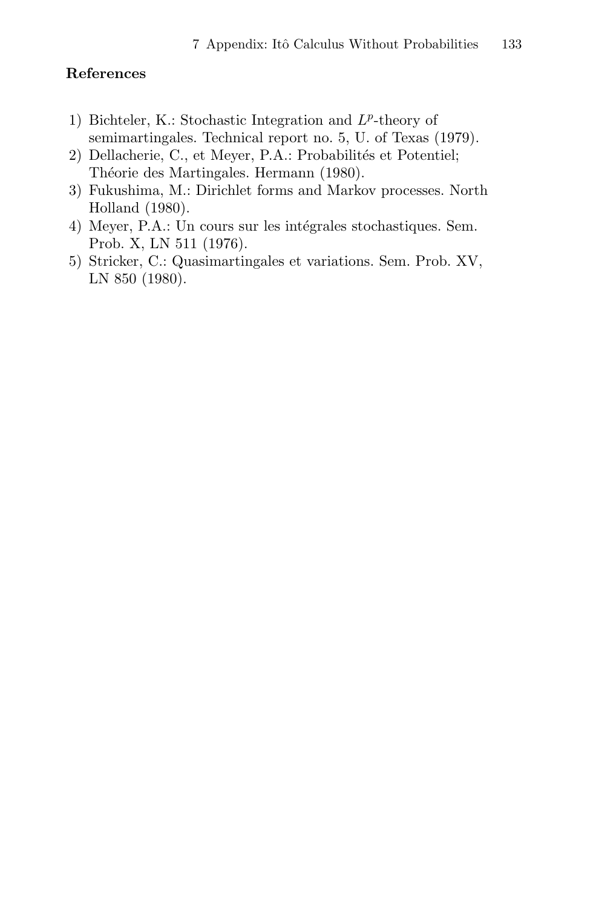### **References**

- 1) Bichteler, K.: Stochastic Integration and  $L^p$ -theory of semimartingales. Technical report no. 5, U. of Texas (1979).
- 2) Dellacherie, C., et Meyer, P.A.: Probabilités et Potentiel; Théorie des Martingales. Hermann (1980).
- 3) Fukushima, M.: Dirichlet forms and Markov processes. North Holland (1980).
- 4) Meyer, P.A.: Un cours sur les intégrales stochastiques. Sem. Prob. X, LN 511 (1976).
- 5) Stricker, C.: Quasimartingales et variations. Sem. Prob. XV, LN 850 (1980).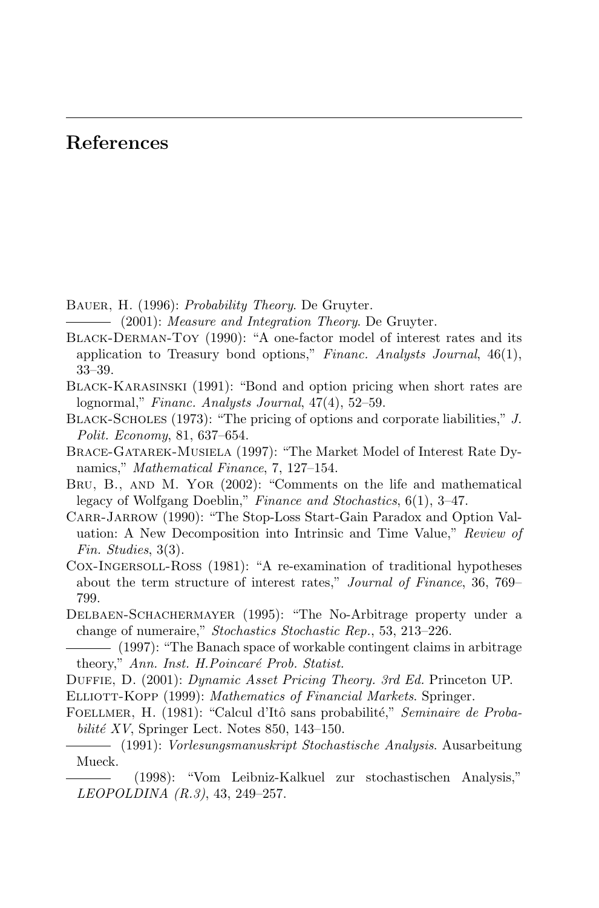## **References**

BAUER, H. (1996): Probability Theory. De Gruyter.

 $-$  (2001): Measure and Integration Theory. De Gruyter.

- Black-Derman-Toy (1990): "A one-factor model of interest rates and its application to Treasury bond options," Financ. Analysts Journal, 46(1), 33–39.
- Black-Karasinski (1991): "Bond and option pricing when short rates are lognormal," Financ. Analysts Journal, 47(4), 52–59.
- BLACK-SCHOLES (1973): "The pricing of options and corporate liabilities," J. Polit. Economy, 81, 637–654.
- Brace-Gatarek-Musiela (1997): "The Market Model of Interest Rate Dynamics," Mathematical Finance, 7, 127–154.
- Bru, B., and M. Yor (2002): "Comments on the life and mathematical legacy of Wolfgang Doeblin," Finance and Stochastics, 6(1), 3–47.
- Carr-Jarrow (1990): "The Stop-Loss Start-Gain Paradox and Option Valuation: A New Decomposition into Intrinsic and Time Value," Review of Fin. Studies, 3(3).
- Cox-Ingersoll-Ross (1981): "A re-examination of traditional hypotheses about the term structure of interest rates," Journal of Finance, 36, 769– 799.
- Delbaen-Schachermayer (1995): "The No-Arbitrage property under a change of numeraire," Stochastics Stochastic Rep., 53, 213–226.
- (1997): "The Banach space of workable contingent claims in arbitrage theory," Ann. Inst. H.Poincaré Prob. Statist.
- DUFFIE, D. (2001): Dynamic Asset Pricing Theory. 3rd Ed. Princeton UP.
- ELLIOTT-KOPP (1999): Mathematics of Financial Markets. Springer.
- FOELLMER, H. (1981): "Calcul d'Itô sans probabilité," Seminaire de Probabilité  $XY$ , Springer Lect. Notes 850, 143–150.
- (1991): Vorlesungsmanuskript Stochastische Analysis. Ausarbeitung Mueck.

(1998): "Vom Leibniz-Kalkuel zur stochastischen Analysis," LEOPOLDINA (R.3), 43, 249–257.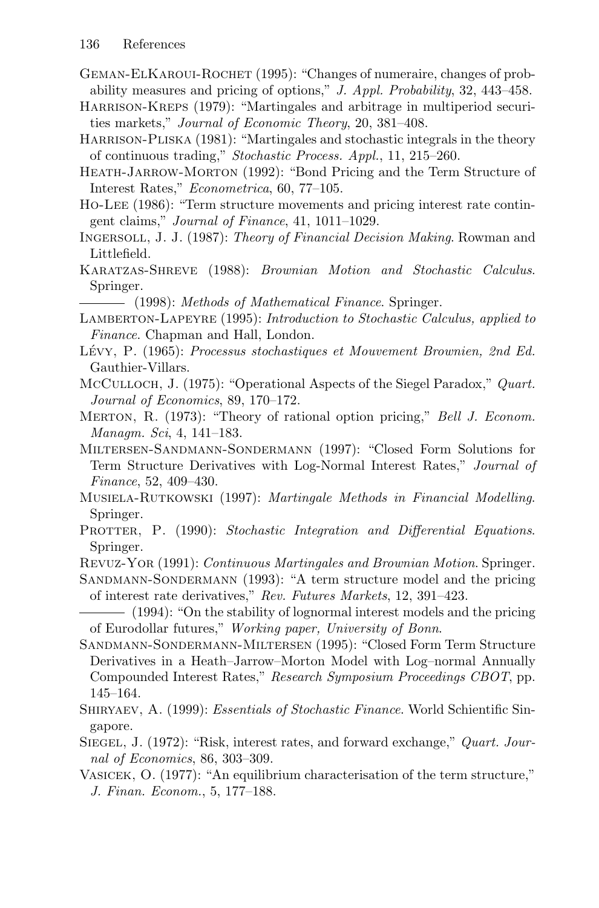- GEMAN-ELKAROUI-ROCHET (1995): "Changes of numeraire, changes of probability measures and pricing of options," J. Appl. Probability, 32, 443–458.
- Harrison-Kreps (1979): "Martingales and arbitrage in multiperiod securities markets," Journal of Economic Theory, 20, 381–408.
- HARRISON-PLISKA (1981): "Martingales and stochastic integrals in the theory of continuous trading," Stochastic Process. Appl., 11, 215–260.
- Heath-Jarrow-Morton (1992): "Bond Pricing and the Term Structure of Interest Rates," Econometrica, 60, 77–105.
- Ho-Lee (1986): "Term structure movements and pricing interest rate contingent claims," Journal of Finance, 41, 1011–1029.
- INGERSOLL, J. J. (1987): Theory of Financial Decision Making. Rowman and Littlefield.
- KARATZAS-SHREVE (1988): Brownian Motion and Stochastic Calculus. Springer.

 $-$  (1998): Methods of Mathematical Finance. Springer.

- LAMBERTON-LAPEYRE (1995): Introduction to Stochastic Calculus, applied to Finance. Chapman and Hall, London.
- LÉVY, P. (1965): Processus stochastiques et Mouvement Brownien, 2nd Ed. Gauthier-Villars.
- MCCULLOCH, J. (1975): "Operational Aspects of the Siegel Paradox," Quart. Journal of Economics, 89, 170–172.
- MERTON, R. (1973): "Theory of rational option pricing," Bell J. Econom. Managm. Sci, 4, 141–183.
- Miltersen-Sandmann-Sondermann (1997): "Closed Form Solutions for Term Structure Derivatives with Log-Normal Interest Rates," Journal of Finance, 52, 409–430.
- MUSIELA-RUTKOWSKI (1997): Martingale Methods in Financial Modelling. Springer.
- PROTTER, P. (1990): Stochastic Integration and Differential Equations. Springer.
- Revuz-Yor (1991): Continuous Martingales and Brownian Motion. Springer.
- SANDMANN-SONDERMANN (1993): "A term structure model and the pricing of interest rate derivatives," Rev. Futures Markets, 12, 391–423.

- Sandmann-Sondermann-Miltersen (1995): "Closed Form Term Structure Derivatives in a Heath–Jarrow–Morton Model with Log–normal Annually Compounded Interest Rates," Research Symposium Proceedings CBOT, pp. 145–164.
- SHIRYAEV, A. (1999): *Essentials of Stochastic Finance*. World Schientific Singapore.
- SIEGEL, J. (1972): "Risk, interest rates, and forward exchange," Quart. Journal of Economics, 86, 303–309.
- Vasicek, O. (1977): "An equilibrium characterisation of the term structure," J. Finan. Econom., 5, 177–188.

<sup>(1994): &</sup>quot;On the stability of lognormal interest models and the pricing of Eurodollar futures," Working paper, University of Bonn.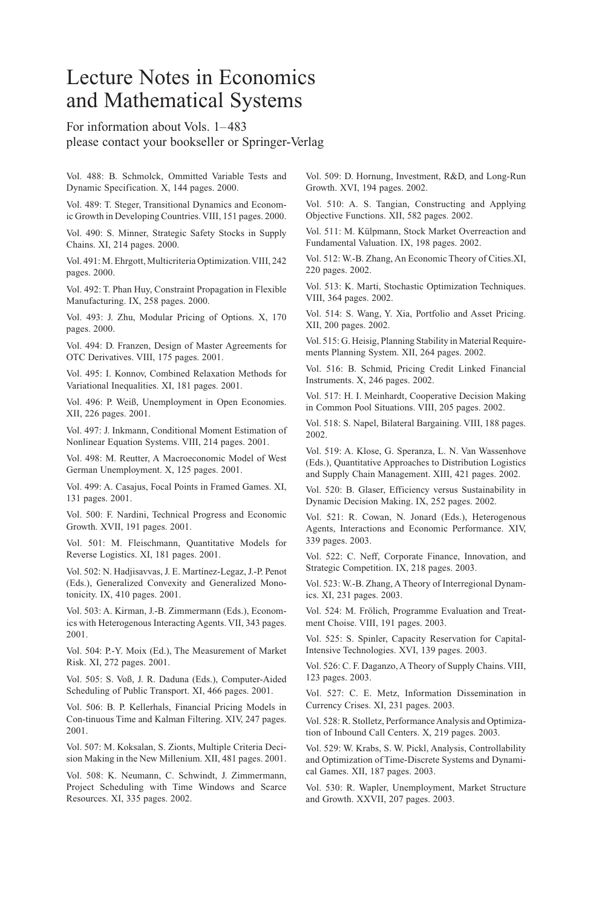# Lecture Notes in Economics and Mathematical Systems

For information about Vols. 1–483 please contact your bookseller or Springer-Verlag

Vol. 488: B. Schmolck, Ommitted Variable Tests and Dynamic Specification. X, 144 pages. 2000.

Vol. 489: T. Steger, Transitional Dynamics and Economic Growth in Developing Countries. VIII, 151 pages. 2000.

Vol. 490: S. Minner, Strategic Safety Stocks in Supply Chains. XI, 214 pages. 2000.

Vol. 491: M. Ehrgott, Multicriteria Optimization. VIII, 242 pages. 2000.

Vol. 492: T. Phan Huy, Constraint Propagation in Flexible Manufacturing. IX, 258 pages. 2000.

Vol. 493: J. Zhu, Modular Pricing of Options. X, 170 pages. 2000.

Vol. 494: D. Franzen, Design of Master Agreements for OTC Derivatives. VIII, 175 pages. 2001.

Vol. 495: I. Konnov, Combined Relaxation Methods for Variational Inequalities. XI, 181 pages. 2001.

Vol. 496: P. Weiß, Unemployment in Open Economies. XII, 226 pages. 2001.

Vol. 497: J. Inkmann, Conditional Moment Estimation of Nonlinear Equation Systems. VIII, 214 pages. 2001.

Vol. 498: M. Reutter, A Macroeconomic Model of West German Unemployment. X, 125 pages. 2001.

Vol. 499: A. Casajus, Focal Points in Framed Games. XI, 131 pages. 2001.

Vol. 500: F. Nardini, Technical Progress and Economic Growth. XVII, 191 pages. 2001.

Vol. 501: M. Fleischmann, Quantitative Models for Reverse Logistics. XI, 181 pages. 2001.

Vol. 502: N. Hadjisavvas, J. E. Martínez-Legaz, J.-P. Penot (Eds.), Generalized Convexity and Generalized Monotonicity. IX, 410 pages. 2001.

Vol. 503: A. Kirman, J.-B. Zimmermann (Eds.), Economics with Heterogenous Interacting Agents. VII, 343 pages. 2001.

Vol. 504: P.-Y. Moix (Ed.), The Measurement of Market Risk. XI, 272 pages. 2001.

Vol. 505: S. Voß, J. R. Daduna (Eds.), Computer-Aided Scheduling of Public Transport. XI, 466 pages. 2001.

Vol. 506: B. P. Kellerhals, Financial Pricing Models in Con-tinuous Time and Kalman Filtering. XIV, 247 pages. 2001.

Vol. 507: M. Koksalan, S. Zionts, Multiple Criteria Decision Making in the New Millenium. XII, 481 pages. 2001.

Vol. 508: K. Neumann, C. Schwindt, J. Zimmermann, Project Scheduling with Time Windows and Scarce Resources. XI, 335 pages. 2002.

Vol. 509: D. Hornung, Investment, R&D, and Long-Run Growth. XVI, 194 pages. 2002.

Vol. 510: A. S. Tangian, Constructing and Applying Objective Functions. XII, 582 pages. 2002.

Vol. 511: M. Külpmann, Stock Market Overreaction and Fundamental Valuation. IX, 198 pages. 2002.

Vol. 512: W.-B. Zhang, An Economic Theory of Cities.XI, 220 pages. 2002.

Vol. 513: K. Marti, Stochastic Optimization Techniques. VIII, 364 pages. 2002.

Vol. 514: S. Wang, Y. Xia, Portfolio and Asset Pricing. XII, 200 pages. 2002.

Vol. 515: G. Heisig, Planning Stability in Material Requirements Planning System. XII, 264 pages. 2002.

Vol. 516: B. Schmid, Pricing Credit Linked Financial Instruments. X, 246 pages. 2002.

Vol. 517: H. I. Meinhardt, Cooperative Decision Making in Common Pool Situations. VIII, 205 pages. 2002.

Vol. 518: S. Napel, Bilateral Bargaining. VIII, 188 pages. 2002.

Vol. 519: A. Klose, G. Speranza, L. N. Van Wassenhove (Eds.), Quantitative Approaches to Distribution Logistics and Supply Chain Management. XIII, 421 pages. 2002.

Vol. 520: B. Glaser, Efficiency versus Sustainability in Dynamic Decision Making. IX, 252 pages. 2002.

Vol. 521: R. Cowan, N. Jonard (Eds.), Heterogenous Agents, Interactions and Economic Performance. XIV, 339 pages. 2003.

Vol. 522: C. Neff, Corporate Finance, Innovation, and Strategic Competition. IX, 218 pages. 2003.

Vol. 523: W.-B. Zhang, A Theory of Interregional Dynamics. XI, 231 pages. 2003.

Vol. 524: M. Frölich, Programme Evaluation and Treatment Choise. VIII, 191 pages. 2003.

Vol. 525: S. Spinler, Capacity Reservation for Capital-Intensive Technologies. XVI, 139 pages. 2003.

Vol. 526: C. F. Daganzo, A Theory of Supply Chains. VIII, 123 pages. 2003.

Vol. 527: C. E. Metz, Information Dissemination in Currency Crises. XI, 231 pages. 2003.

Vol. 528: R. Stolletz, Performance Analysis and Optimization of Inbound Call Centers. X, 219 pages. 2003.

Vol. 529: W. Krabs, S. W. Pickl, Analysis, Controllability and Optimization of Time-Discrete Systems and Dynamical Games. XII, 187 pages. 2003.

Vol. 530: R. Wapler, Unemployment, Market Structure and Growth. XXVII, 207 pages. 2003.